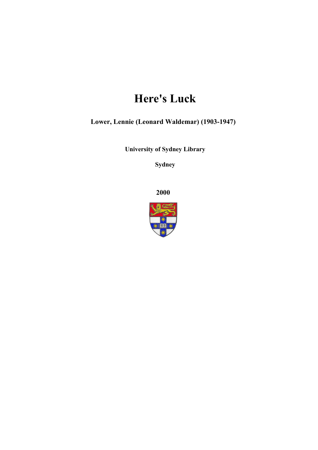# **Here's Luck**

**Lower, Lennie (Leonard Waldemar) (1903-1947)**

**University of Sydney Library** 

**Sydney** 

**2000**

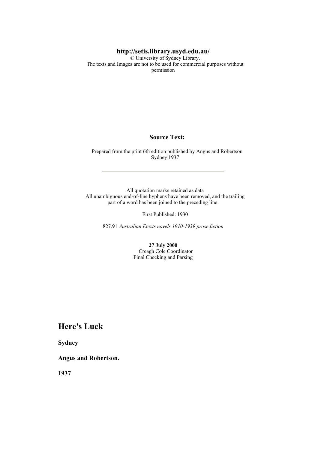#### **http://setis.library.usyd.edu.au/**

 © University of Sydney Library. The texts and Images are not to be used for commercial purposes without permission

#### **Source Text:**

 Prepared from the print 6th edition published by Angus and Robertson Sydney 1937

 All quotation marks retained as data All unambiguous end-of-line hyphens have been removed, and the trailing part of a word has been joined to the preceding line.

First Published: 1930

827.91 *Australian Etexts novels 1910-1939 prose fiction*

**27 July 2000** Creagh Cole Coordinator Final Checking and Parsing

#### **Here's Luck**

**Sydney** 

#### **Angus and Robertson.**

**1937**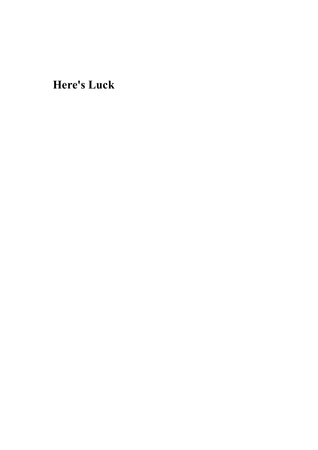**Here's Luck**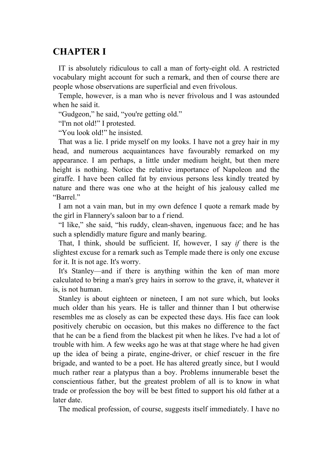### **CHAPTER I**

 IT is absolutely ridiculous to call a man of forty-eight old. A restricted vocabulary might account for such a remark, and then of course there are people whose observations are superficial and even frivolous.

 Temple, however, is a man who is never frivolous and I was astounded when he said it.

"Gudgeon," he said, "you're getting old."

"I'm not old!" I protested.

"You look old!" he insisted.

 That was a lie. I pride myself on my looks. I have not a grey hair in my head, and numerous acquaintances have favourably remarked on my appearance. I am perhaps, a little under medium height, but then mere height is nothing. Notice the relative importance of Napoleon and the giraffe. I have been called fat by envious persons less kindly treated by nature and there was one who at the height of his jealousy called me "Barrel"

 I am not a vain man, but in my own defence I quote a remark made by the girl in Flannery's saloon bar to a f riend.

 "I like," she said, "his ruddy, clean-shaven, ingenuous face; and he has such a splendidly mature figure and manly bearing.

 That, I think, should be sufficient. If, however, I say *if* there is the slightest excuse for a remark such as Temple made there is only one excuse for it. It is not age. It's worry.

 It's Stanley—and if there is anything within the ken of man more calculated to bring a man's grey hairs in sorrow to the grave, it, whatever it is, is not human.

 Stanley is about eighteen or nineteen, I am not sure which, but looks much older than his years. He is taller and thinner than I but otherwise resembles me as closely as can be expected these days. His face can look positively cherubic on occasion, but this makes no difference to the fact that he can be a fiend from the blackest pit when he likes. I've had a lot of trouble with him. A few weeks ago he was at that stage where he had given up the idea of being a pirate, engine-driver, or chief rescuer in the fire brigade, and wanted to be a poet. He has altered greatly since, but I would much rather rear a platypus than a boy. Problems innumerable beset the conscientious father, but the greatest problem of all is to know in what trade or profession the boy will be best fitted to support his old father at a later date.

The medical profession, of course, suggests itself immediately. I have no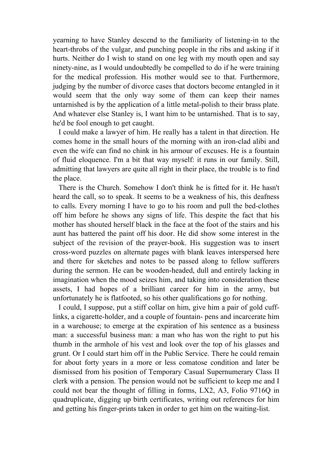yearning to have Stanley descend to the familiarity of listening-in to the heart-throbs of the vulgar, and punching people in the ribs and asking if it hurts. Neither do I wish to stand on one leg with my mouth open and say ninety-nine, as I would undoubtedly be compelled to do if he were training for the medical profession. His mother would see to that. Furthermore, judging by the number of divorce cases that doctors become entangled in it would seem that the only way some of them can keep their names untarnished is by the application of a little metal-polish to their brass plate. And whatever else Stanley is, I want him to be untarnished. That is to say, he'd be fool enough to get caught.

 I could make a lawyer of him. He really has a talent in that direction. He comes home in the small hours of the morning with an iron-clad alibi and even the wife can find no chink in his armour of excuses. He is a fountain of fluid eloquence. I'm a bit that way myself: it runs in our family. Still, admitting that lawyers are quite all right in their place, the trouble is to find the place.

 There is the Church. Somehow I don't think he is fitted for it. He hasn't heard the call, so to speak. It seems to be a weakness of his, this deafness to calls. Every morning I have to go to his room and pull the bed-clothes off him before he shows any signs of life. This despite the fact that his mother has shouted herself black in the face at the foot of the stairs and his aunt has battered the paint off his door. He did show some interest in the subject of the revision of the prayer-book. His suggestion was to insert cross-word puzzles on alternate pages with blank leaves interspersed here and there for sketches and notes to be passed along to fellow sufferers during the sermon. He can be wooden-headed, dull and entirely lacking in imagination when the mood seizes him, and taking into consideration these assets, I had hopes of a brilliant career for him in the army, but unfortunately he is flatfooted, so his other qualifications go for nothing.

 I could, I suppose, put a stiff collar on him, give him a pair of gold cufflinks, a cigarette-holder, and a couple of fountain- pens and incarcerate him in a warehouse; to emerge at the expiration of his sentence as a business man: a successful business man: a man who has won the right to put his thumb in the armhole of his vest and look over the top of his glasses and grunt. Or I could start him off in the Public Service. There he could remain for about forty years in a more or less comatose condition and later be dismissed from his position of Temporary Casual Supernumerary Class II clerk with a pension. The pension would not be sufficient to keep me and I could not bear the thought of filling in forms, LX2, A3, Folio 9716Q in quadruplicate, digging up birth certificates, writing out references for him and getting his finger-prints taken in order to get him on the waiting-list.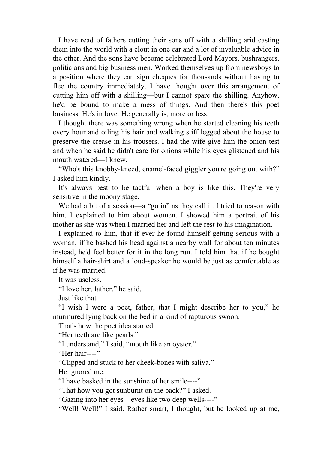I have read of fathers cutting their sons off with a shilling arid casting them into the world with a clout in one ear and a lot of invaluable advice in the other. And the sons have become celebrated Lord Mayors, bushrangers, politicians and big business men. Worked themselves up from newsboys to a position where they can sign cheques for thousands without having to flee the country immediately. I have thought over this arrangement of cutting him off with a shilling—but I cannot spare the shilling. Anyhow, he'd be bound to make a mess of things. And then there's this poet business. He's in love. He generally is, more or less.

 I thought there was something wrong when he started cleaning his teeth every hour and oiling his hair and walking stiff legged about the house to preserve the crease in his trousers. I had the wife give him the onion test and when he said he didn't care for onions while his eyes glistened and his mouth watered—I knew.

 "Who's this knobby-kneed, enamel-faced giggler you're going out with?" I asked him kindly.

 It's always best to be tactful when a boy is like this. They're very sensitive in the moony stage.

We had a bit of a session—a "go in" as they call it. I tried to reason with him. I explained to him about women. I showed him a portrait of his mother as she was when I married her and left the rest to his imagination.

 I explained to him, that if ever he found himself getting serious with a woman, if he bashed his head against a nearby wall for about ten minutes instead, he'd feel better for it in the long run. I told him that if he bought himself a hair-shirt and a loud-speaker he would be just as comfortable as if he was married.

It was useless.

"I love her, father," he said.

Just like that.

 "I wish I were a poet, father, that I might describe her to you," he murmured lying back on the bed in a kind of rapturous swoon.

That's how the poet idea started.

"Her teeth are like pearls."

"I understand," I said, "mouth like an oyster."

"Her hair----"

"Clipped and stuck to her cheek-bones with saliva."

He ignored me.

"I have basked in the sunshine of her smile----"

"That how you got sunburnt on the back?" I asked.

"Gazing into her eyes—eyes like two deep wells----"

"Well! Well!" I said. Rather smart, I thought, but he looked up at me,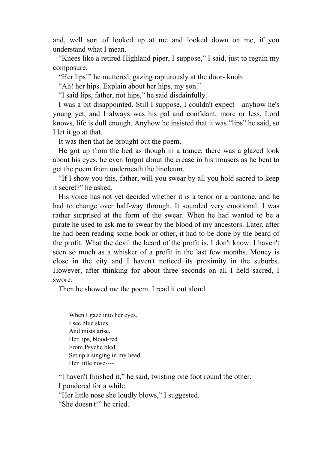and, well sort of looked up at me and looked down on me, if you understand what I mean.

 "Knees like a retired Highland piper, I suppose," I said, just to regain my composure.

"Her lips!" he muttered, gazing rapturously at the door- knob.

"Ah! her hips. Explain about her hips, my son."

"I said lips, father, not hips," he said disdainfully.

 I was a bit disappointed. Still I suppose, I couldn't expect—anyhow he's young yet, and I always was his pal and confidant, more or less. Lord knows, life is dull enough. Anyhow he insisted that it was "lips" he said, so I let it go at that.

It was then that he brought out the poem.

 He got up from the bed as though in a trance, there was a glazed look about his eyes, he even forgot about the crease in his trousers as he bent to get the poem from underneath the linoleum.

 "If I show you this, father, will you swear by all you hold sacred to keep it secret?" he asked.

 His voice has not yet decided whether it is a tenor or a baritone, and he had to change over half-way through. It sounded very emotional. I was rather surprised at the form of the swear. When he had wanted to be a pirate he used to ask me to swear by the blood of my ancestors. Later, after he had been reading some book or other, it had to be done by the beard of the profit. What the devil the beard of the profit is, I don't know. I haven't seen so much as a whisker of a profit in the last few months. Money is close in the city and I haven't noticed its proximity in the suburbs. However, after thinking for about three seconds on all I held sacred, I swore.

Then he showed me the poem. I read it out aloud.

When I gaze into her eyes, I see blue skies, And mists arise, Her lips, blood-red From Psyche bled, Set up a singing in my head. Her little nose----

 "I haven't finished it," he said, twisting one foot round the other. I pondered for a while. "Her little nose she loudly blows," I suggested.

"She doesn't!" he cried.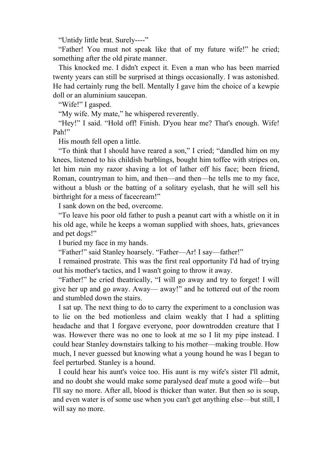"Untidy little brat. Surely----"

 "Father! You must not speak like that of my future wife!" he cried; something after the old pirate manner.

 This knocked me. I didn't expect it. Even a man who has been married twenty years can still be surprised at things occasionally. I was astonished. He had certainly rung the bell. Mentally I gave him the choice of a kewpie doll or an aluminium saucepan.

"Wife!" I gasped.

"My wife. My mate," he whispered reverently.

 "Hey!" I said. "Hold off! Finish. D'you hear me? That's enough. Wife! Pah!"

His mouth fell open a little.

 "To think that I should have reared a son," I cried; "dandled him on my knees, listened to his childish burblings, bought him toffee with stripes on, let him ruin my razor shaving a lot of lather off his face; been friend, Roman, countryman to him, and then—and then—he tells me to my face, without a blush or the batting of a solitary eyelash, that he will sell his birthright for a mess of facecream!"

I sank down on the bed, overcome.

 "To leave his poor old father to push a peanut cart with a whistle on it in his old age, while he keeps a woman supplied with shoes, hats, grievances and pet dogs!"

I buried my face in my hands.

"Father!" said Stanley hoarsely. "Father—Ar! I say—father!"

 I remained prostrate. This was the first real opportunity I'd had of trying out his mother's tactics, and I wasn't going to throw it away.

 "Father!" he cried theatrically, "I will go away and try to forget! I will give her up and go away. Away— away!" and he tottered out of the room and stumbled down the stairs.

 I sat up. The next thing to do to carry the experiment to a conclusion was to lie on the bed motionless and claim weakly that I had a splitting headache and that I forgave everyone, poor downtrodden creature that I was. However there was no one to look at me so I lit my pipe instead. I could hear Stanley downstairs talking to his rnother—making trouble. How much, I never guessed but knowing what a young hound he was I began to feel perturbed. Stanley is a hound.

 I could hear his aunt's voice too. His aunt is rny wife's sister I'll admit, and no doubt she would make some paralysed deaf mute a good wife—but I'll say no more. After all, blood is thicker than water. But then so is soup, and even water is of some use when you can't get anything else—but still, I will say no more.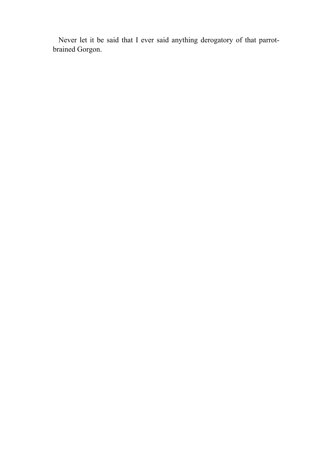Never let it be said that I ever said anything derogatory of that parrotbrained Gorgon.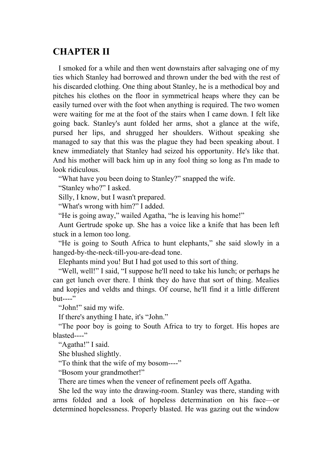### **CHAPTER II**

 I smoked for a while and then went downstairs after salvaging one of my ties which Stanley had borrowed and thrown under the bed with the rest of his discarded clothing. One thing about Stanley, he is a methodical boy and pitches his clothes on the floor in symmetrical heaps where they can be easily turned over with the foot when anything is required. The two women were waiting for me at the foot of the stairs when I came down. I felt like going back. Stanley's aunt folded her arms, shot a glance at the wife, pursed her lips, and shrugged her shoulders. Without speaking she managed to say that this was the plague they had been speaking about. I knew immediately that Stanley had seized his opportunity. He's like that. And his mother will back him up in any fool thing so long as I'm made to look ridiculous.

"What have you been doing to Stanley?" snapped the wife.

"Stanley who?" I asked.

Silly, I know, but I wasn't prepared.

"What's wrong with him?" I added.

"He is going away," wailed Agatha, "he is leaving his home!"

 Aunt Gertrude spoke up. She has a voice like a knife that has been left stuck in a lemon too long.

 "He is going to South Africa to hunt elephants," she said slowly in a hanged-by-the-neck-till-you-are-dead tone.

Elephants mind you! But I had got used to this sort of thing.

 "Well, well!" I said, "I suppose he'll need to take his lunch; or perhaps he can get lunch over there. I think they do have that sort of thing. Mealies and kopjes and veldts and things. Of course, he'll find it a little different  $but---"$ 

"John!" said my wife.

If there's anything I hate, it's "John."

 "The poor boy is going to South Africa to try to forget. His hopes are blasted----"

"Agatha!" I said.

She blushed slightly.

"To think that the wife of my bosom----"

"Bosom your grandmother!"

There are times when the veneer of refinement peels off Agatha.

 She led the way into the drawing-room. Stanley was there, standing with arms folded and a look of hopeless determination on his face—or determined hopelessness. Properly blasted. He was gazing out the window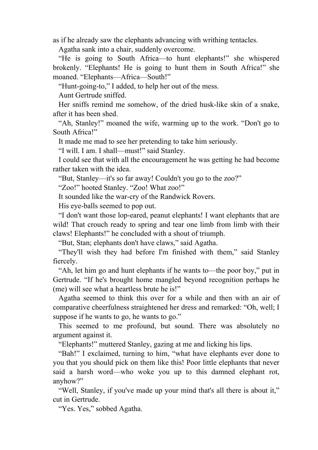as if he already saw the elephants advancing with writhing tentacles.

Agatha sank into a chair, suddenly overcome.

 "He is going to South Africa—to hunt elephants!" she whispered brokenly. "Elephants! He is going to hunt them in South Africa!" she moaned. "Elephants—Africa—South!"

"Hunt-going-to," I added, to help her out of the mess.

Aunt Gertrude sniffed.

 Her sniffs remind me somehow, of the dried husk-like skin of a snake, after it has been shed.

 "Ah, Stanley!" moaned the wife, warming up to the work. "Don't go to South Africa!"

It made me mad to see her pretending to take him seriously.

"I will. I am. I shall—must!" said Stanley.

 I could see that with all the encouragement he was getting he had become rather taken with the idea.

"But, Stanley—it's so far away! Couldn't you go to the zoo?"

"Zoo!" hooted Stanley. "Zoo! What zoo!"

It sounded like the war-cry of the Randwick Rovers.

His eye-balls seemed to pop out.

 "I don't want those lop-eared, peanut elephants! I want elephants that are wild! That crouch ready to spring and tear one limb from limb with their claws! Elephants!" he concluded with a shout of triumph.

"But, Stan; elephants don't have claws," said Agatha.

 "They'll wish they had before I'm finished with them," said Stanley fiercely.

 "Ah, let him go and hunt elephants if he wants to—the poor boy," put in Gertrude. "If he's brought home mangled beyond recognition perhaps he (me) will see what a heartless brute he is!"

 Agatha seemed to think this over for a while and then with an air of comparative cheerfulness straightened her dress and remarked: "Oh, well; I suppose if he wants to go, he wants to go."

 This seemed to me profound, but sound. There was absolutely no argument against it.

"Elephants!" muttered Stanley, gazing at me and licking his lips.

 "Bah!" I exclaimed, turning to him, "what have elephants ever done to you that you should pick on them like this! Poor little elephants that never said a harsh word—who woke you up to this damned elephant rot, anyhow?"

 "Well, Stanley, if you've made up your mind that's all there is about it," cut in Gertrude.

"Yes. Yes," sobbed Agatha.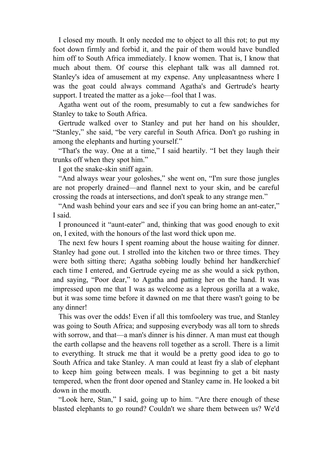I closed my mouth. It only needed me to object to all this rot; to put my foot down firmly and forbid it, and the pair of them would have bundled him off to South Africa immediately. I know women. That is, I know that much about them. Of course this elephant talk was all damned rot. Stanley's idea of amusement at my expense. Any unpleasantness where I was the goat could always command Agatha's and Gertrude's hearty support. I treated the matter as a joke—fool that I was.

 Agatha went out of the room, presumably to cut a few sandwiches for Stanley to take to South Africa.

 Gertrude walked over to Stanley and put her hand on his shoulder, "Stanley," she said, "be very careful in South Africa. Don't go rushing in among the elephants and hurting yourself."

 "That's the way. One at a time," I said heartily. "I bet they laugh their trunks off when they spot him."

I got the snake-skin sniff again.

 "And always wear your goloshes," she went on, "I'm sure those jungles are not properly drained—and flannel next to your skin, and be careful crossing the roads at intersections, and don't speak to any strange men."

 "And wash behind your ears and see if you can bring home an ant-eater," I said.

 I pronounced it "aunt-eater" and, thinking that was good enough to exit on, I exited, with the honours of the last word thick upon me.

 The next few hours I spent roaming about the house waiting for dinner. Stanley had gone out. I strolled into the kitchen two or three times. They were both sitting there; Agatha sobbing loudly behind her handkerchief each time I entered, and Gertrude eyeing me as she would a sick python, and saying, "Poor dear," to Agatha and patting her on the hand. It was impressed upon me that I was as welcome as a leprous gorilla at a wake, but it was some time before it dawned on me that there wasn't going to be any dinner!

 This was over the odds! Even if all this tomfoolery was true, and Stanley was going to South Africa; and supposing everybody was all torn to shreds with sorrow, and that—a man's dinner is his dinner. A man must eat though the earth collapse and the heavens roll together as a scroll. There is a limit to everything. It struck me that it would be a pretty good idea to go to South Africa and take Stanley. A man could at least fry a slab of elephant to keep him going between meals. I was beginning to get a bit nasty tempered, when the front door opened and Stanley came in. He looked a bit down in the mouth.

 "Look here, Stan," I said, going up to him. "Are there enough of these blasted elephants to go round? Couldn't we share them between us? We'd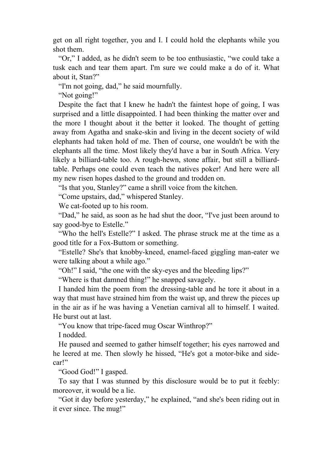get on all right together, you and I. I could hold the elephants while you shot them.

 "Or," I added, as he didn't seem to be too enthusiastic, "we could take a tusk each and tear them apart. I'm sure we could make a do of it. What about it, Stan?"

"I'm not going, dad," he said mournfully.

"Not going!"

 Despite the fact that I knew he hadn't the faintest hope of going, I was surprised and a little disappointed. I had been thinking the matter over and the more I thought about it the better it looked. The thought of getting away from Agatha and snake-skin and living in the decent society of wild elephants had taken hold of me. Then of course, one wouldn't be with the elephants all the time. Most likely they'd have a bar in South Africa. Very likely a billiard-table too. A rough-hewn, stone affair, but still a billiardtable. Perhaps one could even teach the natives poker! And here were all my new risen hopes dashed to the ground and trodden on.

"Is that you, Stanley?" came a shrill voice from the kitchen.

"Come upstairs, dad," whispered Stanley.

We cat-footed up to his room.

 "Dad," he said, as soon as he had shut the door, "I've just been around to say good-bye to Estelle."

 "Who the hell's Estelle?" I asked. The phrase struck me at the time as a good title for a Fox-Buttom or something.

 "Estelle? She's that knobby-kneed, enamel-faced giggling man-eater we were talking about a while ago."

"Oh!" I said, "the one with the sky-eyes and the bleeding lips?"

"Where is that damned thing!" he snapped savagely.

 I handed him the poem from the dressing-table and he tore it about in a way that must have strained him from the waist up, and threw the pieces up in the air as if he was having a Venetian carnival all to himself. I waited. He burst out at last.

"You know that tripe-faced mug Oscar Winthrop?"

I nodded.

 He paused and seemed to gather himself together; his eyes narrowed and he leered at me. Then slowly he hissed, "He's got a motor-bike and sidecar!"

"Good God!" I gasped.

 To say that I was stunned by this disclosure would be to put it feebly: moreover, it would be a lie.

 "Got it day before yesterday," he explained, "and she's been riding out in it ever since. The mug!"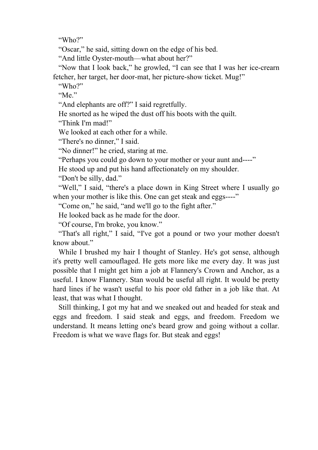"Who?"

"Oscar," he said, sitting down on the edge of his bed.

"And little Oyster-mouth—what about her?"

 "Now that I look back," he growled, "I can see that I was her ice-crearn fetcher, her target, her door-mat, her picture-show ticket. Mug!"

"Who?"

"Me."

"And elephants are off?" I said regretfully.

He snorted as he wiped the dust off his boots with the quilt.

"Think I'm mad!"

We looked at each other for a while.

"There's no dinner," I said.

"No dinner!" he cried, staring at me.

"Perhaps you could go down to your mother or your aunt and----"

He stood up and put his hand affectionately on my shoulder.

"Don't be silly, dad."

"Well," I said, "there's a place down in King Street where I usually go when your mother is like this. One can get steak and eggs----"

"Come on," he said, "and we'll go to the fight after."

He looked back as he made for the door.

"Of course, I'm broke, you know."

 "That's all right," I said, "I've got a pound or two your mother doesn't know about."

 While I brushed my hair I thought of Stanley. He's got sense, although it's pretty well camouflaged. He gets more like me every day. It was just possible that I might get him a job at Flannery's Crown and Anchor, as a useful. I know Flannery. Stan would be useful all right. It would be pretty hard lines if he wasn't useful to his poor old father in a job like that. At least, that was what I thought.

 Still thinking, I got my hat and we sneaked out and headed for steak and eggs and freedom. I said steak and eggs, and freedom. Freedom we understand. It means letting one's beard grow and going without a collar. Freedom is what we wave flags for. But steak and eggs!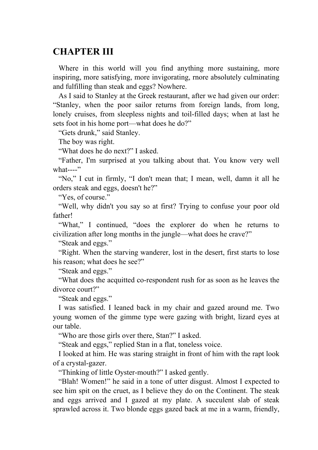### **CHAPTER III**

Where in this world will you find anything more sustaining, more inspiring, more satisfying, more invigorating, rnore absolutely culminating and fulfilling than steak and eggs? Nowhere.

 As I said to Stanley at the Greek restaurant, after we had given our order: "Stanley, when the poor sailor returns from foreign lands, from long, lonely cruises, from sleepless nights and toil-filled days; when at last he sets foot in his home port—what does he do?"

"Gets drunk," said Stanley.

The boy was right.

"What does he do next?" I asked.

 "Father, I'm surprised at you talking about that. You know very well  $what---"$ 

 "No," I cut in firmly, "I don't mean that; I mean, well, damn it all he orders steak and eggs, doesn't he?"

"Yes, of course."

 "Well, why didn't you say so at first? Trying to confuse your poor old father!

 "What," I continued, "does the explorer do when he returns to civilization after long months in the jungle—what does he crave?"

"Steak and eggs."

 "Right. When the starving wanderer, lost in the desert, first starts to lose his reason; what does he see?"

"Steak and eggs."

 "What does the acquitted co-respondent rush for as soon as he leaves the divorce court?"

"Steak and eggs."

 I was satisfied. I leaned back in my chair and gazed around me. Two young women of the gimme type were gazing with bright, lizard eyes at our table.

"Who are those girls over there, Stan?" I asked.

"Steak and eggs," replied Stan in a flat, toneless voice.

 I looked at him. He was staring straight in front of him with the rapt look of a crystal-gazer.

"Thinking of little Oyster-mouth?" I asked gently.

 "Blah! Women!" he said in a tone of utter disgust. Almost I expected to see him spit on the cruet, as I believe they do on the Continent. The steak and eggs arrived and I gazed at my plate. A succulent slab of steak sprawled across it. Two blonde eggs gazed back at me in a warm, friendly,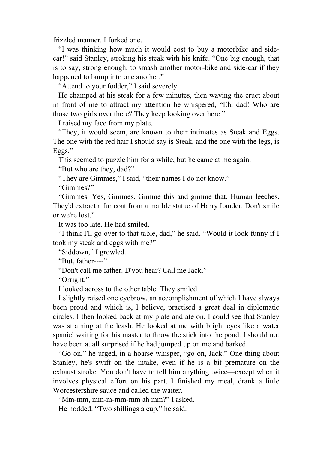frizzled manner. I forked one.

 "I was thinking how much it would cost to buy a motorbike and sidecar!" said Stanley, stroking his steak with his knife. "One big enough, that is to say, strong enough, to smash another motor-bike and side-car if they happened to bump into one another."

"Attend to your fodder," I said severely.

 He champed at his steak for a few minutes, then waving the cruet about in front of me to attract my attention he whispered, "Eh, dad! Who are those two girls over there? They keep looking over here."

I raised my face from my plate.

 "They, it would seem, are known to their intimates as Steak and Eggs. The one with the red hair I should say is Steak, and the one with the legs, is Eggs."

This seemed to puzzle him for a while, but he came at me again.

"But who are they, dad?"

"They are Gimmes," I said, "their names I do not know."

"Gimmes?"

 "Gimmes. Yes, Gimmes. Gimme this and gimme that. Human leeches. They'd extract a fur coat from a marble statue of Harry Lauder. Don't smile or we're lost."

It was too late. He had smiled.

 "I think I'll go over to that table, dad," he said. "Would it look funny if I took my steak and eggs with me?"

"Siddown," I growled.

"But, father----"

"Don't call me father. D'you hear? Call me Jack."

"Orright."

I looked across to the other table. They smiled.

 I slightly raised one eyebrow, an accomplishment of which I have always been proud and which is, I believe, practised a great deal in diplomatic circles. I then looked back at my plate and ate on. I could see that Stanley was straining at the leash. He looked at me with bright eyes like a water spaniel waiting for his master to throw the stick into the pond. I should not have been at all surprised if he had jumped up on me and barked.

 "Go on," he urged, in a hoarse whisper, "go on, Jack." One thing about Stanley, he's swift on the intake, even if he is a bit premature on the exhaust stroke. You don't have to tell him anything twice—except when it involves physical effort on his part. I finished my meal, drank a little Worcestershire sauce and called the waiter.

"Mm-mm, mm-m-mm-mm ah mm?" I asked.

He nodded. "Two shillings a cup," he said.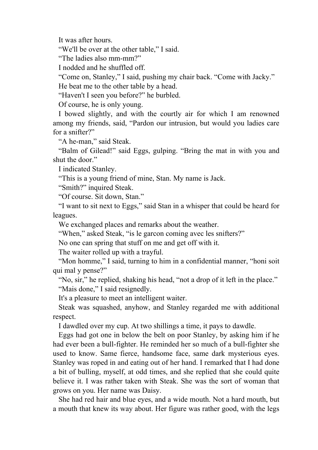It was after hours.

"We'll be over at the other table," I said.

"The ladies also mm-mm?"

I nodded and he shuffled off.

"Come on, Stanley," I said, pushing my chair back. "Come with Jacky."

He beat me to the other table by a head.

"Haven't I seen you before?" he burbled.

Of course, he is only young.

 I bowed slightly, and with the courtly air for which I am renowned among my friends, said, "Pardon our intrusion, but would you ladies care for a snifter?"

"A he-man," said Steak.

 "Balm of Gilead!" said Eggs, gulping. "Bring the mat in with you and shut the door."

I indicated Stanley.

"This is a young friend of mine, Stan. My name is Jack.

"Smith?" inquired Steak.

"Of course. Sit down, Stan."

 "I want to sit next to Eggs," said Stan in a whisper that could be heard for leagues.

We exchanged places and remarks about the weather.

"When," asked Steak, "is le garcon coming avec les snifters?"

No one can spring that stuff on me and get off with it.

The waiter rolled up with a trayful.

 "Mon homme," I said, turning to him in a confidential manner, "honi soit qui mal y pense?"

"No, sir," he replied, shaking his head, "not a drop of it left in the place."

"Mais done," I said resignedly.

It's a pleasure to meet an intelligent waiter.

 Steak was squashed, anyhow, and Stanley regarded me with additional respect.

I dawdled over my cup. At two shillings a time, it pays to dawdle.

 Eggs had got one in below the belt on poor Stanley, by asking him if he had ever been a bull-fighter. He reminded her so much of a bull-fighter she used to know. Same fierce, handsome face, same dark mysterious eyes. Stanley was roped in and eating out of her hand. I remarked that I had done a bit of bulling, myself, at odd times, and she replied that she could quite believe it. I was rather taken with Steak. She was the sort of woman that grows on you. Her name was Daisy.

 She had red hair and blue eyes, and a wide mouth. Not a hard mouth, but a mouth that knew its way about. Her figure was rather good, with the legs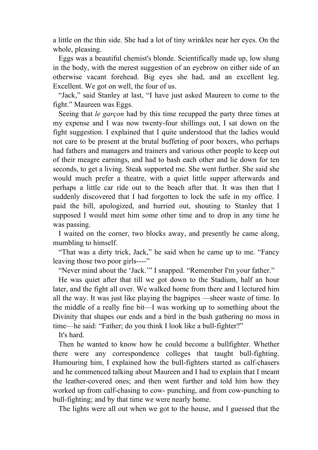a little on the thin side. She had a lot of tiny wrinkles near her eyes. On the whole, pleasing.

 Eggs was a beautiful chemist's blonde. Scientifically made up, low slung in the body, with the merest suggestion of an eyebrow on either side of an otherwise vacant forehead. Big eyes she had, and an excellent leg. Excellent. We got on well, the four of us.

 "Jack," said Stanley at last, "I have just asked Maureen to come to the fight." Maureen was Eggs.

 Seeing that *le garçon* had by this time recupped the party three times at my expense and I was now twenty-four shillings out, I sat down on the fight suggestion. I explained that I quite understood that the ladies would not care to be present at the brutal buffeting of poor boxers, who perhaps had fathers and managers and trainers and various other people to keep out of their meagre earnings, and had to bash each other and lie down for ten seconds, to get a living. Steak supported me. She went further. She said she would much prefer a theatre, with a quiet little supper afterwards and perhaps a little car ride out to the beach after that. It was then that I suddenly discovered that I had forgotten to lock the safe in my office. I paid the bill, apologized, and hurried out, shouting to Stanley that I supposed I would meet him some other time and to drop in any time he was passing.

 I waited on the corner, two blocks away, and presently he came along, mumbling to himself.

 "That was a dirty trick, Jack," he said when he came up to me. "Fancy leaving those two poor girls----"

"Never mind about the 'Jack.'" I snapped. "Remember I'm your father."

 He was quiet after that till we got down to the Stadium, half an hour later, and the fight all over. We walked home from there and I lectured him all the way. It was just like playing the bagpipes —sheer waste of time. In the middle of a really fine bit—I was working up to something about the Divinity that shapes our ends and a bird in the bush gathering no moss in time—he said: "Father; do you think I look like a bull-fighter?"

It's hard.

 Then he wanted to know how he could become a bullfighter. Whether there were any correspondence colleges that taught bull-fighting. Humouring him, I explained how the bull-fighters started as calf-chasers and he commenced talking about Maureen and I had to explain that I meant the leather-covered ones; and then went further and told him how they worked up from calf-chasing to cow- punching, and from cow-punching to bull-fighting; and by that time we were nearly home.

The lights were all out when we got to the house, and I guessed that the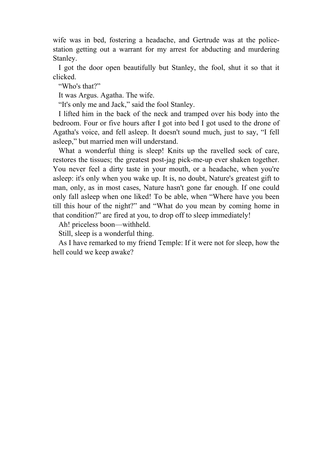wife was in bed, fostering a headache, and Gertrude was at the policestation getting out a warrant for my arrest for abducting and murdering Stanley.

 I got the door open beautifully but Stanley, the fool, shut it so that it clicked.

"Who's that?"

It was Argus. Agatha. The wife.

"It's only me and Jack," said the fool Stanley.

 I lifted him in the back of the neck and tramped over his body into the bedroom. Four or five hours after I got into bed I got used to the drone of Agatha's voice, and fell asleep. It doesn't sound much, just to say, "I fell asleep," but married men will understand.

What a wonderful thing is sleep! Knits up the ravelled sock of care, restores the tissues; the greatest post-jag pick-me-up ever shaken together. You never feel a dirty taste in your mouth, or a headache, when you're asleep: it's only when you wake up. It is, no doubt, Nature's greatest gift to man, only, as in most cases, Nature hasn't gone far enough. If one could only fall asleep when one liked! To be able, when "Where have you been till this hour of the night?" and "What do you mean by coming home in that condition?" are fired at you, to drop off to sleep immediately!

Ah! priceless boon—withheld.

Still, sleep is a wonderful thing.

 As I have remarked to my friend Temple: If it were not for sleep, how the hell could we keep awake?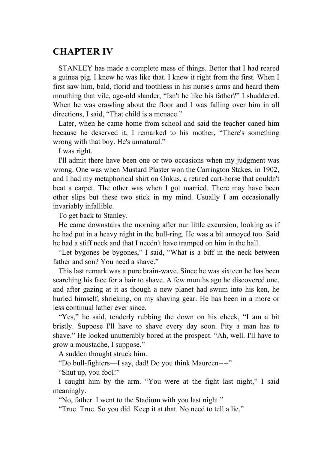### **CHAPTER IV**

 STANLEY has made a complete mess of things. Better that I had reared a guinea pig. I knew he was like that. I knew it right from the first. When I first saw him, bald, florid and toothless in his nurse's arms and heard them mouthing that vile, age-old slander, "Isn't he like his father?" I shuddered. When he was crawling about the floor and I was falling over him in all directions, I said, "That child is a menace."

 Later, when he came home from school and said the teacher caned him because he deserved it, I remarked to his mother, "There's something wrong with that boy. He's unnatural."

I was right.

 I'll admit there have been one or two occasions when my judgment was wrong. One was when Mustard Plaster won the Carrington Stakes, in 1902, and I had my metaphorical shirt on Onkus, a retired cart-horse that couldn't beat a carpet. The other was when I got married. There may have been other slips but these two stick in my mind. Usually I am occasionally invariably infallible.

To get back to Stanley.

 He came downstairs the morning after our little excursion, looking as if he had put in a heavy night in the bull-ring. He was a bit annoyed too. Said he had a stiff neck and that I needn't have tramped on him in the hall.

 "Let bygones be bygones," I said, "What is a biff in the neck between father and son? You need a shave."

 This last remark was a pure brain-wave. Since he was sixteen he has been searching his face for a hair to shave. A few months ago he discovered one, and after gazing at it as though a new planet had swum into his ken, he hurled himself, shrieking, on my shaving gear. He has been in a more or less continual lather ever since.

"Yes," he said, tenderly rubbing the down on his cheek, "I am a bit" bristly. Suppose I'll have to shave every day soon. Pity a man has to shave." He looked unutterably bored at the prospect. "Ah, well. I'll have to grow a moustache, I suppose."

A sudden thought struck him.

"Do bull-fighters—I say, dad! Do you think Maureen----"

"Shut up, you fool!"

 I caught him by the arm. "You were at the fight last night," I said meaningly.

"No, father. I went to the Stadium with you last night."

"True. True. So you did. Keep it at that. No need to tell a lie."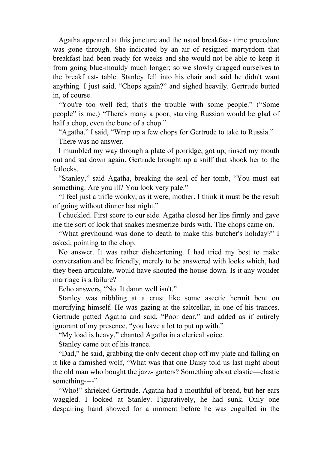Agatha appeared at this juncture and the usual breakfast- time procedure was gone through. She indicated by an air of resigned martyrdom that breakfast had been ready for weeks and she would not be able to keep it from going blue-mouldy much longer; so we slowly dragged ourselves to the breakf ast- table. Stanley fell into his chair and said he didn't want anything. I just said, "Chops again?" and sighed heavily. Gertrude butted in, of course.

 "You're too well fed; that's the trouble with some people." ("Some people" is me.) "There's many a poor, starving Russian would be glad of half a chop, even the bone of a chop."

 "Agatha," I said, "Wrap up a few chops for Gertrude to take to Russia." There was no answer.

 I mumbled my way through a plate of porridge, got up, rinsed my mouth out and sat down again. Gertrude brought up a sniff that shook her to the fetlocks.

 "Stanley," said Agatha, breaking the seal of her tomb, "You must eat something. Are you ill? You look very pale."

 "I feel just a trifle wonky, as it were, mother. I think it must be the result of going without dinner last night."

 I chuckled. First score to our side. Agatha closed her lips firmly and gave me the sort of look that snakes mesmerize birds with. The chops came on.

 "What greyhound was done to death to make this butcher's holiday?" I asked, pointing to the chop.

 No answer. It was rather disheartening. I had tried my best to make conversation and be friendly, merely to be answered with looks which, had they been articulate, would have shouted the house down. Is it any wonder marriage is a failure?

Echo answers, "No. It damn well isn't."

 Stanley was nibbling at a crust like some ascetic hermit bent on mortifying himself. He was gazing at the saltcellar, in one of his trances. Gertrude patted Agatha and said, "Poor dear," and added as if entirely ignorant of my presence, "you have a lot to put up with."

"My load is heavy," chanted Agatha in a clerical voice.

Stanley came out of his trance.

 "Dad," he said, grabbing the only decent chop off my plate and falling on it like a famished wolf, "What was that one Daisy told us last night about the old man who bought the jazz- garters? Something about elastic—elastic something----"

 "Who!" shrieked Gertrude. Agatha had a mouthful of bread, but her ears waggled. I looked at Stanley. Figuratively, he had sunk. Only one despairing hand showed for a moment before he was engulfed in the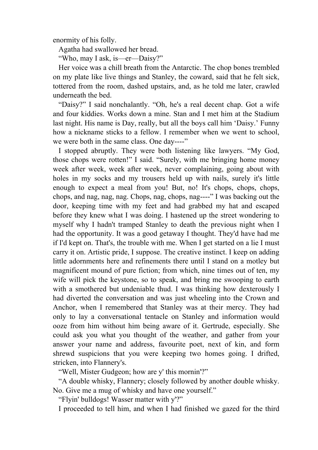enormity of his folly.

Agatha had swallowed her bread.

"Who, may I ask, is—er—Daisy?"

 Her voice was a chill breath from the Antarctic. The chop bones trembled on my plate like live things and Stanley, the coward, said that he felt sick, tottered from the room, dashed upstairs, and, as he told me later, crawled underneath the bed.

 "Daisy?" I said nonchalantly. "Oh, he's a real decent chap. Got a wife and four kiddies. Works down a mine. Stan and I met him at the Stadium last night. His name is Day, really, but all the boys call him 'Daisy.' Funny how a nickname sticks to a fellow. I remember when we went to school, we were both in the same class. One day----"

 I stopped abruptly. They were both listening like lawyers. "My God, those chops were rotten!" I said. "Surely, with me bringing home money week after week, week after week, never complaining, going about with holes in my socks and my trousers held up with nails, surely it's little enough to expect a meal from you! But, no! It's chops, chops, chops, chops, and nag, nag, nag. Chops, nag, chops, nag----" I was backing out the door, keeping time with my feet and had grabbed my hat and escaped before they knew what I was doing. I hastened up the street wondering to myself why I hadn't tramped Stanley to death the previous night when I had the opportunity. It was a good getaway I thought. They'd have had me if I'd kept on. That's, the trouble with me. When I get started on a lie I must carry it on. Artistic pride, I suppose. The creative instinct. I keep on adding little adornments here and refinements there until I stand on a motley but magnificent mound of pure fiction; from which, nine times out of ten, my wife will pick the keystone, so to speak, and bring me swooping to earth with a smothered but undeniable thud. I was thinking how dexterously I had diverted the conversation and was just wheeling into the Crown and Anchor, when I remembered that Stanley was at their mercy. They had only to lay a conversational tentacle on Stanley and information would ooze from him without him being aware of it. Gertrude, especially. She could ask you what you thought of the weather, and gather from your answer your name and address, favourite poet, next of kin, and form shrewd suspicions that you were keeping two homes going. I drifted, stricken, into Flannery's.

"Well, Mister Gudgeon; how are y' this mornin'?"

 "A double whisky, Flannery; closely followed by another double whisky. No. Give me a mug of whisky and have one yourself."

"Flyin' bulldogs! Wasser matter with y'?"

I proceeded to tell him, and when I had finished we gazed for the third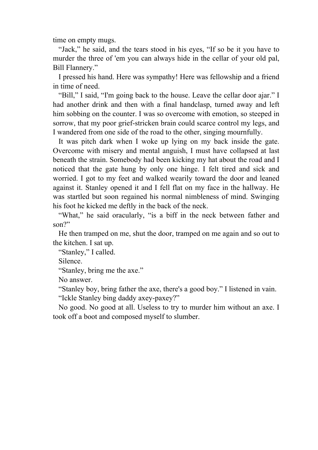time on empty mugs.

 "Jack," he said, and the tears stood in his eyes, "If so be it you have to murder the three of 'em you can always hide in the cellar of your old pal, Bill Flannery."

 I pressed his hand. Here was sympathy! Here was fellowship and a friend in time of need.

 "Bill," I said, "I'm going back to the house. Leave the cellar door ajar." I had another drink and then with a final handclasp, turned away and left him sobbing on the counter. I was so overcome with emotion, so steeped in sorrow, that my poor grief-stricken brain could scarce control my legs, and I wandered from one side of the road to the other, singing mournfully.

 It was pitch dark when I woke up lying on my back inside the gate. Overcome with misery and mental anguish, I must have collapsed at last beneath the strain. Somebody had been kicking my hat about the road and I noticed that the gate hung by only one hinge. I felt tired and sick and worried. I got to my feet and walked wearily toward the door and leaned against it. Stanley opened it and I fell flat on my face in the hallway. He was startled but soon regained his normal nimbleness of mind. Swinging his foot he kicked me deftly in the back of the neck.

"What," he said oracularly, "is a biff in the neck between father and son?"

 He then tramped on me, shut the door, tramped on me again and so out to the kitchen. I sat up.

"Stanley," I called.

Silence.

"Stanley, bring me the axe."

No answer.

"Stanley boy, bring father the axe, there's a good boy." I listened in vain.

"Ickle Stanley bing daddy axey-paxey?"

 No good. No good at all. Useless to try to murder him without an axe. I took off a boot and composed myself to slumber.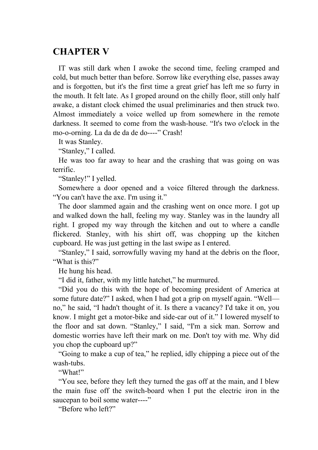#### **CHAPTER V**

 IT was still dark when I awoke the second time, feeling cramped and cold, but much better than before. Sorrow like everything else, passes away and is forgotten, but it's the first time a great grief has left me so furry in the mouth. It felt late. As I groped around on the chilly floor, still only half awake, a distant clock chimed the usual preliminaries and then struck two. Almost immediately a voice welled up from somewhere in the remote darkness. It seemed to come from the wash-house. "It's two o'clock in the mo-o-orning. La da de da de do----" Crash!

It was Stanley.

"Stanley," I called.

 He was too far away to hear and the crashing that was going on was terrific.

"Stanley!" I yelled.

 Somewhere a door opened and a voice filtered through the darkness. "You can't have the axe. I'm using it."

 The door slammed again and the crashing went on once more. I got up and walked down the hall, feeling my way. Stanley was in the laundry all right. I groped my way through the kitchen and out to where a candle flickered. Stanley, with his shirt off, was chopping up the kitchen cupboard. He was just getting in the last swipe as I entered.

 "Stanley," I said, sorrowfully waving my hand at the debris on the floor, "What is this?"

He hung his head.

"I did it, father, with my little hatchet," he murmured.

 "Did you do this with the hope of becoming president of America at some future date?" I asked, when I had got a grip on myself again. "Well no," he said, "I hadn't thought of it. Is there a vacancy? I'd take it on, you know. I might get a motor-bike and side-car out of it." I lowered myself to the floor and sat down. "Stanley," I said, "I'm a sick man. Sorrow and domestic worries have left their mark on me. Don't toy with me. Why did you chop the cupboard up?"

 "Going to make a cup of tea," he replied, idly chipping a piece out of the wash-tubs.

"What!"

 "You see, before they left they turned the gas off at the main, and I blew the main fuse off the switch-board when I put the electric iron in the saucepan to boil some water----"

"Before who left?"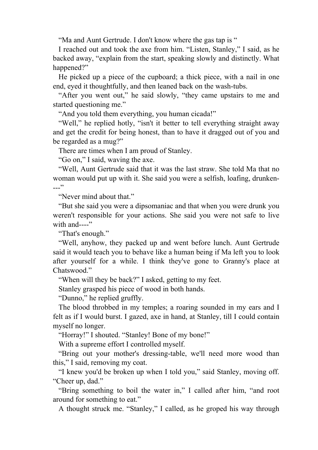"Ma and Aunt Gertrude. I don't know where the gas tap is "

 I reached out and took the axe from him. "Listen, Stanley," I said, as he backed away, "explain from the start, speaking slowly and distinctly. What happened?"

 He picked up a piece of the cupboard; a thick piece, with a nail in one end, eyed it thoughtfully, and then leaned back on the wash-tubs.

 "After you went out," he said slowly, "they came upstairs to me and started questioning me."

"And you told them everything, you human cicada!"

"Well," he replied hotly, "isn't it better to tell everything straight away and get the credit for being honest, than to have it dragged out of you and be regarded as a mug?"

There are times when I am proud of Stanley.

"Go on," I said, waving the axe.

 "Well, Aunt Gertrude said that it was the last straw. She told Ma that no woman would put up with it. She said you were a selfish, loafing, drunken-  $-$ ...

"Never mind about that."

 "But she said you were a dipsomaniac and that when you were drunk you weren't responsible for your actions. She said you were not safe to live with and----"

"That's enough."

 "Well, anyhow, they packed up and went before lunch. Aunt Gertrude said it would teach you to behave like a human being if Ma left you to look after yourself for a while. I think they've gone to Granny's place at Chatswood."

"When will they be back?" I asked, getting to my feet.

Stanley grasped his piece of wood in both hands.

"Dunno," he replied gruffly.

 The blood throbbed in my temples; a roaring sounded in my ears and I felt as if I would burst. I gazed, axe in hand, at Stanley, till I could contain myself no longer.

"Horray!" I shouted. "Stanley! Bone of my bone!"

With a supreme effort I controlled myself.

 "Bring out your mother's dressing-table, we'll need more wood than this," I said, removing my coat.

 "I knew you'd be broken up when I told you," said Stanley, moving off. "Cheer up, dad."

 "Bring something to boil the water in," I called after him, "and root around for something to eat."

A thought struck me. "Stanley," I called, as he groped his way through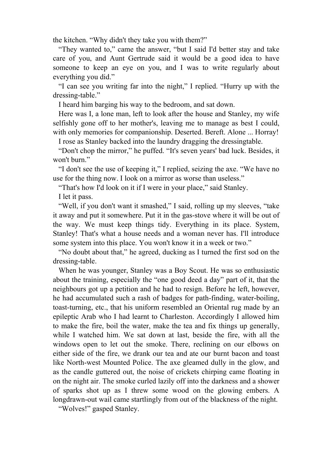the kitchen. "Why didn't they take you with them?"

 "They wanted to," came the answer, "but I said I'd better stay and take care of you, and Aunt Gertrude said it would be a good idea to have someone to keep an eye on you, and I was to write regularly about everything you did."

 "I can see you writing far into the night," I replied. "Hurry up with the dressing-table."

I heard him barging his way to the bedroom, and sat down.

 Here was I, a lone man, left to look after the house and Stanley, my wife selfishly gone off to her mother's, leaving me to manage as best I could, with only memories for companionship. Deserted. Bereft. Alone ... Horray!

I rose as Stanley backed into the laundry dragging the dressingtable.

 "Don't chop the mirror," he puffed. "It's seven years' bad luck. Besides, it won't burn."

 "I don't see the use of keeping it," I replied, seizing the axe. "We have no use for the thing now. I look on a mirror as worse than useless."

"That's how I'd look on it if I were in your place," said Stanley.

I let it pass.

 "Well, if you don't want it smashed," I said, rolling up my sleeves, "take it away and put it somewhere. Put it in the gas-stove where it will be out of the way. We must keep things tidy. Everything in its place. System, Stanley! That's what a house needs and a woman never has. I'll introduce some system into this place. You won't know it in a week or two."

 "No doubt about that," he agreed, ducking as I turned the first sod on the dressing-table.

 When he was younger, Stanley was a Boy Scout. He was so enthusiastic about the training, especially the "one good deed a day" part of it, that the neighbours got up a petition and he had to resign. Before he left, however, he had accumulated such a rash of badges for path-finding, water-boiling, toast-turning, etc., that his uniform resembled an Oriental rug made by an epileptic Arab who I had learnt to Charleston. Accordingly I allowed him to make the fire, boil the water, make the tea and fix things up generally, while I watched him. We sat down at last, beside the fire, with all the windows open to let out the smoke. There, reclining on our elbows on either side of the fire, we drank our tea and ate our burnt bacon and toast like North-west Mounted Police. The axe gleamed dully in the glow, and as the candle guttered out, the noise of crickets chirping came floating in on the night air. The smoke curled lazily off into the darkness and a shower of sparks shot up as I threw some wood on the glowing embers. A longdrawn-out wail came startlingly from out of the blackness of the night.

"Wolves!" gasped Stanley.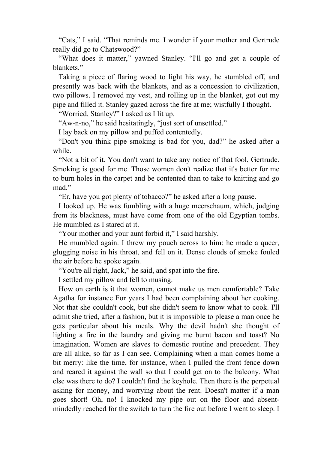"Cats," I said. "That reminds me. I wonder if your mother and Gertrude really did go to Chatswood?"

 "What does it matter," yawned Stanley. "I'll go and get a couple of blankets."

 Taking a piece of flaring wood to light his way, he stumbled off, and presently was back with the blankets, and as a concession to civilization, two pillows. I removed my vest, and rolling up in the blanket, got out my pipe and filled it. Stanley gazed across the fire at me; wistfully I thought.

"Worried, Stanley?" I asked as I lit up.

"Aw-n-no," he said hesitatingly, "just sort of unsettled."

I lay back on my pillow and puffed contentedly.

 "Don't you think pipe smoking is bad for you, dad?" he asked after a while.

 "Not a bit of it. You don't want to take any notice of that fool, Gertrude. Smoking is good for me. Those women don't realize that it's better for me to burn holes in the carpet and be contented than to take to knitting and go mad."

"Er, have you got plenty of tobacco?" he asked after a long pause.

 I looked up. He was fumbling with a huge meerschaum, which, judging from its blackness, must have come from one of the old Egyptian tombs. He mumbled as I stared at it.

"Your mother and your aunt forbid it," I said harshly.

 He mumbled again. I threw my pouch across to him: he made a queer, glugging noise in his throat, and fell on it. Dense clouds of smoke fouled the air before he spoke again.

"You're all right, Jack," he said, and spat into the fire.

I settled my pillow and fell to musing.

 How on earth is it that women, cannot make us men comfortable? Take Agatha for instance For years I had been complaining about her cooking. Not that she couldn't cook, but she didn't seem to know what to cook. I'll admit she tried, after a fashion, but it is impossible to please a man once he gets particular about his meals. Why the devil hadn't she thought of lighting a fire in the laundry and giving me burnt bacon and toast? No imagination. Women are slaves to domestic routine and precedent. They are all alike, so far as I can see. Complaining when a man comes home a bit merry: like the time, for instance, when I pulled the front fence down and reared it against the wall so that I could get on to the balcony. What else was there to do? I couldn't find the keyhole. Then there is the perpetual asking for money, and worrying about the rent. Doesn't matter if a man goes short! Oh, no! I knocked my pipe out on the floor and absentmindedly reached for the switch to turn the fire out before I went to sleep. I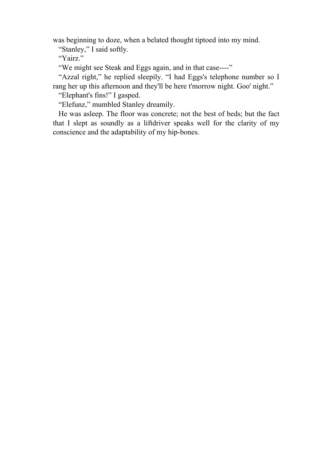was beginning to doze, when a belated thought tiptoed into my mind.

"Stanley," I said softly.

"Yairz."

"We might see Steak and Eggs again, and in that case----"

 "Azzal right," he replied sleepily. "I had Eggs's telephone number so I rang her up this afternoon and they'll be here t'morrow night. Goo' night."

"Elephant's fins!" I gasped.

"Elefunz," mumbled Stanley dreamily.

 He was asleep. The floor was concrete; not the best of beds; but the fact that I slept as soundly as a liftdriver speaks well for the clarity of my conscience and the adaptability of my hip-bones.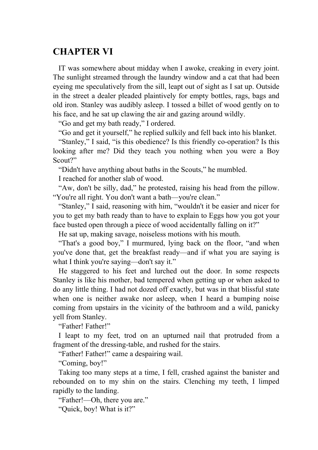#### **CHAPTER VI**

 IT was somewhere about midday when I awoke, creaking in every joint. The sunlight streamed through the laundry window and a cat that had been eyeing me speculatively from the sill, leapt out of sight as I sat up. Outside in the street a dealer pleaded plaintively for empty bottles, rags, bags and old iron. Stanley was audibly asleep. I tossed a billet of wood gently on to his face, and he sat up clawing the air and gazing around wildly.

"Go and get my bath ready," I ordered.

"Go and get it yourself," he replied sulkily and fell back into his blanket.

 "Stanley," I said, "is this obedience? Is this friendly co-operation? Is this looking after me? Did they teach you nothing when you were a Boy Scout?"

"Didn't have anything about baths in the Scouts," he mumbled.

I reached for another slab of wood.

 "Aw, don't be silly, dad," he protested, raising his head from the pillow. "You're all right. You don't want a bath—you're clean."

 "Stanley," I said, reasoning with him, "wouldn't it be easier and nicer for you to get my bath ready than to have to explain to Eggs how you got your face busted open through a piece of wood accidentally falling on it?"

He sat up, making savage, noiseless motions with his mouth.

 "That's a good boy," I murmured, lying back on the floor, "and when you've done that, get the breakfast ready—and if what you are saying is what I think you're saying—don't say it."

 He staggered to his feet and lurched out the door. In some respects Stanley is like his mother, bad tempered when getting up or when asked to do any little thing. I had not dozed off exactly, but was in that blissful state when one is neither awake nor asleep, when I heard a bumping noise coming from upstairs in the vicinity of the bathroom and a wild, panicky yell from Stanley.

"Father! Father!"

 I leapt to my feet, trod on an upturned nail that protruded from a fragment of the dressing-table, and rushed for the stairs.

"Father! Father!" came a despairing wail.

"Coming, boy!"

 Taking too many steps at a time, I fell, crashed against the banister and rebounded on to my shin on the stairs. Clenching my teeth, I limped rapidly to the landing.

"Father!—Oh, there you are."

"Quick, boy! What is it?"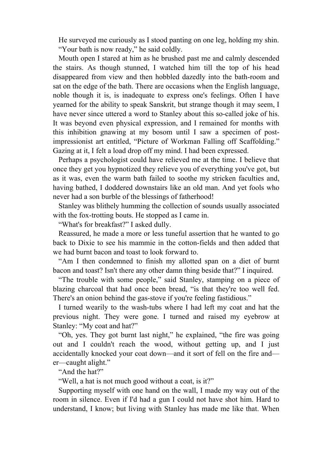He surveyed me curiously as I stood panting on one leg, holding my shin. "Your bath is now ready," he said coldly.

 Mouth open I stared at him as he brushed past me and calmly descended the stairs. As though stunned, I watched him till the top of his head disappeared from view and then hobbled dazedly into the bath-room and sat on the edge of the bath. There are occasions when the English language, noble though it is, is inadequate to express one's feelings. Often I have yearned for the ability to speak Sanskrit, but strange though it may seem, I have never since uttered a word to Stanley about this so-called joke of his. It was beyond even physical expression, and I remained for months with this inhibition gnawing at my bosom until I saw a specimen of postimpressionist art entitled, "Picture of Workman Falling off Scaffolding." Gazing at it, I felt a load drop off my mind. I had been expressed.

 Perhaps a psychologist could have relieved me at the time. I believe that once they get you hypnotized they relieve you of everything you've got, but as it was, even the warm bath failed to soothe my stricken faculties and, having bathed, I doddered downstairs like an old man. And yet fools who never had a son burble of the blessings of fatherhood!

 Stanley was blithely humming the collection of sounds usually associated with the fox-trotting bouts. He stopped as I came in.

"What's for breakfast?" I asked dully.

 Reassured, he made a more or less tuneful assertion that he wanted to go back to Dixie to see his mammie in the cotton-fields and then added that we had burnt bacon and toast to look forward to.

 "Am I then condemned to finish my allotted span on a diet of burnt bacon and toast? Isn't there any other damn thing beside that?" I inquired.

 "The trouble with some people," said Stanley, stamping on a piece of blazing charcoal that had once been bread, "is that they're too well fed. There's an onion behind the gas-stove if you're feeling fastidious."

 I turned wearily to the wash-tubs where I had left my coat and hat the previous night. They were gone. I turned and raised my eyebrow at Stanley: "My coat and hat?"

 "Oh, yes. They got burnt last night," he explained, "the fire was going out and I couldn't reach the wood, without getting up, and I just accidentally knocked your coat down—and it sort of fell on the fire and er—caught alight."

"And the hat?"

"Well, a hat is not much good without a coat, is it?"

 Supporting myself with one hand on the wall, I made my way out of the room in silence. Even if I'd had a gun I could not have shot him. Hard to understand, I know; but living with Stanley has made me like that. When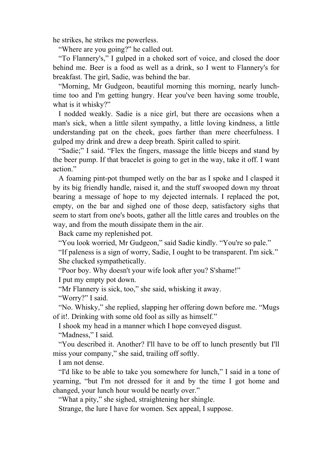he strikes, he strikes me powerless.

"Where are you going?" he called out.

 "To Flannery's," I gulped in a choked sort of voice, and closed the door behind me. Beer is a food as well as a drink, so I went to Flannery's for breakfast. The girl, Sadie, was behind the bar.

 "Morning, Mr Gudgeon, beautiful morning this morning, nearly lunchtime too and I'm getting hungry. Hear you've been having some trouble, what is it whisky?"

 I nodded weakly. Sadie is a nice girl, but there are occasions when a man's sick, when a little silent sympathy, a little loving kindness, a little understanding pat on the cheek, goes farther than mere cheerfulness. I gulped my drink and drew a deep breath. Spirit called to spirit.

 "Sadie;" I said. "Flex the fingers, massage the little biceps and stand by the beer pump. If that bracelet is going to get in the way, take it off. I want action."

 A foaming pint-pot thumped wetly on the bar as I spoke and I clasped it by its big friendly handle, raised it, and the stuff swooped down my throat bearing a message of hope to my dejected internals. I replaced the pot, empty, on the bar and sighed one of those deep, satisfactory sighs that seem to start from one's boots, gather all the little cares and troubles on the way, and from the mouth dissipate them in the air.

Back came my replenished pot.

"You look worried, Mr Gudgeon," said Sadie kindly. "You're so pale."

 "If paleness is a sign of worry, Sadie, I ought to be transparent. I'm sick." She clucked sympathetically.

"Poor boy. Why doesn't your wife look after you? S'shame!"

I put my empty pot down.

"Mr Flannery is sick, too," she said, whisking it away.

"Worry?" I said.

 "No. Whisky," she replied, slapping her offering down before me. "Mugs of it!. Drinking with some old fool as silly as himself."

I shook my head in a manner which I hope conveyed disgust.

"Madness," I said.

 "You described it. Another? I'll have to be off to lunch presently but I'll miss your company," she said, trailing off softly.

I am not dense.

 "I'd like to be able to take you somewhere for lunch," I said in a tone of yearning, "but I'm not dressed for it and by the time I got home and changed, your lunch hour would be nearly over."

"What a pity," she sighed, straightening her shingle.

Strange, the lure I have for women. Sex appeal, I suppose.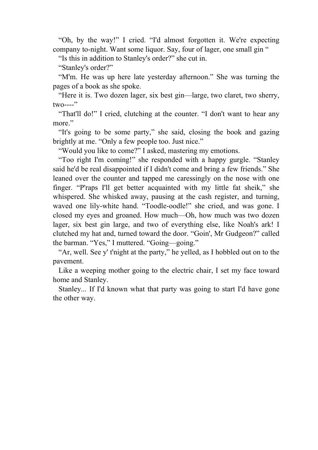"Oh, by the way!" I cried. "I'd almost forgotten it. We're expecting company to-night. Want some liquor. Say, four of lager, one small gin "

"Is this in addition to Stanley's order?" she cut in.

"Stanley's order?"

 "M'm. He was up here late yesterday afternoon." She was turning the pages of a book as she spoke.

 "Here it is. Two dozen lager, six best gin—large, two claret, two sherry,  $two---"$ 

 "That'll do!" I cried, clutching at the counter. "I don't want to hear any more."

 "It's going to be some party," she said, closing the book and gazing brightly at me. "Only a few people too. Just nice."

"Would you like to come?" I asked, mastering my emotions.

 "Too right I'm coming!" she responded with a happy gurgle. "Stanley said he'd be real disappointed if I didn't come and bring a few friends." She leaned over the counter and tapped me caressingly on the nose with one finger. "P'raps I'll get better acquainted with my little fat sheik," she whispered. She whisked away, pausing at the cash register, and turning, waved one lily-white hand. "Toodle-oodle!" she cried, and was gone. I closed my eyes and groaned. How much—Oh, how much was two dozen lager, six best gin large, and two of everything else, like Noah's ark! I clutched my hat and, turned toward the door. "Goin', Mr Gudgeon?" called the barman. "Yes," I muttered. "Going—going."

 "Ar, well. See y' t'night at the party," he yelled, as I hobbled out on to the pavement.

 Like a weeping mother going to the electric chair, I set my face toward home and Stanley.

 Stanley... If I'd known what that party was going to start I'd have gone the other way.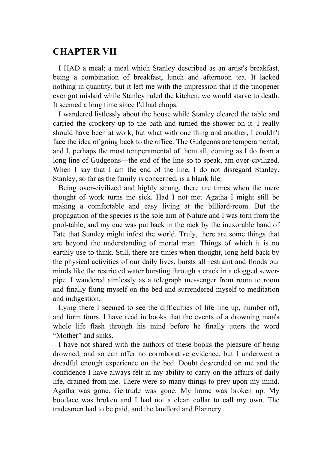## **CHAPTER VII**

 I HAD a meal; a meal which Stanley described as an artist's breakfast, being a combination of breakfast, lunch and afternoon tea. It lacked nothing in quantity, but it left me with the impression that if the tinopener ever got mislaid while Stanley ruled the kitchen, we would starve to death. It seemed a long time since I'd had chops.

 I wandered listlessly about the house while Stanley cleared the table and carried the crockery up to the bath and turned the shower on it. I really should have been at work, but what with one thing and another, I couldn't face the idea of going back to the office. The Gudgeons are temperamental, and I, perhaps the most temperamental of them all, coming as I do from a long line of Gudgeons—the end of the line so to speak, am over-civilized. When I say that I am the end of the line, I do not disregard Stanley. Stanley, so far as the family is concerned, is a blank file.

 Being over-civilized and highly strung, there are times when the mere thought of work turns me sick. Had I not met Agatha I might still be making a comfortable and easy living at the billiard-room. But the propagation of the species is the sole aim of Nature and I was torn from the pool-table, and my cue was put back in the rack by the inexorable hand of Fate that Stanley might infest the world. Truly, there are some things that are beyond the understanding of mortal man. Things of which it is no earthly use to think. Still, there are times when thought, long held back by the physical activities of our daily lives, bursts all restraint and floods our minds like the restricted water bursting through a crack in a clogged sewerpipe. I wandered aimlessly as a telegraph messenger from room to room and finally flung myself on the bed and surrendered myself to meditation and indigestion.

 Lying there I seemed to see the difficulties of life line up, number off, and form fours. I have read in books that the events of a drowning man's whole life flash through his mind before he finally utters the word "Mother" and sinks.

 I have not shared with the authors of these books the pleasure of being drowned, and so can offer no corroborative evidence, but I underwent a dreadful enough experience on the bed. Doubt descended on me and the confidence I have always felt in my ability to carry on the affairs of daily life, drained from me. There were so many things to prey upon my mind. Agatha was gone. Gertrude was gone. My home was broken up. My bootlace was broken and I had not a clean collar to call my own. The tradesmen had to be paid, and the landlord and Flannery.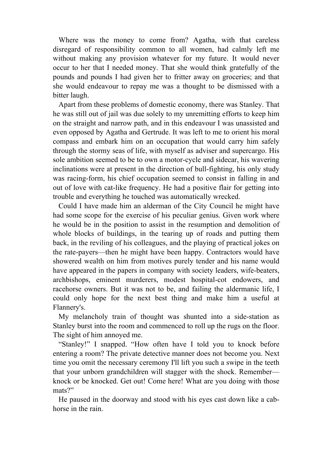Where was the money to come from? Agatha, with that careless disregard of responsibility common to all women, had calmly left me without making any provision whatever for my future. It would never occur to her that I needed money. That she would think gratefully of the pounds and pounds I had given her to fritter away on groceries; and that she would endeavour to repay me was a thought to be dismissed with a bitter laugh.

 Apart from these problems of domestic economy, there was Stanley. That he was still out of jail was due solely to my unremitting efforts to keep him on the straight and narrow path, and in this endeavour I was unassisted and even opposed by Agatha and Gertrude. It was left to me to orient his moral compass and embark him on an occupation that would carry him safely through the stormy seas of life, with myself as adviser and supercargo. His sole ambition seemed to be to own a motor-cycle and sidecar, his wavering inclinations were at present in the direction of bull-fighting, his only study was racing-form, his chief occupation seemed to consist in falling in and out of love with cat-like frequency. He had a positive flair for getting into trouble and everything he touched was automatically wrecked.

 Could I have made him an alderman of the City Council he might have had some scope for the exercise of his peculiar genius. Given work where he would be in the position to assist in the resumption and demolition of whole blocks of buildings, in the tearing up of roads and putting them back, in the reviling of his colleagues, and the playing of practical jokes on the rate-payers—then he might have been happy. Contractors would have showered wealth on him from motives purely tender and his name would have appeared in the papers in company with society leaders, wife-beaters, archbishops, eminent murderers, modest hospital-cot endowers, and racehorse owners. But it was not to be, and failing the aldermanic life, I could only hope for the next best thing and make him a useful at Flannery's.

 My melancholy train of thought was shunted into a side-station as Stanley burst into the room and commenced to roll up the rugs on the floor. The sight of him annoyed me.

 "Stanley!" I snapped. "How often have I told you to knock before entering a room? The private detective manner does not become you. Next time you omit the necessary ceremony I'll lift you such a swipe in the teeth that your unborn grandchildren will stagger with the shock. Remember knock or be knocked. Get out! Come here! What are you doing with those mats?"

 He paused in the doorway and stood with his eyes cast down like a cabhorse in the rain.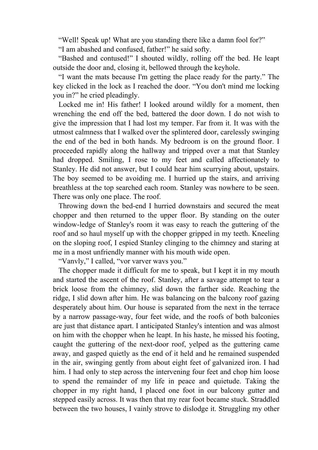"Well! Speak up! What are you standing there like a damn fool for?"

"I am abashed and confused, father!" he said softy.

 "Bashed and contused!" I shouted wildly, rolling off the bed. He leapt outside the door and, closing it, bellowed through the keyhole.

 "I want the mats because I'm getting the place ready for the party." The key clicked in the lock as I reached the door. "You don't mind me locking you in?" he cried pleadingly.

 Locked me in! His father! I looked around wildly for a moment, then wrenching the end off the bed, battered the door down. I do not wish to give the impression that I had lost my temper. Far from it. It was with the utmost calmness that I walked over the splintered door, carelessly swinging the end of the bed in both hands. My bedroom is on the ground floor. I proceeded rapidly along the hallway and tripped over a mat that Stanley had dropped. Smiling, I rose to my feet and called affectionately to Stanley. He did not answer, but I could hear him scurrying about, upstairs. The boy seemed to be avoiding me. I hurried up the stairs, and arriving breathless at the top searched each room. Stanley was nowhere to be seen. There was only one place. The roof.

 Throwing down the bed-end I hurried downstairs and secured the meat chopper and then returned to the upper floor. By standing on the outer window-ledge of Stanley's room it was easy to reach the guttering of the roof and so haul myself up with the chopper gripped in my teeth. Kneeling on the sloping roof, I espied Stanley clinging to the chimney and staring at me in a most unfriendly manner with his mouth wide open.

"Vanvly," I called, "vor varver wavs you."

 The chopper made it difficult for me to speak, but I kept it in my mouth and started the ascent of the roof. Stanley, after a savage attempt to tear a brick loose from the chimney, slid down the farther side. Reaching the ridge, I slid down after him. He was balancing on the balcony roof gazing desperately about him. Our house is separated from the next in the terrace by a narrow passage-way, four feet wide, and the roofs of both balconies are just that distance apart. I anticipated Stanley's intention and was almost on him with the chopper when he leapt. In his haste, he missed his footing, caught the guttering of the next-door roof, yelped as the guttering came away, and gasped quietly as the end of it held and he remained suspended in the air, swinging gently from about eight feet of galvanized iron. I had him. I had only to step across the intervening four feet and chop him loose to spend the remainder of my life in peace and quietude. Taking the chopper in my right hand, I placed one foot in our balcony gutter and stepped easily across. It was then that my rear foot became stuck. Straddled between the two houses, I vainly strove to dislodge it. Struggling my other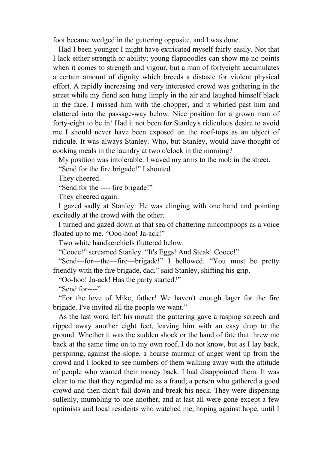foot became wedged in the guttering opposite, and I was done.

 Had I been younger I might have extricated myself fairly easily. Not that I lack either strength or ability; young flapnoodles can show me no points when it comes to strength and vigour, but a man of fortyeight accumulates a certain amount of dignity which breeds a distaste for violent physical effort. A rapidly increasing and very interested crowd was gathering in the street while my fiend son hung limply in the air and laughed himself black in the face. I missed him with the chopper, and it whirled past him and clattered into the passage-way below. Nice position for a grown man of forty-eight to be in! Had it not been for Stanley's ridiculous desire to avoid me I should never have been exposed on the roof-tops as an object of ridicule. It was always Stanley. Who, but Stanley, would have thought of cooking meals in the laundry at two o'clock in the morning?

My position was intolerable. I waved my arms to the mob in the street.

"Send for the fire brigade!" I shouted.

They cheered.

"Send for the ---- fire brigade!"

They cheered again.

 I gazed sadly at Stanley. He was clinging with one hand and pointing excitedly at the crowd with the other.

 I turned and gazed down at that sea of chattering nincompoops as a voice floated up to me. "Ooo-hoo! Ja-ack!"

Two white handkerchiefs fluttered below.

"Cooee!" screamed Stanley. "It's Eggs! And Steak! Cooee!"

 "Send—for—the—fire—brigade!" I bellowed. "You must be pretty friendly with the fire brigade, dad," said Stanley, shifting his grip.

"Oo-hoo! Ja-ack! Has the party started?"

"Send for----"

 "For the love of Mike, father! We haven't enough lager for the fire brigade. I've invited all the people we want."

 As the last word left his mouth the guttering gave a rasping screech and ripped away another eight feet, leaving him with an easy drop to the ground. Whether it was the sudden shock or the hand of fate that threw me back at the same time on to my own roof, I do not know, but as I lay back, perspiring, against the slope, a hoarse murmur of anger went up from the crowd and I looked to see numbers of them walking away with the attitude of people who wanted their money back. I had disappointed them. It was clear to me that they regarded me as a fraud; a person who gathered a good crowd and then didn't fall down and break his neck. They were dispersing sullenly, mumbling to one another, and at last all were gone except a few optimists and local residents who watched me, hoping against hope, until I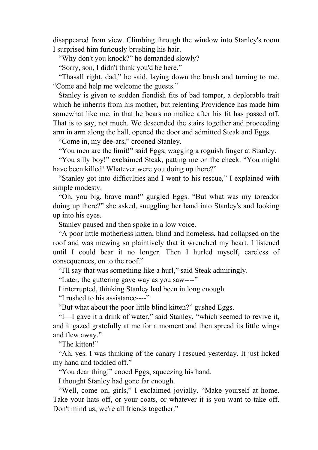disappeared from view. Climbing through the window into Stanley's room I surprised him furiously brushing his hair.

"Why don't you knock?" he demanded slowly?

"Sorry, son, I didn't think you'd be here."

 "Thasall right, dad," he said, laying down the brush and turning to me. "Come and help me welcome the guests."

 Stanley is given to sudden fiendish fits of bad temper, a deplorable trait which he inherits from his mother, but relenting Providence has made him somewhat like me, in that he bears no malice after his fit has passed off. That is to say, not much. We descended the stairs together and proceeding arm in arm along the hall, opened the door and admitted Steak and Eggs.

"Come in, my dee-ars," crooned Stanley.

"You men are the limit!" said Eggs, wagging a roguish finger at Stanley.

 "You silly boy!" exclaimed Steak, patting me on the cheek. "You might have been killed! Whatever were you doing up there?"

 "Stanley got into difficulties and I went to his rescue," I explained with simple modesty.

 "Oh, you big, brave man!" gurgled Eggs. "But what was my toreador doing up there?" she asked, snuggling her hand into Stanley's and looking up into his eyes.

Stanley paused and then spoke in a low voice.

 "A poor little motherless kitten, blind and homeless, had collapsed on the roof and was mewing so plaintively that it wrenched my heart. I listened until I could bear it no longer. Then I hurled myself, careless of consequences, on to the roof."

"I'll say that was something like a hurl," said Steak admiringly.

"Later, the guttering gave way as you saw----"

I interrupted, thinking Stanley had been in long enough.

"I rushed to his assistance----"

"But what about the poor little blind kitten?" gushed Eggs.

 "I—I gave it a drink of water," said Stanley, "which seemed to revive it, and it gazed gratefully at me for a moment and then spread its little wings and flew away."

"The kitten!"

 "Ah, yes. I was thinking of the canary I rescued yesterday. It just licked my hand and toddled off."

"You dear thing!" cooed Eggs, squeezing his hand.

I thought Stanley had gone far enough.

 "Well, come on, girls," I exclaimed jovially. "Make yourself at home. Take your hats off, or your coats, or whatever it is you want to take off. Don't mind us; we're all friends together."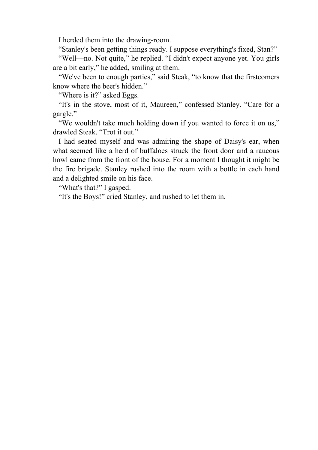I herded them into the drawing-room.

"Stanley's been getting things ready. I suppose everything's fixed, Stan?"

 "Well—no. Not quite," he replied. "I didn't expect anyone yet. You girls are a bit early," he added, smiling at them.

 "We've been to enough parties," said Steak, "to know that the firstcomers know where the beer's hidden."

"Where is it?" asked Eggs.

 "It's in the stove, most of it, Maureen," confessed Stanley. "Care for a gargle."

 "We wouldn't take much holding down if you wanted to force it on us," drawled Steak. "Trot it out."

 I had seated myself and was admiring the shape of Daisy's ear, when what seemed like a herd of buffaloes struck the front door and a raucous howl came from the front of the house. For a moment I thought it might be the fire brigade. Stanley rushed into the room with a bottle in each hand and a delighted smile on his face.

"What's that?" I gasped.

"It's the Boys!" cried Stanley, and rushed to let them in.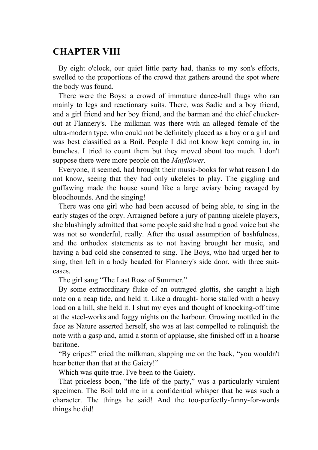# **CHAPTER VIII**

 By eight o'clock, our quiet little party had, thanks to my son's efforts, swelled to the proportions of the crowd that gathers around the spot where the body was found.

 There were the Boys: a crowd of immature dance-hall thugs who ran mainly to legs and reactionary suits. There, was Sadie and a boy friend, and a girl friend and her boy friend, and the barman and the chief chuckerout at Flannery's. The milkman was there with an alleged female of the ultra-modern type, who could not be definitely placed as a boy or a girl and was best classified as a Boil. People I did not know kept coming in, in bunches. I tried to count them but they moved about too much. I don't suppose there were more people on the *Mayflower.*

 Everyone, it seemed, had brought their music-books for what reason I do not know, seeing that they had only ukeleles to play. The giggling and guffawing made the house sound like a large aviary being ravaged by bloodhounds. And the singing!

 There was one girl who had been accused of being able, to sing in the early stages of the orgy. Arraigned before a jury of panting ukelele players, she blushingly admitted that some people said she had a good voice but she was not so wonderful, really. After the usual assumption of bashfulness, and the orthodox statements as to not having brought her music, and having a bad cold she consented to sing. The Boys, who had urged her to sing, then left in a body headed for Flannery's side door, with three suitcases.

The girl sang "The Last Rose of Summer."

 By some extraordinary fluke of an outraged glottis, she caught a high note on a neap tide, and held it. Like a draught- horse stalled with a heavy load on a hill, she held it. I shut my eyes and thought of knocking-off time at the steel-works and foggy nights on the harbour. Growing mottled in the face as Nature asserted herself, she was at last compelled to relinquish the note with a gasp and, amid a storm of applause, she finished off in a hoarse baritone.

 "By cripes!" cried the milkman, slapping me on the back, "you wouldn't hear better than that at the Gaiety!"

Which was quite true. I've been to the Gaiety.

 That priceless boon, "the life of the party," was a particularly virulent specimen. The Boil told me in a confidential whisper that he was such a character. The things he said! And the too-perfectly-funny-for-words things he did!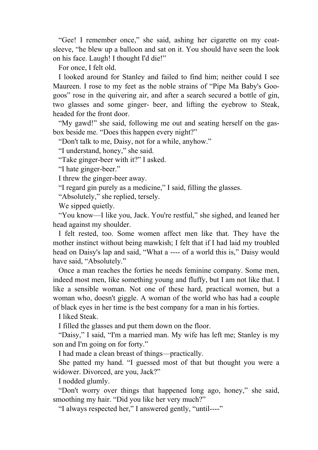"Gee! I remember once," she said, ashing her cigarette on my coatsleeve, "he blew up a balloon and sat on it. You should have seen the look on his face. Laugh! I thought I'd die!"

For once, I felt old.

 I looked around for Stanley and failed to find him; neither could I see Maureen. I rose to my feet as the noble strains of "Pipe Ma Baby's Googoos" rose in the quivering air, and after a search secured a bottle of gin, two glasses and some ginger- beer, and lifting the eyebrow to Steak, headed for the front door.

 "My gawd!" she said, following me out and seating herself on the gasbox beside me. "Does this happen every night?"

"Don't talk to me, Daisy, not for a while, anyhow."

"I understand, honey," she said.

"Take ginger-beer with it?" I asked.

"I hate ginger-beer."

I threw the ginger-beer away.

"I regard gin purely as a medicine," I said, filling the glasses.

"Absolutely," she replied, tersely.

We sipped quietly.

 "You know—I like you, Jack. You're restful," she sighed, and leaned her head against my shoulder.

 I felt rested, too. Some women affect men like that. They have the mother instinct without being mawkish; I felt that if I had laid my troubled head on Daisy's lap and said, "What a ---- of a world this is," Daisy would have said, "Absolutely."

 Once a man reaches the forties he needs feminine company. Some men, indeed most men, like something young and fluffy, but I am not like that. I like a sensible woman. Not one of these hard, practical women, but a woman who, doesn't giggle. A woman of the world who has had a couple of black eyes in her time is the best company for a man in his forties.

I liked Steak.

I filled the glasses and put them down on the floor.

 "Daisy," I said, "I'm a married man. My wife has left me; Stanley is my son and I'm going on for forty."

I had made a clean breast of things—practically.

 She patted my hand. "I guessed most of that but thought you were a widower. Divorced, are you, Jack?"

I nodded glumly.

 "Don't worry over things that happened long ago, honey," she said, smoothing my hair. "Did you like her very much?"

"I always respected her," I answered gently, "until----"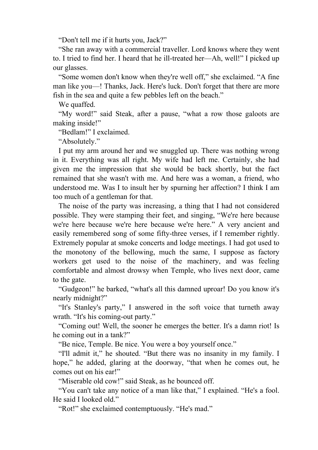"Don't tell me if it hurts you, Jack?"

 "She ran away with a commercial traveller. Lord knows where they went to. I tried to find her. I heard that he ill-treated her—Ah, well!" I picked up our glasses.

 "Some women don't know when they're well off," she exclaimed. "A fine man like you—! Thanks, Jack. Here's luck. Don't forget that there are more fish in the sea and quite a few pebbles left on the beach."

We quaffed.

 "My word!" said Steak, after a pause, "what a row those galoots are making inside!"

"Bedlam!" I exclaimed.

"Absolutely."

 I put my arm around her and we snuggled up. There was nothing wrong in it. Everything was all right. My wife had left me. Certainly, she had given me the impression that she would be back shortly, but the fact remained that she wasn't with me. And here was a woman, a friend, who understood me. Was I to insult her by spurning her affection? I think I am too much of a gentleman for that.

 The noise of the party was increasing, a thing that I had not considered possible. They were stamping their feet, and singing, "We're here because we're here because we're here because we're here." A very ancient and easily remembered song of some fifty-three verses, if I remember rightly. Extremely popular at smoke concerts and lodge meetings. I had got used to the monotony of the bellowing, much the same, I suppose as factory workers get used to the noise of the machinery, and was feeling comfortable and almost drowsy when Temple, who lives next door, came to the gate.

 "Gudgeon!" he barked, "what's all this damned uproar! Do you know it's nearly midnight?"

 "It's Stanley's party," I answered in the soft voice that turneth away wrath. "It's his coming-out party."

 "Coming out! Well, the sooner he emerges the better. It's a damn riot! Is he coming out in a tank?"

"Be nice, Temple. Be nice. You were a boy yourself once."

 "I'll admit it," he shouted. "But there was no insanity in my family. I hope," he added, glaring at the doorway, "that when he comes out, he comes out on his ear!"

"Miserable old cow!" said Steak, as he bounced off.

 "You can't take any notice of a man like that," I explained. "He's a fool. He said I looked old."

"Rot!" she exclaimed contemptuously. "He's mad."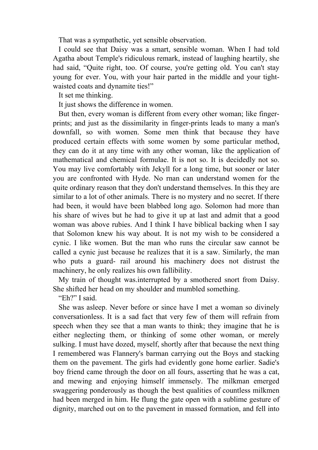That was a sympathetic, yet sensible observation.

 I could see that Daisy was a smart, sensible woman. When I had told Agatha about Temple's ridiculous remark, instead of laughing heartily, she had said, "Quite right, too. Of course, you're getting old. You can't stay young for ever. You, with your hair parted in the middle and your tightwaisted coats and dynamite ties!"

It set me thinking.

It just shows the difference in women.

 But then, every woman is different from every other woman; like fingerprints; and just as the dissimilarity in finger-prints leads to many a man's downfall, so with women. Some men think that because they have produced certain effects with some women by some particular method, they can do it at any time with any other woman, like the application of mathematical and chemical formulae. It is not so. It is decidedly not so. You may live comfortably with Jekyll for a long time, but sooner or later you are confronted with Hyde. No rnan can understand women for the quite ordinary reason that they don't understand themselves. In this they are similar to a lot of other animals. There is no mystery and no secret. If there had been, it would have been blabbed long ago. Solomon had more than his share of wives but he had to give it up at last and admit that a good woman was above rubies. And I think I have biblical backing when I say that Solomon knew his way about. It is not my wish to be considered a cynic. I like women. But the man who runs the circular saw cannot be called a cynic just because he realizes that it is a saw. Similarly, the man who puts a guard- rail around his machinery does not distrust the machinery, he only realizes his own fallibility.

 My train of thought was.interrupted by a smothered snort from Daisy. She shifted her head on my shoulder and mumbled something.

"Eh?" I said.

 She was asleep. Never before or since have I met a woman so divinely conversationless. It is a sad fact that very few of them will refrain from speech when they see that a man wants to think; they imagine that he is either neglecting them, or thinking of some other woman, or merely sulking. I must have dozed, myself, shortly after that because the next thing I remembered was Flannery's barman carrying out the Boys and stacking them on the pavement. The girls had evidently gone home earlier. Sadie's boy friend came through the door on all fours, asserting that he was a cat, and mewing and enjoying himself immensely. The milkman emerged swaggering ponderously as though the best qualities of countless milkmen had been merged in him. He flung the gate open with a sublime gesture of dignity, marched out on to the pavement in massed formation, and fell into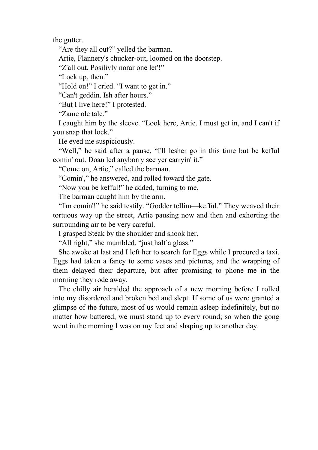the gutter.

"Are they all out?" yelled the barman.

Artie, Flannery's chucker-out, loomed on the doorstep.

"Z'all out. Posilivly norar one lef'!"

"Lock up, then."

"Hold on!" I cried. "I want to get in."

"Can't geddin. Ish after hours."

"But I live here!" I protested.

"Zame ole tale."

 I caught him by the sleeve. "Look here, Artie. I must get in, and I can't if you snap that lock."

He eyed me suspiciously.

 "Well," he said after a pause, "I'll lesher go in this time but be kefful comin' out. Doan led anyborry see yer carryin' it."

"Come on, Artie," called the barman.

"Comin'," he answered, and rolled toward the gate.

"Now you be kefful!" he added, turning to me.

The barman caught him by the arm.

 "I'm comin'!" he said testily. "Godder tellim—kefful." They weaved their tortuous way up the street, Artie pausing now and then and exhorting the surrounding air to be very careful.

I grasped Steak by the shoulder and shook her.

"All right," she mumbled, "just half a glass."

 She awoke at last and I left her to search for Eggs while I procured a taxi. Eggs had taken a fancy to some vases and pictures, and the wrapping of them delayed their departure, but after promising to phone me in the morning they rode away.

 The chilly air heralded the approach of a new morning before I rolled into my disordered and broken bed and slept. If some of us were granted a glimpse of the future, most of us would remain asleep indefinitely, but no matter how battered, we must stand up to every round; so when the gong went in the morning I was on my feet and shaping up to another day.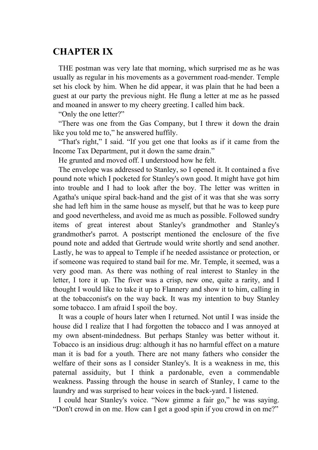# **CHAPTER IX**

 THE postman was very late that morning, which surprised me as he was usually as regular in his movements as a government road-mender. Temple set his clock by him. When he did appear, it was plain that he had been a guest at our party the previous night. He flung a letter at me as he passed and moaned in answer to my cheery greeting. I called him back.

"Only the one letter?"

 "There was one from the Gas Company, but I threw it down the drain like you told me to," he answered huffily.

 "That's right," I said. "If you get one that looks as if it came from the Income Tax Department, put it down the same drain."

He grunted and moved off. I understood how he felt.

 The envelope was addressed to Stanley, so I opened it. It contained a five pound note which I pocketed for Stanley's own good. It might have got him into trouble and I had to look after the boy. The letter was written in Agatha's unique spiral back-hand and the gist of it was that she was sorry she had left him in the same house as myself, but that he was to keep pure and good nevertheless, and avoid me as much as possible. Followed sundry items of great interest about Stanley's grandmother and Stanley's grandmother's parrot. A postscript mentioned the enclosure of the five pound note and added that Gertrude would write shortly and send another. Lastly, he was to appeal to Temple if he needed assistance or protection, or if someone was required to stand bail for me. Mr. Temple, it seemed, was a very good man. As there was nothing of real interest to Stanley in the letter, I tore it up. The fiver was a crisp, new one, quite a rarity, and I thought I would like to take it up to Flannery and show it to him, calling in at the tobacconist's on the way back. It was my intention to buy Stanley some tobacco. I am afraid I spoil the boy.

 It was a couple of hours later when I returned. Not until I was inside the house did I realize that I had forgotten the tobacco and I was annoyed at my own absent-mindedness. But perhaps Stanley was better without it. Tobacco is an insidious drug: although it has no harmful effect on a mature man it is bad for a youth. There are not many fathers who consider the welfare of their sons as I consider Stanley's. It is a weakness in me, this paternal assiduity, but I think a pardonable, even a commendable weakness. Passing through the house in search of Stanley, I came to the laundry and was surprised to hear voices in the back-yard. I listened.

 I could hear Stanley's voice. "Now gimme a fair go," he was saying. "Don't crowd in on me. How can I get a good spin if you crowd in on me?"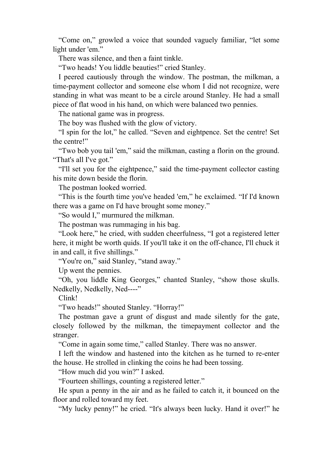"Come on," growled a voice that sounded vaguely familiar, "let some light under 'em."

There was silence, and then a faint tinkle.

"Two heads! You liddle beauties!" cried Stanley.

 I peered cautiously through the window. The postman, the milkman, a time-payment collector and someone else whom I did not recognize, were standing in what was meant to be a circle around Stanley. He had a small piece of flat wood in his hand, on which were balanced two pennies.

The national game was in progress.

The boy was flushed with the glow of victory.

 "I spin for the lot," he called. "Seven and eightpence. Set the centre! Set the centre!"

 "Two bob you tail 'em," said the milkman, casting a florin on the ground. "That's all I've got."

 "I'll set you for the eightpence," said the time-payment collector casting his mite down beside the florin.

The postman looked worried.

 "This is the fourth time you've headed 'em," he exclaimed. "If I'd known there was a game on I'd have brought some money."

"So would I," murmured the milkman.

The postman was rummaging in his bag.

 "Look here," he cried, with sudden cheerfulness, "I got a registered letter here, it might be worth quids. If you'll take it on the off-chance, I'll chuck it in and call, it five shillings."

"You're on," said Stanley, "stand away."

Up went the pennies.

 "Oh, you liddle King Georges," chanted Stanley, "show those skulls. Nedkelly, Ned----"

Clink!

"Two heads!" shouted Stanley. "Horray!"

 The postman gave a grunt of disgust and made silently for the gate, closely followed by the milkman, the timepayment collector and the stranger.

"Come in again some time," called Stanley. There was no answer.

 I left the window and hastened into the kitchen as he turned to re-enter the house. He strolled in clinking the coins he had been tossing.

"How much did you win?" I asked.

"Fourteen shillings, counting a registered letter."

 He spun a penny in the air and as he failed to catch it, it bounced on the floor and rolled toward my feet.

"My lucky penny!" he cried. "It's always been lucky. Hand it over!" he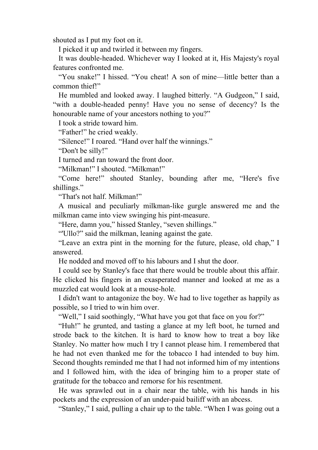shouted as I put my foot on it.

I picked it up and twirled it between my fingers.

 It was double-headed. Whichever way I looked at it, His Majesty's royal features confronted me.

 "You snake!" I hissed. "You cheat! A son of mine—little better than a common thief!"

 He mumbled and looked away. I laughed bitterly. "A Gudgeon," I said, "with a double-headed penny! Have you no sense of decency? Is the honourable name of your ancestors nothing to you?"

I took a stride toward him.

"Father!" he cried weakly.

"Silence!" I roared. "Hand over half the winnings."

"Don't be silly!"

I turned and ran toward the front door.

"Milkman!" I shouted. "Milkman!"

 "Come here!" shouted Stanley, bounding after me, "Here's five shillings."

"That's not half. Milkman!"

 A musical and peculiarly milkman-like gurgle answered me and the milkman came into view swinging his pint-measure.

"Here, damn you," hissed Stanley, "seven shillings."

"'Ullo?" said the milkman, leaning against the gate.

 "Leave an extra pint in the morning for the future, please, old chap," I answered.

He nodded and moved off to his labours and I shut the door.

 I could see by Stanley's face that there would be trouble about this affair. He clicked his fingers in an exasperated manner and looked at me as a muzzled cat would look at a mouse-hole.

 I didn't want to antagonize the boy. We had to live together as happily as possible, so I tried to win him over.

"Well," I said soothingly, "What have you got that face on you for?"

 "Huh!" he grunted, and tasting a glance at my left boot, he turned and strode back to the kitchen. It is hard to know how to treat a boy like Stanley. No matter how much I try I cannot please him. I remembered that he had not even thanked me for the tobacco I had intended to buy him. Second thoughts reminded me that I had not informed him of my intentions and I followed him, with the idea of bringing him to a proper state of gratitude for the tobacco and remorse for his resentment.

 He was sprawled out in a chair near the table, with his hands in his pockets and the expression of an under-paid bailiff with an abcess.

"Stanley," I said, pulling a chair up to the table. "When I was going out a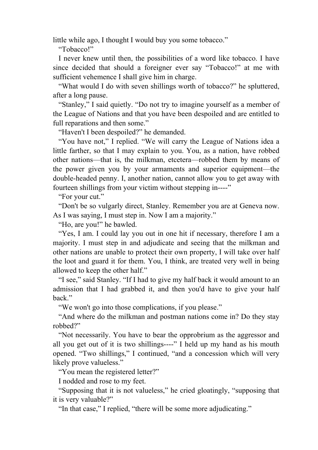little while ago, I thought I would buy you some tobacco."

"Tobacco!"

 I never knew until then, the possibilities of a word like tobacco. I have since decided that should a foreigner ever say "Tobacco!" at me with sufficient vehemence I shall give him in charge.

 "What would I do with seven shillings worth of tobacco?" he spluttered, after a long pause.

 "Stanley," I said quietly. "Do not try to imagine yourself as a member of the League of Nations and that you have been despoiled and are entitled to full reparations and then some."

"Haven't I been despoiled?" he demanded.

 "You have not," I replied. "We will carry the League of Nations idea a little farther, so that I may explain to you. You, as a nation, have robbed other nations—that is, the milkman, etcetera—robbed them by means of the power given you by your armaments and superior equipment—the double-headed penny. I, another nation, cannot allow you to get away with fourteen shillings from your victim without stepping in----"

"For your cut."

 "Don't be so vulgarly direct, Stanley. Remember you are at Geneva now. As I was saying, I must step in. Now I am a majority."

"Ho, are you!" he bawled.

 "Yes, I am. I could lay you out in one hit if necessary, therefore I am a majority. I must step in and adjudicate and seeing that the milkman and other nations are unable to protect their own property, I will take over half the loot and guard it for them. You, I think, are treated very well in being allowed to keep the other half."

 "I see," said Stanley. "If I had to give my half back it would amount to an admission that I had grabbed it, and then you'd have to give your half back."

"We won't go into those complications, if you please."

 "And where do the milkman and postman nations come in? Do they stay robbed?"

 "Not necessarily. You have to bear the opprobrium as the aggressor and all you get out of it is two shillings----" I held up my hand as his mouth opened. "Two shillings," I continued, "and a concession which will very likely prove valueless."

"You mean the registered letter?"

I nodded and rose to my feet.

 "Supposing that it is not valueless," he cried gloatingly, "supposing that it is very valuable?"

"In that case," I replied, "there will be some more adjudicating."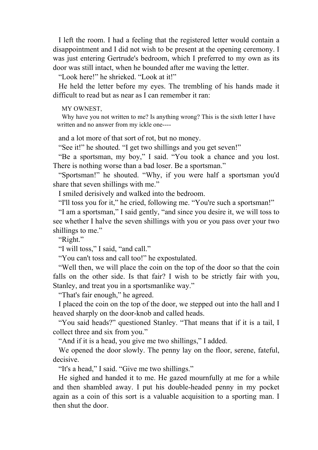I left the room. I had a feeling that the registered letter would contain a disappointment and I did not wish to be present at the opening ceremony. I was just entering Gertrude's bedroom, which I preferred to my own as its door was still intact, when he bounded after me waving the letter.

"Look here!" he shrieked. "Look at it!"

 He held the letter before my eyes. The trembling of his hands made it difficult to read but as near as I can remember it ran:

MY OWNEST,

 Why have you not written to me? Is anything wrong? This is the sixth letter I have written and no answer from my ickle one----

and a lot more of that sort of rot, but no money.

"See it!" he shouted. "I get two shillings and you get seven!"

 "Be a sportsman, my boy," I said. "You took a chance and you lost. There is nothing worse than a bad loser. Be a sportsman."

 "Sportsman!" he shouted. "Why, if you were half a sportsman you'd share that seven shillings with me."

I smiled derisively and walked into the bedroom.

"I'll toss you for it," he cried, following me. "You're such a sportsman!"

 "I am a sportsman," I said gently, "and since you desire it, we will toss to see whether I halve the seven shillings with you or you pass over your two shillings to me."

"Right."

"I will toss," I said, "and call."

"You can't toss and call too!" he expostulated.

 "Well then, we will place the coin on the top of the door so that the coin falls on the other side. Is that fair? I wish to be strictly fair with you, Stanley, and treat you in a sportsmanlike way."

"That's fair enough," he agreed.

 I placed the coin on the top of the door, we stepped out into the hall and I heaved sharply on the door-knob and called heads.

 "You said heads?" questioned Stanley. "That means that if it is a tail, I collect three and six from you."

"And if it is a head, you give me two shillings," I added.

 We opened the door slowly. The penny lay on the floor, serene, fateful, decisive.

"It's a head," I said. "Give me two shillings."

 He sighed and handed it to me. He gazed mournfully at me for a while and then shambled away. I put his double-headed penny in my pocket again as a coin of this sort is a valuable acquisition to a sporting man. I then shut the door.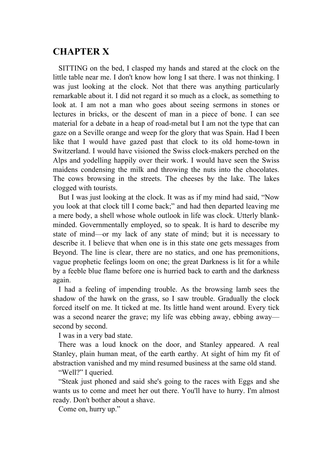# **CHAPTER X**

 SITTING on the bed, I clasped my hands and stared at the clock on the little table near me. I don't know how long I sat there. I was not thinking. I was just looking at the clock. Not that there was anything particularly remarkable about it. I did not regard it so much as a clock, as something to look at. I am not a man who goes about seeing sermons in stones or lectures in bricks, or the descent of man in a piece of bone. I can see material for a debate in a heap of road-metal but I am not the type that can gaze on a Seville orange and weep for the glory that was Spain. Had I been like that I would have gazed past that clock to its old home-town in Switzerland. I would have visioned the Swiss clock-makers perched on the Alps and yodelling happily over their work. I would have seen the Swiss maidens condensing the milk and throwing the nuts into the chocolates. The cows browsing in the streets. The cheeses by the lake. The lakes clogged with tourists.

 But I was just looking at the clock. It was as if my mind had said, "Now you look at that clock till I come back;" and had then departed leaving me a mere body, a shell whose whole outlook in life was clock. Utterly blankminded. Governmentally employed, so to speak. It is hard to describe my state of mind—or my lack of any state of mind; but it is necessary to describe it. I believe that when one is in this state one gets messages from Beyond. The line is clear, there are no statics, and one has premonitions, vague prophetic feelings loom on one; the great Darkness is lit for a while by a feeble blue flame before one is hurried back to earth and the darkness again.

 I had a feeling of impending trouble. As the browsing lamb sees the shadow of the hawk on the grass, so I saw trouble. Gradually the clock forced itself on me. It ticked at me. Its little hand went around. Every tick was a second nearer the grave; my life was ebbing away, ebbing away second by second.

I was in a very bad state.

 There was a loud knock on the door, and Stanley appeared. A real Stanley, plain human meat, of the earth earthy. At sight of him my fit of abstraction vanished and my mind resumed business at the same old stand.

"Well?" I queried.

 "Steak just phoned and said she's going to the races with Eggs and she wants us to come and meet her out there. You'll have to hurry. I'm almost ready. Don't bother about a shave.

Come on, hurry up."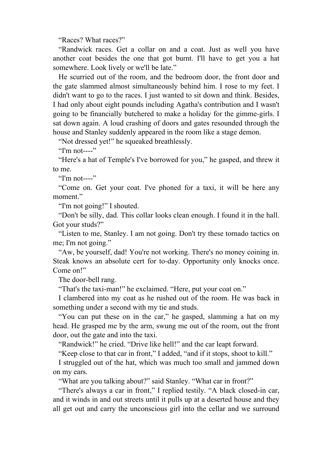"Races? What races?"

 "Randwick races. Get a collar on and a coat. Just as well you have another coat besides the one that got burnt. I'll have to get you a hat somewhere. Look lively or we'll be late."

 He scurried out of the room, and the bedroom door, the front door and the gate slammed almost simultaneously behind him. I rose to my feet. I didn't want to go to the races. I just wanted to sit down and think. Besides, I had only about eight pounds including Agatha's contribution and I wasn't going to be financially butchered to make a holiday for the gimme-girls. I sat down again. A loud crashing of doors and gates resounded through the house and Stanley suddenly appeared in the room like a stage demon.

"Not dressed yet!" he squeaked breathlessly.

"I'm not----"

 "Here's a hat of Temple's I've borrowed for you," he gasped, and threw it to me.

"I'm not----"

 "Come on. Get your coat. I've phoned for a taxi, it will be here any moment<sup>"</sup>

"I'm not going!" I shouted.

 "Don't be silly, dad. This collar looks clean enough. I found it in the hall. Got your studs?"

 "Listen to me, Stanley. I am not going. Don't try these tornado tactics on me; I'm not going."

 "Aw, be yourself, dad! You're not working. There's no money coining in. Steak knows an absolute cert for to-day. Opportunity only knocks once. Come on!"

The door-bell rang.

"That's the taxi-man!" he exclaimed. "Here, put your coat on."

 I clambered into my coat as he rushed out of the room. He was back in something under a second with my tie and studs.

 "You can put these on in the car," he gasped, slamming a hat on my head. He grasped me by the arm, swung me out of the room, out the front door, out the gate and into the taxi.

"Randwick!" he cried. "Drive like hell!" and the car leapt forward.

"Keep close to that car in front," I added, "and if it stops, shoot to kill."

 I struggled out of the hat, which was much too small and jammed down on my ears.

"What are you talking about?" said Stanley. "What car in front?"

 "There's always a car in front," I replied testily. "A black closed-in car, and it winds in and out streets until it pulls up at a deserted house and they all get out and carry the unconscious girl into the cellar and we surround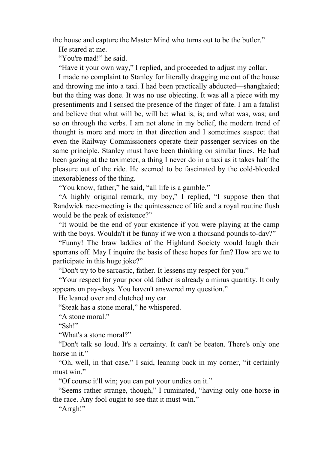the house and capture the Master Mind who turns out to be the butler."

He stared at me.

"You're mad!" he said.

"Have it your own way," I replied, and proceeded to adjust my collar.

 I made no complaint to Stanley for literally dragging me out of the house and throwing me into a taxi. I had been practically abducted—shanghaied; but the thing was done. It was no use objecting. It was all a piece with my presentiments and I sensed the presence of the finger of fate. I am a fatalist and believe that what will be, will be; what is, is; and what was, was; and so on through the verbs. I am not alone in my belief, the modern trend of thought is more and more in that direction and I sometimes suspect that even the Railway Commissioners operate their passenger services on the same principle. Stanley must have been thinking on similar lines. He had been gazing at the taximeter, a thing I never do in a taxi as it takes half the pleasure out of the ride. He seemed to be fascinated by the cold-blooded inexorableness of the thing.

"You know, father," he said, "all life is a gamble."

 "A highly original remark, my boy," I replied, "I suppose then that Randwick race-meeting is the quintessence of life and a royal routine flush would be the peak of existence?"

 "It would be the end of your existence if you were playing at the camp with the boys. Wouldn't it be funny if we won a thousand pounds to-day?"

 "Funny! The braw laddies of the Highland Society would laugh their sporrans off. May I inquire the basis of these hopes for fun? How are we to participate in this huge joke?"

"Don't try to be sarcastic, father. It lessens my respect for you."

 "Your respect for your poor old father is already a minus quantity. It only appears on pay-days. You haven't answered my question."

He leaned over and clutched my ear.

"Steak has a stone moral," he whispered.

"A stone moral."

"Ssh!"

"What's a stone moral?"

 "Don't talk so loud. It's a certainty. It can't be beaten. There's only one horse in it."

 "Oh, well, in that case," I said, leaning back in my corner, "it certainly must win."

"Of course it'll win; you can put your undies on it."

 "Seems rather strange, though," I ruminated, "having only one horse in the race. Any fool ought to see that it must win."

"Arrgh!"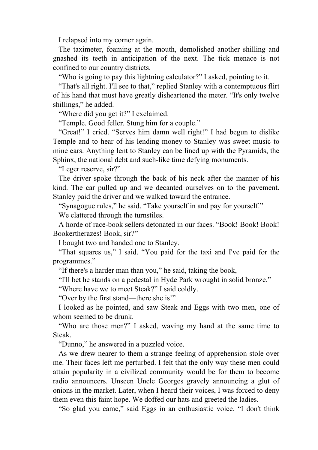I relapsed into my corner again.

 The taximeter, foaming at the mouth, demolished another shilling and gnashed its teeth in anticipation of the next. The tick menace is not confined to our country districts.

"Who is going to pay this lightning calculator?" I asked, pointing to it.

 "That's all right. I'll see to that," replied Stanley with a contemptuous flirt of his hand that must have greatly disheartened the meter. "It's only twelve shillings," he added.

"Where did you get it?" I exclaimed.

"Temple. Good feller. Stung him for a couple."

 "Great!" I cried. "Serves him damn well right!" I had begun to dislike Temple and to hear of his lending money to Stanley was sweet music to mine ears. Anything lent to Stanley can be lined up with the Pyramids, the Sphinx, the national debt and such-like time defying monuments.

"Leger reserve, sir?"

 The driver spoke through the back of his neck after the manner of his kind. The car pulled up and we decanted ourselves on to the pavement. Stanley paid the driver and we walked toward the entrance.

"Synagogue rules," he said. "Take yourself in and pay for yourself."

We clattered through the turnstiles.

 A horde of race-book sellers detonated in our faces. "Book! Book! Book! Bookertherazes! Book, sir?"

I bought two and handed one to Stanley.

 "That squares us," I said. "You paid for the taxi and I've paid for the programmes."

"If there's a harder man than you," he said, taking the book,

"I'll bet he stands on a pedestal in Hyde Park wrought in solid bronze."

"Where have we to meet Steak?" I said coldly.

"Over by the first stand—there she is!"

 I looked as he pointed, and saw Steak and Eggs with two men, one of whom seemed to be drunk.

 "Who are those men?" I asked, waving my hand at the same time to Steak.

"Dunno," he answered in a puzzled voice.

 As we drew nearer to them a strange feeling of apprehension stole over me. Their faces left me perturbed. I felt that the only way these men could attain popularity in a civilized community would be for them to become radio announcers. Unseen Uncle Georges gravely announcing a glut of onions in the market. Later, when I heard their voices, I was forced to deny them even this faint hope. We doffed our hats and greeted the ladies.

"So glad you came," said Eggs in an enthusiastic voice. "I don't think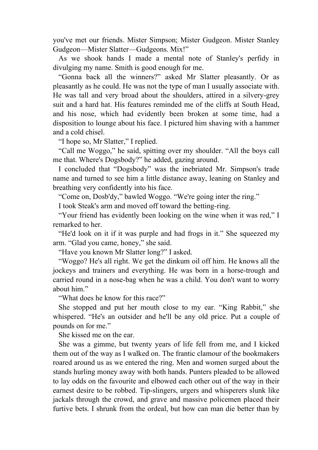you've met our friends. Mister Simpson; Mister Gudgeon. Mister Stanley Gudgeon—Mister Slatter—Gudgeons. Mix!"

 As we shook hands I made a mental note of Stanley's perfidy in divulging my name. Smith is good enough for me.

 "Gonna back all the winners?" asked Mr Slatter pleasantly. Or as pleasantly as he could. He was not the type of man I usually associate with. He was tall and very broad about the shoulders, attired in a silvery-grey suit and a hard hat. His features reminded me of the cliffs at South Head, and his nose, which had evidently been broken at some time, had a disposition to lounge about his face. I pictured him shaving with a hammer and a cold chisel.

"I hope so, Mr Slatter," I replied.

 "Call me Woggo," he said, spitting over my shoulder. "All the boys call me that. Where's Dogsbody?" he added, gazing around.

 I concluded that "Dogsbody" was the inebriated Mr. Simpson's trade name and turned to see him a little distance away, leaning on Stanley and breathing very confidently into his face.

"Come on, Dosb'dy," bawled Woggo. "We're going inter the ring."

I took Steak's arm and moved off toward the betting-ring.

 "Your friend has evidently been looking on the wine when it was red," I remarked to her.

 "He'd look on it if it was purple and had frogs in it." She squeezed my arm. "Glad you came, honey," she said.

"Have you known Mr Slatter long?" I asked.

 "Woggo? He's all right. We get the dinkum oil off him. He knows all the jockeys and trainers and everything. He was born in a horse-trough and carried round in a nose-bag when he was a child. You don't want to worry about him."

"What does he know for this race?"

 She stopped and put her mouth close to my ear. "King Rabbit," she whispered. "He's an outsider and he'll be any old price. Put a couple of pounds on for me."

She kissed me on the ear.

 She was a gimme, but twenty years of life fell from me, and I kicked them out of the way as I walked on. The frantic clamour of the bookmakers roared around us as we entered the ring. Men and women surged about the stands hurling money away with both hands. Punters pleaded to be allowed to lay odds on the favourite and elbowed each other out of the way in their earnest desire to be robbed. Tip-slingers, urgers and whisperers slunk like jackals through the crowd, and grave and massive policemen placed their furtive bets. I shrunk from the ordeal, but how can man die better than by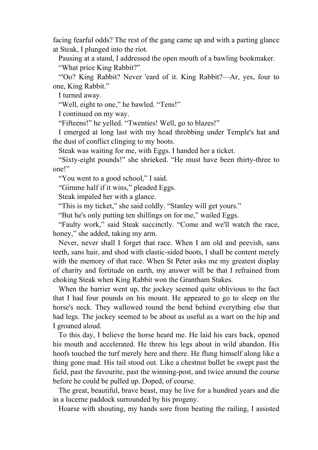facing fearful odds? The rest of the gang came up and with a parting glance at Steak, I plunged into the riot.

 Pausing at a stand, I addressed the open mouth of a bawling bookmaker. "What price King Rabbit?"

 "'Oo? King Rabbit? Never 'eard of it. King Rabbit?—Ar, yes, four to one, King Rabbit."

I turned away.

"Well, eight to one," he bawled. "Tens!"

I continued on my way.

"Fifteens!" he yelled. "Twenties! Well, go to blazes!"

 I emerged at long last with my head throbbing under Temple's hat and the dust of conflict clinging to my boots.

Steak was waiting for me, with Eggs. I handed her a ticket.

 "Sixty-eight pounds!" she shrieked. "He must have been thirty-three to one!"

"You went to a good school," I said.

"Girnme half if it wins," pleaded Eggs.

Steak impaled her with a glance.

"This is my ticket," she said coldly. "Stanley will get yours."

"But he's only putting ten shillings on for me," wailed Eggs.

 "Faulty work," said Steak succinctly. "Come and we'll watch the race, honey," she added, taking my arm.

 Never, never shall I forget that race. When I am old and peevish, sans teeth, sans hair, and shod with elastic-sided boots, I shall be content merely with the memory of that race. When St Peter asks me my greatest display of charity and fortitude on earth, my answer will be that I refrained from choking Steak when King Rabbit won the Grantham Stakes.

 When the barrier went up, the jockey seemed quite oblivious to the fact that I had four pounds on his mount. He appeared to go to sleep on the horse's neck. They wallowed round the bend behind everything else that had legs. The jockey seemed to be about as useful as a wart on the hip and I groaned aloud.

 To this day, I believe the horse heard me. He laid his ears back, opened his mouth and accelerated. He threw his legs about in wild abandon. His hoofs touched the turf merely here and there. He flung himself along like a thing gone mad. His tail stood out. Like a chestnut bullet he swept past the field, past the favourite, past the winning-post, and twice around the course before he could be pulled up. Doped, of course.

 The great, beautiful, brave beast, may he live for a hundred years and die in a lucerne paddock surrounded by his progeny.

Hoarse with shouting, my hands sore from beating the railing, I assisted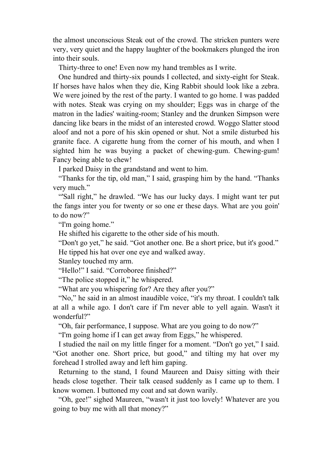the almost unconscious Steak out of the crowd. The stricken punters were very, very quiet and the happy laughter of the bookmakers plunged the iron into their souls.

Thirty-three to one! Even now my hand trembles as I write.

 One hundred and thirty-six pounds I collected, and sixty-eight for Steak. If horses have halos when they die, King Rabbit should look like a zebra. We were joined by the rest of the party. I wanted to go home. I was padded with notes. Steak was crying on my shoulder; Eggs was in charge of the matron in the ladies' waiting-room; Stanley and the drunken Simpson were dancing like bears in the midst of an interested crowd. Woggo Slatter stood aloof and not a pore of his skin opened or shut. Not a smile disturbed his granite face. A cigarette hung from the corner of his mouth, and when I sighted him he was buying a packet of chewing-gum. Chewing-gum! Fancy being able to chew!

I parked Daisy in the grandstand and went to him.

 "Thanks for the tip, old man," I said, grasping him by the hand. "Thanks very much."

 "'Sall right," he drawled. "We has our lucky days. I might want ter put the fangs inter you for twenty or so one er these days. What are you goin' to do now?"

"I'm going home."

He shifted his cigarette to the other side of his mouth.

"Don't go yet," he said. "Got another one. Be a short price, but it's good."

He tipped his hat over one eye and walked away.

Stanley touched my arm.

"Hello!" I said. "Corroboree finished?"

"The police stopped it," he whispered.

"What are you whispering for? Are they after you?"

 "No," he said in an almost inaudible voice, "it's my throat. I couldn't talk at all a while ago. I don't care if I'm never able to yell again. Wasn't it wonderful?"

"Oh, fair performance, I suppose. What are you going to do now?"

"I'm going home if I can get away from Eggs," he whispered.

 I studied the nail on my little finger for a moment. "Don't go yet," I said. "Got another one. Short price, but good," and tilting my hat over my forehead I strolled away and left him gaping.

 Returning to the stand, I found Maureen and Daisy sitting with their heads close together. Their talk ceased suddenly as I came up to them. I know women. I buttoned my coat and sat down warily.

 "Oh, gee!" sighed Maureen, "wasn't it just too lovely! Whatever are you going to buy me with all that money?"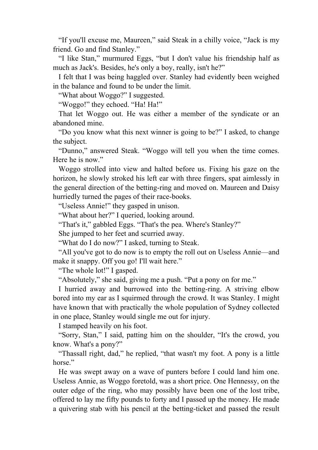"If you'll excuse me, Maureen," said Steak in a chilly voice, "Jack is my friend. Go and find Stanley."

 "I like Stan," murmured Eggs, "but I don't value his friendship half as much as Jack's. Besides, he's only a boy, really, isn't he?"

 I felt that I was being haggled over. Stanley had evidently been weighed in the balance and found to be under the limit.

"What about Woggo?" I suggested.

"Woggo!" they echoed. "Ha! Ha!"

 That let Woggo out. He was either a member of the syndicate or an abandoned mine.

 "Do you know what this next winner is going to be?" I asked, to change the subject.

 "Dunno," answered Steak. "Woggo will tell you when the time comes. Here he is now."

 Woggo strolled into view and halted before us. Fixing his gaze on the horizon, he slowly stroked his left ear with three fingers, spat aimlessly in the general direction of the betting-ring and moved on. Maureen and Daisy hurriedly turned the pages of their race-books.

"Useless Annie!" they gasped in unison.

"What about her?" I queried, looking around.

"That's it," gabbled Eggs. "That's the pea. Where's Stanley?"

She jumped to her feet and scurried away.

"What do I do now?" I asked, turning to Steak.

 "All you've got to do now is to empty the roll out on Useless Annie—and make it snappy. Off you go! I'll wait here."

"The whole lot!" I gasped.

"Absolutely," she said, giving me a push. "Put a pony on for me."

 I hurried away and burrowed into the betting-ring. A striving elbow bored into my ear as I squirmed through the crowd. It was Stanley. I might have known that with practically the whole population of Sydney collected in one place, Stanley would single me out for injury.

I stamped heavily on his foot.

 "Sorry, Stan," I said, patting him on the shoulder, "It's the crowd, you know. What's a pony?"

 "Thassall right, dad," he replied, "that wasn't my foot. A pony is a little horse."

 He was swept away on a wave of punters before I could land him one. Useless Annie, as Woggo foretold, was a short price. One Hennessy, on the outer edge of the ring, who may possibly have been one of the lost tribe, offered to lay me fifty pounds to forty and I passed up the money. He made a quivering stab with his pencil at the betting-ticket and passed the result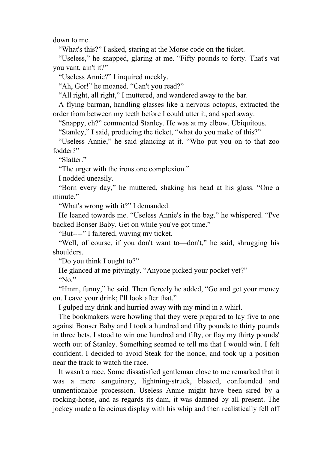down to me.

"What's this?" I asked, staring at the Morse code on the ticket.

 "Useless," he snapped, glaring at me. "Fifty pounds to forty. That's vat you vant, ain't it?"

"Useless Annie?" I inquired meekly.

"Ah, Gor!" he moaned. "Can't you read?"

"All right, all right," I muttered, and wandered away to the bar.

 A flying barman, handling glasses like a nervous octopus, extracted the order from between my teeth before I could utter it, and sped away.

"Snappy, eh?" commented Stanley. He was at my elbow. Ubiquitous.

"Stanley," I said, producing the ticket, "what do you make of this?"

 "Useless Annie," he said glancing at it. "Who put you on to that zoo fodder?"

"Slatter."

"The urger with the ironstone complexion."

I nodded uneasily.

 "Born every day," he muttered, shaking his head at his glass. "One a minute<sup>"</sup>

"What's wrong with it?" I demanded.

 He leaned towards me. "Useless Annie's in the bag." he whispered. "I've backed Bonser Baby. Get on while you've got time."

"But----" I faltered, waving my ticket.

 "Well, of course, if you don't want to—don't," he said, shrugging his shoulders.

"Do you think I ought to?"

He glanced at me pityingly. "Anyone picked your pocket yet?"

"No."

 "Hmm, funny," he said. Then fiercely he added, "Go and get your money on. Leave your drink; I'll look after that."

I gulped my drink and hurried away with my mind in a whirl.

 The bookmakers were howling that they were prepared to lay five to one against Bonser Baby and I took a hundred and fifty pounds to thirty pounds in three bets. I stood to win one hundred and fifty, or flay my thirty pounds' worth out of Stanley. Something seemed to tell me that I would win. I felt confident. I decided to avoid Steak for the nonce, and took up a position near the track to watch the race.

 It wasn't a race. Some dissatisfied gentleman close to me remarked that it was a mere sanguinary, lightning-struck, blasted, confounded and unmentionable procession. Useless Annie might have been sired by a rocking-horse, and as regards its dam, it was damned by all present. The jockey made a ferocious display with his whip and then realistically fell off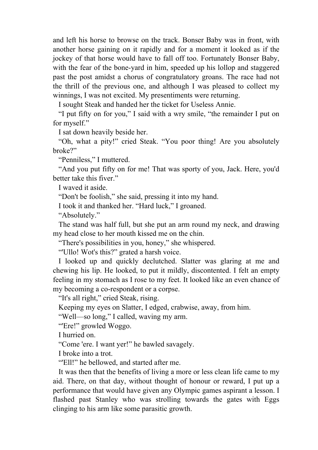and left his horse to browse on the track. Bonser Baby was in front, with another horse gaining on it rapidly and for a moment it looked as if the jockey of that horse would have to fall off too. Fortunately Bonser Baby, with the fear of the bone-yard in him, speeded up his lollop and staggered past the post amidst a chorus of congratulatory groans. The race had not the thrill of the previous one, and although I was pleased to collect my winnings, I was not excited. My presentiments were returning.

I sought Steak and handed her the ticket for Useless Annie.

 "I put fifty on for you," I said with a wry smile, "the remainder I put on for myself."

I sat down heavily beside her.

 "Oh, what a pity!" cried Steak. "You poor thing! Are you absolutely broke?"

"Penniless," I muttered.

 "And you put fifty on for me! That was sporty of you, Jack. Here, you'd better take this fiver."

I waved it aside.

"Don't be foolish," she said, pressing it into my hand.

I took it and thanked her. "Hard luck," I groaned.

"Absolutely."

 The stand was half full, but she put an arm round my neck, and drawing my head close to her mouth kissed me on the chin.

"There's possibilities in you, honey," she whispered.

"'Ullo! Wot's this?" grated a harsh voice.

 I looked up and quickly declutched. Slatter was glaring at me and chewing his lip. He looked, to put it mildly, discontented. I felt an empty feeling in my stomach as I rose to my feet. It looked like an even chance of my becoming a co-respondent or a corpse.

"It's all right," cried Steak, rising.

Keeping my eyes on Slatter, I edged, crabwise, away, from him.

"Well—so long," I called, waving my arm.

"Ere!" growled Woggo.

I hurried on.

"Come 'ere. I want yer!" he bawled savagely.

I broke into a trot.

"Ell!" he bellowed, and started after me.

 It was then that the benefits of living a more or less clean life came to my aid. There, on that day, without thought of honour or reward, I put up a performance that would have given any Olympic games aspirant a lesson. I flashed past Stanley who was strolling towards the gates with Eggs clinging to his arm like some parasitic growth.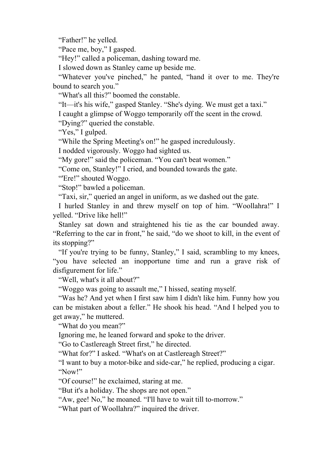"Father!" he yelled.

"Pace me, boy," I gasped.

"Hey!" called a policeman, dashing toward me.

I slowed down as Stanley came up beside me.

 "Whatever you've pinched," he panted, "hand it over to me. They're bound to search you."

"What's all this?" boomed the constable.

"It—it's his wife," gasped Stanley. "She's dying. We must get a taxi."

I caught a glimpse of Woggo temporarily off the scent in the crowd.

"Dying?" queried the constable.

"Yes," I gulped.

"While the Spring Meeting's on!" he gasped incredulously.

I nodded vigorously. Woggo had sighted us.

"My gore!" said the policeman. "You can't beat women."

"Come on, Stanley!" I cried, and bounded towards the gate.

"Ere!" shouted Woggo.

"Stop!" bawled a policeman.

"Taxi, sir," queried an angel in uniform, as we dashed out the gate.

 I hurled Stanley in and threw myself on top of him. "Woollahra!" I yelled. "Drive like hell!"

 Stanley sat down and straightened his tie as the car bounded away. "Referring to the car in front," he said, "do we shoot to kill, in the event of its stopping?"

 "If you're trying to be funny, Stanley," I said, scrambling to my knees, "you have selected an inopportune time and run a grave risk of disfigurement for life."

"Well, what's it all about?"

"Woggo was going to assault me," I hissed, seating myself.

 "Was he? And yet when I first saw him I didn't like him. Funny how you can be mistaken about a feller." He shook his head. "And I helped you to get away," he muttered.

"What do you mean?"

Ignoring me, he leaned forward and spoke to the driver.

"Go to Castlereagh Street first," he directed.

"What for?" I asked. "What's on at Castlereagh Street?"

 "I want to buy a motor-bike and side-car," he replied, producing a cigar. "Now!"

"Of course!" he exclaimed, staring at me.

"But it's a holiday. The shops are not open."

"Aw, gee! No," he moaned. "I'll have to wait till to-morrow."

"What part of Woollahra?" inquired the driver.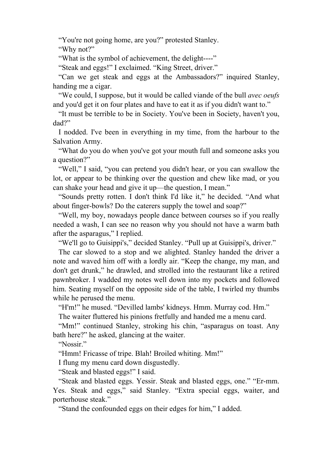"You're not going home, are you?" protested Stanley.

"Why not?"

"What is the symbol of achievement, the delight----"

"Steak and eggs!" I exclaimed. "King Street, driver."

 "Can we get steak and eggs at the Ambassadors?" inquired Stanley, handing me a cigar.

 "We could, I suppose, but it would be called viande of the bull *avec oeufs* and you'd get it on four plates and have to eat it as if you didn't want to."

 "It must be terrible to be in Society. You've been in Society, haven't you, dad?"

 I nodded. I've been in everything in my time, from the harbour to the Salvation Army.

 "What do you do when you've got your mouth full and someone asks you a question?"

 "Well," I said, "you can pretend you didn't hear, or you can swallow the lot, or appear to be thinking over the question and chew like mad, or you can shake your head and give it up—the question, I mean."

 "Sounds pretty rotten. I don't think I'd like it," he decided. "And what about finger-bowls? Do the caterers supply the towel and soap?"

 "Well, my boy, nowadays people dance between courses so if you really needed a wash, I can see no reason why you should not have a warm bath after the asparagus," I replied.

"We'll go to Guisippi's," decided Stanley. "Pull up at Guisippi's, driver."

 The car slowed to a stop and we alighted. Stanley handed the driver a note and waved him off with a lordly air. "Keep the change, my man, and don't get drunk," he drawled, and strolled into the restaurant like a retired pawnbroker. I wadded my notes well down into my pockets and followed him. Seating myself on the opposite side of the table, I twirled my thumbs while he perused the menu.

"H'm!" he mused. "Devilled lambs' kidneys. Hmm. Murray cod. Hm."

The waiter fluttered his pinions fretfully and handed me a menu card.

 "Mm!" continued Stanley, stroking his chin, "asparagus on toast. Any bath here?" he asked, glancing at the waiter.

"Nossir."

"Hmm! Fricasse of tripe. Blah! Broiled whiting. Mm!"

I flung my menu card down disgustedly.

"Steak and blasted eggs!" I said.

 "Steak and blasted eggs. Yessir. Steak and blasted eggs, one." "Er-mm. Yes. Steak and eggs," said Stanley. "Extra special eggs, waiter, and porterhouse steak."

"Stand the confounded eggs on their edges for him," I added.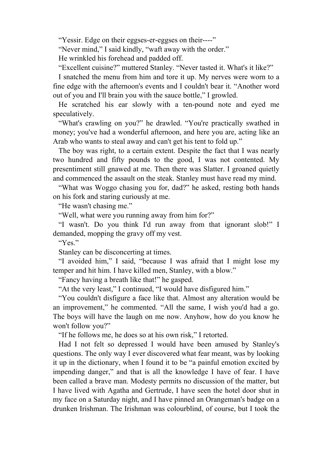"Yessir. Edge on their eggses-er-eggses on their----"

"Never mind," I said kindly, "waft away with the order."

He wrinkled his forehead and padded off.

"Excellent cuisine?" muttered Stanley. "Never tasted it. What's it like?"

 I snatched the menu from him and tore it up. My nerves were worn to a fine edge with the afternoon's events and I couldn't bear it. "Another word out of you and I'll brain you with the sauce bottle," I growled.

 He scratched his ear slowly with a ten-pound note and eyed me speculatively.

 "What's crawling on you?" he drawled. "You're practically swathed in money; you've had a wonderful afternoon, and here you are, acting like an Arab who wants to steal away and can't get his tent to fold up."

 The boy was right, to a certain extent. Despite the fact that I was nearly two hundred and fifty pounds to the good, I was not contented. My presentiment still gnawed at me. Then there was Slatter. I groaned quietly and commenced the assault on the steak. Stanley must have read my mind.

 "What was Woggo chasing you for, dad?" he asked, resting both hands on his fork and staring curiously at me.

"He wasn't chasing me."

"Well, what were you running away from him for?"

 "I wasn't. Do you think I'd run away from that ignorant slob!" I demanded, mopping the gravy off my vest.

"Yes."

Stanley can be disconcerting at times.

 "I avoided him," I said, "because I was afraid that I might lose my temper and hit him. I have killed men, Stanley, with a blow."

"Fancy having a breath like that!" he gasped.

"At the very least," I continued, "I would have disfigured him."

 "You couldn't disfigure a face like that. Almost any alteration would be an improvement," he commented. "All the same, I wish you'd had a go. The boys will have the laugh on me now. Anyhow, how do you know he won't follow you?"

"If he follows me, he does so at his own risk," I retorted.

 Had I not felt so depressed I would have been amused by Stanley's questions. The only way I ever discovered what fear meant, was by looking it up in the dictionary, when I found it to be "a painful emotion excited by impending danger," and that is all the knowledge I have of fear. I have been called a brave man. Modesty permits no discussion of the matter, but I have lived with Agatha and Gertrude, I have seen the hotel door shut in my face on a Saturday night, and I have pinned an Orangeman's badge on a drunken Irishman. The Irishman was colourblind, of course, but I took the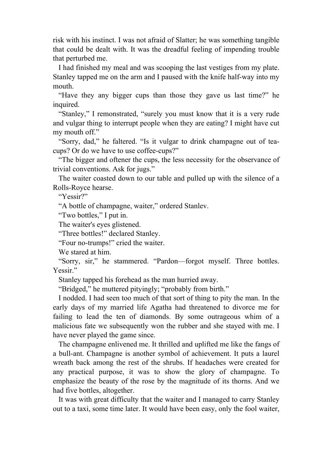risk with his instinct. I was not afraid of Slatter; he was something tangible that could be dealt with. It was the dreadful feeling of impending trouble that perturbed me.

 I had finished my meal and was scooping the last vestiges from my plate. Stanley tapped me on the arm and I paused with the knife half-way into my mouth.

 "Have they any bigger cups than those they gave us last time?" he inquired.

 "Stanley," I remonstrated, "surely you must know that it is a very rude and vulgar thing to interrupt people when they are eating? I might have cut my mouth off."

 "Sorry, dad," he faltered. "Is it vulgar to drink champagne out of teacups? Or do we have to use coffee-cups?"

 "The bigger and oftener the cups, the less necessity for the observance of trivial conventions. Ask for jugs."

 The waiter coasted down to our table and pulled up with the silence of a Rolls-Royce hearse.

"Yessir?"

"A bottle of champagne, waiter," ordered Stanlev.

"Two bottles," I put in.

The waiter's eyes glistened.

"Three bottles!" declared Stanley.

"Four no-trumps!" cried the waiter.

We stared at him.

 "Sorry, sir," he stammered. "Pardon—forgot myself. Three bottles. Yessir."

Stanley tapped his forehead as the man hurried away.

"Bridged," he muttered pityingly; "probably from birth."

 I nodded. I had seen too much of that sort of thing to pity the man. In the early days of my married life Agatha had threatened to divorce me for failing to lead the ten of diamonds. By some outrageous whim of a malicious fate we subsequently won the rubber and she stayed with me. I have never played the game since.

 The champagne enlivened me. It thrilled and uplifted me like the fangs of a bull-ant. Champagne is another symbol of achievement. It puts a laurel wreath back among the rest of the shrubs. If headaches were created for any practical purpose, it was to show the glory of champagne. To emphasize the beauty of the rose by the magnitude of its thorns. And we had five bottles, altogether.

 It was with great difficulty that the waiter and I managed to carry Stanley out to a taxi, some time later. It would have been easy, only the fool waiter,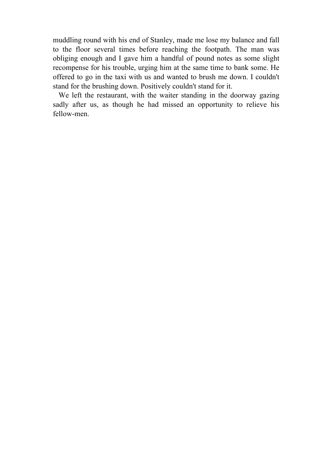muddling round with his end of Stanley, made me lose my balance and fall to the floor several times before reaching the footpath. The man was obliging enough and I gave him a handful of pound notes as some slight recompense for his trouble, urging him at the same time to bank some. He offered to go in the taxi with us and wanted to brush me down. I couldn't stand for the brushing down. Positively couldn't stand for it.

 We left the restaurant, with the waiter standing in the doorway gazing sadly after us, as though he had missed an opportunity to relieve his fellow-men.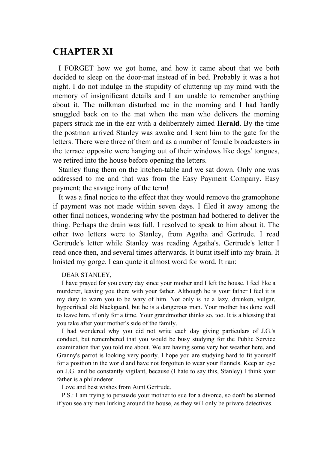# **CHAPTER XI**

 I FORGET how we got home, and how it came about that we both decided to sleep on the door-mat instead of in bed. Probably it was a hot night. I do not indulge in the stupidity of cluttering up my mind with the memory of insignificant details and I am unable to remember anything about it. The milkman disturbed me in the morning and I had hardly snuggled back on to the mat when the man who delivers the morning papers struck me in the ear with a deliberately aimed **Herald**. By the time the postman arrived Stanley was awake and I sent him to the gate for the letters. There were three of them and as a number of female broadcasters in the terrace opposite were hanging out of their windows like dogs' tongues, we retired into the house before opening the letters.

 Stanley flung them on the kitchen-table and we sat down. Only one was addressed to me and that was from the Easy Payment Company. Easy payment; the savage irony of the term!

 It was a final notice to the effect that they would remove the gramophone if payment was not made within seven days. I filed it away among the other final notices, wondering why the postman had bothered to deliver the thing. Perhaps the drain was full. I resolved to speak to him about it. The other two letters were to Stanley, from Agatha and Gertrude. I read Gertrude's letter while Stanley was reading Agatha's. Gertrude's letter I read once then, and several times afterwards. It burnt itself into my brain. It hoisted my gorge. I can quote it almost word for word. It ran:

#### DEAR STANLEY,

 I have prayed for you every day since your mother and I left the house. I feel like a murderer, leaving you there with your father. Although he is your father I feel it is my duty to warn you to be wary of him. Not only is he a lazy, drunken, vulgar, hypocritical old blackguard, but he is a dangerous man. Your mother has done well to leave him, if only for a time. Your grandmother thinks so, too. It is a blessing that you take after your mother's side of the family.

 I had wondered why you did not write each day giving particulars of J.G.'s conduct, but remembered that you would be busy studying for the Public Service examination that you told me about. We are having some very hot weather here, and Granny's parrot is looking very poorly. I hope you are studying hard to fit yourself for a position in the world and have not forgotten to wear your flannels. Keep an eye on J.G. and be constantly vigilant, because (I hate to say this, Stanley) I think your father is a philanderer.

Love and best wishes from Aunt Gertrude.

 P.S.: I am trying to persuade your mother to sue for a divorce, so don't be alarmed if you see any men lurking around the house, as they will only be private detectives.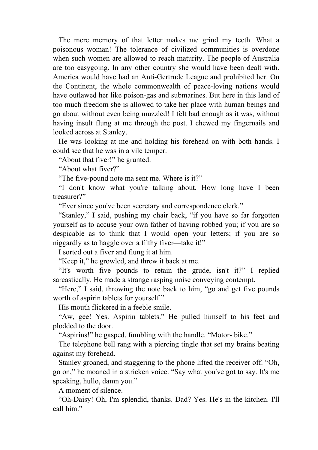The mere memory of that letter makes me grind my teeth. What a poisonous woman! The tolerance of civilized communities is overdone when such women are allowed to reach maturity. The people of Australia are too easygoing. In any other country she would have been dealt with. America would have had an Anti-Gertrude League and prohibited her. On the Continent, the whole commonwealth of peace-loving nations would have outlawed her like poison-gas and submarines. But here in this land of too much freedom she is allowed to take her place with human beings and go about without even being muzzled! I felt bad enough as it was, without having insult flung at me through the post. I chewed my fingernails and looked across at Stanley.

 He was looking at me and holding his forehead on with both hands. I could see that he was in a vile temper.

"About that fiver!" he grunted.

"About what fiver?"

"The five-pound note ma sent me. Where is it?"

 "I don't know what you're talking about. How long have I been treasurer?"

"Ever since you've been secretary and correspondence clerk."

 "Stanley," I said, pushing my chair back, "if you have so far forgotten yourself as to accuse your own father of having robbed you; if you are so despicable as to think that I would open your letters; if you are so niggardly as to haggle over a filthy fiver—take it!"

I sorted out a fiver and flung it at him.

"Keep it," he growled, and threw it back at me.

 "It's worth five pounds to retain the grude, isn't it?" I replied sarcastically. He made a strange rasping noise conveying contempt.

 "Here," I said, throwing the note back to him, "go and get five pounds worth of aspirin tablets for yourself."

His mouth flickered in a feeble smile.

 "Aw, gee! Yes. Aspirin tablets." He pulled himself to his feet and plodded to the door.

"Aspirins!" he gasped, fumbling with the handle. "Motor- bike."

 The telephone bell rang with a piercing tingle that set my brains beating against my forehead.

 Stanley groaned, and staggering to the phone lifted the receiver off. "Oh, go on," he moaned in a stricken voice. "Say what you've got to say. It's me speaking, hullo, damn you."

A moment of silence.

 "Oh-Daisy! Oh, I'm splendid, thanks. Dad? Yes. He's in the kitchen. I'll call him"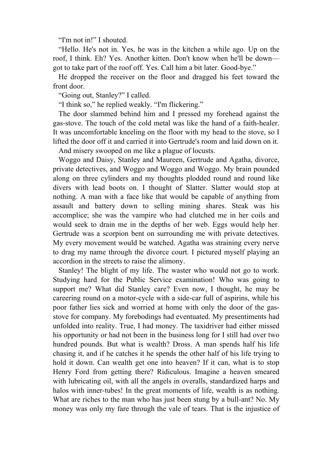"I'm not in!" I shouted.

 "Hello. He's not in. Yes, he was in the kitchen a while ago. Up on the roof, I think. Eh? Yes. Another kitten. Don't know when he'll be down got to take part of the roof off. Yes. Call him a bit later. Good-bye."

 He dropped the receiver on the floor and dragged his feet toward the front door.

"Going out, Stanley?" I called.

"I think so," he replied weakly. "I'm flickering."

 The door slammed behind him and I pressed my forehead against the gas-stove. The touch of the cold metal was like the hand of a faith-healer. It was uncomfortable kneeling on the floor with my head to the stove, so I lifted the door off it and carried it into Gertrude's room and laid down on it.

And misery swooped on me like a plague of locusts.

 Woggo and Daisy, Stanley and Maureen, Gertrude and Agatha, divorce, private detectives, and Woggo and Woggo and Woggo. My brain pounded along on three cylinders and my thoughts plodded round and round like divers with lead boots on. I thought of Slatter. Slatter would stop at nothing. A man with a face like that would be capable of anything from assault and battery down to selling mining shares. Steak was his accomplice; she was the vampire who had clutched me in her coils and would seek to drain me in the depths of her web. Eggs would help her. Gertrude was a scorpion bent on surrounding me with private detectives. My every movement would be watched. Agatha was straining every nerve to drag my name through the divorce court. I pictured myself playing an accordion in the streets to raise the alimony.

 Stanley! The blight of my life. The waster who would not go to work. Studying hard for the Public Service examination! Who was going to support me? What did Stanley care? Even now, I thought, he may be careering round on a motor-cycle with a side-car full of aspirins, while his poor father lies sick and worried at home with only the door of the gasstove for company. My forebodings had eventuated. My presentiments had unfolded into reality. True, I had money. The taxidriver had either missed his opportunity or had not been in the business long for I still had over two hundred pounds. But what is wealth? Dross. A man spends half his life chasing it, and if he catches it he spends the other half of his life trying to hold it down. Can wealth get one into heaven? If it can, what is to stop Henry Ford from getting there? Ridiculous. Imagine a heaven smeared with lubricating oil, with all the angels in overalls, standardized harps and halos with inner-tubes! In the great moments of life, wealth is as nothing. What are riches to the man who has just been stung by a bull-ant? No. My money was only my fare through the vale of tears. That is the injustice of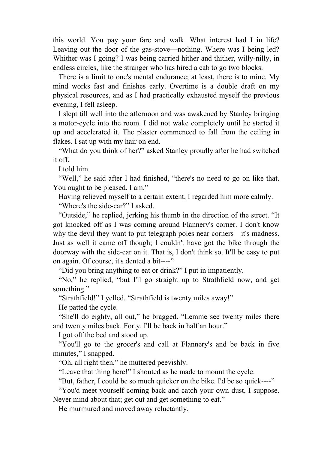this world. You pay your fare and walk. What interest had I in life? Leaving out the door of the gas-stove—nothing. Where was I being led? Whither was I going? I was being carried hither and thither, willy-nilly, in endless circles, like the stranger who has hired a cab to go two blocks.

 There is a limit to one's mental endurance; at least, there is to mine. My mind works fast and finishes early. Overtime is a double draft on my physical resources, and as I had practically exhausted myself the previous evening, I fell asleep.

 I slept till well into the afternoon and was awakened by Stanley bringing a motor-cycle into the room. I did not wake completely until he started it up and accelerated it. The plaster commenced to fall from the ceiling in flakes. I sat up with my hair on end.

 "What do you think of her?" asked Stanley proudly after he had switched it off.

I told him.

 "Well," he said after I had finished, "there's no need to go on like that. You ought to be pleased. I am."

Having relieved myself to a certain extent, I regarded him more calmly.

"Where's the side-car?" I asked.

 "Outside," he replied, jerking his thumb in the direction of the street. "It got knocked off as I was coming around Flannery's corner. I don't know why the devil they want to put telegraph poles near corners—it's madness. Just as well it came off though; I couldn't have got the bike through the doorway with the side-car on it. That is, I don't think so. It'll be easy to put on again. Of course, it's dented a bit----"

"Did you bring anything to eat or drink?" I put in impatiently.

 "No," he replied, "but I'll go straight up to Strathfield now, and get something."

"Strathfield!" I yelled. "Strathfield is twenty miles away!"

He patted the cycle.

 "She'll do eighty, all out," he bragged. "Lemme see twenty miles there and twenty miles back. Forty. I'll be back in half an hour."

I got off the bed and stood up.

 "You'll go to the grocer's and call at Flannery's and be back in five minutes," I snapped.

"Oh, all right then," he muttered peevishly.

"Leave that thing here!" I shouted as he made to mount the cycle.

"But, father, I could be so much quicker on the bike. I'd be so quick----"

 "You'd meet yourself coming back and catch your own dust, I suppose. Never mind about that; get out and get something to eat."

He murmured and moved away reluctantly.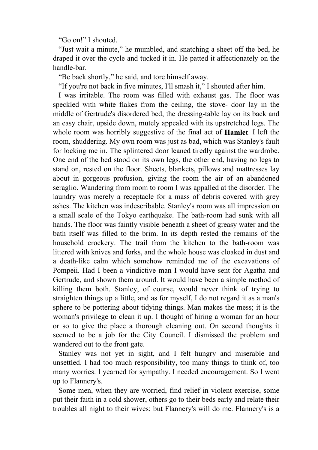"Go on!" I shouted.

 "Just wait a minute," he mumbled, and snatching a sheet off the bed, he draped it over the cycle and tucked it in. He patted it affectionately on the handle-bar.

"Be back shortly," he said, and tore himself away.

"If you're not back in five minutes, I'll smash it," I shouted after him.

 I was irritable. The room was filled with exhaust gas. The floor was speckled with white flakes from the ceiling, the stove- door lay in the middle of Gertrude's disordered bed, the dressing-table lay on its back and an easy chair, upside down, mutely appealed with its upstretched legs. The whole room was horribly suggestive of the final act of **Hamlet**. I left the room, shuddering. My own room was just as bad, which was Stanley's fault for locking me in. The splintered door leaned tiredly against the wardrobe. One end of the bed stood on its own legs, the other end, having no legs to stand on, rested on the floor. Sheets, blankets, pillows and mattresses lay about in gorgeous profusion, giving the room the air of an abandoned seraglio. Wandering from room to room I was appalled at the disorder. The laundry was merely a receptacle for a mass of debris covered with grey ashes. The kitchen was indescribable. Stanley's room was all impression on a small scale of the Tokyo earthquake. The bath-room had sunk with all hands. The floor was faintly visible beneath a sheet of greasy water and the bath itself was filled to the brim. In its depth rested the remains of the household crockery. The trail from the kitchen to the bath-room was littered with knives and forks, and the whole house was cloaked in dust and a death-like calm which somehow reminded me of the excavations of Pompeii. Had I been a vindictive man I would have sent for Agatha and Gertrude, and shown them around. It would have been a simple method of killing them both. Stanley, of course, would never think of trying to straighten things up a little, and as for myself, I do not regard it as a man's sphere to be pottering about tidying things. Man makes the mess; it is the woman's privilege to clean it up. I thought of hiring a woman for an hour or so to give the place a thorough cleaning out. On second thoughts it seemed to be a job for the City Council. I dismissed the problem and wandered out to the front gate.

 Stanley was not yet in sight, and I felt hungry and miserable and unsettled. I had too much responsibility, too many things to think of, too many worries. I yearned for sympathy. I needed encouragement. So I went up to Flannery's.

 Some men, when they are worried, find relief in violent exercise, some put their faith in a cold shower, others go to their beds early and relate their troubles all night to their wives; but Flannery's will do me. Flannery's is a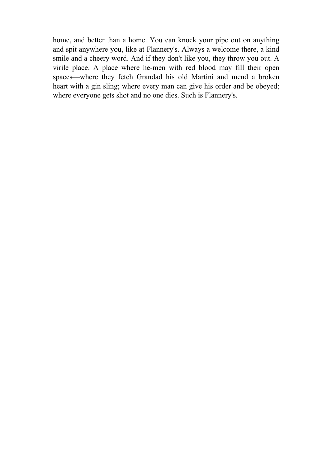home, and better than a home. You can knock your pipe out on anything and spit anywhere you, like at Flannery's. Always a welcome there, a kind smile and a cheery word. And if they don't like you, they throw you out. A virile place. A place where he-men with red blood may fill their open spaces—where they fetch Grandad his old Martini and mend a broken heart with a gin sling; where every man can give his order and be obeyed; where everyone gets shot and no one dies. Such is Flannery's.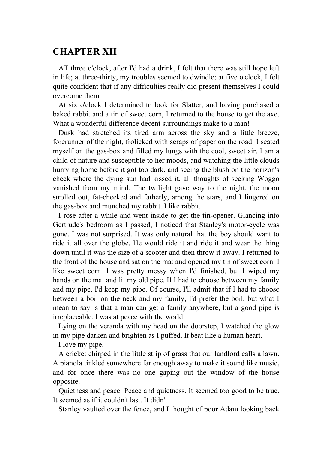# **CHAPTER XII**

 AT three o'clock, after I'd had a drink, I felt that there was still hope left in life; at three-thirty, my troubles seemed to dwindle; at five o'clock, I felt quite confident that if any difficulties really did present themselves I could overcome them.

 At six o'clock I determined to look for Slatter, and having purchased a baked rabbit and a tin of sweet corn, I returned to the house to get the axe. What a wonderful difference decent surroundings make to a man!

 Dusk had stretched its tired arm across the sky and a little breeze, forerunner of the night, frolicked with scraps of paper on the road. I seated myself on the gas-box and filled my lungs with the cool, sweet air. I am a child of nature and susceptible to her moods, and watching the little clouds hurrying home before it got too dark, and seeing the blush on the horizon's cheek where the dying sun had kissed it, all thoughts of seeking Woggo vanished from my mind. The twilight gave way to the night, the moon strolled out, fat-cheeked and fatherly, among the stars, and I lingered on the gas-box and munched my rabbit. I like rabbit.

 I rose after a while and went inside to get the tin-opener. Glancing into Gertrude's bedroom as I passed, I noticed that Stanley's motor-cycle was gone. I was not surprised. It was only natural that the boy should want to ride it all over the globe. He would ride it and ride it and wear the thing down until it was the size of a scooter and then throw it away. I returned to the front of the house and sat on the mat and opened my tin of sweet corn. I like sweet corn. I was pretty messy when I'd finished, but I wiped my hands on the mat and lit my old pipe. If I had to choose between my family and my pipe, I'd keep my pipe. Of course, I'll admit that if I had to choose between a boil on the neck and my family, I'd prefer the boil, but what I mean to say is that a man can get a family anywhere, but a good pipe is irreplaceable. I was at peace with the world.

 Lying on the veranda with my head on the doorstep, I watched the glow in my pipe darken and brighten as I puffed. It beat like a human heart.

I love my pipe.

 A cricket chirped in the little strip of grass that our landlord calls a lawn. A pianola tinkled somewhere far enough away to make it sound like music, and for once there was no one gaping out the window of the house opposite.

 Quietness and peace. Peace and quietness. It seemed too good to be true. It seemed as if it couldn't last. It didn't.

Stanley vaulted over the fence, and I thought of poor Adam looking back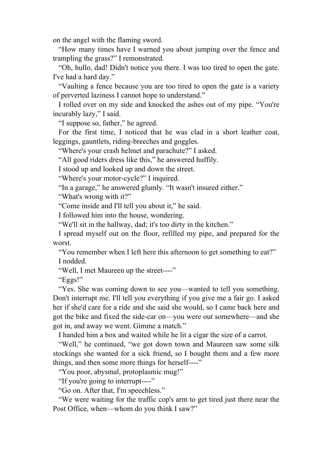on the angel with the flaming sword.

 "How many times have I warned you about jumping over the fence and trampling the grass?" I remonstrated.

 "Oh, hullo, dad! Didn't notice you there. I was too tired to open the gate. I've had a hard day."

 "Vaulting a fence because you are too tired to open the gate is a variety of perverted laziness I cannot hope to understand."

 I rolled over on my side and knocked the ashes out of my pipe. "You're incurably lazy," I said.

"I suppose so, father," he agreed.

 For the first time, I noticed that he was clad in a short leather coat, leggings, gauntlets, riding-breeches and goggles.

"Where's your crash helmet and parachute?" I asked.

"All good riders dress like this," he answered huffily.

I stood up and looked up and down the street.

"Where's your motor-cycle?" I inquired.

"In a garage," he answered glumly. "It wasn't insured either."

"What's wrong with it?"

"Come inside and I'll tell you about it," he said.

I followed him into the house, wondering.

"We'll sit in the hallway, dad; it's too dirty in the kitchen."

 I spread myself out on the floor, refilled my pipe, and prepared for the worst.

 "You remember when I left here this afternoon to get something to eat?" I nodded.

"Well, I met Maureen up the street----"

"Eggs!"

 "Yes. She was coming down to see you—wanted to tell you something. Don't interrupt me. I'll tell you everything if you give me a fair go. I asked her if she'd care for a ride and she said she would, so I came back here and got the bike and fixed the side-car on—you were out somewhere—and she got in, and away we went. Gimme a match."

I handed him a box and waited while he lit a cigar the size of a carrot.

 "Well," he continued, "we got down town and Maureen saw some silk stockings she wanted for a sick friend, so I bought them and a few more things, and then some more things for herself----"

"You poor, abysmal, protoplasmic mug!"

"If you're going to interrupt----"

"Go on. After that, I'm speechless."

 "We were waiting for the traffic cop's arm to get tired just there near the Post Office, when—whom do you think I saw?"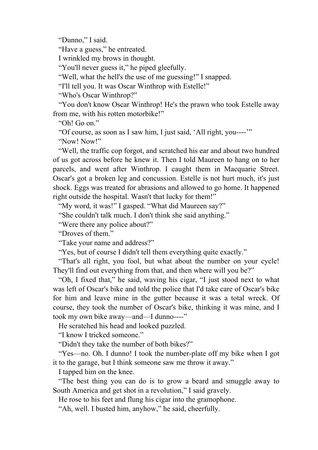"Dunno," I said.

"Have a guess," he entreated.

I wrinkled my brows in thought.

"You'll never guess it," he piped gleefully.

"Well, what the hell's the use of me guessing!" I snapped.

"I'll tell you. It was Oscar Winthrop with Estelle!"

"Who's Oscar Winthrop?"

 "You don't know Oscar Winthrop! He's the prawn who took Estelle away from me, with his rotten motorbike!"

"Oh! Go on."

"Of course, as soon as I saw him, I just said, 'All right, you----'"

"Now! Now!"

 "Well, the traffic cop forgot, and scratched his ear and about two hundred of us got across before he knew it. Then I told Maureen to hang on to her parcels, and went after Winthrop. I caught them in Macquarie Street. Oscar's got a broken leg and concussion. Estelle is not hurt much, it's just shock. Eggs was treated for abrasions and allowed to go home. It happened right outside the hospital. Wasn't that lucky for them!"

"My word, it was!" I gasped. "What did Maureen say?"

"She couldn't talk much. I don't think she said anything."

"Were there any police about?"

"Droves of them."

"Take your name and address?"

"Yes, but of course I didn't tell them everything quite exactly."

 "That's all right, you fool, but what about the number on your cycle! They'll find out everything from that, and then where will you be?"

 "Oh, I fixed that," he said, waving his cigar, "I just stood next to what was left of Oscar's bike and told the police that I'd take care of Oscar's bike for him and leave mine in the gutter because it was a total wreck. Of course, they took the number of Oscar's bike, thinking it was mine, and I took my own bike away—and—I dunno----"

He scratched his head and looked puzzled.

"I know I tricked someone."

"Didn't they take the number of both bikes?"

 "Yes—no. Oh. I dunno! I took the number-plate off my bike when I got it to the garage, but I think someone saw me throw it away."

I tapped him on the knee.

 "The best thing you can do is to grow a beard and smuggle away to South America and get shot in a revolution," I said gravely.

He rose to his feet and flung his cigar into the gramophone.

"Ah, well. I busted him, anyhow," he said, cheerfully.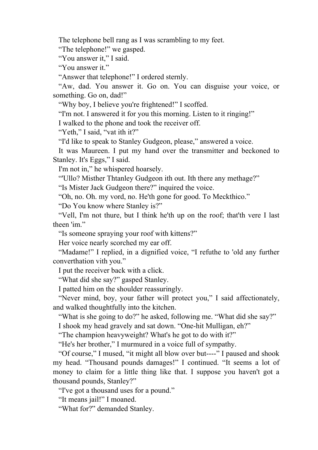The telephone bell rang as I was scrambling to my feet.

"The telephone!" we gasped.

"You answer it," I said.

"You answer it."

"Answer that telephone!" I ordered sternly.

 "Aw, dad. You answer it. Go on. You can disguise your voice, or something. Go on, dad!"

"Why boy, I believe you're frightened!" I scoffed.

"I'm not. I answered it for you this morning. Listen to it ringing!"

I walked to the phone and took the receiver off.

"Yeth," I said, "vat ith it?"

"I'd like to speak to Stanley Gudgeon, please," answered a voice.

 It was Maureen. I put my hand over the transmitter and beckoned to Stanley. It's Eggs," I said.

I'm not in," he whispered hoarsely.

"'Ullo? Misther Thtanley Gudgeon ith out. Ith there any methage?"

"Is Mister Jack Gudgeon there?" inquired the voice.

"Oh, no. Oh. my vord, no. He'th gone for good. To Meckthico."

"Do You know where Stanley is?"

 "Vell, I'm not thure, but I think he'th up on the roof; that'th vere I last theen 'im."

"Is someone spraying your roof with kittens?"

Her voice nearly scorched my ear off.

 "Madame!" I replied, in a dignified voice, "I refuthe to 'old any further converthation vith you."

I put the receiver back with a click.

"What did she say?" gasped Stanley.

I patted him on the shoulder reassuringly.

 "Never mind, boy, your father will protect you," I said affectionately, and walked thoughtfully into the kitchen.

 "What is she going to do?" he asked, following me. "What did she say?" I shook my head gravely and sat down. "One-hit Mulligan, eh?"

"The champion heavyweight? What's he got to do with it?"

"He's her brother," I murmured in a voice full of sympathy.

 "Of course," I mused, "it might all blow over but----" I paused and shook my head. "Thousand pounds damages!" I continued. "It seems a lot of money to claim for a little thing like that. I suppose you haven't got a thousand pounds, Stanley?"

"I've got a thousand uses for a pound."

"It means jail!" I moaned.

"What for?" demanded Stanley.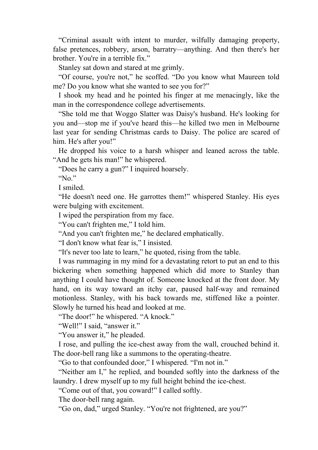"Criminal assault with intent to murder, wilfully damaging property, false pretences, robbery, arson, barratry—anything. And then there's her brother. You're in a terrible fix."

Stanley sat down and stared at me grimly.

 "Of course, you're not," he scoffed. "Do you know what Maureen told me? Do you know what she wanted to see you for?"

 I shook my head and he pointed his finger at me menacingly, like the man in the correspondence college advertisements.

 "She told me that Woggo Slatter was Daisy's husband. He's looking for you and—stop me if you've heard this—he killed two men in Melbourne last year for sending Christmas cards to Daisy. The police are scared of him. He's after you!"

 He dropped his voice to a harsh whisper and leaned across the table. "And he gets his man!" he whispered.

"Does he carry a gun?" I inquired hoarsely.

"No."

I smiled.

 "He doesn't need one. He garrottes them!" whispered Stanley. His eyes were bulging with excitement.

I wiped the perspiration from my face.

"You can't frighten me," I told him.

"And you can't frighten me," he declared emphatically.

"I don't know what fear is," I insisted.

"It's never too late to learn," he quoted, rising from the table.

 I was rummaging in my mind for a devastating retort to put an end to this bickering when something happened which did more to Stanley than anything I could have thought of. Someone knocked at the front door. My hand, on its way toward an itchy ear, paused half-way and remained motionless. Stanley, with his back towards me, stiffened like a pointer. Slowly he turned his head and looked at me.

"The door!" he whispered. "A knock."

"Well!" I said, "answer it."

"You answer it," he pleaded.

 I rose, and pulling the ice-chest away from the wall, crouched behind it. The door-bell rang like a summons to the operating-theatre.

"Go to that confounded door," I whispered. "I'm not in."

 "Neither am I," he replied, and bounded softly into the darkness of the laundry. I drew myself up to my full height behind the ice-chest.

"Come out of that, you coward!" I called softly.

The door-bell rang again.

"Go on, dad," urged Stanley. "You're not frightened, are you?"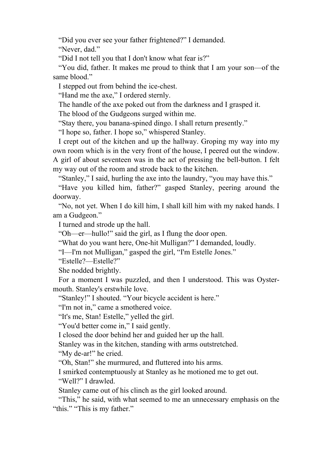"Did you ever see your father frightened?" I demanded.

"Never, dad."

"Did I not tell you that I don't know what fear is?"

 "You did, father. It makes me proud to think that I am your son—of the same blood."

I stepped out from behind the ice-chest.

"Hand me the axe," I ordered sternly.

The handle of the axe poked out from the darkness and I grasped it.

The blood of the Gudgeons surged within me.

"Stay there, you banana-spined dingo. I shall return presently."

"I hope so, father. I hope so," whispered Stanley.

 I crept out of the kitchen and up the hallway. Groping my way into my own room which is in the very front of the house, I peered out the window. A girl of about seventeen was in the act of pressing the bell-button. I felt my way out of the room and strode back to the kitchen.

"Stanley," I said, hurling the axe into the laundry, "you may have this."

 "Have you killed him, father?" gasped Stanley, peering around the doorway.

 "No, not yet. When I do kill him, I shall kill him with my naked hands. I am a Gudgeon."

I turned and strode up the hall.

"Oh—er—hullo!" said the girl, as I flung the door open.

"What do you want here, One-hit Mulligan?" I demanded, loudly.

"I—I'm not Mulligan," gasped the girl, "I'm Estelle Jones."

"Estelle?—Estelle?"

She nodded brightly.

 For a moment I was puzzled, and then I understood. This was Oystermouth. Stanley's erstwhile love.

"Stanley!" I shouted. "Your bicycle accident is here."

"I'm not in," came a smothered voice.

"It's me, Stan! Estelle," yelled the girl.

"You'd better come in," I said gently.

I closed the door behind her and guided her up the hall.

Stanley was in the kitchen, standing with arms outstretched.

"My de-ar!" he cried.

"Oh, Stan!" she murmured, and fluttered into his arms.

I smirked contemptuously at Stanley as he motioned me to get out.

"Well?" I drawled.

Stanley came out of his clinch as the girl looked around.

 "This," he said, with what seemed to me an unnecessary emphasis on the "this." "This is my father."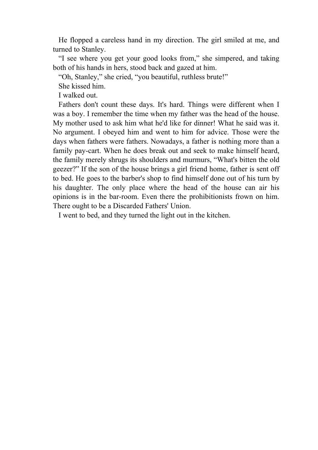He flopped a careless hand in my direction. The girl smiled at me, and turned to Stanley.

 "I see where you get your good looks from," she simpered, and taking both of his hands in hers, stood back and gazed at him.

"Oh, Stanley," she cried, "you beautiful, ruthless brute!"

She kissed him.

I walked out.

 Fathers don't count these days. It's hard. Things were different when I was a boy. I remember the time when my father was the head of the house. My mother used to ask him what he'd like for dinner! What he said was it. No argument. I obeyed him and went to him for advice. Those were the days when fathers were fathers. Nowadays, a father is nothing more than a family pay-cart. When he does break out and seek to make himself heard, the family merely shrugs its shoulders and murmurs, "What's bitten the old geezer?" If the son of the house brings a girl friend home, father is sent off to bed. He goes to the barber's shop to find himself done out of his turn by his daughter. The only place where the head of the house can air his opinions is in the bar-room. Even there the prohibitionists frown on him. There ought to be a Discarded Fathers' Union.

I went to bed, and they turned the light out in the kitchen.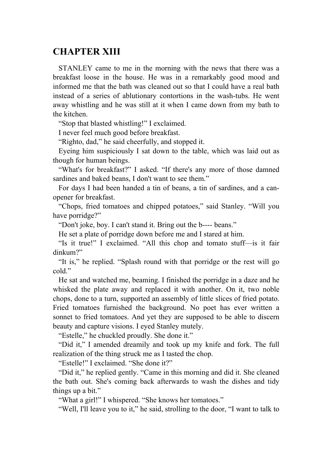## **CHAPTER XIII**

 STANLEY came to me in the morning with the news that there was a breakfast loose in the house. He was in a remarkably good mood and informed me that the bath was cleaned out so that I could have a real bath instead of a series of ablutionary contortions in the wash-tubs. He went away whistling and he was still at it when I came down from my bath to the kitchen.

"Stop that blasted whistling!" I exclaimed.

I never feel much good before breakfast.

"Righto, dad," he said cheerfully, and stopped it.

 Eyeing him suspiciously I sat down to the table, which was laid out as though for human beings.

 "What's for breakfast?" I asked. "If there's any more of those damned sardines and baked beans, I don't want to see them."

 For days I had been handed a tin of beans, a tin of sardines, and a canopener for breakfast.

 "Chops, fried tomatoes and chipped potatoes," said Stanley. "Will you have porridge?"

"Don't joke, boy. I can't stand it. Bring out the b---- beans."

He set a plate of porridge down before me and I stared at him.

 "Is it true!" I exclaimed. "All this chop and tomato stuff—is it fair dinkum?"

 "It is," he replied. "Splash round with that porridge or the rest will go cold."

 He sat and watched me, beaming. I finished the porridge in a daze and he whisked the plate away and replaced it with another. On it, two noble chops, done to a turn, supported an assembly of little slices of fried potato. Fried tomatoes furnished the background. No poet has ever written a sonnet to fried tomatoes. And yet they are supposed to be able to discern beauty and capture visions. I eyed Stanley mutely.

"Estelle," he chuckled proudly. She done it."

 "Did it," I amended dreamily and took up my knife and fork. The full realization of the thing struck me as I tasted the chop.

"Estelle!" I exclaimed. "She done it?"

 "Did it," he replied gently. "Came in this morning and did it. She cleaned the bath out. She's coming back afterwards to wash the dishes and tidy things up a bit."

"What a girl!" I whispered. "She knows her tomatoes."

"Well, I'll leave you to it," he said, strolling to the door, "I want to talk to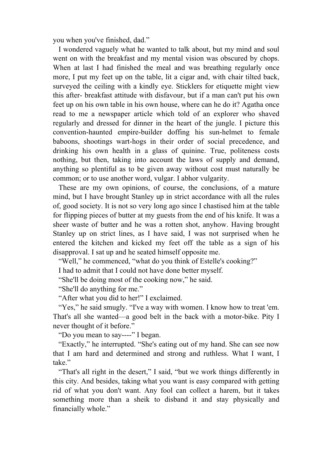you when you've finished, dad."

 I wondered vaguely what he wanted to talk about, but my mind and soul went on with the breakfast and my mental vision was obscured by chops. When at last I had finished the meal and was breathing regularly once more, I put my feet up on the table, lit a cigar and, with chair tilted back, surveyed the ceiling with a kindly eye. Sticklers for etiquette might view this after- breakfast attitude with disfavour, but if a man can't put his own feet up on his own table in his own house, where can he do it? Agatha once read to me a newspaper article which told of an explorer who shaved regularly and dressed for dinner in the heart of the jungle. I picture this convention-haunted empire-builder doffing his sun-helmet to female baboons, shootings wart-hogs in their order of social precedence, and drinking his own health in a glass of quinine. True, politeness costs nothing, but then, taking into account the laws of supply and demand, anything so plentiful as to be given away without cost must naturally be common; or to use another word, vulgar. I abhor vulgarity.

 These are my own opinions, of course, the conclusions, of a mature mind, but I have brought Stanley up in strict accordance with all the rules of, good society. It is not so very long ago since I chastised him at the table for flipping pieces of butter at my guests from the end of his knife. It was a sheer waste of butter and he was a rotten shot, anyhow. Having brought Stanley up on strict lines, as I have said, I was not surprised when he entered the kitchen and kicked my feet off the table as a sign of his disapproval. I sat up and he seated himself opposite me.

"Well," he commenced, "what do you think of Estelle's cooking?"

I had to admit that I could not have done better myself.

"She'll be doing most of the cooking now," he said.

"She'll do anything for me."

"After what you did to her!" I exclaimed.

 "Yes," he said smugly. "I've a way with women. I know how to treat 'em. That's all she wanted—a good belt in the back with a motor-bike. Pity I never thought of it before."

"Do you mean to say----" I began.

 "Exactly," he interrupted. "She's eating out of my hand. She can see now that I am hard and determined and strong and ruthless. What I want, I take."

 "That's all right in the desert," I said, "but we work things differently in this city. And besides, taking what you want is easy compared with getting rid of what you don't want. Any fool can collect a harem, but it takes something more than a sheik to disband it and stay physically and financially whole."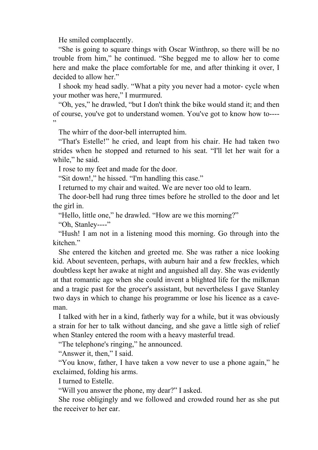He smiled complacently.

 "She is going to square things with Oscar Winthrop, so there will be no trouble from him," he continued. "She begged me to allow her to come here and make the place comfortable for me, and after thinking it over, I decided to allow her."

 I shook my head sadly. "What a pity you never had a motor- cycle when your mother was here," I murmured.

 "Oh, yes," he drawled, "but I don't think the bike would stand it; and then of course, you've got to understand women. You've got to know how to---- ,,<br>,

The whirr of the door-bell interrupted him.

 "That's Estelle!" he cried, and leapt from his chair. He had taken two strides when he stopped and returned to his seat. "I'll let her wait for a while," he said.

I rose to my feet and made for the door.

"Sit down!," he hissed. "I'm handling this case."

I returned to my chair and waited. We are never too old to learn.

 The door-bell had rung three times before he strolled to the door and let the girl in.

"Hello, little one," he drawled. "How are we this morning?"

"Oh, Stanley----"

 "Hush! I am not in a listening mood this morning. Go through into the kitchen."

 She entered the kitchen and greeted me. She was rather a nice looking kid. About seventeen, perhaps, with auburn hair and a few freckles, which doubtless kept her awake at night and anguished all day. She was evidently at that romantic age when she could invent a blighted life for the milkman and a tragic past for the grocer's assistant, but nevertheless I gave Stanley two days in which to change his programme or lose his licence as a caveman.

 I talked with her in a kind, fatherly way for a while, but it was obviously a strain for her to talk without dancing, and she gave a little sigh of relief when Stanley entered the room with a heavy masterful tread.

"The telephone's ringing," he announced.

"Answer it, then," I said.

 "You know, father, I have taken a vow never to use a phone again," he exclaimed, folding his arms.

I turned to Estelle.

"Will you answer the phone, my dear?" I asked.

 She rose obligingly and we followed and crowded round her as she put the receiver to her ear.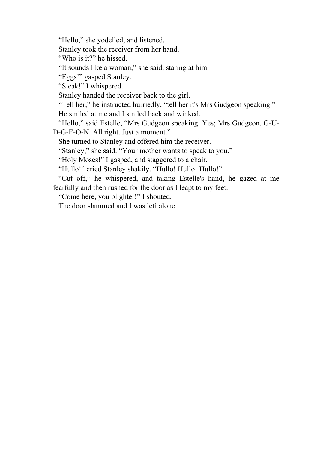"Hello," she yodelled, and listened.

Stanley took the receiver from her hand.

"Who is it?" he hissed.

"It sounds like a woman," she said, staring at him.

"Eggs!" gasped Stanley.

"Steak!" I whispered.

Stanley handed the receiver back to the girl.

 "Tell her," he instructed hurriedly, "tell her it's Mrs Gudgeon speaking." He smiled at me and I smiled back and winked.

 "Hello," said Estelle, "Mrs Gudgeon speaking. Yes; Mrs Gudgeon. G-U-D-G-E-O-N. All right. Just a moment."

She turned to Stanley and offered him the receiver.

"Stanley," she said. "Your mother wants to speak to you."

"Holy Moses!" I gasped, and staggered to a chair.

"Hullo!" cried Stanley shakily. "Hullo! Hullo! Hullo!"

 "Cut off," he whispered, and taking Estelle's hand, he gazed at me fearfully and then rushed for the door as I leapt to my feet.

"Come here, you blighter!" I shouted.

The door slammed and I was left alone.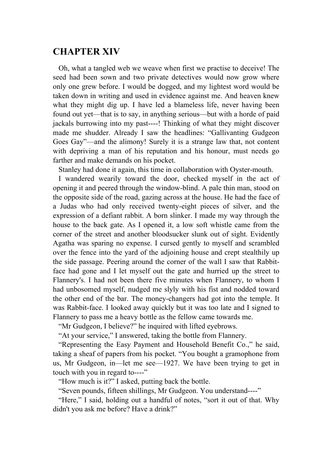### **CHAPTER XIV**

 Oh, what a tangled web we weave when first we practise to deceive! The seed had been sown and two private detectives would now grow where only one grew before. I would be dogged, and my lightest word would be taken down in writing and used in evidence against me. And heaven knew what they might dig up. I have led a blameless life, never having been found out yet—that is to say, in anything serious—but with a horde of paid jackals burrowing into my past----! Thinking of what they might discover made me shudder. Already I saw the headlines: "Gallivanting Gudgeon Goes Gay"—and the alimony! Surely it is a strange law that, not content with depriving a man of his reputation and his honour, must needs go farther and make demands on his pocket.

Stanley had done it again, this time in collaboration with Oyster-mouth.

 I wandered wearily toward the door, checked myself in the act of opening it and peered through the window-blind. A pale thin man, stood on the opposite side of the road, gazing across at the house. He had the face of a Judas who had only received twenty-eight pieces of silver, and the expression of a defiant rabbit. A born slinker. I made my way through the house to the back gate. As I opened it, a low soft whistle came from the corner of the street and another bloodsucker slunk out of sight. Evidently Agatha was sparing no expense. I cursed gently to myself and scrambled over the fence into the yard of the adjoining house and crept stealthily up the side passage. Peering around the corner of the wall I saw that Rabbitface had gone and I let myself out the gate and hurried up the street to Flannery's. I had not been there five minutes when Flannery, to whom I had unbosomed myself, nudged me slyly with his fist and nodded toward the other end of the bar. The money-changers had got into the temple. It was Rabbit-face. I looked away quickly but it was too late and I signed to Flannery to pass me a heavy bottle as the fellow came towards me.

"Mr Gudgeon, I believe?" he inquired with lifted eyebrows.

"At your service," I answered, taking the bottle from Flannery.

 "Representing the Easy Payment and Household Benefit Co.," he said, taking a sheaf of papers from his pocket. "You bought a gramophone from us, Mr Gudgeon, in—let me see—1927. We have been trying to get in touch with you in regard to----"

"How much is it?" I asked, putting back the bottle.

"Seven pounds, fifteen shillings, Mr Gudgeon. You understand----"

 "Here," I said, holding out a handful of notes, "sort it out of that. Why didn't you ask me before? Have a drink?"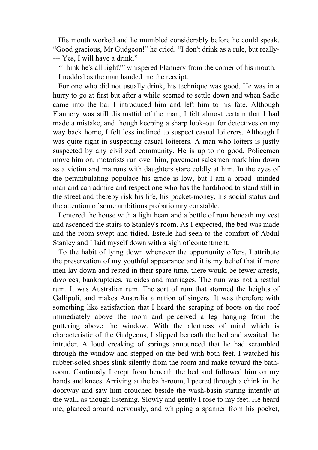His mouth worked and he mumbled considerably before he could speak. "Good gracious, Mr Gudgeon!" he cried. "I don't drink as a rule, but really- --- Yes, I will have a drink."

 "Think he's all right?" whispered Flannery from the corner of his mouth. I nodded as the man handed me the receipt.

 For one who did not usually drink, his technique was good. He was in a hurry to go at first but after a while seemed to settle down and when Sadie came into the bar I introduced him and left him to his fate. Although Flannery was still distrustful of the man, I felt almost certain that I had made a mistake, and though keeping a sharp look-out for detectives on my way back home, I felt less inclined to suspect casual loiterers. Although I was quite right in suspecting casual loiterers. A man who loiters is justly suspected by any civilized community. He is up to no good. Policemen move him on, motorists run over him, pavement salesmen mark him down as a victim and matrons with daughters stare coldly at him. In the eyes of the perambulating populace his grade is low, but I am a broad- minded man and can admire and respect one who has the hardihood to stand still in the street and thereby risk his life, his pocket-money, his social status and the attention of some ambitious probationary constable.

 I entered the house with a light heart and a bottle of rum beneath my vest and ascended the stairs to Stanley's room. As I expected, the bed was made and the room swept and tidied. Estelle had seen to the comfort of Abdul Stanley and I laid myself down with a sigh of contentment.

 To the habit of lying down whenever the opportunity offers, I attribute the preservation of my youthful appearance and it is my belief that if more men lay down and rested in their spare time, there would be fewer arrests, divorces, bankruptcies, suicides and marriages. The rum was not a restful rum. It was Australian rum. The sort of rum that stormed the heights of Gallipoli, and makes Australia a nation of singers. It was therefore with something like satisfaction that I heard the scraping of boots on the roof immediately above the room and perceived a leg hanging from the guttering above the window. With the alertness of mind which is characteristic of the Gudgeons, I slipped beneath the bed and awaited the intruder. A loud creaking of springs announced that he had scrambled through the window and stepped on the bed with both feet. I watched his rubber-soled shoes slink silently from the room and make toward the bathroom. Cautiously I crept from beneath the bed and followed him on my hands and knees. Arriving at the bath-room, I peered through a chink in the doorway and saw him crouched beside the wash-basin staring intently at the wall, as though listening. Slowly and gently I rose to my feet. He heard me, glanced around nervously, and whipping a spanner from his pocket,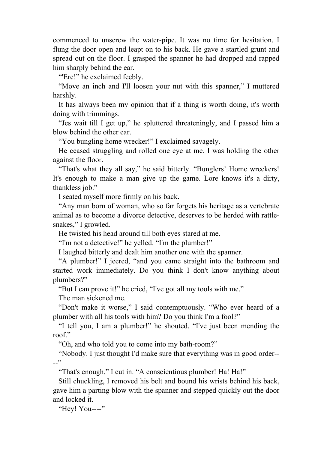commenced to unscrew the water-pipe. It was no time for hesitation. I flung the door open and leapt on to his back. He gave a startled grunt and spread out on the floor. I grasped the spanner he had dropped and rapped him sharply behind the ear.

"Ere!" he exclaimed feebly.

 "Move an inch and I'll loosen your nut with this spanner," I muttered harshly.

 It has always been my opinion that if a thing is worth doing, it's worth doing with trimmings.

 "Jes wait till I get up," he spluttered threateningly, and I passed him a blow behind the other ear.

"You bungling home wrecker!" I exclaimed savagely.

 He ceased struggling and rolled one eye at me. I was holding the other against the floor.

 "That's what they all say," he said bitterly. "Bunglers! Home wreckers! It's enough to make a man give up the game. Lore knows it's a dirty, thankless job."

I seated myself more firmly on his back.

 "Any man born of woman, who so far forgets his heritage as a vertebrate animal as to become a divorce detective, deserves to be herded with rattlesnakes," I growled.

He twisted his head around till both eyes stared at me.

"I'm not a detective!" he yelled. "I'm the plumber!"

I laughed bitterly and dealt him another one with the spanner.

 "A plumber!" I jeered, "and you came straight into the bathroom and started work immediately. Do you think I don't know anything about plumbers?"

"But I can prove it!" he cried, "I've got all my tools with me."

The man sickened me.

 "Don't make it worse," I said contemptuously. "Who ever heard of a plumber with all his tools with him? Do you think I'm a fool?"

 "I tell you, I am a plumber!" he shouted. "I've just been mending the roof."

"Oh, and who told you to come into my bath-room?"

 "Nobody. I just thought I'd make sure that everything was in good order--  $\cdot$ .

"That's enough," I cut in. "A conscientious plumber! Ha! Ha!"

 Still chuckling, I removed his belt and bound his wrists behind his back, gave him a parting blow with the spanner and stepped quickly out the door and locked it.

"Hey! You----"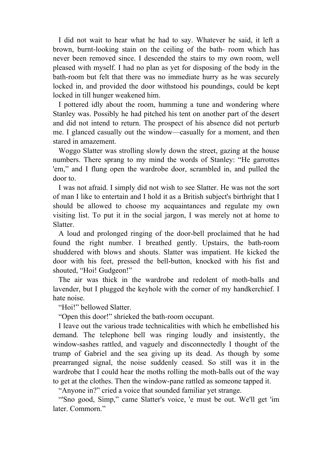I did not wait to hear what he had to say. Whatever he said, it left a brown, burnt-looking stain on the ceiling of the bath- room which has never been removed since. I descended the stairs to my own room, well pleased with myself. I had no plan as yet for disposing of the body in the bath-room but felt that there was no immediate hurry as he was securely locked in, and provided the door withstood his poundings, could be kept locked in till hunger weakened him.

 I pottered idly about the room, humming a tune and wondering where Stanley was. Possibly he had pitched his tent on another part of the desert and did not intend to return. The prospect of his absence did not perturb me. I glanced casually out the window—casually for a moment, and then stared in amazement.

 Woggo Slatter was strolling slowly down the street, gazing at the house numbers. There sprang to my mind the words of Stanley: "He garrottes 'em," and I flung open the wardrobe door, scrambled in, and pulled the door to.

 I was not afraid. I simply did not wish to see Slatter. He was not the sort of man I like to entertain and I hold it as a British subject's birthright that I should be allowed to choose my acquaintances and regulate my own visiting list. To put it in the social jargon, I was merely not at home to Slatter.

 A loud and prolonged ringing of the door-bell proclaimed that he had found the right number. I breathed gently. Upstairs, the bath-room shuddered with blows and shouts. Slatter was impatient. He kicked the door with his feet, pressed the bell-button, knocked with his fist and shouted, "Hoi! Gudgeon!"

 The air was thick in the wardrobe and redolent of moth-balls and lavender, but I plugged the keyhole with the corner of my handkerchief. I hate noise.

"Hoi!" bellowed Slatter.

"Open this door!" shrieked the bath-room occupant.

 I leave out the various trade technicalities with which he embellished his demand. The telephone bell was ringing loudly and insistently, the window-sashes rattled, and vaguely and disconnectedly I thought of the trump of Gabriel and the sea giving up its dead. As though by some prearranged signal, the noise suddenly ceased. So still was it in the wardrobe that I could hear the moths rolling the moth-balls out of the way to get at the clothes. Then the window-pane rattled as someone tapped it.

"Anyone in?" cried a voice that sounded familiar yet strange.

 "'Sno good, Simp," came Slatter's voice, 'e must be out. We'll get 'im later. Commorn."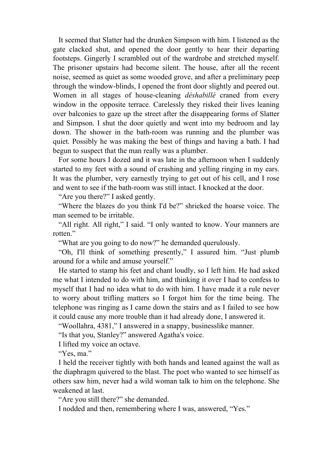It seemed that Slatter had the drunken Simpson with him. I listened as the gate clacked shut, and opened the door gently to hear their departing footsteps. Gingerly I scrambled out of the wardrobe and stretched myself. The prisoner upstairs had become silent. The house, after all the recent noise, seemed as quiet as some wooded grove, and after a preliminary peep through the window-blinds, I opened the front door slightly and peered out. Women in all stages of house-cleaning *déshabillé* craned from every window in the opposite terrace. Carelessly they risked their lives leaning over balconies to gaze up the street after the disappearing forms of Slatter and Simpson. I shut the door quietly and went into my bedroom and lay down. The shower in the bath-room was running and the plumber was quiet. Possibly he was making the best of things and having a bath. I had begun to suspect that the man really was a plumber.

 For some hours I dozed and it was late in the afternoon when I suddenly started to my feet with a sound of crashing and yelling ringing in my ears. It was the plumber, very earnestly trying to get out of his cell, and I rose and went to see if the bath-room was still intact. I knocked at the door.

"Are you there?" I asked gently.

 "Where the blazes do you think I'd be?" shrieked the hoarse voice. The man seemed to be irritable.

 "All right. All right," I said. "I only wanted to know. Your manners are rotten."

"What are you going to do now?" he demanded querulously.

 "Oh, I'll think of something presently," I assured him. "Just plumb around for a while and amuse yourself."

 He started to stamp his feet and chant loudly, so I left him. He had asked me what I intended to do with him, and thinking it over I had to confess to myself that I had no idea what to do with him. I have made it a rule never to worry about trifling matters so I forgot him for the time being. The telephone was ringing as I came down the stairs and as I failed to see how it could cause any more trouble than it had already done, I answered it.

"Woollahra, 4381," I answered in a snappy, businesslike manner.

"Is that you, Stanley?" answered Agatha's voice.

I lifted my voice an octave.

"Yes, ma."

 I held the receiver tightly with both hands and leaned against the wall as the diaphragm quivered to the blast. The poet who wanted to see himself as others saw him, never had a wild woman talk to him on the telephone. She weakened at last.

"Are you still there?" she demanded.

I nodded and then, remembering where I was, answered, "Yes."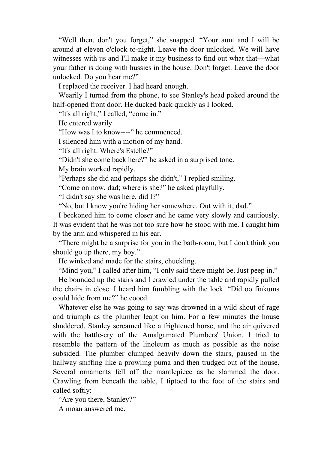"Well then, don't you forget," she snapped. "Your aunt and I will be around at eleven o'clock to-night. Leave the door unlocked. We will have witnesses with us and I'll make it my business to find out what that—what your father is doing with hussies in the house. Don't forget. Leave the door unlocked. Do you hear me?"

I replaced the receiver. I had heard enough.

 Wearily I turned from the phone, to see Stanley's head poked around the half-opened front door. He ducked back quickly as I looked.

"It's all right," I called, "come in."

He entered warily.

"How was I to know----" he commenced.

I silenced him with a motion of my hand.

"It's all right. Where's Estelle?"

"Didn't she come back here?" he asked in a surprised tone.

My brain worked rapidly.

"Perhaps she did and perhaps she didn't," I replied smiling.

"Come on now, dad; where is she?" he asked playfully.

"I didn't say she was here, did I?"

"No, but I know you're hiding her somewhere. Out with it, dad."

 I beckoned him to come closer and he came very slowly and cautiously. It was evident that he was not too sure how he stood with me. I caught him by the arm and whispered in his ear.

 "There might be a surprise for you in the bath-room, but I don't think you should go up there, my boy."

He winked and made for the stairs, chuckling.

"Mind you," I called after him, "I only said there might be. Just peep in."

 He bounded up the stairs and I crawled under the table and rapidly pulled the chairs in close. I heard him fumbling with the lock. "Did oo finkums could hide from me?" he cooed.

 Whatever else he was going to say was drowned in a wild shout of rage and triumph as the plumber leapt on him. For a few minutes the house shuddered. Stanley screamed like a frightened horse, and the air quivered with the battle-cry of the Amalgamated Plumbers' Union. I tried to resemble the pattern of the linoleum as much as possible as the noise subsided. The plumber clumped heavily down the stairs, paused in the hallway sniffing like a prowling puma and then trudged out of the house. Several ornaments fell off the mantlepiece as he slammed the door. Crawling from beneath the table, I tiptoed to the foot of the stairs and called softly:

"Are you there, Stanley?"

A moan answered me.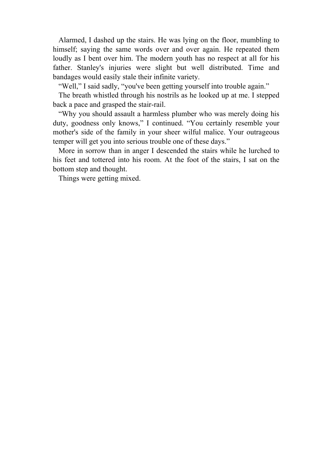Alarmed, I dashed up the stairs. He was lying on the floor, mumbling to himself; saying the same words over and over again. He repeated them loudly as I bent over him. The modern youth has no respect at all for his father. Stanley's injuries were slight but well distributed. Time and bandages would easily stale their infinite variety.

"Well," I said sadly, "you've been getting yourself into trouble again."

 The breath whistled through his nostrils as he looked up at me. I stepped back a pace and grasped the stair-rail.

 "Why you should assault a harmless plumber who was merely doing his duty, goodness only knows," I continued. "You certainly resemble your mother's side of the family in your sheer wilful malice. Your outrageous temper will get you into serious trouble one of these days."

 More in sorrow than in anger I descended the stairs while he lurched to his feet and tottered into his room. At the foot of the stairs, I sat on the bottom step and thought.

Things were getting mixed.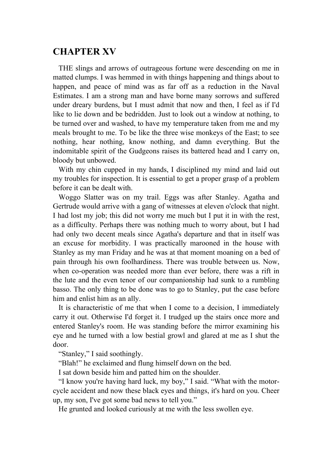# **CHAPTER XV**

 THE slings and arrows of outrageous fortune were descending on me in matted clumps. I was hemmed in with things happening and things about to happen, and peace of mind was as far off as a reduction in the Naval Estimates. I am a strong man and have borne many sorrows and suffered under dreary burdens, but I must admit that now and then, I feel as if I'd like to lie down and be bedridden. Just to look out a window at nothing, to be turned over and washed, to have my temperature taken from me and my meals brought to me. To be like the three wise monkeys of the East; to see nothing, hear nothing, know nothing, and damn everything. But the indomitable spirit of the Gudgeons raises its battered head and I carry on, bloody but unbowed.

 With my chin cupped in my hands, I disciplined my mind and laid out my troubles for inspection. It is essential to get a proper grasp of a problem before it can be dealt with.

 Woggo Slatter was on my trail. Eggs was after Stanley. Agatha and Gertrude would arrive with a gang of witnesses at eleven o'clock that night. I had lost my job; this did not worry me much but I put it in with the rest, as a difficulty. Perhaps there was nothing much to worry about, but I had had only two decent meals since Agatha's departure and that in itself was an excuse for morbidity. I was practically marooned in the house with Stanley as my man Friday and he was at that moment moaning on a bed of pain through his own foolhardiness. There was trouble between us. Now, when co-operation was needed more than ever before, there was a rift in the lute and the even tenor of our companionship had sunk to a rumbling basso. The only thing to be done was to go to Stanley, put the case before him and enlist him as an ally.

 It is characteristic of me that when I come to a decision, I immediately carry it out. Otherwise I'd forget it. I trudged up the stairs once more and entered Stanley's room. He was standing before the mirror examining his eye and he turned with a low bestial growl and glared at me as I shut the door.

"Stanley," I said soothingly.

"Blah!" he exclaimed and flung himself down on the bed.

I sat down beside him and patted him on the shoulder.

 "I know you're having hard luck, my boy," I said. "What with the motorcycle accident and now these black eyes and things, it's hard on you. Cheer up, my son, I've got some bad news to tell you."

He grunted and looked curiously at me with the less swollen eye.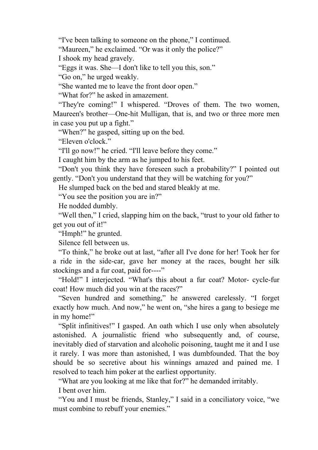"I've been talking to someone on the phone," I continued.

"Maureen," he exclaimed. "Or was it only the police?"

I shook my head gravely.

"Eggs it was. She—I don't like to tell you this, son."

"Go on," he urged weakly.

"She wanted me to leave the front door open."

"What for?" he asked in amazement.

 "They're coming!" I whispered. "Droves of them. The two women, Maureen's brother—One-hit Mulligan, that is, and two or three more men in case you put up a fight."

"When?" he gasped, sitting up on the bed.

"Eleven o'clock."

"I'll go now!" he cried. "I'll leave before they come."

I caught him by the arm as he jumped to his feet.

 "Don't you think they have foreseen such a probability?" I pointed out gently. "Don't you understand that they will be watching for you?"

He slumped back on the bed and stared bleakly at me.

"You see the position you are in?"

He nodded dumbly.

 "Well then," I cried, slapping him on the back, "trust to your old father to get you out of it!"

"Hmph!" he grunted.

Silence fell between us.

 "To think," he broke out at last, "after all I've done for her! Took her for a ride in the side-car, gave her money at the races, bought her silk stockings and a fur coat, paid for----"

 "Hold!" I interjected. "What's this about a fur coat? Motor- cycle-fur coat! How much did you win at the races?"

 "Seven hundred and something," he answered carelessly. "I forget exactly how much. And now," he went on, "she hires a gang to besiege me in my home!"

 "Split infinitives!" I gasped. An oath which I use only when absolutely astonished. A journalistic friend who subsequently and, of course, inevitably died of starvation and alcoholic poisoning, taught me it and I use it rarely. I was more than astonished, I was dumbfounded. That the boy should be so secretive about his winnings amazed and pained me. I resolved to teach him poker at the earliest opportunity.

"What are you looking at me like that for?" he demanded irritably.

I bent over him.

 "You and I must be friends, Stanley," I said in a conciliatory voice, "we must combine to rebuff your enemies."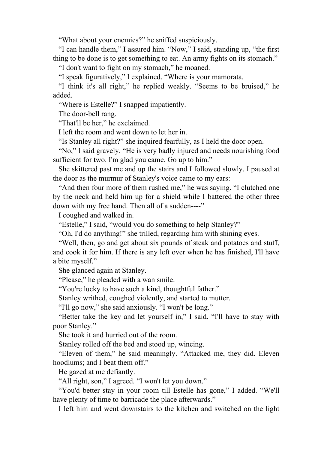"What about your enemies?" he sniffed suspiciously.

 "I can handle them," I assured him. "Now," I said, standing up, "the first thing to be done is to get something to eat. An army fights on its stomach."

"I don't want to fight on my stomach," he moaned.

"I speak figuratively," I explained. "Where is your mamorata.

 "I think it's all right," he replied weakly. "Seems to be bruised," he added.

"Where is Estelle?" I snapped impatiently.

The door-bell rang.

"That'll be her," he exclaimed.

I left the room and went down to let her in.

"Is Stanley all right?" she inquired fearfully, as I held the door open.

 "No," I said gravely. "He is very badly injured and needs nourishing food sufficient for two. I'm glad you came. Go up to him."

 She skittered past me and up the stairs and I followed slowly. I paused at the door as the murmur of Stanley's voice came to my ears:

 "And then four more of them rushed me," he was saying. "I clutched one by the neck and held him up for a shield while I battered the other three down with my free hand. Then all of a sudden----"

I coughed and walked in.

"Estelle," I said, "would you do something to help Stanley?"

"Oh, I'd do anything!" she trilled, regarding him with shining eyes.

 "Well, then, go and get about six pounds of steak and potatoes and stuff, and cook it for him. If there is any left over when he has finished, I'll have a bite myself."

She glanced again at Stanley.

"Please," he pleaded with a wan smile.

"You're lucky to have such a kind, thoughtful father."

Stanley writhed, coughed violently, and started to mutter.

"I'll go now," she said anxiously. "I won't be long."

 "Better take the key and let yourself in," I said. "I'll have to stay with poor Stanley."

She took it and hurried out of the room.

Stanley rolled off the bed and stood up, wincing.

 "Eleven of them," he said meaningly. "Attacked me, they did. Eleven hoodlums; and I beat them off."

He gazed at me defiantly.

"All right, son," I agreed. "I won't let you down."

 "You'd better stay in your room till Estelle has gone," I added. "We'll have plenty of time to barricade the place afterwards."

I left him and went downstairs to the kitchen and switched on the light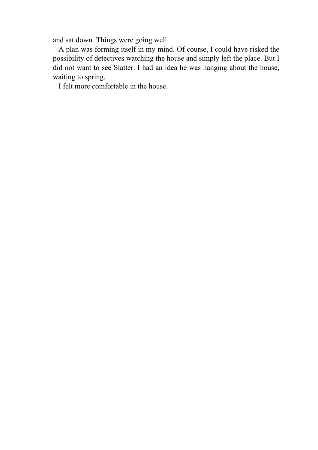and sat down. Things were going well.

 A plan was forming itself in my mind. Of course, I could have risked the possibility of detectives watching the house and simply left the place. But I did not want to see Slatter. I had an idea he was hanging about the house, waiting to spring.

I felt more comfortable in the house.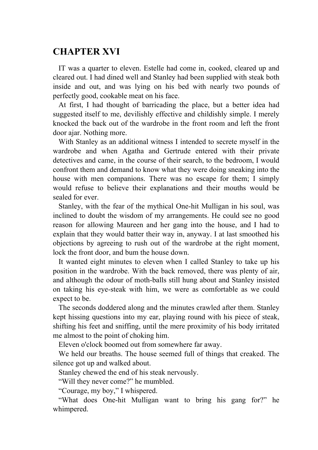### **CHAPTER XVI**

 IT was a quarter to eleven. Estelle had come in, cooked, cleared up and cleared out. I had dined well and Stanley had been supplied with steak both inside and out, and was lying on his bed with nearly two pounds of perfectly good, cookable meat on his face.

 At first, I had thought of barricading the place, but a better idea had suggested itself to me, devilishly effective and childishly simple. I merely knocked the back out of the wardrobe in the front room and left the front door ajar. Nothing more.

 With Stanley as an additional witness I intended to secrete myself in the wardrobe and when Agatha and Gertrude entered with their private detectives and came, in the course of their search, to the bedroom, I would confront them and demand to know what they were doing sneaking into the house with men companions. There was no escape for them; I simply would refuse to believe their explanations and their mouths would be sealed for ever.

 Stanley, with the fear of the mythical One-hit Mulligan in his soul, was inclined to doubt the wisdom of my arrangements. He could see no good reason for allowing Maureen and her gang into the house, and I had to explain that they would batter their way in, anyway. I at last smoothed his objections by agreeing to rush out of the wardrobe at the right moment, lock the front door, and bum the house down.

 It wanted eight minutes to eleven when I called Stanley to take up his position in the wardrobe. With the back removed, there was plenty of air, and although the odour of moth-balls still hung about and Stanley insisted on taking his eye-steak with him, we were as comfortable as we could expect to be.

 The seconds doddered along and the minutes crawled after them. Stanley kept hissing questions into my ear, playing round with his piece of steak, shifting his feet and sniffing, until the mere proximity of his body irritated me almost to the point of choking him.

Eleven o'clock boomed out from somewhere far away.

 We held our breaths. The house seemed full of things that creaked. The silence got up and walked about.

Stanley chewed the end of his steak nervously.

"Will they never come?" he mumbled.

"Courage, my boy," I whispered.

 "What does One-hit Mulligan want to bring his gang for?" he whimpered.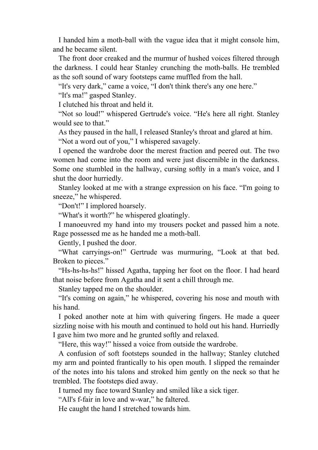I handed him a moth-ball with the vague idea that it might console him, and he became silent.

 The front door creaked and the murmur of hushed voices filtered through the darkness. I could hear Stanley crunching the moth-balls. He trembled as the soft sound of wary footsteps came muffled from the hall.

"It's very dark," came a voice, "I don't think there's any one here."

"It's ma!" gasped Stanley.

I clutched his throat and held it.

 "Not so loud!" whispered Gertrude's voice. "He's here all right. Stanley would see to that."

As they paused in the hall, I released Stanley's throat and glared at him.

"Not a word out of you," I whispered savagely.

 I opened the wardrobe door the merest fraction and peered out. The two women had come into the room and were just discernible in the darkness. Some one stumbled in the hallway, cursing softly in a man's voice, and I shut the door hurriedly.

 Stanley looked at me with a strange expression on his face. "I'm going to sneeze," he whispered.

"Don't!" I implored hoarsely.

"What's it worth?" he whispered gloatingly.

 I manoeuvred my hand into my trousers pocket and passed him a note. Rage possessed me as he handed me a moth-ball.

Gently, I pushed the door.

 "What carryings-on!" Gertrude was murmuring, "Look at that bed. Broken to pieces."

 "Hs-hs-hs-hs!" hissed Agatha, tapping her foot on the floor. I had heard that noise before from Agatha and it sent a chill through me.

Stanley tapped me on the shoulder.

 "It's coming on again," he whispered, covering his nose and mouth with his hand.

 I poked another note at him with quivering fingers. He made a queer sizzling noise with his mouth and continued to hold out his hand. Hurriedly I gave him two more and he grunted softly and relaxed.

"Here, this way!" hissed a voice from outside the wardrobe.

 A confusion of soft footsteps sounded in the hallway; Stanley clutched my arm and pointed frantically to his open mouth. I slipped the remainder of the notes into his talons and stroked him gently on the neck so that he trembled. The footsteps died away.

I turned my face toward Stanley and smiled like a sick tiger.

"All's f-fair in love and w-war," he faltered.

He caught the hand I stretched towards him.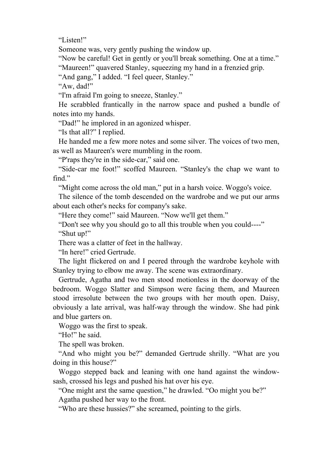"Listen!"

Someone was, very gently pushing the window up.

"Now be careful! Get in gently or you'll break something. One at a time."

"Maureen!" quavered Stanley, squeezing my hand in a frenzied grip.

"And gang," I added. "I feel queer, Stanley."

"Aw, dad!"

"I'm afraid I'm going to sneeze, Stanley."

 He scrabbled frantically in the narrow space and pushed a bundle of notes into my hands.

"Dad!" he implored in an agonized whisper.

"Is that all?" I replied.

 He handed me a few more notes and some silver. The voices of two men, as well as Maureen's were mumbling in the room.

"P'raps they're in the side-car," said one.

 "Side-car me foot!" scoffed Maureen. "Stanley's the chap we want to find."

"Might come across the old man," put in a harsh voice. Woggo's voice.

 The silence of the tomb descended on the wardrobe and we put our arms about each other's necks for company's sake.

"Here they come!" said Maureen. "Now we'll get them."

"Don't see why you should go to all this trouble when you could----"

"Shut up!"

There was a clatter of feet in the hallway.

"In here!" cried Gertrude.

 The light flickered on and I peered through the wardrobe keyhole with Stanley trying to elbow me away. The scene was extraordinary.

 Gertrude, Agatha and two men stood motionless in the doorway of the bedroom. Woggo Slatter and Simpson were facing them, and Maureen stood irresolute between the two groups with her mouth open. Daisy, obviously a late arrival, was half-way through the window. She had pink and blue garters on.

Woggo was the first to speak.

"Ho!" he said.

The spell was broken.

 "And who might you be?" demanded Gertrude shrilly. "What are you doing in this house?"

 Woggo stepped back and leaning with one hand against the windowsash, crossed his legs and pushed his hat over his eye.

 "One might arst the same question," he drawled. "Oo might you be?" Agatha pushed her way to the front.

"Who are these hussies?" she screamed, pointing to the girls.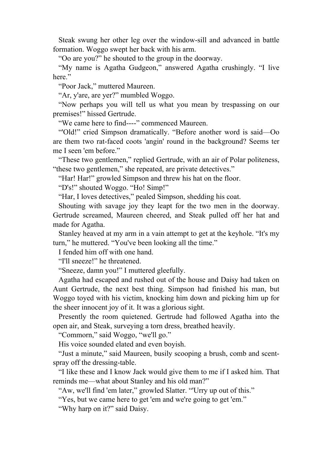Steak swung her other leg over the window-sill and advanced in battle formation. Woggo swept her back with his arm.

"Oo are you?" he shouted to the group in the doorway.

 "My name is Agatha Gudgeon," answered Agatha crushingly. "I live here."

"Poor Jack," muttered Maureen.

"Ar, y'are, are yer?" mumbled Woggo.

 "Now perhaps you will tell us what you mean by trespassing on our premises!" hissed Gertrude.

"We came here to find----" commenced Maureen.

 "'Old!" cried Simpson dramatically. "Before another word is said—Oo are them two rat-faced coots 'angin' round in the background? Seems ter me I seen 'em before."

 "These two gentlemen," replied Gertrude, with an air of Polar politeness, "these two gentlemen," she repeated, are private detectives."

"Har! Har!" growled Simpson and threw his hat on the floor.

"D's!" shouted Woggo. "Ho! Simp!"

"Har, I loves detectives," pealed Simpson, shedding his coat.

 Shouting with savage joy they leapt for the two men in the doorway. Gertrude screamed, Maureen cheered, and Steak pulled off her hat and made for Agatha.

 Stanley heaved at my arm in a vain attempt to get at the keyhole. "It's my turn," he muttered. "You've been looking all the time."

I fended him off with one hand.

"I'll sneeze!" he threatened.

"Sneeze, damn you!" I muttered gleefully.

 Agatha had escaped and rushed out of the house and Daisy had taken on Aunt Gertrude, the next best thing. Simpson had finished his man, but Woggo toyed with his victim, knocking him down and picking him up for the sheer innocent joy of it. It was a glorious sight.

 Presently the room quietened. Gertrude had followed Agatha into the open air, and Steak, surveying a torn dress, breathed heavily.

"Commorn," said Woggo, "we'll go."

His voice sounded elated and even boyish.

 "Just a minute," said Maureen, busily scooping a brush, comb and scentspray off the dressing-table.

 "I like these and I know Jack would give them to me if I asked him. That reminds me—what about Stanley and his old man?"

"Aw, we'll find 'em later," growled Slatter. "'Urry up out of this."

"Yes, but we came here to get 'em and we're going to get 'em."

"Why harp on it?" said Daisy.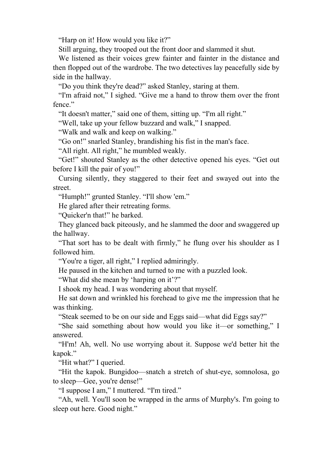"Harp on it! How would you like it?"

Still arguing, they trooped out the front door and slammed it shut.

 We listened as their voices grew fainter and fainter in the distance and then flopped out of the wardrobe. The two detectives lay peacefully side by side in the hallway.

"Do you think they're dead?" asked Stanley, staring at them.

 "I'm afraid not," I sighed. "Give me a hand to throw them over the front fence."

"It doesn't matter," said one of them, sitting up. "I'm all right."

"Well, take up your fellow buzzard and walk," I snapped.

"Walk and walk and keep on walking."

"Go on!" snarled Stanley, brandishing his fist in the man's face.

"All right. All right," he mumbled weakly.

 "Get!" shouted Stanley as the other detective opened his eyes. "Get out before I kill the pair of you!"

 Cursing silently, they staggered to their feet and swayed out into the street.

"Humph!" grunted Stanley. "I'll show 'em."

He glared after their retreating forms.

"Quicker'n that!" he barked.

 They glanced back piteously, and he slammed the door and swaggered up the hallway.

 "That sort has to be dealt with firmly," he flung over his shoulder as I followed him.

"You're a tiger, all right," I replied admiringly.

He paused in the kitchen and turned to me with a puzzled look.

"What did she mean by 'harping on it'?"

I shook my head. I was wondering about that myself.

 He sat down and wrinkled his forehead to give me the impression that he was thinking.

"Steak seemed to be on our side and Eggs said—what did Eggs say?"

 "She said something about how would you like it—or something," I answered.

 "H'm! Ah, well. No use worrying about it. Suppose we'd better hit the kapok."

"Hit what?" I queried.

 "Hit the kapok. Bungidoo—snatch a stretch of shut-eye, somnolosa, go to sleep—Gee, you're dense!"

"I suppose I am," I muttered. "I'm tired."

 "Ah, well. You'll soon be wrapped in the arms of Murphy's. I'm going to sleep out here. Good night."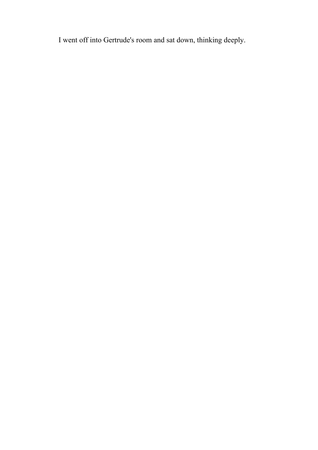I went off into Gertrude's room and sat down, thinking deeply.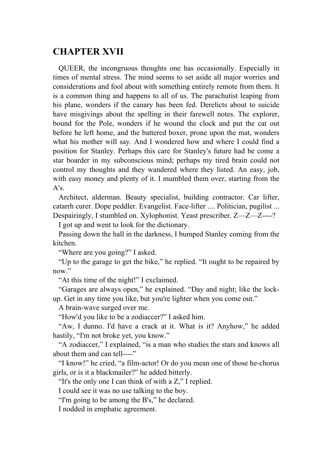## **CHAPTER XVII**

 QUEER, the incongruous thoughts one has occasionally. Especially in times of mental stress. The mind seems to set aside all major worries and considerations and fool about with something entirely remote from them. It is a common thing and happens to all of us. The parachutist leaping from his plane, wonders if the canary has been fed. Derelicts about to suicide have misgivings about the spelling in their farewell notes. The explorer, bound for the Pole, wonders if he wound the clock and put the cat out before he left home, and the battered boxer, prone upon the mat, wonders what his mother will say. And I wondered how and where I could find a position for Stanley. Perhaps this care for Stanley's future had be come a star boarder in my subconscious mind; perhaps my tired brain could not control my thoughts and they wandered where they listed. An easy, job, with easy money and plenty of it. I mumbled them over, starting from the  $A's.$ 

 Architect, alderman. Beauty specialist, building contractor. Car lifter, catarrh curer. Dope peddler. Evangelist. Face-lifter .... Politician, pugilist ... Despairingly, I stumbled on. Xylophonist. Yeast prescriber.  $Z \rightarrow Z \rightarrow Z \rightarrow Z$ 

I got up and went to look for the dictionary.

 Passing down the hall in the darkness, I bumped Stanley coming from the kitchen.

"Where are you going?" I asked.

 "Up to the garage to get the bike," he replied. "It ought to be repaired by now."

"At this time of the night!" I exclaimed.

 "Garages are always open," he explained. "Day and night; like the lockup. Get in any time you like, but you're lighter when you come out."

A brain-wave surged over me.

"How'd you like to be a zodiaccer?" I asked him.

 "Aw, I dunno. I'd have a crack at it. What is it? Anyhow," he added hastily, "I'm not broke yet, you know."

 "A zodiaccer," I explained, "is a man who studies the stars and knows all about them and can tell----"

 "I know!" he cried, "a film-actor! Or do you mean one of those he-chorus girls, or is it a blackmailer?" he added bitterly.

"It's the only one I can think of with a Z," I replied.

I could see it was no use talking to the boy.

"I'm going to be among the B's," he declared.

I nodded in emphatic agreement.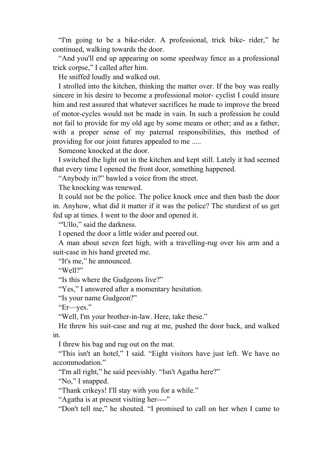"I'm going to be a bike-rider. A professional, trick bike- rider," he continued, walking towards the door.

 "And you'll end up appearing on some speedway fence as a professional trick corpse," I called after him.

He sniffed loudly and walked out.

 I strolled into the kitchen, thinking the matter over. If the boy was really sincere in his desire to become a professional motor- cyclist I could insure him and rest assured that whatever sacrifices he made to improve the breed of motor-cycles would not be made in vain. In such a profession he could not fail to provide for my old age by some means or other; and as a father, with a proper sense of my paternal responsibilities, this method of providing for our joint futures appealed to me .....

Someone knocked at the door.

 I switched the light out in the kitchen and kept still. Lately it had seemed that every time I opened the front door, something happened.

"Anybody in?" bawled a voice from the street.

The knocking was renewed.

 It could not be the police. The police knock once and then bash the door in. Anyhow, what did it matter if it was the police? The sturdiest of us get fed up at times. I went to the door and opened it.

"'Ullo," said the darkness.

I opened the door a little wider and peered out.

 A man about seven feet high, with a travelling-rug over his arm and a suit-case in his hand greeted me.

"It's me," he announced.

"Well?"

"Is this where the Gudgeons live?"

"Yes," I answered after a momentary hesitation.

"Is your name Gudgeon?"

"Er—yes."

"Well, I'm your brother-in-law. Here, take these."

 He threw his suit-case and rug at me, pushed the door back, and walked in.

I threw his bag and rug out on the mat.

 "This isn't an hotel," I said. "Eight visitors have just left. We have no accommodation."

"I'm all right," he said peevishly. "Isn't Agatha here?"

"No," I snapped.

"Thank crikeys! I'll stay with you for a while."

"Agatha is at present visiting her----"

"Don't tell me," he shouted. "I promised to call on her when I came to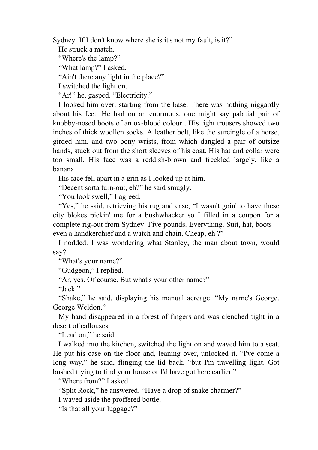Sydney. If I don't know where she is it's not my fault, is it?"

He struck a match.

"Where's the lamp?"

"What lamp?" I asked.

"Ain't there any light in the place?"

I switched the light on.

"Ar!" he, gasped. "Electricity."

 I looked him over, starting from the base. There was nothing niggardly about his feet. He had on an enormous, one might say palatial pair of knobby-nosed boots of an ox-blood colour . His tight trousers showed two inches of thick woollen socks. A leather belt, like the surcingle of a horse, girded him, and two bony wrists, from which dangled a pair of outsize hands, stuck out from the short sleeves of his coat. His hat and collar were too small. His face was a reddish-brown and freckled largely, like a banana.

His face fell apart in a grin as I looked up at him.

"Decent sorta turn-out, eh?" he said smugly.

"You look swell," I agreed.

"Yes," he said, retrieving his rug and case, "I wasn't goin' to have these city blokes pickin' me for a bushwhacker so I filled in a coupon for a complete rig-out from Sydney. Five pounds. Everything. Suit, hat, boots even a handkerchief and a watch and chain. Cheap, eh ?"

 I nodded. I was wondering what Stanley, the man about town, would say?

"What's your name?"

"Gudgeon," I replied.

"Ar, yes. Of course. But what's your other name?"

"Jack."

 "Shake," he said, displaying his manual acreage. "My name's George. George Weldon."

 My hand disappeared in a forest of fingers and was clenched tight in a desert of callouses.

"Lead on," he said.

 I walked into the kitchen, switched the light on and waved him to a seat. He put his case on the floor and, leaning over, unlocked it. "I've come a long way," he said, flinging the lid back, "but I'm travelling light. Got bushed trying to find your house or I'd have got here earlier."

"Where from?" I asked.

"Split Rock," he answered. "Have a drop of snake charmer?"

I waved aside the proffered bottle.

"Is that all your luggage?"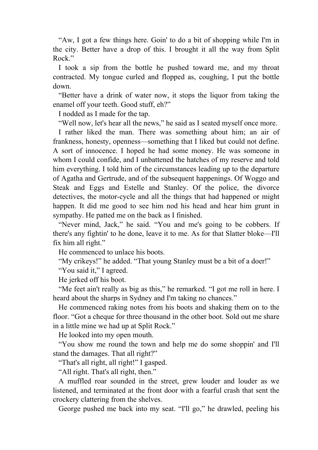"Aw, I got a few things here. Goin' to do a bit of shopping while I'm in the city. Better have a drop of this. I brought it all the way from Split Rock"

 I took a sip from the bottle he pushed toward me, and my throat contracted. My tongue curled and flopped as, coughing, I put the bottle down.

 "Better have a drink of water now, it stops the liquor from taking the enamel off your teeth. Good stuff, eh?"

I nodded as I made for the tap.

"Well now, let's hear all the news," he said as I seated myself once more.

 I rather liked the man. There was something about him; an air of frankness, honesty, openness—something that I liked but could not define. A sort of innocence. I hoped he had some money. He was someone in whom I could confide, and I unbattened the hatches of my reserve and told him everything. I told him of the circumstances leading up to the departure of Agatha and Gertrude, and of the subsequent happenings. Of Woggo and Steak and Eggs and Estelle and Stanley. Of the police, the divorce detectives, the motor-cycle and all the things that had happened or might happen. It did me good to see him nod his head and hear him grunt in sympathy. He patted me on the back as I finished.

 "Never mind, Jack," he said. "You and me's going to be cobbers. If there's any fightin' to he done, leave it to me. As for that Slatter bloke—I'll fix him all right."

He commenced to unlace his boots.

"My crikeys!" he added. "That young Stanley must be a bit of a doer!"

"You said it," I agreed.

He jerked off his boot.

 "Me feet ain't really as big as this," he remarked. "I got me roll in here. I heard about the sharps in Sydney and I'm taking no chances."

 He commenced raking notes from his boots and shaking them on to the floor. "Got a cheque for three thousand in the other boot. Sold out me share in a little mine we had up at Split Rock."

He looked into my open mouth.

 "You show me round the town and help me do some shoppin' and I'll stand the damages. That all right?"

"That's all right, all right!" I gasped.

"All right. That's all right, then."

 A muffled roar sounded in the street, grew louder and louder as we listened, and terminated at the front door with a fearful crash that sent the crockery clattering from the shelves.

George pushed me back into my seat. "I'll go," he drawled, peeling his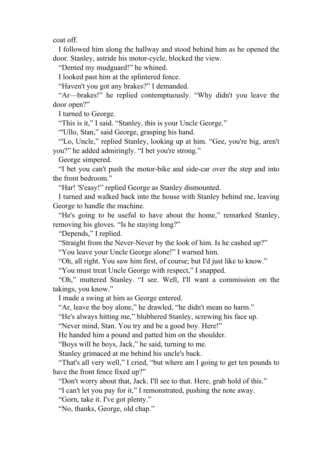coat off.

 I followed him along the hallway and stood behind him as he opened the door. Stanley, astride his motor-cycle, blocked the view.

"Dented my mudguard!" he whined.

I looked past him at the splintered fence.

"Haven't you got any brakes?" I demanded.

 "Ar—brakes!" he replied contemptuously. "Why didn't you leave the door open?"

I turned to George.

"This is it," I said. "Stanley, this is your Uncle George."

"'Ullo, Stan," said George, grasping his hand.

 "'Lo, Uncle," replied Stanley, looking up at him. "Gee, you're big, aren't you?" he added admiringly. "I bet you're strong."

George simpered.

 "I bet you can't push the motor-bike and side-car over the step and into the front bedroom."

"Har! 'S'easy!" replied George as Stanley dismounted.

 I turned and walked back into the house with Stanley behind me, leaving George to handle the machine.

 "He's going to be useful to have about the home," remarked Stanley, removing his gloves. "Is he staying long?"

"Depends," I replied.

"Straight from the Never-Never by the look of him. Is he cashed up?"

"You leave your Uncle George alone!" I warned him.

"Oh, all right. You saw him first, of course; but I'd just like to know."

"You must treat Uncle George with respect," I snapped.

 "Oh," muttered Stanley. "I see. Well, I'll want a commission on the takings, you know."

I made a swing at him as George entered.

"Ar, leave the boy alone," he drawled, "he didn't mean no harm."

"He's always hitting me," blubbered Stanley, screwing his face up.

"Never mind, Stan. You try and be a good boy. Here!"

He handed him a pound and patted him on the shoulder.

"Boys will be boys, Jack," he said, turning to me.

Stanley grimaced at me behind his uncle's back.

 "That's all very well," I cried, "but where am I going to get ten pounds to have the front fence fixed up?"

"Don't worry about that, Jack. I'll see to that. Here, grab hold of this."

"I can't let you pay for it," I remonstrated, pushing the note away.

"Gorn, take it. I've got plenty."

"No, thanks, George, old chap."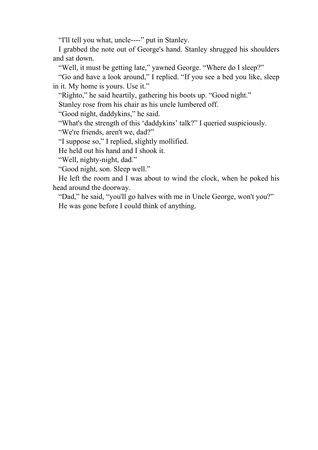"I'll tell you what, uncle----" put in Stanley.

 I grabbed the note out of George's hand. Stanley shrugged his shoulders and sat down.

"Well, it must be getting late," yawned George. "Where do I sleep?"

 "Go and have a look around," I replied. "If you see a bed you like, sleep in it. My home is yours. Use it."

"Righto," he said heartily, gathering his boots up. "Good night."

Stanley rose from his chair as his uncle lumbered off.

"Good night, daddykins," he said.

"What's the strength of this 'daddykins' talk?" I queried suspiciously.

"We're friends, aren't we, dad?"

"I suppose so," I replied, slightly mollified.

He held out his hand and I shook it.

"Well, nighty-night, dad."

"Good night, son. Sleep well."

 He left the room and I was about to wind the clock, when he poked his head around the doorway.

 "Dad," he said, "you'll go halves with me in Uncle George, won't you?" He was gone before I could think of anything.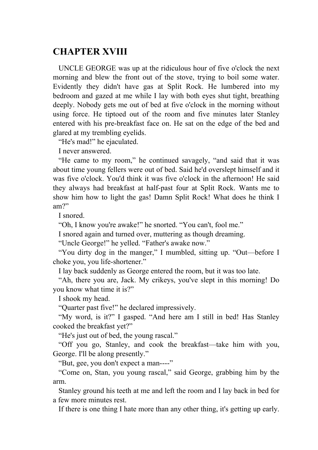# **CHAPTER XVIII**

 UNCLE GEORGE was up at the ridiculous hour of five o'clock the next morning and blew the front out of the stove, trying to boil some water. Evidently they didn't have gas at Split Rock. He lumbered into my bedroom and gazed at me while I lay with both eyes shut tight, breathing deeply. Nobody gets me out of bed at five o'clock in the morning without using force. He tiptoed out of the room and five minutes later Stanley entered with his pre-breakfast face on. He sat on the edge of the bed and glared at my trembling eyelids.

"He's mad!" he ejaculated.

I never answered.

 "He came to my room," he continued savagely, "and said that it was about time young fellers were out of bed. Said he'd overslept himself and it was five o'clock. You'd think it was five o'clock in the afternoon! He said they always had breakfast at half-past four at Split Rock. Wants me to show him how to light the gas! Damn Split Rock! What does he think I am?"

I snored.

"Oh, I know you're awake!" he snorted. "You can't, fool me."

I snored again and turned over, muttering as though dreaming.

"Uncle George!" he yelled. "Father's awake now."

 "You dirty dog in the manger," I mumbled, sitting up. "Out—before I choke you, you life-shortener."

I lay back suddenly as George entered the room, but it was too late.

 "Ah, there you are, Jack. My crikeys, you've slept in this morning! Do you know what time it is?"

I shook my head.

"Quarter past five!" he declared impressively.

 "My word, is it?" I gasped. "And here am I still in bed! Has Stanley cooked the breakfast yet?"

"He's just out of bed, the young rascal."

 "Off you go, Stanley, and cook the breakfast—take him with you, George. I'll be along presently."

"But, gee, you don't expect a man----"

 "Come on, Stan, you young rascal," said George, grabbing him by the arm.

 Stanley ground his teeth at me and left the room and I lay back in bed for a few more minutes rest.

If there is one thing I hate more than any other thing, it's getting up early.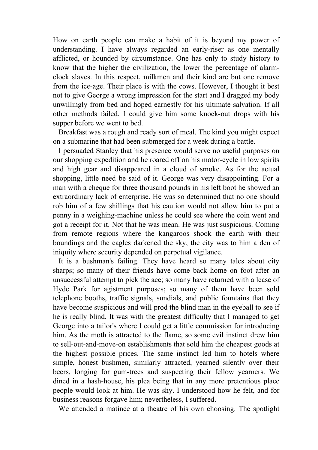How on earth people can make a habit of it is beyond my power of understanding. I have always regarded an early-riser as one mentally afflicted, or hounded by circumstance. One has only to study history to know that the higher the civilization, the lower the percentage of alarmclock slaves. In this respect, milkmen and their kind are but one remove from the ice-age. Their place is with the cows. However, I thought it best not to give George a wrong impression for the start and I dragged my body unwillingly from bed and hoped earnestly for his ultimate salvation. If all other methods failed, I could give him some knock-out drops with his supper before we went to bed.

 Breakfast was a rough and ready sort of meal. The kind you might expect on a submarine that had been submerged for a week during a battle.

 I persuaded Stanley that his presence would serve no useful purposes on our shopping expedition and he roared off on his motor-cycle in low spirits and high gear and disappeared in a cloud of smoke. As for the actual shopping, little need be said of it. George was very disappointing. For a man with a cheque for three thousand pounds in his left boot he showed an extraordinary lack of enterprise. He was so determined that no one should rob him of a few shillings that his caution would not allow him to put a penny in a weighing-machine unless he could see where the coin went and got a receipt for it. Not that he was mean. He was just suspicious. Coming from remote regions where the kangaroos shook the earth with their boundings and the eagles darkened the sky, the city was to him a den of iniquity where security depended on perpetual vigilance.

 It is a bushman's failing. They have heard so many tales about city sharps; so many of their friends have come back home on foot after an unsuccessful attempt to pick the ace; so many have returned with a lease of Hyde Park for agistment purposes; so many of them have been sold telephone booths, traffic signals, sundials, and public fountains that they have become suspicious and will prod the blind man in the eyeball to see if he is really blind. It was with the greatest difficulty that I managed to get George into a tailor's where I could get a little commission for introducing him. As the moth is attracted to the flame, so some evil instinct drew him to sell-out-and-move-on establishments that sold him the cheapest goods at the highest possible prices. The same instinct led him to hotels where simple, honest bushmen, similarly attracted, yearned silently over their beers, longing for gum-trees and suspecting their fellow yearners. We dined in a hash-house, his plea being that in any more pretentious place people would look at him. He was shy. I understood how he felt, and for business reasons forgave him; nevertheless, I suffered.

We attended a matinée at a theatre of his own choosing. The spotlight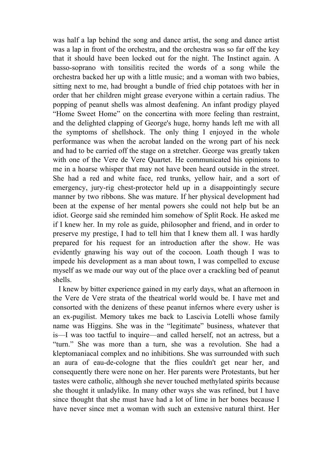was half a lap behind the song and dance artist, the song and dance artist was a lap in front of the orchestra, and the orchestra was so far off the key that it should have been locked out for the night. The Instinct again. A basso-soprano with tonsilitis recited the words of a song while the orchestra backed her up with a little music; and a woman with two babies, sitting next to me, had brought a bundle of fried chip potatoes with her in order that her children might grease everyone within a certain radius. The popping of peanut shells was almost deafening. An infant prodigy played "Home Sweet Home" on the concertina with more feeling than restraint, and the delighted clapping of George's huge, horny hands left me with all the symptoms of shellshock. The only thing I enjoyed in the whole performance was when the acrobat landed on the wrong part of his neck and had to be carried off the stage on a stretcher. George was greatly taken with one of the Vere de Vere Quartet. He communicated his opinions to me in a hoarse whisper that may not have been heard outside in the street. She had a red and white face, red trunks, yellow hair, and a sort of emergency, jury-rig chest-protector held up in a disappointingly secure manner by two ribbons. She was mature. If her physical development had been at the expense of her mental powers she could not help but be an idiot. George said she reminded him somehow of Split Rock. He asked me if I knew her. In my role as guide, philosopher and friend, and in order to preserve my prestige, I had to tell him that I knew them all. I was hardly prepared for his request for an introduction after the show. He was evidently gnawing his way out of the cocoon. Loath though I was to impede his development as a man about town, I was compelled to excuse myself as we made our way out of the place over a crackling bed of peanut shells.

 I knew by bitter experience gained in my early days, what an afternoon in the Vere de Vere strata of the theatrical world would be. I have met and consorted with the denizens of these peanut infernos where every usher is an ex-pugilist. Memory takes me back to Lascivia Lotelli whose family name was Higgins. She was in the "legitimate" business, whatever that is—I was too tactful to inquire—and called herself, not an actress, but a "turn." She was more than a turn, she was a revolution. She had a kleptomaniacal complex and no inhibitions. She was surrounded with such an aura of eau-de-cologne that the flies couldn't get near her, and consequently there were none on her. Her parents were Protestants, but her tastes were catholic, although she never touched methylated spirits because she thought it unladylike. In many other ways she was refined, but I have since thought that she must have had a lot of lime in her bones because I have never since met a woman with such an extensive natural thirst. Her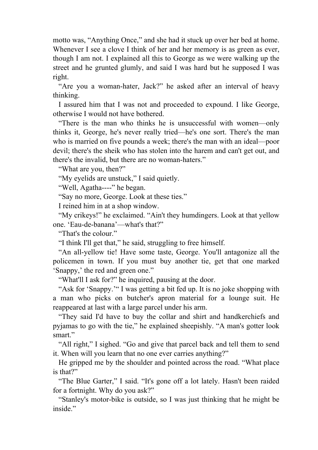motto was, "Anything Once," and she had it stuck up over her bed at home. Whenever I see a clove I think of her and her memory is as green as ever, though I am not. I explained all this to George as we were walking up the street and he grunted glumly, and said I was hard but he supposed I was right.

 "Are you a woman-hater, Jack?" he asked after an interval of heavy thinking.

 I assured him that I was not and proceeded to expound. I like George, otherwise I would not have bothered.

 "There is the man who thinks he is unsuccessful with women—only thinks it, George, he's never really tried—he's one sort. There's the man who is married on five pounds a week; there's the man with an ideal—poor devil; there's the sheik who has stolen into the harem and can't get out, and there's the invalid, but there are no woman-haters."

"What are you, then?"

"My eyelids are unstuck," I said quietly.

"Well, Agatha----" he began.

"Say no more, George. Look at these ties."

I reined him in at a shop window.

 "My crikeys!" he exclaimed. "Ain't they humdingers. Look at that yellow one. 'Eau-de-banana'—what's that?"

"That's the colour."

"I think I'll get that," he said, struggling to free himself.

 "An all-yellow tie! Have some taste, George. You'll antagonize all the policemen in town. If you must buy another tie, get that one marked 'Snappy,' the red and green one."

"What'll I ask for?" he inquired, pausing at the door.

 "Ask for 'Snappy.'" I was getting a bit fed up. It is no joke shopping with a man who picks on butcher's apron material for a lounge suit. He reappeared at last with a large parcel under his arm.

 "They said I'd have to buy the collar and shirt and handkerchiefs and pyjamas to go with the tie," he explained sheepishly. "A man's gotter look smart."

 "All right," I sighed. "Go and give that parcel back and tell them to send it. When will you learn that no one ever carries anything?"

 He gripped me by the shoulder and pointed across the road. "What place is that?"

 "The Blue Garter," I said. "It's gone off a lot lately. Hasn't been raided for a fortnight. Why do you ask?"

 "Stanley's motor-bike is outside, so I was just thinking that he might be inside."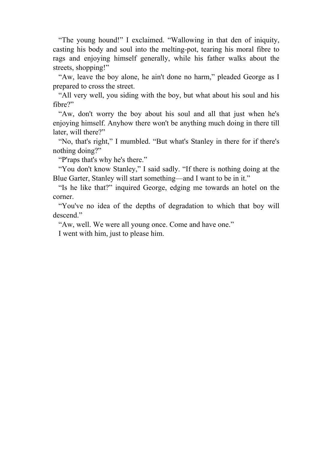"The young hound!" I exclaimed. "Wallowing in that den of iniquity, casting his body and soul into the melting-pot, tearing his moral fibre to rags and enjoying himself generally, while his father walks about the streets, shopping!"

 "Aw, leave the boy alone, he ain't done no harm," pleaded George as I prepared to cross the street.

 "All very well, you siding with the boy, but what about his soul and his fibre?"

 "Aw, don't worry the boy about his soul and all that just when he's enjoying himself. Anyhow there won't be anything much doing in there till later, will there?"

 "No, that's right," I mumbled. "But what's Stanley in there for if there's nothing doing?"

"P'raps that's why he's there."

 "You don't know Stanley," I said sadly. "If there is nothing doing at the Blue Garter, Stanley will start something—and I want to be in it."

 "Is he like that?" inquired George, edging me towards an hotel on the corner.

 "You've no idea of the depths of degradation to which that boy will descend<sup>"</sup>

"Aw, well. We were all young once. Come and have one."

I went with him, just to please him.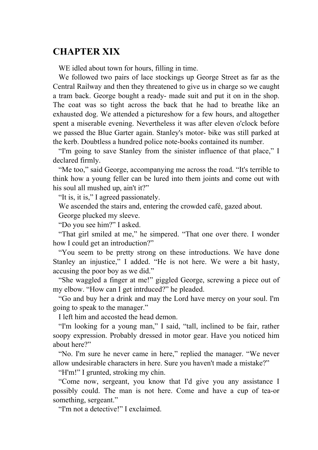#### **CHAPTER XIX**

WE idled about town for hours, filling in time.

 We followed two pairs of lace stockings up George Street as far as the Central Railway and then they threatened to give us in charge so we caught a tram back. George bought a ready- made suit and put it on in the shop. The coat was so tight across the back that he had to breathe like an exhausted dog. We attended a pictureshow for a few hours, and altogether spent a miserable evening. Nevertheless it was after eleven o'clock before we passed the Blue Garter again. Stanley's motor- bike was still parked at the kerb. Doubtless a hundred police note-books contained its number.

 "I'm going to save Stanley from the sinister influence of that place," I declared firmly.

 "Me too," said George, accompanying me across the road. "It's terrible to think how a young feller can be lured into them joints and come out with his soul all mushed up, ain't it?"

"It is, it is," I agreed passionately.

We ascended the stairs and, entering the crowded café, gazed about.

George plucked my sleeve.

"Do you see him?" I asked.

 "That girl smiled at me," he simpered. "That one over there. I wonder how I could get an introduction?"

 "You seem to be pretty strong on these introductions. We have done Stanley an injustice," I added. "He is not here. We were a bit hasty, accusing the poor boy as we did."

 "She waggled a finger at me!" giggled George, screwing a piece out of my elbow. "How can I get intrduced?" he pleaded.

 "Go and buy her a drink and may the Lord have mercy on your soul. I'm going to speak to the manager."

I left him and accosted the head demon.

 "I'm looking for a young man," I said, "tall, inclined to be fair, rather soopy expression. Probably dressed in motor gear. Have you noticed him about here?"

 "No. I'm sure he never came in here," replied the manager. "We never allow undesirable characters in here. Sure you haven't made a mistake?"

"H'm!" I grunted, stroking my chin.

 "Come now, sergeant, you know that I'd give you any assistance I possibly could. The man is not here. Come and have a cup of tea-or something, sergeant."

"I'm not a detective!" I exclaimed.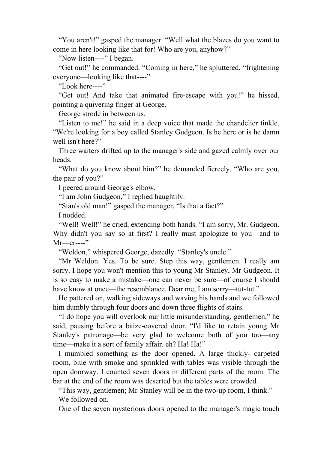"You aren't!" gasped the manager. "Well what the blazes do you want to come in here looking like that for! Who are you, anyhow?"

"Now listen----" I began.

 "Get out!" he commanded. "Coming in here," he spluttered, "frightening everyone—looking like that----"

"Look here----"

 "Get out! And take that animated fire-escape with you!" he hissed, pointing a quivering finger at George.

George strode in between us.

 "Listen to me!" he said in a deep voice that made the chandelier tinkle. "We're looking for a boy called Stanley Gudgeon. Is he here or is he damn well isn't here?"

 Three waiters drifted up to the manager's side and gazed calmly over our heads.

 "What do you know about him?" he demanded fiercely. "Who are you, the pair of you?"

I peered around George's elbow.

"I am John Gudgeon," I replied haughtily.

"Stan's old man!" gasped the manager. "Is that a fact?"

I nodded.

 "Well! Well!" he cried, extending both hands. "I am sorry, Mr. Gudgeon. Why didn't you say so at first? I really must apologize to you—and to  $Mr$ —er----"

"Weldon," whispered George, dazedly. "Stanley's uncle."

 "Mr Weldon. Yes. To be sure. Step this way, gentlemen. I really am sorry. I hope you won't mention this to young Mr Stanley, Mr Gudgeon. It is so easy to make a mistake—one can never be sure—of course I should have know at once—the resemblance. Dear me, I am sorry—tut-tut."

 He pattered on, walking sideways and waving his hands and we followed him dumbly through four doors and down three flights of stairs.

 "I do hope you will overlook our little misunderstanding, gentlemen," he said, pausing before a baize-covered door. "I'd like to retain young Mr Stanley's patronage—be very glad to welcome both of you too—any time—make it a sort of family affair. eh? Ha! Ha!"

 I mumbled something as the door opened. A large thickly- carpeted room, blue with smoke and sprinkled with tables was visible through the open doorway. I counted seven doors in different parts of the room. The bar at the end of the room was deserted but the tables were crowded.

 "This way, gentlemen; Mr Stanley will be in the two-up room, I think." We followed on.

One of the seven mysterious doors opened to the manager's magic touch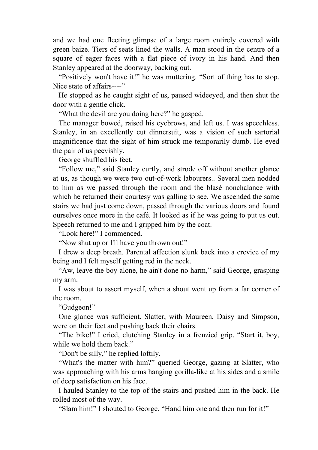and we had one fleeting glimpse of a large room entirely covered with green baize. Tiers of seats lined the walls. A man stood in the centre of a square of eager faces with a flat piece of ivory in his hand. And then Stanley appeared at the doorway, backing out.

 "Positively won't have it!" he was muttering. "Sort of thing has to stop. Nice state of affairs----"

 He stopped as he caught sight of us, paused wideeyed, and then shut the door with a gentle click.

"What the devil are you doing here?" he gasped.

 The manager bowed, raised his eyebrows, and left us. I was speechless. Stanley, in an excellently cut dinnersuit, was a vision of such sartorial magnificence that the sight of him struck me temporarily dumb. He eyed the pair of us peevishly.

George shuffled his feet.

 "Follow me," said Stanley curtly, and strode off without another glance at us, as though we were two out-of-work labourers.. Several men nodded to him as we passed through the room and the blasé nonchalance with which he returned their courtesy was galling to see. We ascended the same stairs we had just come down, passed through the various doors and found ourselves once more in the café. It looked as if he was going to put us out. Speech returned to me and I gripped him by the coat.

"Look here!" I commenced.

"Now shut up or I'll have you thrown out!"

 I drew a deep breath. Parental affection slunk back into a crevice of my being and I felt myself getting red in the neck.

 "Aw, leave the boy alone, he ain't done no harm," said George, grasping my arm.

 I was about to assert myself, when a shout went up from a far corner of the room.

"Gudgeon!"

 One glance was sufficient. Slatter, with Maureen, Daisy and Simpson, were on their feet and pushing back their chairs.

 "The bike!" I cried, clutching Stanley in a frenzied grip. "Start it, boy, while we hold them back."

"Don't be silly," he replied loftily.

 "What's the matter with him?" queried George, gazing at Slatter, who was approaching with his arms hanging gorilla-like at his sides and a smile of deep satisfaction on his face.

 I hauled Stanley to the top of the stairs and pushed him in the back. He rolled most of the way.

"Slam him!" I shouted to George. "Hand him one and then run for it!"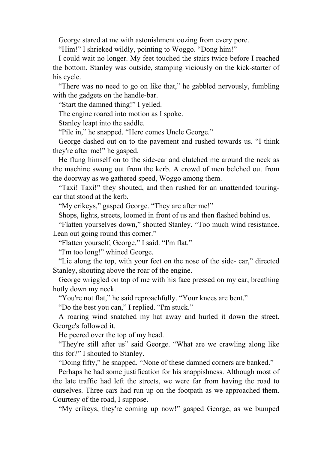George stared at me with astonishment oozing from every pore.

"Him!" I shrieked wildly, pointing to Woggo. "Dong him!"

 I could wait no longer. My feet touched the stairs twice before I reached the bottom. Stanley was outside, stamping viciously on the kick-starter of his cycle.

 "There was no need to go on like that," he gabbled nervously, fumbling with the gadgets on the handle-bar.

"Start the damned thing!" I yelled.

The engine roared into motion as I spoke.

Stanley leapt into the saddle.

"Pile in," he snapped. "Here comes Uncle George."

 George dashed out on to the pavement and rushed towards us. "I think they're after me!" he gasped.

 He flung himself on to the side-car and clutched me around the neck as the machine swung out from the kerb. A crowd of men belched out from the doorway as we gathered speed, Woggo among them.

 "Taxi! Taxi!" they shouted, and then rushed for an unattended touringcar that stood at the kerb.

"My crikeys," gasped George. "They are after me!"

Shops, lights, streets, loomed in front of us and then flashed behind us.

 "Flatten yourselves down," shouted Stanley. "Too much wind resistance. Lean out going round this corner."

"Flatten yourself, George," I said. "I'm flat."

"I'm too long!" whined George.

 "Lie along the top, with your feet on the nose of the side- car," directed Stanley, shouting above the roar of the engine.

 George wriggled on top of me with his face pressed on my ear, breathing hotly down my neck.

"You're not flat," he said reproachfully. "Your knees are bent."

"Do the best you can," I replied. "I'm stuck."

 A roaring wind snatched my hat away and hurled it down the street. George's followed it.

He peered over the top of my head.

 "They're still after us" said George. "What are we crawling along like this for?" I shouted to Stanley.

"Doing fifty," he snapped. "None of these damned corners are banked."

 Perhaps he had some justification for his snappishness. Although most of the late traffic had left the streets, we were far from having the road to ourselves. Three cars had run up on the footpath as we approached them. Courtesy of the road, I suppose.

"My crikeys, they're coming up now!" gasped George, as we bumped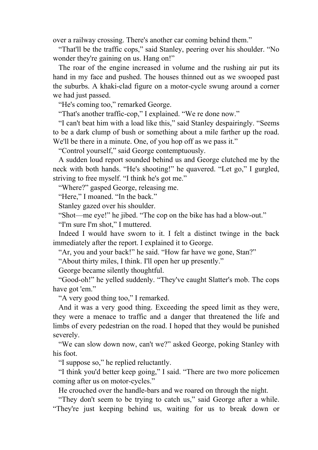over a railway crossing. There's another car coming behind them."

 "That'll be the traffic cops," said Stanley, peering over his shoulder. "No wonder they're gaining on us. Hang on!"

 The roar of the engine increased in volume and the rushing air put its hand in my face and pushed. The houses thinned out as we swooped past the suburbs. A khaki-clad figure on a motor-cycle swung around a corner we had just passed.

"He's coming too," remarked George.

"That's another traffic-cop," I explained. "We re done now."

 "I can't beat him with a load like this," said Stanley despairingly. "Seems to be a dark clump of bush or something about a mile farther up the road. We'll be there in a minute. One, of you hop off as we pass it."

"Control yourself," said George contemptuously.

 A sudden loud report sounded behind us and George clutched me by the neck with both hands. "He's shooting!" he quavered. "Let go," I gurgled, striving to free myself. "I think he's got me."

"Where?" gasped George, releasing me.

"Here," I moaned. "In the back."

Stanley gazed over his shoulder.

"Shot—me eye!" he jibed. "The cop on the bike has had a blow-out."

"I'm sure I'm shot," I muttered.

 Indeed I would have sworn to it. I felt a distinct twinge in the back immediately after the report. I explained it to George.

"Ar, you and your back!" he said. "How far have we gone, Stan?"

"About thirty miles, I think. I'll open her up presently."

George became silently thoughtful.

 "Good-oh!" he yelled suddenly. "They've caught Slatter's mob. The cops have got 'em."

"A very good thing too," I remarked.

 And it was a very good thing. Exceeding the speed limit as they were, they were a menace to traffic and a danger that threatened the life and limbs of every pedestrian on the road. I hoped that they would be punished severely.

 "We can slow down now, can't we?" asked George, poking Stanley with his foot.

"I suppose so," he replied reluctantly.

 "I think you'd better keep going," I said. "There are two more policemen coming after us on motor-cycles."

He crouched over the handle-bars and we roared on through the night.

 "They don't seem to be trying to catch us," said George after a while. "They're just keeping behind us, waiting for us to break down or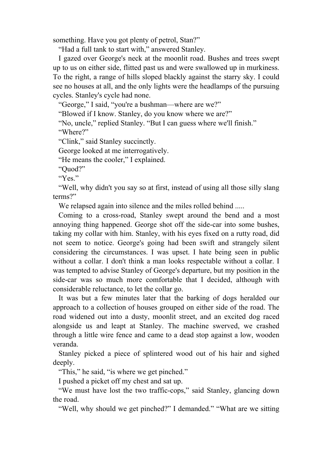something. Have you got plenty of petrol, Stan?"

"Had a full tank to start with," answered Stanley.

 I gazed over George's neck at the moonlit road. Bushes and trees swept up to us on either side, flitted past us and were swallowed up in murkiness. To the right, a range of hills sloped blackly against the starry sky. I could see no houses at all, and the only lights were the headlamps of the pursuing cycles. Stanley's cycle had none.

"George," I said, "you're a bushman—where are we?"

"Blowed if I know. Stanley, do you know where we are?"

"No, uncle," replied Stanley. "But I can guess where we'll finish."

"Where?"

"Clink," said Stanley succinctly.

George looked at me interrogatively.

"He means the cooler," I explained.

"Quod?"

"Yes."

 "Well, why didn't you say so at first, instead of using all those silly slang terms?"

We relapsed again into silence and the miles rolled behind .....

 Coming to a cross-road, Stanley swept around the bend and a most annoying thing happened. George shot off the side-car into some bushes, taking my collar with him. Stanley, with his eyes fixed on a rutty road, did not seem to notice. George's going had been swift and strangely silent considering the circumstances. I was upset. I hate being seen in public without a collar. I don't think a man looks respectable without a collar. I was tempted to advise Stanley of George's departure, but my position in the side-car was so much more comfortable that I decided, although with considerable reluctance, to let the collar go.

 It was but a few minutes later that the barking of dogs heralded our approach to a collection of houses grouped on either side of the road. The road widened out into a dusty, moonlit street, and an excited dog raced alongside us and leapt at Stanley. The machine swerved, we crashed through a little wire fence and came to a dead stop against a low, wooden veranda.

 Stanley picked a piece of splintered wood out of his hair and sighed deeply.

"This," he said, "is where we get pinched."

I pushed a picket off my chest and sat up.

 "We must have lost the two traffic-cops," said Stanley, glancing down the road.

"Well, why should we get pinched?" I demanded." "What are we sitting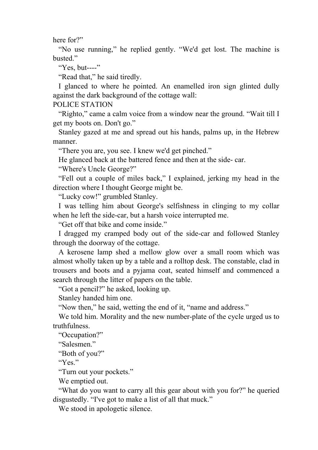here for?"

 "No use running," he replied gently. "We'd get lost. The machine is busted<sup>"</sup>

"Yes, but----"

"Read that," he said tiredly.

 I glanced to where he pointed. An enamelled iron sign glinted dully against the dark background of the cottage wall:

POLICE STATION

 "Righto," came a calm voice from a window near the ground. "Wait till I get my boots on. Don't go."

 Stanley gazed at me and spread out his hands, palms up, in the Hebrew manner.

"There you are, you see. I knew we'd get pinched."

He glanced back at the battered fence and then at the side- car.

"Where's Uncle George?"

 "Fell out a couple of miles back," I explained, jerking my head in the direction where I thought George might be.

"Lucky cow!" grumbled Stanley.

 I was telling him about George's selfishness in clinging to my collar when he left the side-car, but a harsh voice interrupted me.

"Get off that bike and come inside."

 I dragged my cramped body out of the side-car and followed Stanley through the doorway of the cottage.

 A kerosene lamp shed a mellow glow over a small room which was almost wholly taken up by a table and a rolltop desk. The constable, clad in trousers and boots and a pyjama coat, seated himself and commenced a search through the litter of papers on the table.

"Got a pencil?" he asked, looking up.

Stanley handed him one.

"Now then," he said, wetting the end of it, "name and address."

 We told him. Morality and the new number-plate of the cycle urged us to truthfulness.

"Occupation?"

"Salesmen."

"Both of you?"

"Yes."

"Turn out your pockets."

We emptied out.

 "What do you want to carry all this gear about with you for?" he queried disgustedly. "I've got to make a list of all that muck."

We stood in apologetic silence.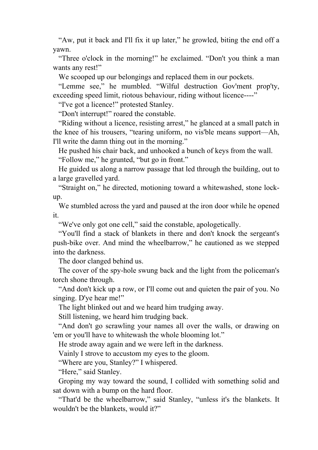"Aw, put it back and I'll fix it up later," he growled, biting the end off a yawn.

 "Three o'clock in the morning!" he exclaimed. "Don't you think a man wants any rest!"

We scooped up our belongings and replaced them in our pockets.

 "Lemme see," he mumbled. "Wilful destruction Gov'ment prop'ty, exceeding speed limit, riotous behaviour, riding without licence----"

"I've got a licence!" protested Stanley.

"Don't interrupt!" roared the constable.

 "Riding without a licence, resisting arrest," he glanced at a small patch in the knee of his trousers, "tearing uniform, no vis'ble means support—Ah, I'll write the damn thing out in the morning."

He pushed his chair back, and unhooked a bunch of keys from the wall.

"Follow me," he grunted, "but go in front."

 He guided us along a narrow passage that led through the building, out to a large gravelled yard.

 "Straight on," he directed, motioning toward a whitewashed, stone lockup.

 We stumbled across the yard and paused at the iron door while he opened it.

"We've only got one cell," said the constable, apologetically.

 "You'll find a stack of blankets in there and don't knock the sergeant's push-bike over. And mind the wheelbarrow," he cautioned as we stepped into the darkness.

The door clanged behind us.

 The cover of the spy-hole swung back and the light from the policeman's torch shone through.

 "And don't kick up a row, or I'll come out and quieten the pair of you. No singing. D'ye hear me!"

The light blinked out and we heard him trudging away.

Still listening, we heard him trudging back.

 "And don't go scrawling your names all over the walls, or drawing on 'em or you'll have to whitewash the whole blooming lot."

He strode away again and we were left in the darkness.

Vainly I strove to accustom my eyes to the gloom.

"Where are you, Stanley?" I whispered.

"Here," said Stanley.

 Groping my way toward the sound, I collided with something solid and sat down with a bump on the hard floor.

 "That'd be the wheelbarrow," said Stanley, "unless it's the blankets. It wouldn't be the blankets, would it?"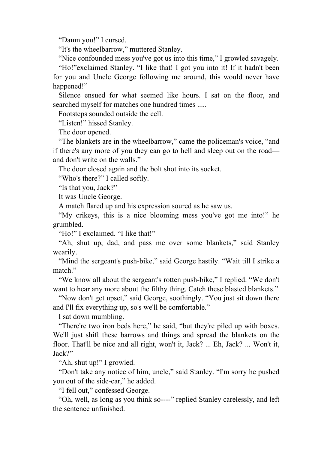"Damn you!" I cursed.

"It's the wheelbarrow," muttered Stanley.

"Nice confounded mess you've got us into this time," I growled savagely.

 "Ho!"exclaimed Stanley. "I like that! I got you into it! If it hadn't been for you and Uncle George following me around, this would never have happened!"

 Silence ensued for what seemed like hours. I sat on the floor, and searched myself for matches one hundred times .....

Footsteps sounded outside the cell.

"Listen!" hissed Stanley.

The door opened.

 "The blankets are in the wheelbarrow," came the policeman's voice, "and if there's any more of you they can go to hell and sleep out on the road and don't write on the walls."

The door closed again and the bolt shot into its socket.

"Who's there?" I called softly.

"Is that you, Jack?"

It was Uncle George.

A match flared up and his expression soured as he saw us.

 "My crikeys, this is a nice blooming mess you've got me into!" he grumbled.

"Ho!" I exclaimed. "I like that!"

 "Ah, shut up, dad, and pass me over some blankets," said Stanley wearily.

 "Mind the sergeant's push-bike," said George hastily. "Wait till I strike a match."

 "We know all about the sergeant's rotten push-bike," I replied. "We don't want to hear any more about the filthy thing. Catch these blasted blankets."

 "Now don't get upset," said George, soothingly. "You just sit down there and I'll fix everything up, so's we'll be comfortable."

I sat down mumbling.

 "There're two iron beds here," he said, "but they're piled up with boxes. We'll just shift these barrows and things and spread the blankets on the floor. That'll be nice and all right, won't it, Jack? ... Eh, Jack? ... Won't it, Jack?"

"Ah, shut up!" I growled.

 "Don't take any notice of him, uncle," said Stanley. "I'm sorry he pushed you out of the side-car," he added.

"I fell out," confessed George.

 "Oh, well, as long as you think so----" replied Stanley carelessly, and left the sentence unfinished.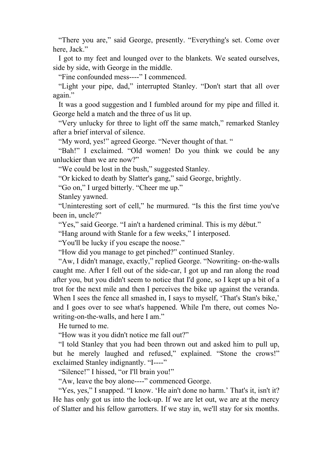"There you are," said George, presently. "Everything's set. Come over here, Jack."

 I got to my feet and lounged over to the blankets. We seated ourselves, side by side, with George in the middle.

"Fine confounded mess----" I commenced.

 "Light your pipe, dad," interrupted Stanley. "Don't start that all over again."

 It was a good suggestion and I fumbled around for my pipe and filled it. George held a match and the three of us lit up.

 "Very unlucky for three to light off the same match," remarked Stanley after a brief interval of silence.

"My word, yes!" agreed George. "Never thought of that. "

 "Bah!" I exclaimed. "Old women! Do you think we could be any unluckier than we are now?"

"We could be lost in the bush," suggested Stanley.

"Or kicked to death by Slatter's gang," said George, brightly.

"Go on," I urged bitterly. "Cheer me up."

Stanley yawned.

 "Uninteresting sort of cell," he murmured. "Is this the first time you've been in, uncle?"

"Yes," said George. "I ain't a hardened criminal. This is my début."

"Hang around with Stanle for a few weeks," I interposed.

"You'll be lucky if you escape the noose."

"How did you manage to get pinched?" continued Stanley.

 "Aw, I didn't manage, exactly," replied George. "Nowriting- on-the-walls caught me. After I fell out of the side-car, I got up and ran along the road after you, but you didn't seem to notice that I'd gone, so I kept up a bit of a trot for the next mile and then I perceives the bike up against the veranda. When I sees the fence all smashed in, I says to myself, 'That's Stan's bike,' and I goes over to see what's happened. While I'm there, out comes Nowriting-on-the-walls, and here I am."

He turned to me.

"How was it you didn't notice me fall out?"

 "I told Stanley that you had been thrown out and asked him to pull up, but he merely laughed and refused," explained. "Stone the crows!" exclaimed Stanley indignantly. "I----"

"Silence!" I hissed, "or I'll brain you!"

"Aw, leave the boy alone----" commenced George.

"Yes, yes," I snapped. "I know. 'He ain't done no harm.' That's it, isn't it? He has only got us into the lock-up. If we are let out, we are at the mercy of Slatter and his fellow garrotters. If we stay in, we'll stay for six months.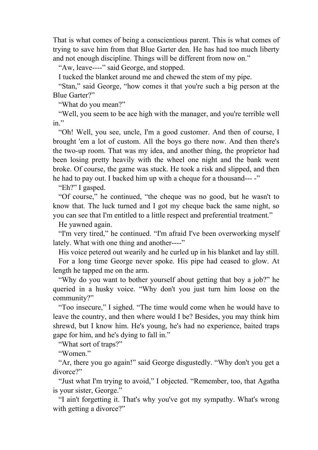That is what comes of being a conscientious parent. This is what comes of trying to save him from that Blue Garter den. He has had too much liberty and not enough discipline. Things will be different from now on."

"Aw, leave----" said George, and stopped.

I tucked the blanket around me and chewed the stem of my pipe.

 "Stan," said George, "how comes it that you're such a big person at the Blue Garter?"

"What do you mean?"

 "Well, you seem to be ace high with the manager, and you're terrible well in."

 "Oh! Well, you see, uncle, I'm a good customer. And then of course, I brought 'em a lot of custom. All the boys go there now. And then there's the two-up room. That was my idea, and another thing, the proprietor had been losing pretty heavily with the wheel one night and the bank went broke. Of course, the game was stuck. He took a risk and slipped, and then he had to pay out. I backed him up with a cheque for a thousand----"

"Eh?" I gasped.

 "Of course," he continued, "the cheque was no good, but he wasn't to know that. The luck turned and I got my cheque back the same night, so you can see that I'm entitled to a little respect and preferential treatment."

He yawned again.

 "I'm very tired," he continued. "I'm afraid I've been overworking myself lately. What with one thing and another----"

His voice petered out wearily and he curled up in his blanket and lay still.

 For a long time George never spoke. His pipe had ceased to glow. At length he tapped me on the arm.

 "Why do you want to bother yourself about getting that boy a job?" he queried in a husky voice. "Why don't you just turn him loose on the community?"

 "Too insecure," I sighed. "The time would come when he would have to leave the country, and then where would I be? Besides, you may think him shrewd, but I know him. He's young, he's had no experience, baited traps gape for him, and he's dying to fall in."

"What sort of traps?"

"Women."

 "Ar, there you go again!" said George disgustedly. "Why don't you get a divorce?"

 "Just what I'm trying to avoid," I objected. "Remember, too, that Agatha is your sister, George."

 "I ain't forgetting it. That's why you've got my sympathy. What's wrong with getting a divorce?"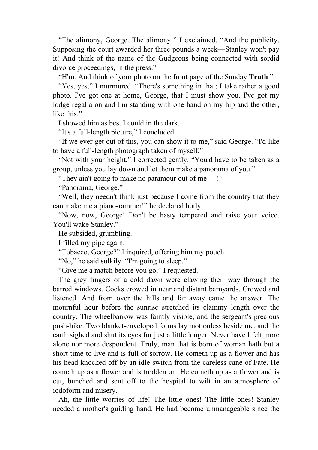"The alimony, George. The alimony!" I exclaimed. "And the publicity. Supposing the court awarded her three pounds a week—Stanley won't pay it! And think of the name of the Gudgeons being connected with sordid divorce proceedings, in the press."

"H'm. And think of your photo on the front page of the Sunday **Truth**."

"Yes, yes," I murmured. "There's something in that; I take rather a good photo. I've got one at home, George, that I must show you. I've got my lodge regalia on and I'm standing with one hand on my hip and the other, like this."

I showed him as best I could in the dark.

"It's a full-length picture," I concluded.

 "If we ever get out of this, you can show it to me," said George. "I'd like to have a full-length photograph taken of myself."

 "Not with your height," I corrected gently. "You'd have to be taken as a group, unless you lay down and let them make a panorama of you."

"They ain't going to make no paramour out of me----!"

"Panorama, George."

 "Well, they needn't think just because I come from the country that they can make me a piano-rammer!" he declared hotly.

 "Now, now, George! Don't be hasty tempered and raise your voice. You'll wake Stanley."

He subsided, grumbling.

I filled my pipe again.

"Tobacco, George?" I inquired, offering him my pouch.

"No," he said sulkily. "I'm going to sleep."

"Give me a match before you go," I requested.

 The grey fingers of a cold dawn were clawing their way through the barred windows. Cocks crowed in near and distant barnyards. Crowed and listened. And from over the hills and far away came the answer. The mournful hour before the sunrise stretched its clammy length over the country. The wheelbarrow was faintly visible, and the sergeant's precious push-bike. Two blanket-enveloped forms lay motionless beside me, and the earth sighed and shut its eyes for just a little longer. Never have I felt more alone nor more despondent. Truly, man that is born of woman hath but a short time to live and is full of sorrow. He cometh up as a flower and has his head knocked off by an idle switch from the careless cane of Fate. He cometh up as a flower and is trodden on. He cometh up as a flower and is cut, bunched and sent off to the hospital to wilt in an atmosphere of iodoform and misery.

 Ah, the little worries of life! The little ones! The little ones! Stanley needed a mother's guiding hand. He had become unmanageable since the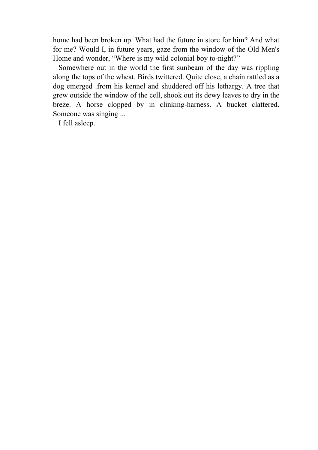home had been broken up. What had the future in store for him? And what for me? Would I, in future years, gaze from the window of the Old Men's Home and wonder, "Where is my wild colonial boy to-night?"

 Somewhere out in the world the first sunbeam of the day was rippling along the tops of the wheat. Birds twittered. Quite close, a chain rattled as a dog emerged .from his kennel and shuddered off his lethargy. A tree that grew outside the window of the cell, shook out its dewy leaves to dry in the breze. A horse clopped by in clinking-harness. A bucket clattered. Someone was singing ...

I fell asleep.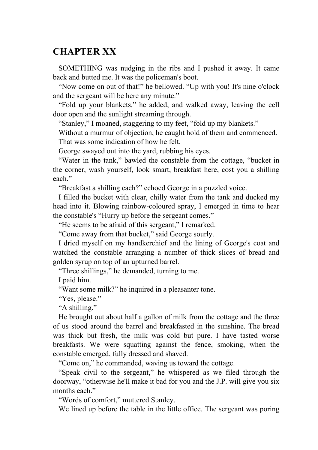#### **CHAPTER XX**

 SOMETHING was nudging in the ribs and I pushed it away. It came back and butted me. It was the policeman's boot.

 "Now come on out of that!" he bellowed. "Up with you! It's nine o'clock and the sergeant will be here any minute."

 "Fold up your blankets," he added, and walked away, leaving the cell door open and the sunlight streaming through.

"Stanley," I moaned, staggering to my feet, "fold up my blankets."

Without a murmur of objection, he caught hold of them and commenced.

That was some indication of how he felt.

George swayed out into the yard, rubbing his eyes.

 "Water in the tank," bawled the constable from the cottage, "bucket in the corner, wash yourself, look smart, breakfast here, cost you a shilling each."

"Breakfast a shilling each?" echoed George in a puzzled voice.

 I filled the bucket with clear, chilly water from the tank and ducked my head into it. Blowing rainbow-coloured spray, I emerged in time to hear the constable's "Hurry up before the sergeant comes."

"He seems to be afraid of this sergeant," I remarked.

"Come away from that bucket," said George sourly.

 I dried myself on my handkerchief and the lining of George's coat and watched the constable arranging a number of thick slices of bread and golden syrup on top of an upturned barrel.

"Three shillings," he demanded, turning to me.

I paid him.

"Want some milk?" he inquired in a pleasanter tone.

"Yes, please."

"A shilling."

 He brought out about half a gallon of milk from the cottage and the three of us stood around the barrel and breakfasted in the sunshine. The bread was thick but fresh, the milk was cold but pure. I have tasted worse breakfasts. We were squatting against the fence, smoking, when the constable emerged, fully dressed and shaved.

"Come on," he commanded, waving us toward the cottage.

 "Speak civil to the sergeant," he whispered as we filed through the doorway, "otherwise he'll make it bad for you and the J.P. will give you six months each."

"Words of comfort," muttered Stanley.

We lined up before the table in the little office. The sergeant was poring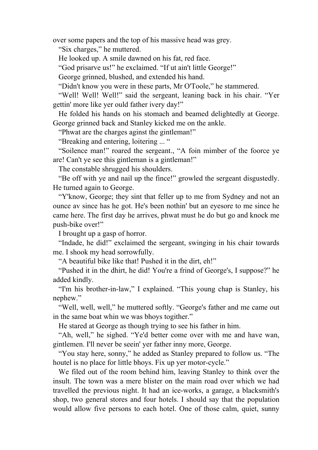over some papers and the top of his massive head was grey.

"Six charges," he muttered.

He looked up. A smile dawned on his fat, red face.

"God prisarve us!" he exclaimed. "If ut ain't little George!"

George grinned, blushed, and extended his hand.

"Didn't know you were in these parts, Mr O'Toole," he stammered.

 "Well! Well! Well!" said the sergeant, leaning back in his chair. "Yer gettin' more like yer ould father ivery day!"

 He folded his hands on his stomach and beamed delightedly at George. George grinned back and Stanley kicked me on the ankle.

"Phwat are the charges aginst the gintleman!"

"Breaking and entering, loitering ... "

 "Soilence man!" roared the sergeant., "A foin mimber of the foorce ye are! Can't ye see this gintleman is a gintleman!"

The constable shrugged his shoulders.

 "Be off with ye and nail up the fince!" growled the sergeant disgustedly. He turned again to George.

 "Y'know, George; they sint that feller up to me from Sydney and not an ounce av since has he got. He's been nothin' but an eyesore to me since he came here. The first day he arrives, phwat must he do but go and knock me push-bike over!"

I brought up a gasp of horror.

 "Indade, he did!" exclaimed the sergeant, swinging in his chair towards me. I shook my head sorrowfully.

"A beautiful bike like that! Pushed it in the dirt, eh!"

 "Pushed it in the dhirt, he did! You're a frind of George's, I suppose?" he added kindly.

 "I'm his brother-in-law," I explained. "This young chap is Stanley, his nephew."

 "Well, well, well," he muttered softly. "George's father and me came out in the same boat whin we was bhoys togither."

He stared at George as though trying to see his father in him.

 "Ah, well," he sighed. "Ye'd better come over with me and have wan, gintlemen. I'll never be seein' yer father inny more, George.

 "You stay here, sonny," he added as Stanley prepared to follow us. "The houtel is no place for little bhoys. Fix up yer motor-cycle."

 We filed out of the room behind him, leaving Stanley to think over the insult. The town was a mere blister on the main road over which we had travelled the previous night. It had an ice-works, a garage, a blacksmith's shop, two general stores and four hotels. I should say that the population would allow five persons to each hotel. One of those calm, quiet, sunny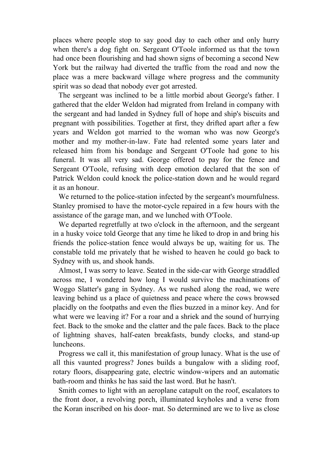places where people stop to say good day to each other and only hurry when there's a dog fight on. Sergeant O'Toole informed us that the town had once been flourishing and had shown signs of becoming a second New York but the railway had diverted the traffic from the road and now the place was a mere backward village where progress and the community spirit was so dead that nobody ever got arrested.

 The sergeant was inclined to be a little morbid about George's father. I gathered that the elder Weldon had migrated from Ireland in company with the sergeant and had landed in Sydney full of hope and ship's biscuits and pregnant with possibilities. Together at first, they drifted apart after a few years and Weldon got married to the woman who was now George's mother and my mother-in-law. Fate had relented some years later and released him from his bondage and Sergeant O'Toole had gone to his funeral. It was all very sad. George offered to pay for the fence and Sergeant O'Toole, refusing with deep emotion declared that the son of Patrick Weldon could knock the police-station down and he would regard it as an honour.

 We returned to the police-station infected by the sergeant's mournfulness. Stanley promised to have the motor-cycle repaired in a few hours with the assistance of the garage man, and we lunched with O'Toole.

We departed regretfully at two o'clock in the afternoon, and the sergeant in a husky voice told George that any time he liked to drop in and bring his friends the police-station fence would always be up, waiting for us. The constable told me privately that he wished to heaven he could go back to Sydney with us, and shook hands.

 Almost, I was sorry to leave. Seated in the side-car with George straddled across me, I wondered how long I would survive the machinations of Woggo Slatter's gang in Sydney. As we rushed along the road, we were leaving behind us a place of quietness and peace where the cows browsed placidly on the footpaths and even the flies buzzed in a minor key. And for what were we leaving it? For a roar and a shriek and the sound of hurrying feet. Back to the smoke and the clatter and the pale faces. Back to the place of lightning shaves, half-eaten breakfasts, bundy clocks, and stand-up luncheons.

 Progress we call it, this manifestation of group lunacy. What is the use of all this vaunted progress? Jones builds a bungalow with a sliding roof, rotary floors, disappearing gate, electric window-wipers and an automatic bath-room and thinks he has said the last word. But he hasn't.

 Smith comes to light with an aeroplane catapult on the roof, escalators to the front door, a revolving porch, illuminated keyholes and a verse from the Koran inscribed on his door- mat. So determined are we to live as close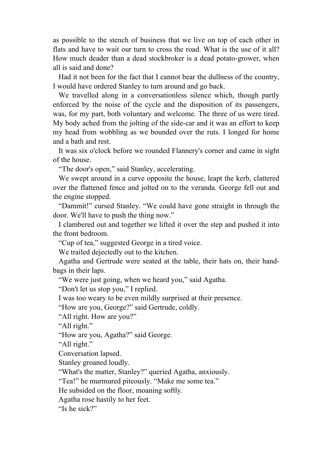as possible to the stench of business that we live on top of each other in flats and have to wait our turn to cross the road. What is the use of it all? How much deader than a dead stockbroker is a dead potato-grower, when all is said and done?

 Had it not been for the fact that I cannot bear the dullness of the country, I would have ordered Stanley to turn around and go back.

 We travelled along in a conversationless silence which, though partly enforced by the noise of the cycle and the disposition of its passengers, was, for my part, both voluntary and welcome. The three of us were tired. My body ached from the jolting of the side-car and it was an effort to keep my head from wobbling as we bounded over the ruts. I longed for home and a bath and rest.

 It was six o'clock before we rounded Flannery's corner and came in sight of the house.

"The door's open," said Stanley, accelerating.

 We swept around in a curve opposite the house, leapt the kerb, clattered over the flattened fence and jolted on to the veranda. George fell out and the engine stopped.

 "Dammit!" cursed Stanley. "We could have gone straight in through the door. We'll have to push the thing now."

 I clambered out and together we lifted it over the step and pushed it into the front bedroom.

"Cup of tea," suggested George in a tired voice.

We trailed dejectedly out to the kitchen.

 Agatha and Gertrude were seated at the table, their hats on, their handbags in their laps.

"We were just going, when we heard you," said Agatha.

"Don't let us stop you," I replied.

I was too weary to be even mildly surprised at their presence.

"How are you, George?" said Gertrude, coldly.

"All right. How are you?"

"All right."

"How are you, Agatha?" said George.

"All right."

Conversation lapsed.

Stanley groaned loudly.

"What's the matter, Stanley?" queried Agatha, anxiously.

"Tea!" he murmured piteously. "Make me some tea."

He subsided on the floor, moaning softly.

Agatha rose hastily to her feet.

"Is he sick?"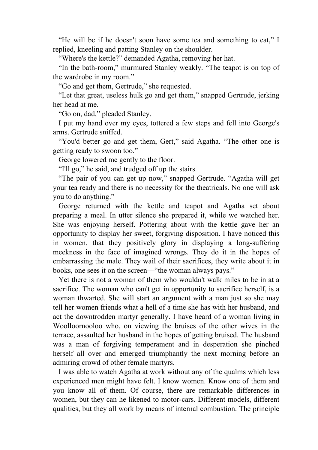"He will be if he doesn't soon have some tea and something to eat," I replied, kneeling and patting Stanley on the shoulder.

"Where's the kettle?" demanded Agatha, removing her hat.

 "In the bath-room," murmured Stanley weakly. "The teapot is on top of the wardrobe in my room."

"Go and get them, Gertrude," she requested.

 "Let that great, useless hulk go and get them," snapped Gertrude, jerking her head at me.

"Go on, dad," pleaded Stanley.

 I put my hand over my eyes, tottered a few steps and fell into George's arms. Gertrude sniffed.

 "You'd better go and get them, Gert," said Agatha. "The other one is getting ready to swoon too."

George lowered me gently to the floor.

"I'll go," he said, and trudged off up the stairs.

 "The pair of you can get up now," snapped Gertrude. "Agatha will get your tea ready and there is no necessity for the theatricals. No one will ask you to do anything."

 George returned with the kettle and teapot and Agatha set about preparing a meal. In utter silence she prepared it, while we watched her. She was enjoying herself. Pottering about with the kettle gave her an opportunity to display her sweet, forgiving disposition. I have noticed this in women, that they positively glory in displaying a long-suffering meekness in the face of imagined wrongs. They do it in the hopes of embarrassing the male. They wail of their sacrifices, they write about it in books, one sees it on the screen—"the woman always pays."

 Yet there is not a woman of them who wouldn't walk miles to be in at a sacrifice. The woman who can't get in opportunity to sacrifice herself, is a woman thwarted. She will start an argument with a man just so she may tell her women friends what a hell of a time she has with her husband, and act the downtrodden martyr generally. I have heard of a woman living in Woolloornooloo who, on viewing the bruises of the other wives in the terrace, assaulted her husband in the hopes of getting bruised. The husband was a man of forgiving temperament and in desperation she pinched herself all over and emerged triumphantly the next morning before an admiring crowd of other female martyrs.

 I was able to watch Agatha at work without any of the qualms which less experienced men might have felt. I know women. Know one of them and you know all of them. Of course, there are remarkable differences in women, but they can he likened to motor-cars. Different models, different qualities, but they all work by means of internal combustion. The principle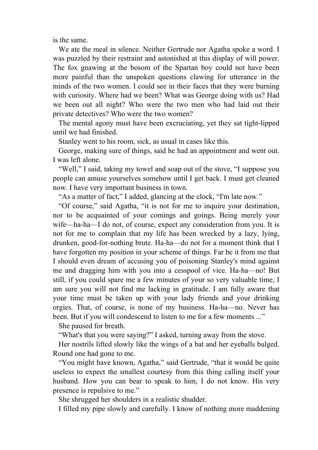is the same.

 We ate the meal in silence. Neither Gertrude nor Agatha spoke a word. I was puzzled by their restraint and astonished at this display of will power. The fox gnawing at the bosom of the Spartan boy could not have been more painful than the unspoken questions clawing for utterance in the minds of the two women. I could see in their faces that they were burning with curiosity. Where had we been? What was George doing with us? Had we been out all night? Who were the two men who had laid out their private detectives? Who were the two women?

 The mental agony must have been excruciating, yet they sat tight-lipped until we had finished.

Stanley went to his room, sick, as usual in cases like this.

 George, making sure of things, said he had an appointment and went out. I was left alone.

 "Well," I said, taking my towel and soap out of the stove, "I suppose you people can amuse yourselves somehow until I get back. I must get cleaned now. I have very important business in town.

"As a matter of fact," I added, glancing at the clock, "I'm late now."

 "Of course," said Agatha, "it is not for me to inquire your destination, nor to be acquainted of your comings and goings. Being merely your wife—ha-ha—I do not, of course, expect any consideration from you. It is not for me to complain that my life has been wrecked by a lazy, lying, drunken, good-for-nothing brute. Ha-ha—do not for a moment think that I have forgotten my position in your scheme of things. Far be it from me that I should even dream of accusing you of poisoning Stanley's mind against me and dragging him with you into a cesspool of vice. Ha-ha—no! But still, if you could spare me a few minutes of your so very valuable time, I am sure you will not find me lacking in gratitude. I am fully aware that your time must be taken up with your lady friends and your drinking orgies. That, of course, is none of my business. Ha-ha—no. Never has been. But if you will condescend to listen to me for a few moments ..."

She paused for breath.

"What's that you were saying?" I asked, turning away from the stove.

 Her nostrils lifted slowly like the wings of a bat and her eyeballs bulged. Round one had gone to me.

 "You might have known, Agatha," said Gertrude, "that it would be quite useless to expect the smallest courtesy from this thing calling itself your husband. How you can bear to speak to him, I do not know. His very presence is repulsive to me."

She shrugged her shoulders in a realistic shudder.

I filled my pipe slowly and carefully. I know of nothing more maddening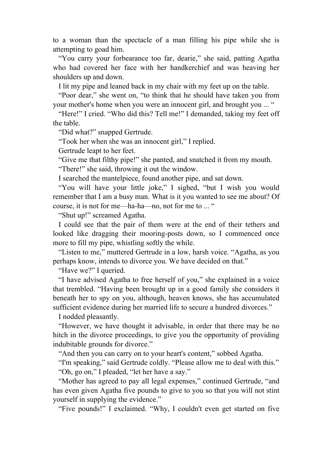to a woman than the spectacle of a man filling his pipe while she is attempting to goad him.

 "You carry your forbearance too far, dearie," she said, patting Agatha who had covered her face with her handkerchief and was heaving her shoulders up and down.

I lit my pipe and leaned back in my chair with my feet up on the table.

 "Poor dear," she went on, "to think that he should have taken you from your mother's home when you were an innocent girl, and brought you ... "

"Here!" I cried. "Who did this? Tell me!" I demanded, taking my feet off the table.

"Did what?" snapped Gertrude.

"Took her when she was an innocent girl," I replied.

Gertrude leapt to her feet.

"Give me that filthy pipe!" she panted, and snatched it from my mouth.

"There!" she said, throwing it out the window.

I searched the mantelpiece, found another pipe, and sat down.

 "You will have your little joke," I sighed, "but I wish you would remember that I am a busy man. What is it you wanted to see me about? Of course, it is not for me—ha-ha—no, not for me to ... "

"Shut up!" screamed Agatha.

 I could see that the pair of them were at the end of their tethers and looked like dragging their mooring-posts down, so I commenced once more to fill my pipe, whistling softly the while.

 "Listen to me," muttered Gertrude in a low, harsh voice. "Agatha, as you perhaps know, intends to divorce you. We have decided on that."

"Have we?" I queried.

 "I have advised Agatha to free herself of you," she explained in a voice that trembled. "Having been brought up in a good family she considers it beneath her to spy on you, although, heaven knows, she has accumulated sufficient evidence during her married life to secure a hundred divorces."

I nodded pleasantly.

 "However, we have thought it advisable, in order that there may be no hitch in the divorce proceedings, to give you the opportunity of providing indubitable grounds for divorce."

"And then you can carry on to your heart's content," sobbed Agatha.

"I'm speaking," said Gertrude coldly. "Please allow me to deal with this."

"Oh, go on," I pleaded, "let her have a say."

 "Mother has agreed to pay all legal expenses," continued Gertrude, "and has even given Agatha five pounds to give to you so that you will not stint yourself in supplying the evidence."

"Five pounds!" I exclaimed. "Why, I couldn't even get started on five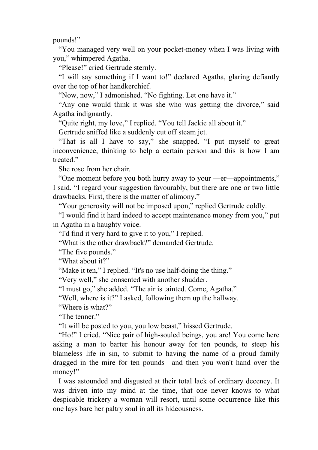pounds!"

 "You managed very well on your pocket-money when I was living with you," whimpered Agatha.

"Please!" cried Gertrude sternly.

 "I will say something if I want to!" declared Agatha, glaring defiantly over the top of her handkerchief.

"Now, now," I admonished. "No fighting. Let one have it."

 "Any one would think it was she who was getting the divorce," said Agatha indignantly.

"Quite right, my love," I replied. "You tell Jackie all about it."

Gertrude sniffed like a suddenly cut off steam jet.

 "That is all I have to say," she snapped. "I put myself to great inconvenience, thinking to help a certain person and this is how I am treated."

She rose from her chair.

 "One moment before you both hurry away to your —er—appointments," I said. "I regard your suggestion favourably, but there are one or two little drawbacks. First, there is the matter of alimony."

"Your generosity will not be imposed upon," replied Gertrude coldly.

 "I would find it hard indeed to accept maintenance money from you," put in Agatha in a haughty voice.

"I'd find it very hard to give it to you," I replied.

"What is the other drawback?" demanded Gertrude.

"The five pounds."

"What about it?"

"Make it ten," I replied. "It's no use half-doing the thing."

"Very well," she consented with another shudder.

"I must go," she added. "The air is tainted. Come, Agatha."

"Well, where is it?" I asked, following them up the hallway.

"Where is what?"

"The tenner."

"It will be posted to you, you low beast," hissed Gertrude.

 "Ho!" I cried. "Nice pair of high-souled beings, you are! You come here asking a man to barter his honour away for ten pounds, to steep his blameless life in sin, to submit to having the name of a proud family dragged in the mire for ten pounds—and then you won't hand over the money!"

 I was astounded and disgusted at their total lack of ordinary decency. It was driven into my mind at the time, that one never knows to what despicable trickery a woman will resort, until some occurrence like this one lays bare her paltry soul in all its hideousness.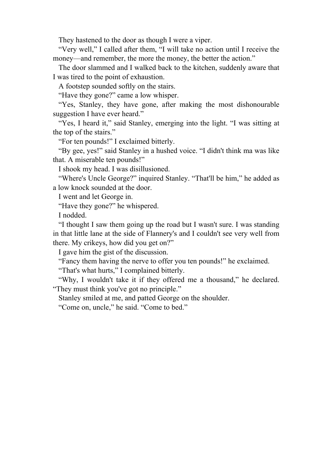They hastened to the door as though I were a viper.

 "Very well," I called after them, "I will take no action until I receive the money—and remember, the more the money, the better the action."

 The door slammed and I walked back to the kitchen, suddenly aware that I was tired to the point of exhaustion.

A footstep sounded softly on the stairs.

"Have they gone?" came a low whisper.

 "Yes, Stanley, they have gone, after making the most dishonourable suggestion I have ever heard."

 "Yes, I heard it," said Stanley, emerging into the light. "I was sitting at the top of the stairs."

"For ten pounds!" I exclaimed bitterly.

 "By gee, yes!" said Stanley in a hushed voice. "I didn't think ma was like that. A miserable ten pounds!"

I shook my head. I was disillusioned.

 "Where's Uncle George?" inquired Stanley. "That'll be him," he added as a low knock sounded at the door.

I went and let George in.

"Have they gone?" he whispered.

I nodded.

 "I thought I saw them going up the road but I wasn't sure. I was standing in that little lane at the side of Flannery's and I couldn't see very well from there. My crikeys, how did you get on?"

I gave him the gist of the discussion.

"Fancy them having the nerve to offer you ten pounds!" he exclaimed.

"That's what hurts," I complained bitterly.

 "Why, I wouldn't take it if they offered me a thousand," he declared. "They must think you've got no principle."

Stanley smiled at me, and patted George on the shoulder.

"Come on, uncle," he said. "Come to bed."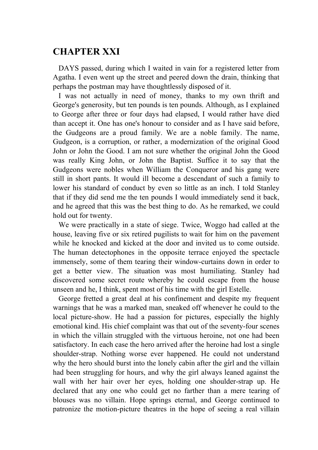## **CHAPTER XXI**

 DAYS passed, during which I waited in vain for a registered letter from Agatha. I even went up the street and peered down the drain, thinking that perhaps the postman may have thoughtlessly disposed of it.

 I was not actually in need of money, thanks to my own thrift and George's generosity, but ten pounds is ten pounds. Although, as I explained to George after three or four days had elapsed, I would rather have died than accept it. One has one's honour to consider and as I have said before, the Gudgeons are a proud family. We are a noble family. The name, Gudgeon, is a corruption, or rather, a modernization of the original Good John or John the Good. I am not sure whether the original John the Good was really King John, or John the Baptist. Suffice it to say that the Gudgeons were nobles when William the Conqueror and his gang were still in short pants. It would ill become a descendant of such a family to lower his standard of conduct by even so little as an inch. I told Stanley that if they did send me the ten pounds I would immediately send it back, and he agreed that this was the best thing to do. As he remarked, we could hold out for twenty.

 We were practically in a state of siege. Twice, Woggo had called at the house, leaving five or six retired pugilists to wait for him on the pavement while he knocked and kicked at the door and invited us to come outside. The human detectophones in the opposite terrace enjoyed the spectacle immensely, some of them tearing their window-curtains down in order to get a better view. The situation was most humiliating. Stanley had discovered some secret route whereby he could escape from the house unseen and he, I think, spent most of his time with the girl Estelle.

 George fretted a great deal at his confinement and despite my frequent warnings that he was a marked man, sneaked off whenever he could to the local picture-show. He had a passion for pictures, especially the highly emotional kind. His chief complaint was that out of the seventy-four scenes in which the villain struggled with the virtuous heroine, not one had been satisfactory. In each case the hero arrived after the heroine had lost a single shoulder-strap. Nothing worse ever happened. He could not understand why the hero should burst into the lonely cabin after the girl and the villain had been struggling for hours, and why the girl always leaned against the wall with her hair over her eyes, holding one shoulder-strap up. He declared that any one who could get no farther than a mere tearing of blouses was no villain. Hope springs eternal, and George continued to patronize the motion-picture theatres in the hope of seeing a real villain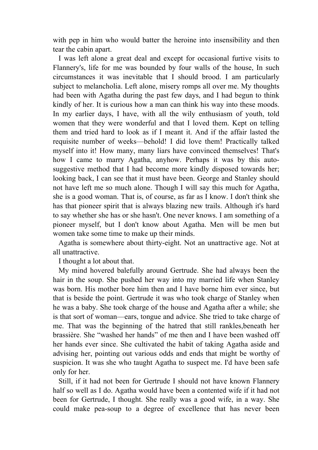with pep in him who would batter the heroine into insensibility and then tear the cabin apart.

 I was left alone a great deal and except for occasional furtive visits to Flannery's, life for me was bounded by four walls of the house, In such circumstances it was inevitable that I should brood. I am particularly subject to melancholia. Left alone, misery romps all over me. My thoughts had been with Agatha during the past few days, and I had begun to think kindly of her. It is curious how a man can think his way into these moods. In my earlier days, I have, with all the wily enthusiasm of youth, told women that they were wonderful and that I loved them. Kept on telling them and tried hard to look as if I meant it. And if the affair lasted the requisite number of weeks—behold! I did love them! Practically talked myself into it! How many, many liars have convinced themselves! That's how I came to marry Agatha, anyhow. Perhaps it was by this autosuggestive method that I had become more kindly disposed towards her; looking back, I can see that it must have been. George and Stanley should not have left me so much alone. Though I will say this much for Agatha, she is a good woman. That is, of course, as far as I know. I don't think she has that pioneer spirit that is always blazing new trails. Although it's hard to say whether she has or she hasn't. One never knows. I am something of a pioneer myself, but I don't know about Agatha. Men will be men but women take some time to make up their minds.

 Agatha is somewhere about thirty-eight. Not an unattractive age. Not at all unattractive.

I thought a lot about that.

 My mind hovered balefully around Gertrude. She had always been the hair in the soup. She pushed her way into my married life when Stanley was born. His mother bore him then and I have borne him ever since, but that is beside the point. Gertrude it was who took charge of Stanley when he was a baby. She took charge of the house and Agatha after a while; she is that sort of woman—ears, tongue and advice. She tried to take charge of me. That was the beginning of the hatred that still rankles,beneath her brassière. She "washed her hands" of me then and I have been washed off her hands ever since. She cultivated the habit of taking Agatha aside and advising her, pointing out various odds and ends that might be worthy of suspicion. It was she who taught Agatha to suspect me. I'd have been safe only for her.

 Still, if it had not been for Gertrude I should not have known Flannery half so well as I do. Agatha would have been a contented wife if it had not been for Gertrude, I thought. She really was a good wife, in a way. She could make pea-soup to a degree of excellence that has never been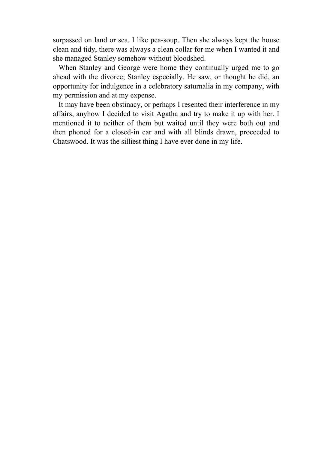surpassed on land or sea. I like pea-soup. Then she always kept the house clean and tidy, there was always a clean collar for me when I wanted it and she managed Stanley somehow without bloodshed.

 When Stanley and George were home they continually urged me to go ahead with the divorce; Stanley especially. He saw, or thought he did, an opportunity for indulgence in a celebratory saturnalia in my company, with my permission and at my expense.

 It may have been obstinacy, or perhaps I resented their interference in my affairs, anyhow I decided to visit Agatha and try to make it up with her. I mentioned it to neither of them but waited until they were both out and then phoned for a closed-in car and with all blinds drawn, proceeded to Chatswood. It was the silliest thing I have ever done in my life.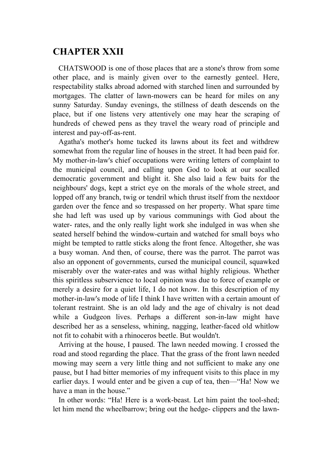# **CHAPTER XXII**

 CHATSWOOD is one of those places that are a stone's throw from some other place, and is mainly given over to the earnestly genteel. Here, respectability stalks abroad adorned with starched linen and surrounded by mortgages. The clatter of lawn-mowers can be heard for miles on any sunny Saturday. Sunday evenings, the stillness of death descends on the place, but if one listens very attentively one may hear the scraping of hundreds of chewed pens as they travel the weary road of principle and interest and pay-off-as-rent.

 Agatha's mother's home tucked its lawns about its feet and withdrew somewhat from the regular line of houses in the street. It had been paid for. My mother-in-law's chief occupations were writing letters of complaint to the municipal council, and calling upon God to look at our socalled democratic government and blight it. She also laid a few baits for the neighbours' dogs, kept a strict eye on the morals of the whole street, and lopped off any branch, twig or tendril which thrust itself from the nextdoor garden over the fence and so trespassed on her property. What spare time she had left was used up by various communings with God about the water- rates, and the only really light work she indulged in was when she seated herself behind the window-curtain and watched for small boys who might be tempted to rattle sticks along the front fence. Altogether, she was a busy woman. And then, of course, there was the parrot. The parrot was also an opponent of governments, cursed the municipal council, squawked miserably over the water-rates and was withal highly religious. Whether this spiritless subservience to local opinion was due to force of example or merely a desire for a quiet life, I do not know. In this description of my mother-in-law's mode of life I think I have written with a certain amount of tolerant restraint. She is an old lady and the age of chivalry is not dead while a Gudgeon lives. Perhaps a different son-in-law might have described her as a senseless, whining, nagging, leather-faced old whitlow not fit to cohabit with a rhinoceros beetle. But wouldn't.

 Arriving at the house, I paused. The lawn needed mowing. I crossed the road and stood regarding the place. That the grass of the front lawn needed mowing may seern a very little thing and not sufficient to make any one pause, but I had bitter memories of my infrequent visits to this place in my earlier days. I would enter and be given a cup of tea, then—"Ha! Now we have a man in the house."

 In other words: "Ha! Here is a work-beast. Let him paint the tool-shed; let him mend the wheelbarrow; bring out the hedge- clippers and the lawn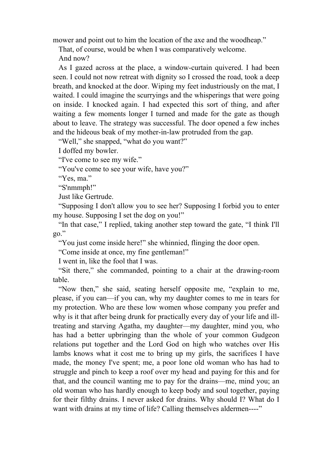mower and point out to him the location of the axe and the woodheap."

That, of course, would be when I was comparatively welcome.

And now?

 As I gazed across at the place, a window-curtain quivered. I had been seen. I could not now retreat with dignity so I crossed the road, took a deep breath, and knocked at the door. Wiping my feet industriously on the mat, I waited. I could imagine the scurryings and the whisperings that were going on inside. I knocked again. I had expected this sort of thing, and after waiting a few moments longer I turned and made for the gate as though about to leave. The strategy was successful. The door opened a few inches and the hideous beak of my mother-in-law protruded from the gap.

"Well," she snapped, "what do you want?"

I doffed my bowler.

"I've come to see my wife."

"You've come to see your wife, have you?"

"Yes, ma."

"S'nmmph!"

Just like Gertrude.

 "Supposing I don't allow you to see her? Supposing I forbid you to enter my house. Supposing I set the dog on you!"

 "In that case," I replied, taking another step toward the gate, "I think I'll go."

"You just come inside here!" she whinnied, flinging the door open.

"Come inside at once, my fine gentleman!"

I went in, like the fool that I was.

 "Sit there," she commanded, pointing to a chair at the drawing-room table.

 "Now then," she said, seating herself opposite me, "explain to me, please, if you can—if you can, why my daughter comes to me in tears for my protection. Who are these low women whose company you prefer and why is it that after being drunk for practically every day of your life and illtreating and starving Agatha, my daughter—my daughter, mind you, who has had a better upbringing than the whole of your common Gudgeon relations put together and the Lord God on high who watches over His lambs knows what it cost me to bring up my girls, the sacrifices I have made, the money I've spent; me, a poor lone old woman who has had to struggle and pinch to keep a roof over my head and paying for this and for that, and the council wanting me to pay for the drains—me, mind you; an old woman who has hardly enough to keep body and soul together, paying for their filthy drains. I never asked for drains. Why should I? What do I want with drains at my time of life? Calling themselves aldermen----"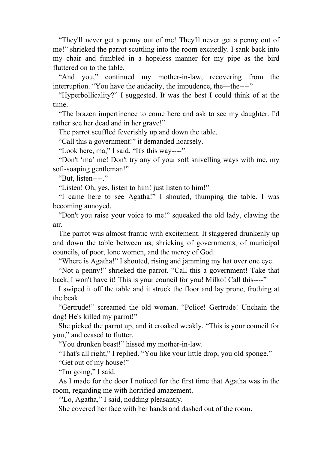"They'll never get a penny out of me! They'll never get a penny out of me!" shrieked the parrot scuttling into the room excitedly. I sank back into my chair and fumbled in a hopeless manner for my pipe as the bird fluttered on to the table.

 "And you," continued my mother-in-law, recovering from the interruption. "You have the audacity, the impudence, the—the----"

 "Hyperbollicality?" I suggested. It was the best I could think of at the time.

 "The brazen impertinence to come here and ask to see my daughter. I'd rather see her dead and in her grave!"

The parrot scuffled feverishly up and down the table.

"Call this a government!" it demanded hoarsely.

"Look here, ma," I said. "It's this way----"

 "Don't 'ma' me! Don't try any of your soft snivelling ways with me, my soft-soaping gentleman!"

"But, listen----."

"Listen! Oh, yes, listen to him! just listen to him!"

 "I came here to see Agatha!" I shouted, thumping the table. I was becoming annoyed.

 "Don't you raise your voice to me!" squeaked the old lady, clawing the air.

 The parrot was almost frantic with excitement. It staggered drunkenly up and down the table between us, shrieking of governments, of municipal councils, of poor, lone women, and the mercy of God.

"Where is Agatha!" I shouted, rising and jamming my hat over one eye.

 "Not a penny!" shrieked the parrot. "Call this a government! Take that back, I won't have it! This is your council for you! Milko! Call this----"

 I swiped it off the table and it struck the floor and lay prone, frothing at the beak.

 "Gertrude!" screamed the old woman. "Police! Gertrude! Unchain the dog! He's killed my parrot!"

 She picked the parrot up, and it croaked weakly, "This is your council for you," and ceased to flutter.

"You drunken beast!" hissed my mother-in-law.

"That's all right," I replied. "You like your little drop, you old sponge."

"Get out of my house!"

"I'm going," I said.

 As I made for the door I noticed for the first time that Agatha was in the room, regarding me with horrified amazement.

"'Lo, Agatha," I said, nodding pleasantly.

She covered her face with her hands and dashed out of the room.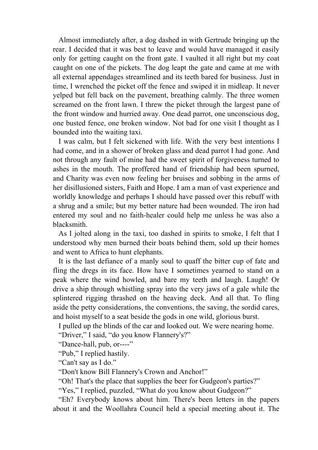Almost immediately after, a dog dashed in with Gertrude bringing up the rear. I decided that it was best to leave and would have managed it easily only for getting caught on the front gate. I vaulted it all right but my coat caught on one of the pickets. The dog leapt the gate and came at me with all external appendages streamlined and its teeth bared for business. Just in time, I wrenched the picket off the fence and swiped it in midleap. It never yelped but fell back on the pavement, breathing calmly. The three women screamed on the front lawn. I threw the picket through the largest pane of the front window and hurried away. One dead parrot, one unconscious dog, one busted fence, one broken window. Not bad for one visit I thought as I bounded into the waiting taxi.

 I was calm, but I felt sickened with life. With the very best intentions I had come, and in a shower of broken glass and dead parrot I had gone. And not through any fault of mine had the sweet spirit of forgiveness turned to ashes in the mouth. The proffered hand of friendship had been spurned, and Charity was even now feeling her bruises and sobbing in the arms of her disillusioned sisters, Faith and Hope. I am a man of vast experience and worldly knowledge and perhaps I should have passed over this rebuff with a shrug and a smile; but my better nature had been wounded. The iron had entered my soul and no faith-healer could help me unless he was also a blacksmith.

 As I jolted along in the taxi, too dashed in spirits to smoke, I felt that I understood why men burned their boats behind them, sold up their homes and went to Africa to hunt elephants.

 It is the last defiance of a manly soul to quaff the bitter cup of fate and fling the dregs in its face. How have I sometimes yearned to stand on a peak where the wind howled, and bare my teeth and laugh. Laugh! Or drive a ship through whistling spray into the very jaws of a gale while the splintered rigging thrashed on the heaving deck. And all that. To fling aside the petty considerations, the conventions, the saving, the sordid cares, and hoist myself to a seat beside the gods in one wild, glorious burst.

I pulled up the blinds of the car and looked out. We were nearing home.

"Driver," I said, "do you know Flannery's?"

"Dance-hall, pub, or----"

"Pub," I replied hastily.

"Can't say as I do."

"Don't know Bill Flannery's Crown and Anchor!"

"Oh! That's the place that supplies the beer for Gudgeon's parties?"

"Yes," I replied, puzzled, "What do you know about Gudgeon?"

 "Eh? Everybody knows about him. There's been letters in the papers about it and the Woollahra Council held a special meeting about it. The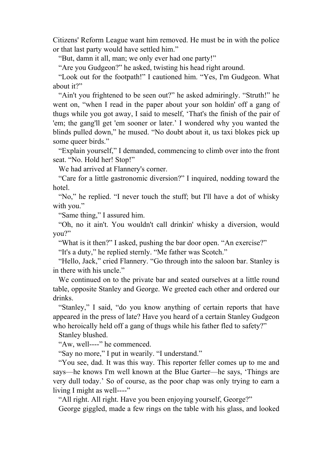Citizens' Reform League want him removed. He must be in with the police or that last party would have settled him."

"But, damn it all, man; we only ever had one party!"

"Are you Gudgeon?" he asked, twisting his head right around.

 "Look out for the footpath!" I cautioned him. "Yes, I'm Gudgeon. What about it?"

 "Ain't you frightened to be seen out?" he asked admiringly. "Struth!" he went on, "when I read in the paper about your son holdin' off a gang of thugs while you got away, I said to meself, 'That's the finish of the pair of 'em; the gang'll get 'em sooner or later.' I wondered why you wanted the blinds pulled down," he mused. "No doubt about it, us taxi blokes pick up some queer birds."

 "Explain yourself," I demanded, commencing to climb over into the front seat. "No. Hold her! Stop!"

We had arrived at Flannery's corner.

 "Care for a little gastronomic diversion?" I inquired, nodding toward the hotel.

 "No," he replied. "I never touch the stuff; but I'll have a dot of whisky with you."

"Same thing," I assured him.

 "Oh, no it ain't. You wouldn't call drinkin' whisky a diversion, would you?"

"What is it then?" I asked, pushing the bar door open. "An exercise?"

"It's a duty," he replied sternly. "Me father was Scotch."

 "Hello, Jack," cried Flannery. "Go through into the saloon bar. Stanley is in there with his uncle."

 We continued on to the private bar and seated ourselves at a little round table, opposite Stanley and George. We greeted each other and ordered our drinks.

 "Stanley," I said, "do you know anything of certain reports that have appeared in the press of late? Have you heard of a certain Stanley Gudgeon who heroically held off a gang of thugs while his father fled to safety?"

Stanley blushed.

"Aw, well----" he commenced.

"Say no more," I put in wearily. "I understand."

 "You see, dad. It was this way. This reporter feller comes up to me and says—he knows I'm well known at the Blue Garter—he says, 'Things are very dull today.' So of course, as the poor chap was only trying to earn a living I might as well----"

"All right. All right. Have you been enjoying yourself, George?"

George giggled, made a few rings on the table with his glass, and looked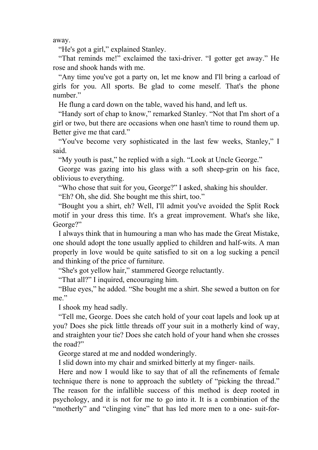away.

"He's got a girl," explained Stanley.

 "That reminds me!" exclaimed the taxi-driver. "I gotter get away." He rose and shook hands with me.

 "Any time you've got a party on, let me know and I'll bring a carload of girls for you. All sports. Be glad to come meself. That's the phone number."

He flung a card down on the table, waved his hand, and left us.

 "Handy sort of chap to know," remarked Stanley. "Not that I'm short of a girl or two, but there are occasions when one hasn't time to round them up. Better give me that card."

 "You've become very sophisticated in the last few weeks, Stanley," I said.

"My youth is past," he replied with a sigh. "Look at Uncle George."

 George was gazing into his glass with a soft sheep-grin on his face, oblivious to everything.

"Who chose that suit for you, George?" I asked, shaking his shoulder.

"Eh? Oh, she did. She bought me this shirt, too."

 "Bought you a shirt, eh? Well, I'll admit you've avoided the Split Rock motif in your dress this time. It's a great improvement. What's she like, George?"

 I always think that in humouring a man who has made the Great Mistake, one should adopt the tone usually applied to children and half-wits. A man properly in love would be quite satisfied to sit on a log sucking a pencil and thinking of the price of furniture.

"She's got yellow hair," stammered George reluctantly.

"That all?" I inquired, encouraging him.

 "Blue eyes," he added. "She bought me a shirt. She sewed a button on for me."

I shook my head sadly.

 "Tell me, George. Does she catch hold of your coat lapels and look up at you? Does she pick little threads off your suit in a motherly kind of way, and straighten your tie? Does she catch hold of your hand when she crosses the road?"

George stared at me and nodded wonderingly.

I slid down into my chair and smirked bitterly at my finger- nails.

 Here and now I would like to say that of all the refinements of female technique there is none to approach the subtlety of "picking the thread." The reason for the infallible success of this method is deep rooted in psychology, and it is not for me to go into it. It is a combination of the "motherly" and "clinging vine" that has led more men to a one- suit-for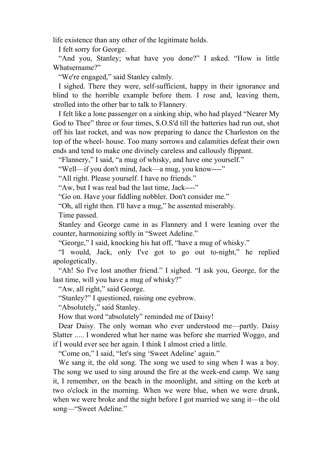life existence than any other of the legitimate holds.

I felt sorry for George.

 "And you, Stanley; what have you done?" I asked. "How is little Whatsername?"

"We're engaged," said Stanley calmly.

 I sighed. There they were, self-sufficient, happy in their ignorance and blind to the horrible example before them. I rose and, leaving them, strolled into the other bar to talk to Flannery.

 I felt like a lone passenger on a sinking ship, who had played "Nearer My God to Thee" three or four times, S.O.S'd till the batteries had run out, shot off his last rocket, and was now preparing to dance the Charleston on the top of the wheel- house. Too many sorrows and calamities defeat their own ends and tend to make one divinely careless and callously flippant.

"Flannery," I said, "a mug of whisky, and have one yourself."

"Well—if you don't mind, Jack—a mug, you know----"

"All right. Please yourself. I have no friends."

"Aw, but I was real bad the last time, Jack----"

"Go on. Have your fiddling nobbler. Don't consider me."

"Oh, all right then. I'll have a mug," he assented miserably.

Time passed.

 Stanley and George came in as Flannery and I were leaning over the counter, harmonizing softly in "Sweet Adeline."

"George," I said, knocking his hat off, "have a mug of whisky."

 "I would, Jack, only I've got to go out to-night," he replied apologetically.

 "Ah! So I've lost another friend." I sighed. "I ask you, George, for the last time, will you have a mug of whisky?"

"Aw, all right," said George.

"Stanley?" I questioned, raising one eyebrow.

"Absolutely," said Stanley.

How that word "absolutely" reminded me of Daisy!

 Dear Daisy. The only woman who ever understood me—partly. Daisy Slatter ..... I wondered what her name was before she married Woggo, and if I would ever see her again. I think I almost cried a little.

"Come on," I said, "let's sing 'Sweet Adeline' again."

 We sang it, the old song. The song we used to sing when I was a boy. The song we used to sing around the fire at the week-end camp. We sang it, I remember, on the beach in the moonlight, and sitting on the kerb at two o'clock in the morning. When we were blue, when we were drunk, when we were broke and the night before I got married we sang it—the old song—"Sweet Adeline."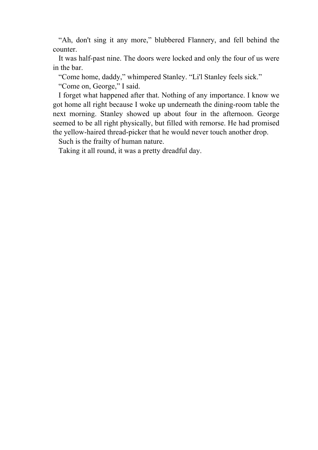"Ah, don't sing it any more," blubbered Flannery, and fell behind the counter.

 It was half-past nine. The doors were locked and only the four of us were in the bar.

"Come home, daddy," whimpered Stanley. "Li'l Stanley feels sick."

"Come on, George," I said.

 I forget what happened after that. Nothing of any importance. I know we got home all right because I woke up underneath the dining-room table the next morning. Stanley showed up about four in the afternoon. George seemed to be all right physically, but filled with remorse. He had promised the yellow-haired thread-picker that he would never touch another drop.

Such is the frailty of human nature.

Taking it all round, it was a pretty dreadful day.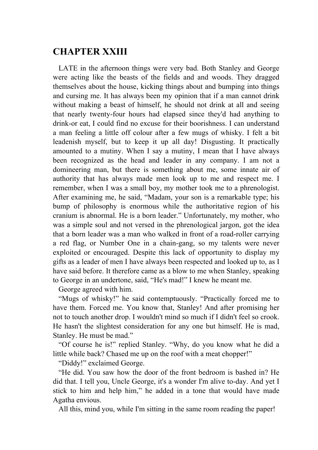## **CHAPTER XXIII**

 LATE in the afternoon things were very bad. Both Stanley and George were acting like the beasts of the fields and and woods. They dragged themselves about the house, kicking things about and bumping into things and cursing me. It has always been my opinion that if a man cannot drink without making a beast of himself, he should not drink at all and seeing that nearly twenty-four hours had elapsed since they'd had anything to drink-or eat, I could find no excuse for their boorishness. I can understand a man feeling a little off colour after a few mugs of whisky. I felt a bit leadenish myself, but to keep it up all day! Disgusting. It practically amounted to a mutiny. When I say a mutiny, I mean that I have always been recognized as the head and leader in any company. I am not a domineering man, but there is something about me, some innate air of authority that has always made men look up to me and respect me. I remember, when I was a small boy, my mother took me to a phrenologist. After examining me, he said, "Madam, your son is a remarkable type; his bump of philosophy is enormous while the authoritative region of his cranium is abnormal. He is a born leader." Unfortunately, my mother, who was a simple soul and not versed in the phrenological jargon, got the idea that a born leader was a man who walked in front of a road-roller carrying a red flag, or Number One in a chain-gang, so my talents were never exploited or encouraged. Despite this lack of opportunity to display my gifts as a leader of men I have always been respected and looked up to, as I have said before. It therefore came as a blow to me when Stanley, speaking to George in an undertone, said, "He's mad!" I knew he meant me.

George agreed with him.

 "Mugs of whisky!" he said contemptuously. "Practically forced me to have them. Forced me. You know that, Stanley! And after promising her not to touch another drop. I wouldn't mind so much if I didn't feel so crook. He hasn't the slightest consideration for any one but himself. He is mad, Stanley. He must be mad."

 "Of course he is!" replied Stanley. "Why, do you know what he did a little while back? Chased me up on the roof with a meat chopper!"

"Diddy!" exclaimed George.

 "He did. You saw how the door of the front bedroom is bashed in? He did that. I tell you, Uncle George, it's a wonder I'm alive to-day. And yet I stick to him and help him," he added in a tone that would have made Agatha envious.

All this, mind you, while I'm sitting in the same room reading the paper!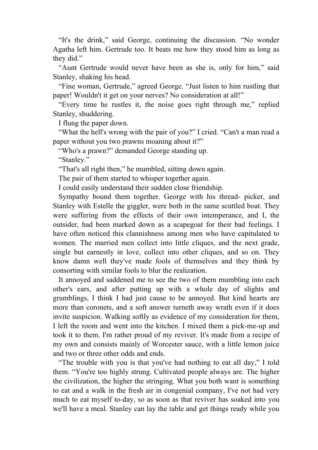"It's the drink," said George, continuing the discussion. "No wonder Agatha left him. Gertrude too. It beats me how they stood him as long as they did."

 "Aunt Gertrude would never have been as she is, only for him," said Stanley, shaking his head.

 "Fine woman, Gertrude," agreed George. "Just listen to him rustling that paper! Wouldn't it get on your nerves? No consideration at all!"

 "Every time he rustles it, the noise goes right through me," replied Stanley, shuddering.

I flung the paper down.

 "What the hell's wrong with the pair of you?" I cried. "Can't a man read a paper without you two prawns moaning about it?"

"Who's a prawn?" demanded George standing up.

"Stanley."

"That's all right then," he mumbled, sitting down again.

The pair of them started to whisper together again.

I could easily understand their sudden close friendship.

 Sympathy bound them together. George with his thread- picker, and Stanley with Estelle the giggler, were both in the same scuttled boat. They were suffering from the effects of their own intemperance, and I, the outsider, had been marked down as a scapegoat for their bad feelings. I have often noticed this clannishness among men who have capitulated to women. The married men collect into little cliques, and the next grade, single but earnestly in love, collect into other cliques, and so on. They know damn well they've made fools of themselves and they think by consorting with similar fools to blur the realization.

 It annoyed and saddened me to see the two of them mumbling into each other's ears, and after putting up with a whole day of slights and grumblings, I think I had just cause to be annoyed. But kind hearts are more than coronets, and a soft answer turneth away wrath even if it does invite suspicion. Walking softly as evidence of my consideration for them, I left the room and went into the kitchen. I mixed them a pick-me-up and took it to them. I'm rather proud of my reviver. It's made from a recipe of my own and consists mainly of Worcester sauce, with a little lemon juice and two or three other odds and ends.

 "The trouble with you is that you've had nothing to eat all day," I told them. "You're too highly strung. Cultivated people always are. The higher the civilization, the higher the stringing. What you both want is something to eat and a walk in the fresh air in congenial company, I've not had very much to eat myself to-day, so as soon as that reviver has soaked into you we'll have a meal. Stanley can lay the table and get things ready while you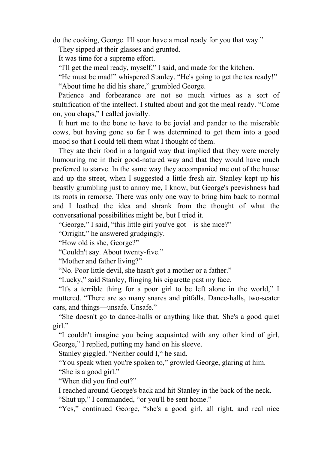do the cooking, George. I'll soon have a meal ready for you that way."

They sipped at their glasses and grunted.

It was time for a supreme effort.

"I'll get the meal ready, myself," I said, and made for the kitchen.

"He must be mad!" whispered Stanley. "He's going to get the tea ready!"

"About time he did his share," grumbled George.

 Patience and forbearance are not so much virtues as a sort of stultification of the intellect. I stulted about and got the meal ready. "Come on, you chaps," I called jovially.

 It hurt me to the bone to have to be jovial and pander to the miserable cows, but having gone so far I was determined to get them into a good mood so that I could tell them what I thought of them.

 They ate their food in a languid way that implied that they were merely humouring me in their good-natured way and that they would have much preferred to starve. In the same way they accompanied me out of the house and up the street, when I suggested a little fresh air. Stanley kept up his beastly grumbling just to annoy me, I know, but George's peevishness had its roots in remorse. There was only one way to bring him back to normal and I loathed the idea and shrank from the thought of what the conversational possibilities might be, but I tried it.

"George," I said, "this little girl you've got—is she nice?"

"Orright," he answered grudgingly.

"How old is she, George?"

"Couldn't say. About twenty-five."

"Mother and father living?"

"No. Poor little devil, she hasn't got a mother or a father."

"Lucky," said Stanley, flinging his cigarette past my face.

 "It's a terrible thing for a poor girl to be left alone in the world," I muttered. "There are so many snares and pitfalls. Dance-halls, two-seater cars, and things—unsafe. Unsafe."

 "She doesn't go to dance-halls or anything like that. She's a good quiet girl."

 "I couldn't imagine you being acquainted with any other kind of girl, George," I replied, putting my hand on his sleeve.

Stanley giggled. "Neither could I," he said.

"You speak when you're spoken to," growled George, glaring at him.

"She is a good girl."

"When did you find out?"

I reached around George's back and hit Stanley in the back of the neck.

"Shut up," I commanded, "or you'll be sent home."

"Yes," continued George, "she's a good girl, all right, and real nice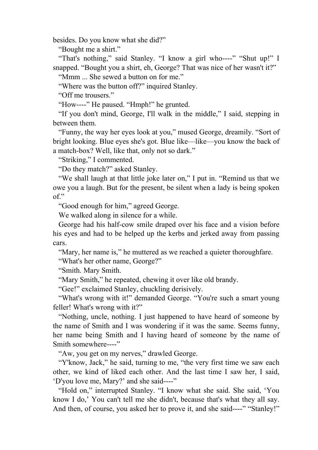besides. Do you know what she did?"

"Bought me a shirt."

 "That's nothing," said Stanley. "I know a girl who----" "Shut up!" I snapped. "Bought you a shirt, eh, George? That was nice of her wasn't it?"

"Mmm ... She sewed a button on for me."

"Where was the button off?" inquired Stanley.

"Off me trousers."

"How----" He paused. "Hmph!" he grunted.

 "If you don't mind, George, I'll walk in the middle," I said, stepping in between them.

 "Funny, the way her eyes look at you," mused George, dreamily. "Sort of bright looking. Blue eyes she's got. Blue like—like—you know the back of a match-box? Well, like that, only not so dark."

"Striking," I commented.

"Do they match?" asked Stanley.

 "We shall laugh at that little joke later on," I put in. "Remind us that we owe you a laugh. But for the present, be silent when a lady is being spoken  $\mathfrak{a}$ ."

"Good enough for him," agreed George.

We walked along in silence for a while.

 George had his half-cow smile draped over his face and a vision before his eyes and had to be helped up the kerbs and jerked away from passing cars.

"Mary, her name is," he muttered as we reached a quieter thoroughfare.

"What's her other name, George?"

"Smith. Mary Smith.

"Mary Smith," he repeated, chewing it over like old brandy.

"Gee!" exclaimed Stanley, chuckling derisively.

 "What's wrong with it!" demanded George. "You're such a smart young feller! What's wrong with it?"

 "Nothing, uncle, nothing. I just happened to have heard of someone by the name of Smith and I was wondering if it was the same. Seems funny, her name being Smith and I having heard of someone by the name of Smith somewhere----"

"Aw, you get on my nerves," drawled George.

 "Y'know, Jack," he said, turning to me, "the very first time we saw each other, we kind of liked each other. And the last time I saw her, I said, 'D'you love me, Mary?' and she said----"

 "Hold on," interrupted Stanley. "I know what she said. She said, 'You know I do,' You can't tell me she didn't, because that's what they all say. And then, of course, you asked her to prove it, and she said----" "Stanley!"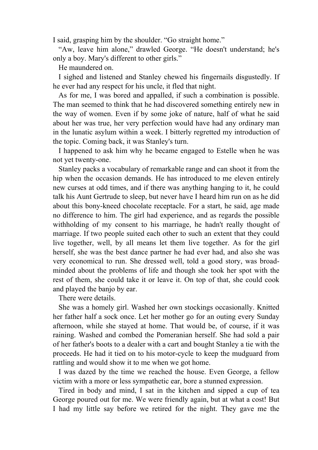I said, grasping him by the shoulder. "Go straight home."

 "Aw, leave him alone," drawled George. "He doesn't understand; he's only a boy. Mary's different to other girls."

He maundered on.

 I sighed and listened and Stanley chewed his fingernails disgustedly. If he ever had any respect for his uncle, it fled that night.

 As for me, I was bored and appalled, if such a combination is possible. The man seemed to think that he had discovered something entirely new in the way of women. Even if by some joke of nature, half of what he said about her was true, her very perfection would have had any ordinary man in the lunatic asylum within a week. I bitterly regretted my introduction of the topic. Coming back, it was Stanley's turn.

 I happened to ask him why he became engaged to Estelle when he was not yet twenty-one.

 Stanley packs a vocabulary of remarkable range and can shoot it from the hip when the occasion demands. He has introduced to me eleven entirely new curses at odd times, and if there was anything hanging to it, he could talk his Aunt Gertrude to sleep, but never have I heard him run on as he did about this bony-kneed chocolate receptacle. For a start, he said, age made no difference to him. The girl had experience, and as regards the possible withholding of my consent to his marriage, he hadn't really thought of marriage. If two people suited each other to such an extent that they could live together, well, by all means let them live together. As for the girl herself, she was the best dance partner he had ever had, and also she was very economical to run. She dressed well, told a good story, was broadminded about the problems of life and though she took her spot with the rest of them, she could take it or leave it. On top of that, she could cook and played the banjo by ear.

There were details.

 She was a homely girl. Washed her own stockings occasionally. Knitted her father half a sock once. Let her mother go for an outing every Sunday afternoon, while she stayed at home. That would be, of course, if it was raining. Washed and combed the Pomeranian herself. She had sold a pair of her father's boots to a dealer with a cart and bought Stanley a tie with the proceeds. He had it tied on to his motor-cycle to keep the mudguard from rattling and would show it to me when we got home.

 I was dazed by the time we reached the house. Even George, a fellow victim with a more or less sympathetic ear, bore a stunned expression.

 Tired in body and mind, I sat in the kitchen and sipped a cup of tea George poured out for me. We were friendly again, but at what a cost! But I had my little say before we retired for the night. They gave me the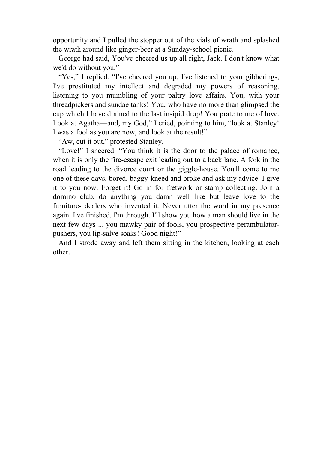opportunity and I pulled the stopper out of the vials of wrath and splashed the wrath around like ginger-beer at a Sunday-school picnic.

 George had said, You've cheered us up all right, Jack. I don't know what we'd do without you."

"Yes," I replied. "I've cheered you up, I've listened to your gibberings, I've prostituted my intellect and degraded my powers of reasoning, listening to you mumbling of your paltry love affairs. You, with your threadpickers and sundae tanks! You, who have no more than glimpsed the cup which I have drained to the last insipid drop! You prate to me of love. Look at Agatha—and, my God," I cried, pointing to him, "look at Stanley! I was a fool as you are now, and look at the result!"

"Aw, cut it out," protested Stanley.

 "Love!" I sneered. "You think it is the door to the palace of romance, when it is only the fire-escape exit leading out to a back lane. A fork in the road leading to the divorce court or the giggle-house. You'll come to me one of these days, bored, baggy-kneed and broke and ask my advice. I give it to you now. Forget it! Go in for fretwork or stamp collecting. Join a domino club, do anything you damn well like but leave love to the furniture- dealers who invented it. Never utter the word in my presence again. I've finished. I'm through. I'll show you how a man should live in the next few days ... you mawky pair of fools, you prospective perambulatorpushers, you lip-salve soaks! Good night!"

 And I strode away and left them sitting in the kitchen, looking at each other.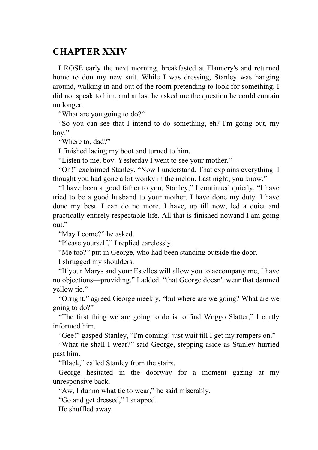## **CHAPTER XXIV**

 I ROSE early the next morning, breakfasted at Flannery's and returned home to don my new suit. While I was dressing, Stanley was hanging around, walking in and out of the room pretending to look for something. I did not speak to him, and at last he asked me the question he could contain no longer.

"What are you going to do?"

 "So you can see that I intend to do something, eh? I'm going out, my boy."

"Where to, dad?"

I finished lacing my boot and turned to him.

"Listen to me, boy. Yesterday I went to see your mother."

 "Oh!" exclaimed Stanley. "Now I understand. That explains everything. I thought you had gone a bit wonky in the melon. Last night, you know."

 "I have been a good father to you, Stanley," I continued quietly. "I have tried to be a good husband to your mother. I have done my duty. I have done my best. I can do no more. I have, up till now, led a quiet and practically entirely respectable life. All that is finished nowand I am going out."

"May I come?" he asked.

"Please yourself," I replied carelessly.

"Me too?" put in George, who had been standing outside the door.

I shrugged my shoulders.

 "If your Marys and your Estelles will allow you to accompany me, I have no objections—providing," I added, "that George doesn't wear that damned yellow tie."

 "Orright," agreed George meekly, "but where are we going? What are we going to do?"

 "The first thing we are going to do is to find Woggo Slatter," I curtly informed him.

"Gee!" gasped Stanley, "I'm coming! just wait till I get my rompers on."

 "What tie shall I wear?" said George, stepping aside as Stanley hurried past him.

"Black," called Stanley from the stairs.

 George hesitated in the doorway for a moment gazing at my unresponsive back.

"Aw, I dunno what tie to wear," he said miserably.

"Go and get dressed," I snapped.

He shuffled away.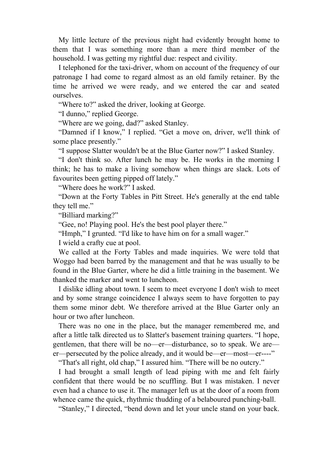My little lecture of the previous night had evidently brought home to them that I was something more than a mere third member of the household. I was getting my rightful due: respect and civility.

 I telephoned for the taxi-driver, whom on account of the frequency of our patronage I had come to regard almost as an old family retainer. By the time he arrived we were ready, and we entered the car and seated ourselves.

"Where to?" asked the driver, looking at George.

"I dunno," replied George.

"Where are we going, dad?" asked Stanley.

 "Damned if I know," I replied. "Get a move on, driver, we'll think of some place presently."

"I suppose Slatter wouldn't be at the Blue Garter now?" I asked Stanley.

 "I don't think so. After lunch he may be. He works in the morning I think; he has to make a living somehow when things are slack. Lots of favourites been getting pipped off lately."

"Where does he work?" I asked.

 "Down at the Forty Tables in Pitt Street. He's generally at the end table they tell me."

"Billiard marking?"

"Gee, no! Playing pool. He's the best pool player there."

"Hmph," I grunted. "I'd like to have him on for a small wager."

I wield a crafty cue at pool.

 We called at the Forty Tables and made inquiries. We were told that Woggo had been barred by the management and that he was usually to be found in the Blue Garter, where he did a little training in the basement. We thanked the marker and went to luncheon.

 I dislike idling about town. I seem to meet everyone I don't wish to meet and by some strange coincidence I always seem to have forgotten to pay them some minor debt. We therefore arrived at the Blue Garter only an hour or two after luncheon.

 There was no one in the place, but the manager remembered me, and after a little talk directed us to Slatter's basement training quarters. "I hope, gentlemen, that there will be no—er—disturbance, so to speak. We are er—persecuted by the police already, and it would be—er—most—er----"

"That's all right, old chap," I assured him. "There will be no outcry."

 I had brought a small length of lead piping with me and felt fairly confident that there would be no scuffling. But I was mistaken. I never even had a chance to use it. The manager left us at the door of a room from whence came the quick, rhythmic thudding of a belaboured punching-ball.

"Stanley," I directed, "bend down and let your uncle stand on your back.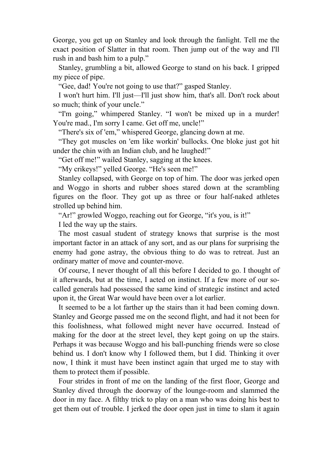George, you get up on Stanley and look through the fanlight. Tell me the exact position of Slatter in that room. Then jump out of the way and I'll rush in and bash him to a pulp."

 Stanley, grumbling a bit, allowed George to stand on his back. I gripped my piece of pipe.

"Gee, dad! You're not going to use that?" gasped Stanley.

 I won't hurt him. I'll just—I'll just show him, that's all. Don't rock about so much; think of your uncle."

 "I'm going," whimpered Stanley. "I won't be mixed up in a murder! You're mad., I'm sorry I came. Get off me, uncle!"

"There's six of 'em," whispered George, glancing down at me.

 "They got muscles on 'em like workin' bullocks. One bloke just got hit under the chin with an Indian club, and he laughed!"

"Get off me!" wailed Stanley, sagging at the knees.

"My crikeys!" yelled George. "He's seen me!"

 Stanley collapsed, with George on top of him. The door was jerked open and Woggo in shorts and rubber shoes stared down at the scrambling figures on the floor. They got up as three or four half-naked athletes strolled up behind him.

"Ar!" growled Woggo, reaching out for George, "it's you, is it!"

I led the way up the stairs.

 The most casual student of strategy knows that surprise is the most important factor in an attack of any sort, and as our plans for surprising the enemy had gone astray, the obvious thing to do was to retreat. Just an ordinary matter of move and counter-move.

 Of course, I never thought of all this before I decided to go. I thought of it afterwards, but at the time, I acted on instinct. If a few more of our socalled generals had possessed the same kind of strategic instinct and acted upon it, the Great War would have been over a lot earlier.

 It seemed to be a lot farther up the stairs than it had been coming down. Stanley and George passed me on the second flight, and had it not been for this foolishness, what followed might never have occurred. Instead of making for the door at the street level, they kept going on up the stairs. Perhaps it was because Woggo and his ball-punching friends were so close behind us. I don't know why I followed them, but I did. Thinking it over now, I think it must have been instinct again that urged me to stay with them to protect them if possible.

 Four strides in front of me on the landing of the first floor, George and Stanley dived through the doorway of the lounge-room and slammed the door in my face. A filthy trick to play on a man who was doing his best to get them out of trouble. I jerked the door open just in time to slam it again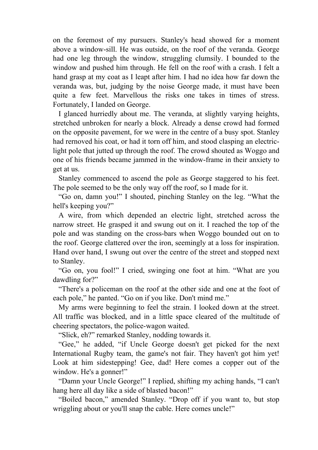on the foremost of my pursuers. Stanley's head showed for a moment above a window-sill. He was outside, on the roof of the veranda. George had one leg through the window, struggling clumsily. I bounded to the window and pushed him through. He fell on the roof with a crash. I felt a hand grasp at my coat as I leapt after him. I had no idea how far down the veranda was, but, judging by the noise George made, it must have been quite a few feet. Marvellous the risks one takes in times of stress. Fortunately, I landed on George.

 I glanced hurriedly about me. The veranda, at slightly varying heights, stretched unbroken for nearly a block. Already a dense crowd had formed on the opposite pavement, for we were in the centre of a busy spot. Stanley had rernoved his coat, or had it torn off him, and stood clasping an electriclight pole that jutted up through the roof. The crowd shouted as Woggo and one of his friends became jammed in the window-frame in their anxiety to get at us.

 Stanley commenced to ascend the pole as George staggered to his feet. The pole seemed to be the only way off the roof, so I made for it.

 "Go on, damn you!" I shouted, pinching Stanley on the leg. "What the hell's keeping you?"

 A wire, from which depended an electric light, stretched across the narrow street. He grasped it and swung out on it. I reached the top of the pole and was standing on the cross-bars when Woggo bounded out on to the roof. George clattered over the iron, seemingly at a loss for inspiration. Hand over hand, I swung out over the centre of the street and stopped next to Stanley.

 "Go on, you fool!" I cried, swinging one foot at him. "What are you dawdling for?"

 "There's a policeman on the roof at the other side and one at the foot of each pole," he panted. "Go on if you like. Don't mind me."

 My arms were beginning to feel the strain. I looked down at the street. All traffic was blocked, and in a little space cleared of the multitude of cheering spectators, the police-wagon waited.

"Slick, eh?" remarked Stanley, nodding towards it.

 "Gee," he added, "if Uncle George doesn't get picked for the next International Rugby team, the game's not fair. They haven't got him yet! Look at him sidestepping! Gee, dad! Here comes a copper out of the window. He's a gonner!"

 "Damn your Uncle George!" I replied, shifting my aching hands, "I can't hang here all day like a side of blasted bacon!"

 "Boiled bacon," amended Stanley. "Drop off if you want to, but stop wriggling about or you'll snap the cable. Here comes uncle!"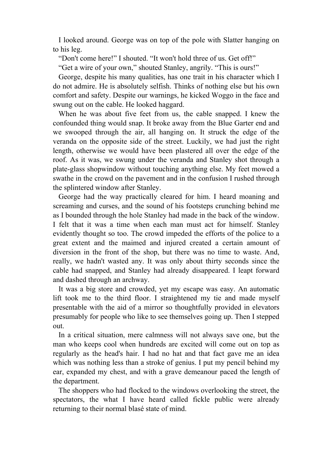I looked around. George was on top of the pole with Slatter hanging on to his leg.

"Don't come here!" I shouted. "It won't hold three of us. Get off!"

"Get a wire of your own," shouted Stanley, angrily. "This is ours!"

 George, despite his many qualities, has one trait in his character which I do not admire. He is absolutely selfish. Thinks of nothing else but his own comfort and safety. Despite our warnings, he kicked Woggo in the face and swung out on the cable. He looked haggard.

 When he was about five feet from us, the cable snapped. I knew the confounded thing would snap. It broke away from the Blue Garter end and we swooped through the air, all hanging on. It struck the edge of the veranda on the opposite side of the street. Luckily, we had just the right length, otherwise we would have been plastered all over the edge of the roof. As it was, we swung under the veranda and Stanley shot through a plate-glass shopwindow without touching anything else. My feet mowed a swathe in the crowd on the pavement and in the confusion I rushed through the splintered window after Stanley.

 George had the way practically cleared for him. I heard moaning and screaming and curses, and the sound of his footsteps crunching behind me as I bounded through the hole Stanley had made in the back of the window. I felt that it was a time when each man must act for himself. Stanley evidently thought so too. The crowd impeded the efforts of the police to a great extent and the maimed and injured created a certain amount of diversion in the front of the shop, but there was no time to waste. And, really, we hadn't wasted any. It was only about thirty seconds since the cable had snapped, and Stanley had already disappeared. I leapt forward and dashed through an archway.

 It was a big store and crowded, yet my escape was easy. An automatic lift took me to the third floor. I straightened my tie and made myself presentable with the aid of a mirror so thoughtfully provided in elevators presumably for people who like to see themselves going up. Then I stepped out.

 In a critical situation, mere calmness will not always save one, but the man who keeps cool when hundreds are excited will come out on top as regularly as the head's hair. I had no hat and that fact gave me an idea which was nothing less than a stroke of genius. I put my pencil behind my ear, expanded my chest, and with a grave demeanour paced the length of the department.

 The shoppers who had flocked to the windows overlooking the street, the spectators, the what I have heard called fickle public were already returning to their normal blasé state of mind.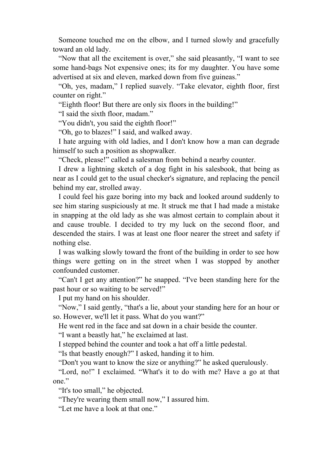Someone touched me on the elbow, and I turned slowly and gracefully toward an old lady.

 "Now that all the excitement is over," she said pleasantly, "I want to see some hand-bags Not expensive ones; its for my daughter. You have some advertised at six and eleven, marked down from five guineas."

 "Oh, yes, madam," I replied suavely. "Take elevator, eighth floor, first counter on right."

"Eighth floor! But there are only six floors in the building!"

"I said the sixth floor, madam."

"You didn't, you said the eighth floor!"

"Oh, go to blazes!" I said, and walked away.

 I hate arguing with old ladies, and I don't know how a man can degrade himself to such a position as shopwalker.

"Check, please!" called a salesman from behind a nearby counter.

 I drew a lightning sketch of a dog fight in his salesbook, that being as near as I could get to the usual checker's signature, and replacing the pencil behind my ear, strolled away.

 I could feel his gaze boring into my back and looked around suddenly to see him staring suspiciously at me. It struck me that I had made a mistake in snapping at the old lady as she was almost certain to complain about it and cause trouble. I decided to try my luck on the second floor, and descended the stairs. I was at least one floor nearer the street and safety if nothing else.

 I was walking slowly toward the front of the building in order to see how things were getting on in the street when I was stopped by another confounded customer.

 "Can't I get any attention?" he snapped. "I've been standing here for the past hour or so waiting to be served!"

I put my hand on his shoulder.

 "Now," I said gently, "that's a lie, about your standing here for an hour or so. However, we'll let it pass. What do you want?"

He went red in the face and sat down in a chair beside the counter.

"I want a beastly hat," he exclaimed at last.

I stepped behind the counter and took a hat off a little pedestal.

"Is that beastly enough?" I asked, handing it to him.

"Don't you want to know the size or anything?" he asked querulously.

 "Lord, no!" I exclaimed. "What's it to do with me? Have a go at that one."

"It's too small," he objected.

"They're wearing them small now," I assured him.

"Let me have a look at that one."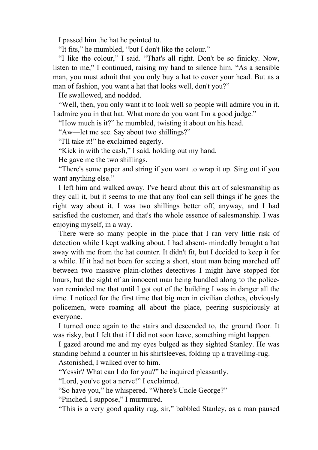I passed him the hat he pointed to.

"It fits," he mumbled, "but I don't like the colour."

 "I like the colour," I said. "That's all right. Don't be so finicky. Now, listen to me," I continued, raising my hand to silence him. "As a sensible man, you must admit that you only buy a hat to cover your head. But as a man of fashion, you want a hat that looks well, don't you?"

He swallowed, and nodded.

 "Well, then, you only want it to look well so people will admire you in it. I admire you in that hat. What more do you want I'm a good judge."

"How much is it?" he mumbled, twisting it about on his head.

"Aw—let me see. Say about two shillings?"

"I'll take it!" he exclaimed eagerly.

"Kick in with the cash," I said, holding out my hand.

He gave me the two shillings.

 "There's some paper and string if you want to wrap it up. Sing out if you want anything else."

 I left him and walked away. I've heard about this art of salesmanship as they call it, but it seems to me that any fool can sell things if he goes the right way about it. I was two shillings better off, anyway, and I had satisfied the customer, and that's the whole essence of salesmanship. I was enjoying myself, in a way.

 There were so many people in the place that I ran very little risk of detection while I kept walking about. I had absent- mindedly brought a hat away with me from the hat counter. It didn't fit, but I decided to keep it for a while. If it had not been for seeing a short, stout man being marched off between two massive plain-clothes detectives I might have stopped for hours, but the sight of an innocent man being bundled along to the policevan reminded me that until I got out of the building I was in danger all the time. I noticed for the first time that big men in civilian clothes, obviously policemen, were roaming all about the place, peering suspiciously at everyone.

 I turned once again to the stairs and descended to, the ground floor. It was risky, but I felt that if I did not soon leave, something might happen.

 I gazed around me and my eyes bulged as they sighted Stanley. He was standing behind a counter in his shirtsleeves, folding up a travelling-rug.

Astonished, I walked over to him.

"Yessir? What can I do for you?" he inquired pleasantly.

"Lord, you've got a nerve!" I exclaimed.

"So have you," he whispered. "Where's Uncle George?"

"Pinched, I suppose," I murmured.

"This is a very good quality rug, sir," babbled Stanley, as a man paused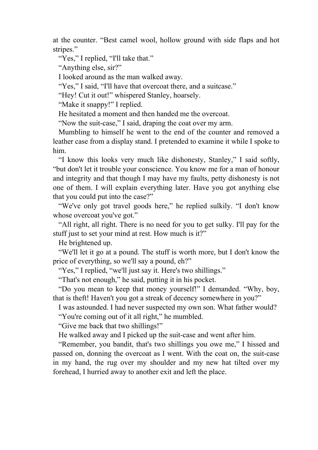at the counter. "Best camel wool, hollow ground with side flaps and hot stripes."

"Yes," I replied, "I'll take that."

"Anything else, sir?"

I looked around as the man walked away.

"Yes," I said, "I'll have that overcoat there, and a suitcase."

"Hey! Cut it out!" whispered Stanley, hoarsely.

"Make it snappy!" I replied.

He hesitated a moment and then handed me the overcoat.

"Now the suit-case," I said, draping the coat over my arm.

 Mumbling to himself he went to the end of the counter and removed a leather case from a display stand. I pretended to examine it while I spoke to him.

 "I know this looks very much like dishonesty, Stanley," I said softly, "but don't let it trouble your conscience. You know me for a man of honour and integrity and that though I may have my faults, petty dishonesty is not one of them. I will explain everything later. Have you got anything else that you could put into the case?"

 "We've only got travel goods here," he replied sulkily. "I don't know whose overcoat you've got."

 "All right, all right. There is no need for you to get sulky. I'll pay for the stuff just to set your mind at rest. How much is it?"

He brightened up.

 "We'll let it go at a pound. The stuff is worth more, but I don't know the price of everything, so we'll say a pound, eh?"

"Yes," I replied, "we'll just say it. Here's two shillings."

"That's not enough," he said, putting it in his pocket.

 "Do you mean to keep that money yourself!" I demanded. "Why, boy, that is theft! Haven't you got a streak of decency somewhere in you?"

 I was astounded. I had never suspected my own son. What father would? "You're coming out of it all right," he mumbled.

"Give me back that two shillings!"

He walked away and I picked up the suit-case and went after him.

 "Remember, you bandit, that's two shillings you owe me," I hissed and passed on, donning the overcoat as I went. With the coat on, the suit-case in my hand, the rug over my shoulder and my new hat tilted over my forehead, I hurried away to another exit and left the place.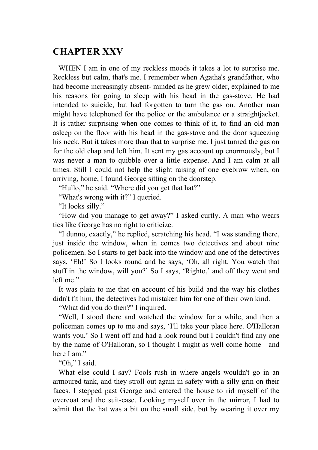## **CHAPTER XXV**

WHEN I am in one of my reckless moods it takes a lot to surprise me. Reckless but calm, that's me. I remember when Agatha's grandfather, who had become increasingly absent- minded as he grew older, explained to me his reasons for going to sleep with his head in the gas-stove. He had intended to suicide, but had forgotten to turn the gas on. Another man might have telephoned for the police or the ambulance or a straightjacket. It is rather surprising when one comes to think of it, to find an old man asleep on the floor with his head in the gas-stove and the door squeezing his neck. But it takes more than that to surprise me. I just turned the gas on for the old chap and left him. It sent my gas account up enormously, but I was never a man to quibble over a little expense. And I am calm at all times. Still I could not help the slight raising of one eyebrow when, on arriving, home, I found George sitting on the doorstep.

"Hullo," he said. "Where did you get that hat?"

"What's wrong with it?" I queried.

"It looks silly."

 "How did you manage to get away?" I asked curtly. A man who wears ties like George has no right to criticize.

 "I dunno, exactly," he replied, scratching his head. "I was standing there, just inside the window, when in comes two detectives and about nine policemen. So I starts to get back into the window and one of the detectives says, 'Eh!' So I looks round and he says, 'Oh, all right. You watch that stuff in the window, will you?' So I says, 'Righto,' and off they went and left me."

 It was plain to me that on account of his build and the way his clothes didn't fit him, the detectives had mistaken him for one of their own kind.

"What did you do then?" I inquired.

 "Well, I stood there and watched the window for a while, and then a policeman comes up to me and says, 'I'll take your place here. O'Halloran wants you.' So I went off and had a look round but I couldn't find any one by the name of O'Halloran, so I thought I might as well come home—and here I am."

"Oh," I said.

 What else could I say? Fools rush in where angels wouldn't go in an armoured tank, and they stroll out again in safety with a silly grin on their faces. I stepped past George and entered the house to rid myself of the overcoat and the suit-case. Looking myself over in the mirror, I had to admit that the hat was a bit on the small side, but by wearing it over my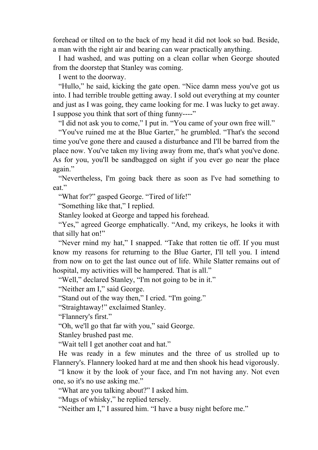forehead or tilted on to the back of my head it did not look so bad. Beside, a man with the right air and bearing can wear practically anything.

 I had washed, and was putting on a clean collar when George shouted from the doorstep that Stanley was coming.

I went to the doorway.

 "Hullo," he said, kicking the gate open. "Nice damn mess you've got us into. I had terrible trouble getting away. I sold out everything at my counter and just as I was going, they came looking for me. I was lucky to get away. I suppose you think that sort of thing funny----"

"I did not ask you to come," I put in. "You came of your own free will."

 "You've ruined me at the Blue Garter," he grumbled. "That's the second time you've gone there and caused a disturbance and I'll be barred from the place now. You've taken my living away from me, that's what you've done. As for you, you'll be sandbagged on sight if you ever go near the place again."

 "Nevertheless, I'm going back there as soon as I've had something to eat"

"What for?" gasped George. "Tired of life!"

"Something like that," I replied.

Stanley looked at George and tapped his forehead.

"Yes," agreed George emphatically. "And, my crikeys, he looks it with that silly hat on!"

 "Never rnind my hat," I snapped. "Take that rotten tie off. If you must know my reasons for returning to the Blue Garter, I'll tell you. I intend from now on to get the last ounce out of life. While Slatter remains out of hospital, my activities will be hampered. That is all."

"Well," declared Stanley, "I'm not going to be in it."

"Neither am I," said George.

"Stand out of the way then," I cried. "I'm going."

"Straightaway!" exclaimed Stanley.

"Flannery's first."

"Oh, we'll go that far with you," said George.

Stanley brushed past me.

"Wait tell I get another coat and hat."

 He was ready in a few minutes and the three of us strolled up to Flannery's. Flannery looked hard at me and then shook his head vigorously.

 "I know it by the look of your face, and I'm not having any. Not even one, so it's no use asking me."

"What are you talking about?" I asked him.

"Mugs of whisky," he replied tersely.

"Neither am I," I assured him. "I have a busy night before me."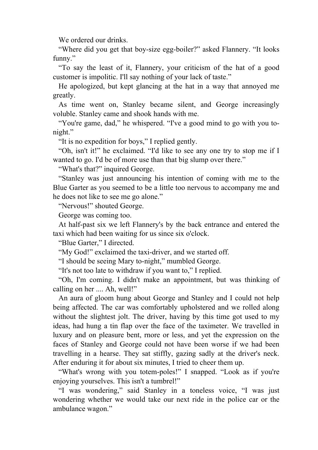We ordered our drinks.

 "Where did you get that boy-size egg-boiler?" asked Flannery. "It looks funny."

 "To say the least of it, Flannery, your criticism of the hat of a good customer is impolitic. I'll say nothing of your lack of taste."

 He apologized, but kept glancing at the hat in a way that annoyed me greatly.

 As time went on, Stanley became silent, and George increasingly voluble. Stanley came and shook hands with me.

 "You're game, dad," he whispered. "I've a good mind to go with you tonight."

"It is no expedition for boys," I replied gently.

 "Oh, isn't it!" he exclaimed. "I'd like to see any one try to stop me if I wanted to go. I'd be of more use than that big slump over there."

"What's that?" inquired George.

 "Stanley was just announcing his intention of coming with me to the Blue Garter as you seemed to be a little too nervous to accompany me and he does not like to see me go alone."

"Nervous!" shouted George.

George was coming too.

 At half-past six we left Flannery's by the back entrance and entered the taxi which had been waiting for us since six o'clock.

"Blue Garter," I directed.

"My God!" exclaimed the taxi-driver, and we started off.

"I should be seeing Mary to-night," mumbled George.

"It's not too late to withdraw if you want to," I replied.

 "Oh, I'm coming. I didn't make an appointment, but was thinking of calling on her .... Ah, well!"

 An aura of gloom hung about George and Stanley and I could not help being affected. The car was comfortably upholstered and we rolled along without the slightest jolt. The driver, having by this time got used to my ideas, had hung a tin flap over the face of the taximeter. We travelled in luxury and on pleasure bent, rnore or less, and yet the expression on the faces of Stanley and George could not have been worse if we had been travelling in a hearse. They sat stiffly, gazing sadly at the driver's neck. After enduring it for about six minutes, I tried to cheer them up.

 "What's wrong with you totem-poles!" I snapped. "Look as if you're enjoying yourselves. This isn't a tumbrel!"

 "I was wondering," said Stanley in a toneless voice, "I was just wondering whether we would take our next ride in the police car or the ambulance wagon."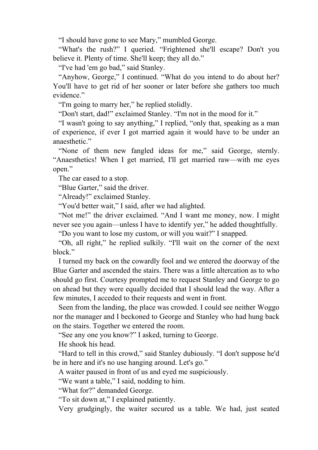"I should have gone to see Mary," mumbled George.

 "What's the rush?" I queried. "Frightened she'll escape? Don't you believe it. Plenty of time. She'll keep; they all do."

"I've had 'em go bad," said Stanley.

 "Anyhow, George," I continued. "What do you intend to do about her? You'll have to get rid of her sooner or later before she gathers too much evidence."

"I'm going to marry her," he replied stolidly.

"Don't start, dad!" exclaimed Stanley. "I'm not in the mood for it."

 "I wasn't going to say anything," I replied, "only that, speaking as a man of experience, if ever I got married again it would have to be under an anaesthetic."

 "None of them new fangled ideas for me," said George, sternly. "Anaesthetics! When I get married, I'll get married raw—with me eyes open."

The car eased to a stop.

"Blue Garter," said the driver.

"Already!" exclaimed Stanley.

"You'd better wait," I said, after we had alighted.

 "Not me!" the driver exclaimed. "And I want me money, now. I might never see you again—unless I have to identify yer," he added thoughtfully.

"Do you want to lose my custom, or will you wait?" I snapped.

 "Oh, all right," he replied sulkily. "I'll wait on the corner of the next block."

 I turned my back on the cowardly fool and we entered the doorway of the Blue Garter and ascended the stairs. There was a little altercation as to who should go first. Courtesy prompted me to request Stanley and George to go on ahead but they were equally decided that I should lead the way. After a few minutes, I acceded to their requests and went in front.

 Seen from the landing, the place was crowded. I could see neither Woggo nor the manager and I beckoned to George and Stanley who had hung back on the stairs. Together we entered the room.

"See any one you know?" I asked, turning to George.

He shook his head.

 "Hard to tell in this crowd," said Stanley dubiously. "I don't suppose he'd be in here and it's no use hanging around. Let's go."

A waiter paused in front of us and eyed me suspiciously.

"We want a table," I said, nodding to him.

"What for?" demanded George.

"To sit down at," I explained patiently.

Very grudgingly, the waiter secured us a table. We had, just seated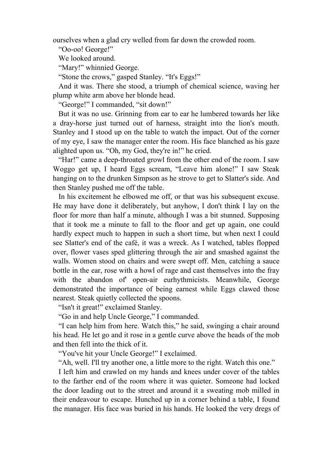ourselves when a glad cry welled from far down the crowded room.

"Oo-oo! George!"

We looked around.

"Mary!" whinnied George.

"Stone the crows," gasped Stanley. "It's Eggs!"

 And it was. There she stood, a triumph of chemical science, waving her plump white arm above her blonde head.

"George!" I commanded, "sit down!"

 But it was no use. Grinning from ear to ear he lumbered towards her like a dray-horse just turned out of harness, straight into the lion's mouth. Stanley and I stood up on the table to watch the impact. Out of the corner of my eye, I saw the manager enter the room. His face blanched as his gaze alighted upon us. "Oh, my God, they're in!" he cried.

 "Har!" came a deep-throated growl from the other end of the room. I saw Woggo get up, I heard Eggs scream, "Leave him alone!" I saw Steak hanging on to the drunken Simpson as he strove to get to Slatter's side. And then Stanley pushed me off the table.

 In his excitement he elbowed me off, or that was his subsequent excuse. He may have done it deliberately, but anyhow, I don't think I lay on the floor for more than half a minute, although I was a bit stunned. Supposing that it took me a minute to fall to the floor and get up again, one could hardly expect much to happen in such a short time, but when next I could see Slatter's end of the café, it was a wreck. As I watched, tables flopped over, flower vases sped glittering through the air and smashed against the walls. Women stood on chairs and were swept off. Men, catching a sauce bottle in the ear, rose with a howl of rage and cast themselves into the fray with the abandon of' open-air eurhythmicists. Meanwhile, George demonstrated the importance of being earnest while Eggs clawed those nearest. Steak quietly collected the spoons.

"Isn't it great!" exclaimed Stanley.

"Go in and help Uncle George," I commanded.

 "I can help him from here. Watch this," he said, swinging a chair around his head. He let go and it rose in a gentle curve above the heads of the mob and then fell into the thick of it.

"You've hit your Uncle George!" I exclaimed.

"Ah, well. I'll try another one, a little more to the right. Watch this one."

 I left him and crawled on my hands and knees under cover of the tables to the farther end of the room where it was quieter. Someone had locked the door leading out to the street and around it a sweating mob milled in their endeavour to escape. Hunched up in a corner behind a table, I found the manager. His face was buried in his hands. He looked the very dregs of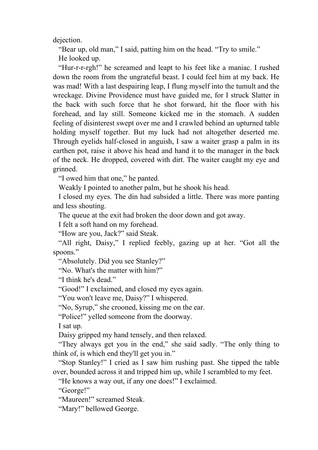dejection.

 "Bear up, old man," I said, patting him on the head. "Try to smile." He looked up.

 "Hur-r-r-rgh!" he screamed and leapt to his feet like a maniac. I rushed down the room from the ungrateful beast. I could feel him at my back. He was mad! With a last despairing leap, I flung myself into the tumult and the wreckage. Divine Providence must have guided me, for I struck Slatter in the back with such force that he shot forward, hit the floor with his forehead, and lay still. Someone kicked me in the stomach. A sudden feeling of disinterest swept over me and I crawled behind an upturned table holding myself together. But my luck had not altogether deserted me. Through eyelids half-closed in anguish, I saw a waiter grasp a palm in its earthen pot, raise it above his head and hand it to the manager in the back of the neck. He dropped, covered with dirt. The waiter caught my eye and grinned.

"I owed him that one," he panted.

Weakly I pointed to another palm, but he shook his head.

 I closed my eyes. The din had subsided a little. There was more panting and less shouting.

The queue at the exit had broken the door down and got away.

I felt a soft hand on my forehead.

"How are you, Jack?" said Steak.

 "All right, Daisy," I replied feebly, gazing up at her. "Got all the spoons."

"Absolutely. Did you see Stanley?"

"No. What's the matter with him?"

"I think he's dead."

"Good!" I exclaimed, and closed my eyes again.

"You won't leave me, Daisy?" I whispered.

"No, Syrup," she crooned, kissing me on the ear.

"Police!" yelled someone from the doorway.

I sat up.

Daisy gripped my hand tensely, and then relaxed.

 "They always get you in the end," she said sadly. "The only thing to think of, is which end they'll get you in."

 "Stop Stanley!" I cried as I saw him rushing past. She tipped the table over, bounded across it and tripped him up, while I scrambled to my feet.

"He knows a way out, if any one does!" I exclaimed.

"George!"

"Maureen!" screamed Steak.

"Mary!" bellowed George.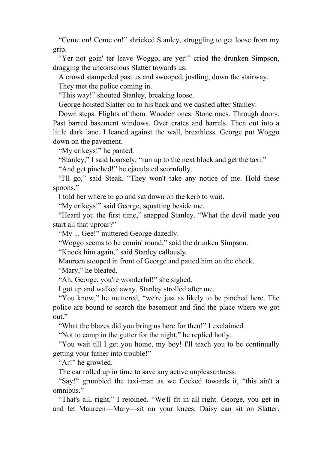"Come on! Come on!" shrieked Stanley, struggling to get loose from my grip.

 "Yer not goin' ter leave Woggo, are yer!" cried the drunken Simpson, dragging the unconscious Slatter towards us.

A crowd stampeded past us and swooped, jostling, down the stairway.

They met the police coming in.

"This way!" shouted Stanley, breaking loose.

George hoisted Slatter on to his back and we dashed after Stanley.

 Down steps. Flights of them. Wooden ones. Stone ones. Through doors. Past barred basement windows. Over crates and barrels. Then out into a little dark lane. I leaned against the wall, breathless. George put Woggo down on the pavement.

"My crikeys!" he panted.

"Stanley," I said hoarsely, "run up to the next block and get the taxi."

"And get pinched!" he ejaculated scornfully.

 "I'll go," said Steak. "They won't take any notice of me. Hold these spoons."

I told her where to go and sat down on the kerb to wait.

"My crikeys!" said George, squatting beside me.

 "Heard you the first time," snapped Stanley. "What the devil made you start all that uproar?"

"My ... Gee!" muttered George dazedly.

"Woggo seems to be comin' round," said the drunken Simpson.

"Knock him again," said Stanley callously.

Maureen stooped in front of George and patted him on the cheek.

"Mary," he bleated.

"Ah, George, you're wonderful!" she sighed.

I got up and walked away. Stanley strolled after me.

 "You know," he muttered, "we're just as likely to be pinched here. The police are bound to search the basement and find the place where we got out."

"What the blazes did you bring us here for then!" I exclaimed.

"Not to camp in the gutter for the night," he replied hotly.

 "You wait till I get you home, my boy! I'll teach you to be continually getting your father into trouble!"

"Ar!" he growled.

The car rolled up in time to save any active unpleasantness.

 "Say!" grumbled the taxi-man as we flocked towards it, "this ain't a omnibus."

 "That's all, right," I rejoined. "We'll fit in all right. George, you get in and let Maureen—Mary—sit on your knees. Daisy can sit on Slatter.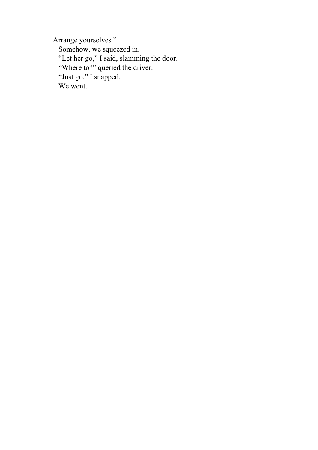Arrange yourselves."

 Somehow, we squeezed in. "Let her go," I said, slamming the door. "Where to?" queried the driver. "Just go," I snapped. We went.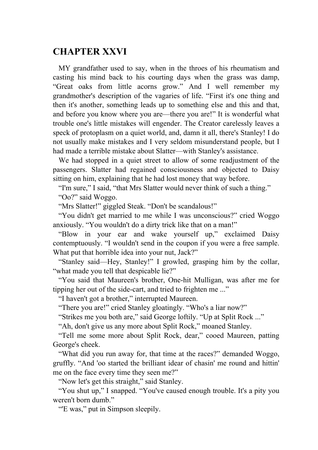## **CHAPTER XXVI**

 MY grandfather used to say, when in the throes of his rheumatism and casting his mind back to his courting days when the grass was damp, "Great oaks from little acorns grow." And I well remember my grandmother's description of the vagaries of life. "First it's one thing and then it's another, something leads up to something else and this and that, and before you know where you are—there you are!" It is wonderful what trouble one's little mistakes will engender. The Creator carelessly leaves a speck of protoplasm on a quiet world, and, damn it all, there's Stanley! I do not usually make mistakes and I very seldom misunderstand people, but I had made a terrible mistake about Slatter—with Stanley's assistance.

 We had stopped in a quiet street to allow of some readjustment of the passengers. Slatter had regained consciousness and objected to Daisy sitting on him, explaining that he had lost money that way before.

 "I'm sure," I said, "that Mrs Slatter would never think of such a thing." "Oo?" said Woggo.

"Mrs Slatter!" giggled Steak. "Don't be scandalous!"

 "You didn't get married to me while I was unconscious?" cried Woggo anxiously. "You wouldn't do a dirty trick like that on a man!"

 "Blow in your ear and wake yourself up," exclaimed Daisy contemptuously. "I wouldn't send in the coupon if you were a free sample. What put that horrible idea into your nut, Jack?"

 "Stanley said—Hey, Stanley!" I growled, grasping him by the collar, "what made you tell that despicable lie?"

 "You said that Maureen's brother, One-hit Mulligan, was after me for tipping her out of the side-cart, and tried to frighten me ..."

"I haven't got a brother," interrupted Maureen.

"There you are!" cried Stanley gloatingly. "Who's a liar now?"

"Strikes me you both are," said George loftily. "Up at Split Rock ..."

"Ah, don't give us any more about Split Rock," moaned Stanley.

 "Tell me some more about Split Rock, dear," cooed Maureen, patting George's cheek.

 "What did you run away for, that time at the races?" demanded Woggo, gruffly. "And 'oo started the brilliant idear of chasin' me round and hittin' me on the face every time they seen me?"

"Now let's get this straight," said Stanley.

 "You shut up," I snapped. "You've caused enough trouble. It's a pity you weren't born dumb."

"'E was," put in Simpson sleepily.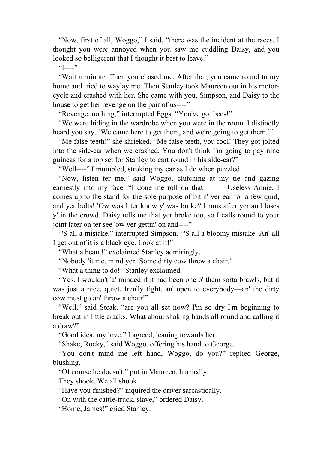"Now, first of all, Woggo," I said, "there was the incident at the races. I thought you were annoyed when you saw me cuddling Daisy, and you looked so belligerent that I thought it best to leave."

 $``$ [----''

 "Wait a rninute. Then you chased me. After that, you came round to my home and tried to waylay me. Then Stanley took Maureen out in his motorcycle and crashed with her. She came with you, Simpson, and Daisy to the house to get her revenge on the pair of us----"

"Revenge, nothing," interrupted Eggs. "You've got bees!"

 "We were hiding in the wardrobe when you were in the room. I distinctly heard you say, 'We came here to get them, and we're going to get them.'"

 "Me false teeth!" she shrieked. "Me false teeth, you fool! They got jolted into the side-car when we crashed. You don't think I'm going to pay nine guineas for a top set for Stanley to cart round in his side-car?"

"Well----" I mumbled, stroking my ear as I do when puzzled.

 "Now, listen ter me," said Woggo. clutching at my tie and gazing earnestly into my face. "I done me roll on that — — Useless Annie. I comes up to the stand for the sole purpose of bitin' yer ear for a few quid, and yer bolts! 'Ow was I ter know y' was broke? I runs after yer and loses y' in the crowd. Daisy tells me that yer broke too, so I calls round to your joint later on ter see 'ow yer gettin' on and----"

"S all a mistake," interrupted Simpson. "S all a bloomy mistake. An' all I get out of it is a black eye. Look at it!"

"What a beaut!" exclaimed Stanley admiringly.

"Nobody 'it me, mind yer! Some dirty cow threw a chair."

"What a thing to do!" Stanley exclaimed.

 "Yes. I wouldn't 'a' minded if it had been one o' them sorta brawls, but it was just a nice, quiet, fren'ly fight, an' open to everybody—an' the dirty cow must go an' throw a chair!"

"Well," said Steak, "are you all set now? I'm so dry I'm beginning to break out in little cracks. What about shaking hands all round and calling it a draw?"

"Good idea, my love," I agreed, leaning towards her.

"Shake, Rocky," said Woggo, offering his hand to George.

 "You don't mind me left hand, Woggo, do you?" replied George, blushing.

"Of course he doesn't," put in Maureen, hurriedly.

They shook. We all shook.

"Have you finished?" inquired the driver sarcastically.

"On with the cattle-truck, slave," ordered Daisy.

"Home, James!" cried Stanley.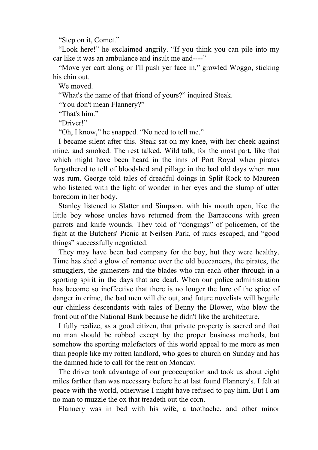"Step on it, Comet."

 "Look here!" he exclaimed angrily. "If you think you can pile into my car like it was an ambulance and insult me and----"

 "Move yer cart along or I'll push yer face in," growled Woggo, sticking his chin out.

We moved.

"What's the name of that friend of yours?" inquired Steak.

"You don't mean Flannery?"

"That's him."

"Driver!"

"Oh, I know," he snapped. "No need to tell me."

 I became silent after this. Steak sat on my knee, with her cheek against mine, and smoked. The rest talked. Wild talk, for the most part, like that which might have been heard in the inns of Port Royal when pirates forgathered to tell of bloodshed and pillage in the bad old days when rum was rum. George told tales of dreadful doings in Split Rock to Maureen who listened with the light of wonder in her eyes and the slump of utter boredom in her body.

 Stanley listened to Slatter and Simpson, with his mouth open, like the little boy whose uncles have returned from the Barracoons with green parrots and knife wounds. They told of "dongings" of policemen, of the fight at the Butchers' Picnic at Neilsen Park, of raids escaped, and "good things" successfully negotiated.

 They may have been bad company for the boy, hut they were healthy. Time has shed a glow of romance over the old buccaneers, the pirates, the smugglers, the gamesters and the blades who ran each other through in a sporting spirit in the days that are dead. When our police administration has become so ineffective that there is no longer the lure of the spice of danger in crime, the bad men will die out, and future novelists will beguile our chinless descendants with tales of Benny the Blower, who blew the front out of the National Bank because he didn't like the architecture.

 I fully realize, as a good citizen, that private property is sacred and that no man should be robbed except by the proper business methods, but somehow the sporting malefactors of this world appeal to me more as men than people like my rotten landlord, who goes to church on Sunday and has the damned hide to call for the rent on Monday.

 The driver took advantage of our preoccupation and took us about eight miles farther than was necessary before he at last found Flannery's. I felt at peace with the world, otherwise I might have refused to pay him. But I am no man to muzzle the ox that treadeth out the corn.

Flannery was in bed with his wife, a toothache, and other minor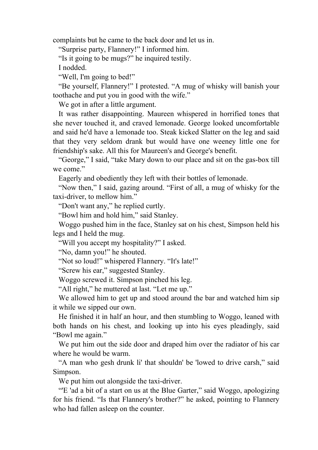complaints but he came to the back door and let us in.

"Surprise party, Flannery!" I informed him.

"Is it going to be mugs?" he inquired testily.

I nodded.

"Well, I'm going to bed!"

 "Be yourself, Flannery!" I protested. "A mug of whisky will banish your toothache and put you in good with the wife."

We got in after a little argument.

 It was rather disappointing. Maureen whispered in horrified tones that she never touched it, and craved lemonade. George looked uncomfortable and said he'd have a lemonade too. Steak kicked Slatter on the leg and said that they very seldom drank but would have one weeney little one for friendship's sake. All this for Maureen's and George's benefit.

 "George," I said, "take Mary down to our place and sit on the gas-box till we come."

Eagerly and obediently they left with their bottles of lemonade.

 "Now then," I said, gazing around. "First of all, a mug of whisky for the taxi-driver, to mellow him."

"Don't want any," he replied curtly.

"Bowl him and hold him," said Stanley.

 Woggo pushed him in the face, Stanley sat on his chest, Simpson held his legs and I held the mug.

"Will you accept my hospitality?" I asked.

"No, damn you!" he shouted.

"Not so loud!" whispered Flannery. "It's late!"

"Screw his ear," suggested Stanley.

Woggo screwed it. Simpson pinched his leg.

"All right," he muttered at last. "Let me up."

 We allowed him to get up and stood around the bar and watched him sip it while we sipped our own.

 He finished it in half an hour, and then stumbling to Woggo, leaned with both hands on his chest, and looking up into his eyes pleadingly, said "Bowl me again."

 We put him out the side door and draped him over the radiator of his car where he would be warm.

 "A man who gesh drunk li' that shouldn' be 'lowed to drive carsh," said Simpson.

We put him out alongside the taxi-driver.

 "'E 'ad a bit of a start on us at the Blue Garter," said Woggo, apologizing for his friend. "Is that Flannery's brother?" he asked, pointing to Flannery who had fallen asleep on the counter.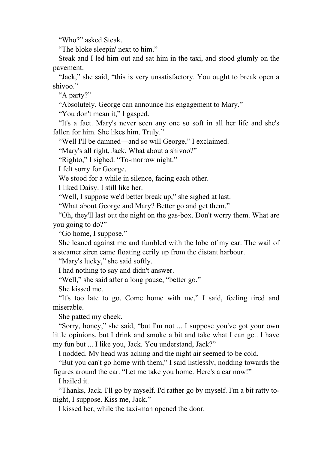"Who?" asked Steak.

"The bloke sleepin' next to him."

 Steak and I led him out and sat him in the taxi, and stood glumly on the pavement.

 "Jack," she said, "this is very unsatisfactory. You ought to break open a shivoo."

"A party?"

"Absolutely. George can announce his engagement to Mary."

"You don't mean it," I gasped.

 "It's a fact. Mary's never seen any one so soft in all her life and she's fallen for him. She likes him. Truly."

"Well I'll be damned—and so will George," I exclaimed.

"Mary's all right, Jack. What about a shivoo?"

"Righto," I sighed. "To-morrow night."

I felt sorry for George.

We stood for a while in silence, facing each other.

I liked Daisy. I still like her.

"Well, I suppose we'd better break up," she sighed at last.

"What about George and Mary? Better go and get them."

 "Oh, they'll last out the night on the gas-box. Don't worry them. What are you going to do?"

"Go home, I suppose."

 She leaned against me and fumbled with the lobe of my ear. The wail of a steamer siren came floating eerily up from the distant harbour.

"Mary's lucky," she said softly.

I had nothing to say and didn't answer.

"Well," she said after a long pause, "better go."

She kissed me.

 "It's too late to go. Come home with me," I said, feeling tired and miserable.

She patted my cheek.

 "Sorry, honey," she said, "but I'm not ... I suppose you've got your own little opinions, but I drink and smoke a bit and take what I can get. I have my fun but ... I like you, Jack. You understand, Jack?"

I nodded. My head was aching and the night air seemed to be cold.

 "But you can't go home with them," I said listlessly, nodding towards the figures around the car. "Let me take you home. Here's a car now!"

I hailed it.

 "Thanks, Jack. I'll go by myself. I'd rather go by myself. I'm a bit ratty tonight, I suppose. Kiss me, Jack."

I kissed her, while the taxi-man opened the door.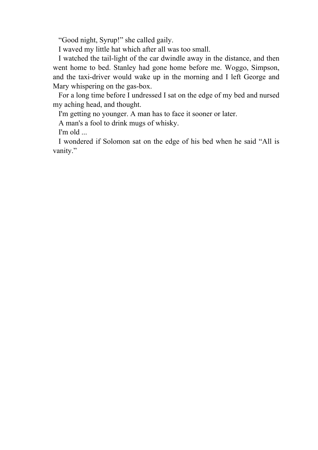"Good night, Syrup!" she called gaily.

I waved my little hat which after all was too small.

 I watched the tail-light of the car dwindle away in the distance, and then went home to bed. Stanley had gone home before me. Woggo, Simpson, and the taxi-driver would wake up in the morning and I left George and Mary whispering on the gas-box.

 For a long time before I undressed I sat on the edge of my bed and nursed my aching head, and thought.

I'm getting no younger. A man has to face it sooner or later.

A man's a fool to drink mugs of whisky.

I'm old ...

 I wondered if Solomon sat on the edge of his bed when he said "All is vanity."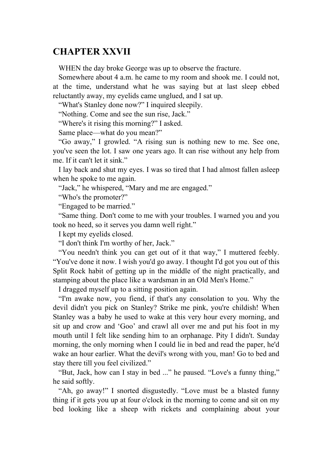## **CHAPTER XXVII**

WHEN the day broke George was up to observe the fracture.

 Somewhere about 4 a.m. he came to my room and shook me. I could not, at the time, understand what he was saying but at last sleep ebbed reluctantly away, my eyelids came unglued, and I sat up.

"What's Stanley done now?" I inquired sleepily.

"Nothing. Come and see the sun rise, Jack."

"Where's it rising this morning?" I asked.

Same place—what do you mean?"

 "Go away," I growled. "A rising sun is nothing new to me. See one, you've seen the lot. I saw one years ago. It can rise without any help from me. If it can't let it sink."

 I lay back and shut my eyes. I was so tired that I had almost fallen asleep when he spoke to me again.

"Jack," he whispered, "Mary and me are engaged."

"Who's the promoter?"

"Engaged to be married."

 "Same thing. Don't come to me with your troubles. I warned you and you took no heed, so it serves you damn well right."

I kept my eyelids closed.

"I don't think I'm worthy of her, Jack."

 "You needn't think you can get out of it that way," I muttered feebly. "You've done it now. I wish you'd go away. I thought I'd got you out of this Split Rock habit of getting up in the middle of the night practically, and stamping about the place like a wardsman in an Old Men's Home."

I dragged myself up to a sitting position again.

 "I'm awake now, you fiend, if that's any consolation to you. Why the devil didn't you pick on Stanley? Strike me pink, you're childish! When Stanley was a baby he used to wake at this very hour every morning, and sit up and crow and 'Goo' and crawl all over me and put his foot in my mouth until I felt like sending him to an orphanage. Pity I didn't. Sunday morning, the only morning when I could lie in bed and read the paper, he'd wake an hour earlier. What the devil's wrong with you, man! Go to bed and stay there till you feel civilized."

 "But, Jack, how can I stay in bed ..." he paused. "Love's a funny thing," he said softly.

 "Ah, go away!" I snorted disgustedly. "Love must be a blasted funny thing if it gets you up at four o'clock in the morning to come and sit on my bed looking like a sheep with rickets and complaining about your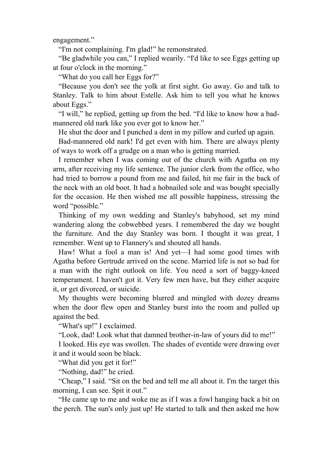engagement."

"I'm not complaining. I'm glad!" he remonstrated.

 "Be gladwhile you can," I replied wearily. "I'd like to see Eggs getting up at four o'clock in the morning."

"What do you call her Eggs for?"

 "Because you don't see the yolk at first sight. Go away. Go and talk to Stanley. Talk to him about Estelle. Ask him to tell you what he knows about Eggs."

 "I will," he replied, getting up from the bed. "I'd like to know how a badmannered old nark like you ever got to know her."

He shut the door and I punched a dent in my pillow and curled up again.

 Bad-mannered old nark! I'd get even with him. There are always plenty of ways to work off a grudge on a man who is getting married.

 I remember when I was coming out of the church with Agatha on my arm, after receiving my life sentence. The junior clerk from the office, who had tried to borrow a pound from me and failed, hit me fair in the back of the neck with an old boot. It had a hobnailed sole and was bought specially for the occasion. He then wished me all possible happiness, stressing the word "possible."

 Thinking of my own wedding and Stanley's babyhood, set my mind wandering along the cobwebbed years. I remembered the day we bought the furniture. And the day Stanley was born. I thought it was great, I remember. Went up to Flannery's and shouted all hands.

 Haw! What a fool a man is! And yet—I had some good times with Agatha before Gertrude arrived on the scene. Married life is not so bad for a man with the right outlook on life. You need a sort of baggy-kneed temperament. I haven't got it. Very few men have, but they either acquire it, or get divorced, or suicide.

 My thoughts were becoming blurred and mingled with dozey dreams when the door flew open and Stanley burst into the room and pulled up against the bed.

"What's up!" I exclaimed.

"Look, dad! Look what that damned brother-in-law of yours did to me!"

 I looked. His eye was swollen. The shades of eventide were drawing over it and it would soon be black.

"What did you get it for!"

"Nothing, dad!" he cried.

 "Cheap," I said. "Sit on the bed and tell me all about it. I'm the target this morning, I can see. Spit it out."

 "He came up to me and woke me as if I was a fowl hanging back a bit on the perch. The sun's only just up! He started to talk and then asked me how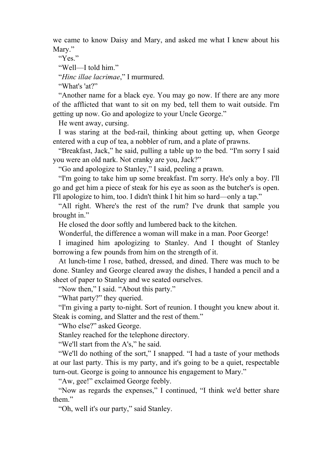we came to know Daisy and Mary, and asked me what I knew about his Mary."

"Yes."

"Well—I told him."

"*Hinc illae lacrimae*," I murmured.

"What's 'at?"

 "Another name for a black eye. You may go now. If there are any more of the afflicted that want to sit on my bed, tell them to wait outside. I'm getting up now. Go and apologize to your Uncle George."

He went away, cursing.

 I was staring at the bed-rail, thinking about getting up, when George entered with a cup of tea, a nobbler of rum, and a plate of prawns.

 "Breakfast, Jack," he said, pulling a table up to the bed. "I'm sorry I said you were an old nark. Not cranky are you, Jack?"

"Go and apologize to Stanley," I said, peeling a prawn.

 "I'm going to take him up some breakfast. I'm sorry. He's only a boy. I'll go and get him a piece of steak for his eye as soon as the butcher's is open. I'll apologize to him, too. I didn't think I hit him so hard—only a tap."

 "All right. Where's the rest of the rum? I've drunk that sample you brought in."

He closed the door softly and lumbered back to the kitchen.

Wonderful, the difference a woman will make in a man. Poor George!

 I imagined him apologizing to Stanley. And I thought of Stanley borrowing a few pounds from him on the strength of it.

 At lunch-time I rose, bathed, dressed, and dined. There was much to be done. Stanley and George cleared away the dishes, I handed a pencil and a sheet of paper to Stanley and we seated ourselves.

"Now then," I said. "About this party."

"What party?" they queried.

 "I'm giving a party to-night. Sort of reunion. I thought you knew about it. Steak is coming, and Slatter and the rest of them."

"Who else?" asked George.

Stanley reached for the telephone directory.

"We'll start from the A's," he said.

 "We'll do nothing of the sort," I snapped. "I had a taste of your methods at our last party. This is my party, and it's going to be a quiet, respectable turn-out. George is going to announce his engagement to Mary."

"Aw, gee!" exclaimed George feebly.

 "Now as regards the expenses," I continued, "I think we'd better share them."

"Oh, well it's our party," said Stanley.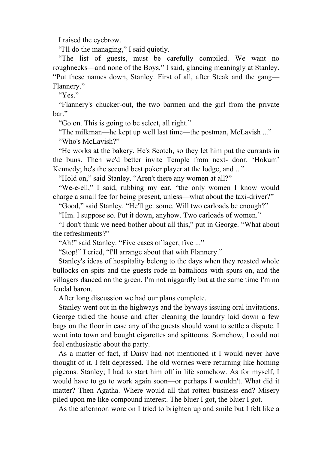I raised the eyebrow.

"I'll do the managing," I said quietly.

 "The list of guests, must be carefully compiled. We want no roughnecks—and none of the Boys," I said, glancing meaningly at Stanley. "Put these names down, Stanley. First of all, after Steak and the gang— Flannery."

"Yes."

 "Flannery's chucker-out, the two barmen and the girl from the private bar."

"Go on. This is going to be select, all right."

"The milkman—he kept up well last time—the postman, McLavish ..."

"Who's McLavish?"

 "He works at the bakery. He's Scotch, so they let him put the currants in the buns. Then we'd better invite Temple from next- door. 'Hokum' Kennedy; he's the second best poker player at the lodge, and ..."

"Hold on," said Stanley. "Aren't there any women at all?"

 "We-e-ell," I said, rubbing my ear, "the only women I know would charge a small fee for being present, unless—what about the taxi-driver?"

"Good," said Stanley. "He'll get some. Will two carloads be enough?"

"Hm. I suppose so. Put it down, anyhow. Two carloads of women."

 "I don't think we need bother about all this," put in George. "What about the refreshments?"

"Ah!" said Stanley. "Five cases of lager, five ..."

"Stop!" I cried, "I'll arrange about that with Flannery."

 Stanley's ideas of hospitality belong to the days when they roasted whole bullocks on spits and the guests rode in battalions with spurs on, and the villagers danced on the green. I'm not niggardly but at the same time I'm no feudal baron.

After long discussion we had our plans complete.

 Stanley went out in the highways and the byways issuing oral invitations. George tidied the house and after cleaning the laundry laid down a few bags on the floor in case any of the guests should want to settle a dispute. I went into town and bought cigarettes and spittoons. Somehow, I could not feel enthusiastic about the party.

 As a matter of fact, if Daisy had not mentioned it I would never have thought of it. I felt depressed. The old worries were returning like homing pigeons. Stanley; I had to start him off in life somehow. As for myself, I would have to go to work again soon—or perhaps I wouldn't. What did it matter? Then Agatha. Where would all that rotten business end? Misery piled upon me like compound interest. The bluer I got, the bluer I got.

As the afternoon wore on I tried to brighten up and smile but I felt like a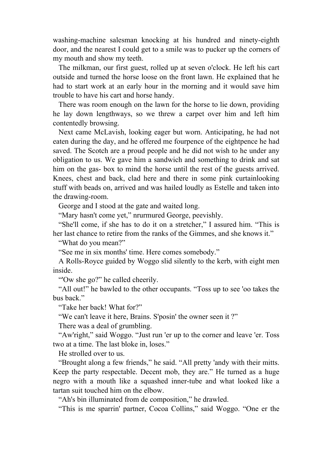washing-machine salesman knocking at his hundred and ninety-eighth door, and the nearest I could get to a smile was to pucker up the corners of my mouth and show my teeth.

 The milkman, our first guest, rolled up at seven o'clock. He left his cart outside and turned the horse loose on the front lawn. He explained that he had to start work at an early hour in the morning and it would save him trouble to have his cart and horse handy.

 There was room enough on the lawn for the horse to lie down, providing he lay down lengthways, so we threw a carpet over him and left him contentedly browsing.

 Next came McLavish, looking eager but worn. Anticipating, he had not eaten during the day, and he offered me fourpence of the eightpence he had saved. The Scotch are a proud people and he did not wish to he under any obligation to us. We gave him a sandwich and something to drink and sat him on the gas- box to mind the horse until the rest of the guests arrived. Knees, chest and back, clad here and there in some pink curtainlooking stuff with beads on, arrived and was hailed loudly as Estelle and taken into the drawing-room.

George and I stood at the gate and waited long.

"Mary hasn't come yet," nrurmured George, peevishly.

 "She'll come, if she has to do it on a stretcher," I assured him. "This is her last chance to retire from the ranks of the Gimmes, and she knows it."

"What do you mean?"

"See me in six months' time. Here comes somebody."

 A Rolls-Royce guided by Woggo slid silently to the kerb, with eight men inside.

"'Ow she go?" he called cheerily.

 "All out!" he bawled to the other occupants. "Toss up to see 'oo takes the bus back."

"Take her back! What for?"

"We can't leave it here, Brains. S'posin' the owner seen it ?"

There was a deal of grumbling.

 "Aw'right," said Woggo. "Just run 'er up to the corner and leave 'er. Toss two at a time. The last bloke in, loses."

He strolled over to us.

 "Brought along a few friends," he said. "All pretty 'andy with their mitts. Keep the party respectable. Decent mob, they are." He turned as a huge negro with a mouth like a squashed inner-tube and what looked like a tartan suit touched him on the elbow.

"Ah's bin illuminated from de composition," he drawled.

"This is me sparrin' partner, Cocoa Collins," said Woggo. "One er the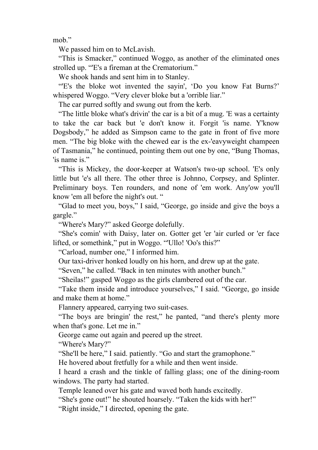mob."

We passed him on to McLavish.

 "This is Smacker," continued Woggo, as another of the eliminated ones strolled up. "'E's a fireman at the Crematorium."

We shook hands and sent him in to Stanley.

 "'E's the bloke wot invented the sayin', 'Do you know Fat Burns?' whispered Woggo. "Very clever bloke but a 'orrible liar."

The car purred softly and swung out from the kerb.

 "The little bloke what's drivin' the car is a bit of a mug. 'E was a certainty to take the car back but 'e don't know it. Forgit 'is name. Y'know Dogsbody," he added as Simpson came to the gate in front of five more men. "The big bloke with the chewed ear is the ex-'eavyweight champeen of Tasmania," he continued, pointing them out one by one, "Bung Thomas, 'is name is."

 "This is Mickey, the door-keeper at Watson's two-up school. 'E's only little but 'e's all there. The other three is Johnno, Corpsey, and Splinter. Preliminary boys. Ten rounders, and none of 'em work. Any'ow you'll know 'em all before the night's out. "

 "Glad to meet you, boys," I said, "George, go inside and give the boys a gargle."

"Where's Mary?" asked George dolefully.

 "She's comin' with Daisy, later on. Gotter get 'er 'air curled or 'er face lifted, or somethink," put in Woggo. "'Ullo! 'Oo's this?"

"Carload, number one," I informed him.

Our taxi-driver honked loudly on his horn, and drew up at the gate.

"Seven," he called. "Back in ten minutes with another bunch."

"Sheilas!" gasped Woggo as the girls clambered out of the car.

 "Take them inside and introduce yourselves," I said. "George, go inside and make them at home."

Flannery appeared, carrying two suit-cases.

 "The boys are bringin' the rest," he panted, "and there's plenty more when that's gone. Let me in."

George came out again and peered up the street.

"Where's Mary?"

"She'll be here," I said. patiently. "Go and start the gramophone."

He hovered about fretfully for a while and then went inside.

 I heard a crash and the tinkle of falling glass; one of the dining-room windows. The party had started.

Temple leaned over his gate and waved both hands excitedly.

"She's gone out!" he shouted hoarsely. "Taken the kids with her!"

"Right inside," I directed, opening the gate.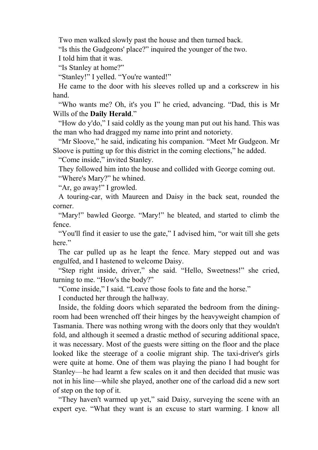Two men walked slowly past the house and then turned back.

"Is this the Gudgeons' place?" inquired the younger of the two.

I told him that it was.

"Is Stanley at home?"

"Stanley!" I yelled. "You're wanted!"

 He came to the door with his sleeves rolled up and a corkscrew in his hand.

 "Who wants me? Oh, it's you I" he cried, advancing. "Dad, this is Mr Wills of the **Daily Herald**."

 "How do y'do," I said coldly as the young man put out his hand. This was the man who had dragged my name into print and notoriety.

 "Mr Sloove," he said, indicating his companion. "Meet Mr Gudgeon. Mr Sloove is putting up for this district in the coming elections," he added.

"Come inside," invited Stanley.

They followed him into the house and collided with George coming out.

"Where's Mary?" he whined.

"Ar, go away!" I growled.

 A touring-car, with Maureen and Daisy in the back seat, rounded the corner.

 "Mary!" bawled George. "Mary!" he bleated, and started to climb the fence.

 "You'll find it easier to use the gate," I advised him, "or wait till she gets here."

 The car pulled up as he leapt the fence. Mary stepped out and was engulfed, and I hastened to welcome Daisy.

 "Step right inside, driver," she said. "Hello, Sweetness!" she cried, turning to me. "How's the body?"

"Come inside," I said. "Leave those fools to fate and the horse."

I conducted her through the hallway.

 Inside, the folding doors which separated the bedroom from the diningroom had been wrenched off their hinges by the heavyweight champion of Tasmania. There was nothing wrong with the doors only that they wouldn't fold, and although it seemed a drastic method of securing additional space, it was necessary. Most of the guests were sitting on the floor and the place looked like the steerage of a coolie migrant ship. The taxi-driver's girls were quite at home. One of them was playing the piano I had bought for Stanley—he had learnt a few scales on it and then decided that music was not in his line—while she played, another one of the carload did a new sort of step on the top of it.

 "They haven't warmed up yet," said Daisy, surveying the scene with an expert eye. "What they want is an excuse to start warming. I know all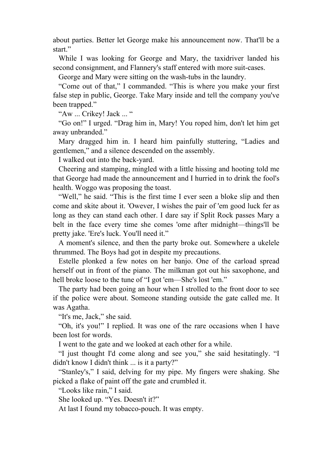about parties. Better let George make his announcement now. That'll be a start."

 While I was looking for George and Mary, the taxidriver landed his second consignment, and Flannery's staff entered with more suit-cases.

George and Mary were sitting on the wash-tubs in the laundry.

 "Come out of that," I commanded. "This is where you make your first false step in public, George. Take Mary inside and tell the company you've been trapped."

"Aw ... Crikey! Jack ... "

 "Go on!" I urged. "Drag him in, Mary! You roped him, don't let him get away unbranded."

 Mary dragged him in. I heard him painfully stuttering, "Ladies and gentlemen," and a silence descended on the assembly.

I walked out into the back-yard.

 Cheering and stamping, mingled with a little hissing and hooting told me that George had made the announcement and I hurried in to drink the fool's health. Woggo was proposing the toast.

 "Well," he said. "This is the first time I ever seen a bloke slip and then come and skite about it. 'Owever, I wishes the pair of 'em good luck fer as long as they can stand each other. I dare say if Split Rock passes Mary a belt in the face every time she comes 'ome after midnight—things'll be pretty jake. 'Ere's luck. You'll need it."

 A moment's silence, and then the party broke out. Somewhere a ukelele thrummed. The Boys had got in despite my precautions.

 Estelle plonked a few notes on her banjo. One of the carload spread herself out in front of the piano. The milkman got out his saxophone, and hell broke loose to the tune of "I got 'em—She's lost 'em."

 The party had been going an hour when I strolled to the front door to see if the police were about. Someone standing outside the gate called me. It was Agatha.

"It's me, Jack," she said.

 "Oh, it's you!" I replied. It was one of the rare occasions when I have been lost for words.

I went to the gate and we looked at each other for a while.

 "I just thought I'd come along and see you," she said hesitatingly. "I didn't know I didn't think ... is it a party?"

 "Stanley's," I said, delving for my pipe. My fingers were shaking. She picked a flake of paint off the gate and crumbled it.

"Looks like rain," I said.

She looked up. "Yes. Doesn't it?"

At last I found my tobacco-pouch. It was empty.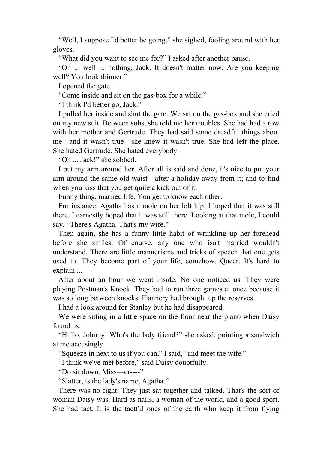"Well, I suppose I'd better be going," she sighed, fooling around with her gloves.

"What did you want to see me for?" I asked after another pause.

 "Oh ... well ... nothing, Jack. It doesn't matter now. Are you keeping well? You look thinner."

I opened the gate.

"Come inside and sit on the gas-box for a while."

"I think I'd better go, Jack."

 I pulled her inside and shut the gate. We sat on the gas-box and she cried on my new suit. Between sobs, she told me her troubles. She had had a row with her mother and Gertrude. They had said some dreadful things about me—and it wasn't true—she knew it wasn't true. She had left the place. She hated Gertrude. She hated everybody.

"Oh ... Jack!" she sobbed.

 I put my arm around her. After all is said and done, it's nice to put your arm around the same old waist—after a holiday away from it; and to find when you kiss that you get quite a kick out of it.

Funny thing, married life. You get to know each other.

 For instance, Agatha has a mole on her left hip. I hoped that it was still there. I earnestly hoped that it was still there. Looking at that mole, I could say, "There's Agatha. That's my wife."

 Then again, she has a funny little habit of wrinkling up her forehead before she smiles. Of course, any one who isn't married wouldn't understand. There are little mannerisms and tricks of speech that one gets used to. They become part of your life, somehow. Queer. It's hard to explain ...

 After about an hour we went inside. No one noticed us. They were playing Postman's Knock. They had to run three games at once because it was so long between knocks. Flannery had brought up the reserves.

I had a look around for Stanley but he had disappeared.

 We were sitting in a little space on the floor near the piano when Daisy found us.

 "Hullo, Johnny! Who's the lady friend?" she asked, pointing a sandwich at me accusingly.

"Squeeze in next to us if you can," I said, "and meet the wife."

"I think we've met before," said Daisy doubtfully.

"Do sit down, Miss—er----"

"Slatter, is the lady's name, Agatha."

 There was no fight. They just sat together and talked. That's the sort of woman Daisy was. Hard as nails, a woman of the world, and a good sport. She had tact. It is the tactful ones of the earth who keep it from flying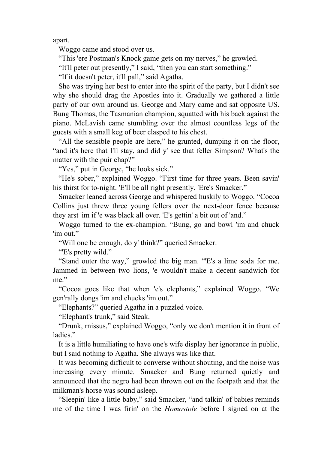apart.

Woggo came and stood over us.

"This 'ere Postman's Knock game gets on my nerves," he growled.

"It'll peter out presently," I said, "then you can start something."

"If it doesn't peter, it'll pall," said Agatha.

 She was trying her best to enter into the spirit of the party, but I didn't see why she should drag the Apostles into it. Gradually we gathered a little party of our own around us. George and Mary came and sat opposite US. Bung Thomas, the Tasmanian champion, squatted with his back against the piano. McLavish came stumbling over the almost countless legs of the guests with a small keg of beer clasped to his chest.

 "All the sensible people are here," he grunted, dumping it on the floor, "and it's here that I'll stay, and did y' see that feller Simpson? What's the matter with the puir chap?"

"Yes," put in George, "he looks sick."

 "He's sober," explained Woggo. "First time for three years. Been savin' his thirst for to-night. 'E'll be all right presently. 'Ere's Smacker."

 Smacker leaned across George and whispered huskily to Woggo. "Cocoa Collins just threw three young fellers over the next-door fence because they arst 'im if 'e was black all over. 'E's gettin' a bit out of 'and."

 Woggo turned to the ex-champion. "Bung, go and bowl 'im and chuck 'im out."

"Will one be enough, do y' think?" queried Smacker.

"E's pretty wild."

 "Stand outer the way," growled the big man. "'E's a lime soda for me. Jammed in between two lions, 'e wouldn't make a decent sandwich for me."

 "Cocoa goes like that when 'e's elephants," explained Woggo. "We gen'rally dongs 'im and chucks 'im out."

"Elephants?" queried Agatha in a puzzled voice.

"Elephant's trunk," said Steak.

 "Drunk, rnissus," explained Woggo, "only we don't mention it in front of ladies."

 It is a little humiliating to have one's wife display her ignorance in public, but I said nothing to Agatha. She always was like that.

 It was becoming difficult to converse without shouting, and the noise was increasing every minute. Smacker and Bung returned quietly and announced that the negro had been thrown out on the footpath and that the milkman's horse was sound asleep.

 "Sleepin' like a little baby," said Smacker, "and talkin' of babies reminds me of the time I was firin' on the *Homostole* before I signed on at the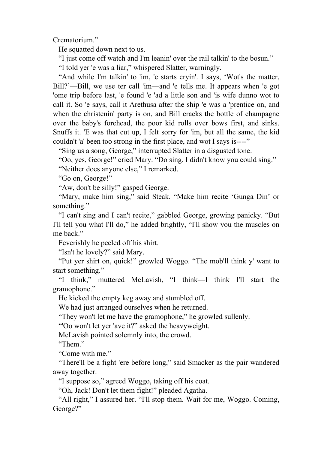Crematorium."

He squatted down next to us.

"I just come off watch and I'm leanin' over the rail talkin' to the bosun."

"I told yer 'e was a liar," whispered Slatter, warningly.

 "And while I'm talkin' to 'im, 'e starts cryin'. I says, 'Wot's the matter, Bill?'—Bill, we use ter call 'im—and 'e tells me. It appears when 'e got 'ome trip before last, 'e found 'e 'ad a little son and 'is wife dunno wot to call it. So 'e says, call it Arethusa after the ship 'e was a 'prentice on, and when the christenin' party is on, and Bill cracks the bottle of champagne over the baby's forehead, the poor kid rolls over bows first, and sinks. Snuffs it. 'E was that cut up, I felt sorry for 'im, but all the same, the kid couldn't 'a' been too strong in the first place, and wot I says is----"

"Sing us a song, George," interrupted Slatter in a disgusted tone.

"Oo, yes, George!" cried Mary. "Do sing. I didn't know you could sing."

"Neither does anyone else," I remarked.

"Go on, George!"

"Aw, don't be silly!" gasped George.

 "Mary, make him sing," said Steak. "Make him recite 'Gunga Din' or something."

 "I can't sing and I can't recite," gabbled George, growing panicky. "But I'll tell you what I'll do," he added brightly, "I'll show you the muscles on me back."

Feverishly he peeled off his shirt.

"Isn't he lovely?" said Mary.

 "Put yer shirt on, quick!" growled Woggo. "The mob'll think y' want to start something."

 "I think," muttered McLavish, "I think—I think I'll start the gramophone."

He kicked the empty keg away and stumbled off.

We had just arranged ourselves when he returned.

"They won't let me have the gramophone," he growled sullenly.

"'Oo won't let yer 'ave it?" asked the heavyweight.

McLavish pointed solemnly into, the crowd.

"Them."

"Come with me."

 "There'll be a fight 'ere before long," said Smacker as the pair wandered away together.

"I suppose so," agreed Woggo, taking off his coat.

"Oh, Jack! Don't let them fight!" pleaded Agatha.

 "All right," I assured her. "I'll stop them. Wait for me, Woggo. Coming, George?"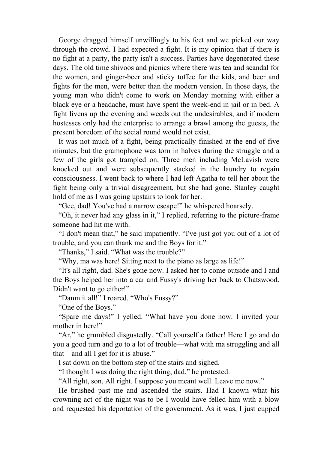George dragged himself unwillingly to his feet and we picked our way through the crowd. I had expected a fight. It is my opinion that if there is no fight at a party, the party isn't a success. Parties have degenerated these days. The old time shivoos and picnics where there was tea and scandal for the women, and ginger-beer and sticky toffee for the kids, and beer and fights for the men, were better than the modern version. In those days, the young man who didn't come to work on Monday morning with either a black eye or a headache, must have spent the week-end in jail or in bed. A fight livens up the evening and weeds out the undesirables, and if modern hostesses only had the enterprise to arrange a brawl among the guests, the present boredom of the social round would not exist.

 It was not much of a fight, being practically finished at the end of five minutes, but the gramophone was torn in halves during the struggle and a few of the girls got trampled on. Three men including McLavish were knocked out and were subsequently stacked in the laundry to regain consciousness. I went back to where I had left Agatha to tell her about the fight being only a trivial disagreement, but she had gone. Stanley caught hold of me as I was going upstairs to look for her.

"Gee, dad! You've had a narrow escape!" he whispered hoarsely.

 "Oh, it never had any glass in it," I replied, referring to the picture-frame someone had hit me with.

 "I don't mean that," he said impatiently. "I've just got you out of a lot of trouble, and you can thank me and the Boys for it."

"Thanks," I said. "What was the trouble?"

"Why, ma was here! Sitting next to the piano as large as life!"

 "It's all right, dad. She's gone now. I asked her to come outside and I and the Boys helped her into a car and Fussy's driving her back to Chatswood. Didn't want to go either!"

"Damn it all!" I roared. "Who's Fussy?"

"One of the Boys."

 "Spare me days!" I yelled. "What have you done now. I invited your mother in here!"

 "Ar," he grumbled disgustedly. "Call yourself a father! Here I go and do you a good turn and go to a lot of trouble—what with ma struggling and all that—and all I get for it is abuse."

I sat down on the bottom step of the stairs and sighed.

"I thought I was doing the right thing, dad," he protested.

"All right, son. All right. I suppose you meant well. Leave me now."

 He brushed past me and ascended the stairs. Had I known what his crowning act of the night was to be I would have felled him with a blow and requested his deportation of the government. As it was, I just cupped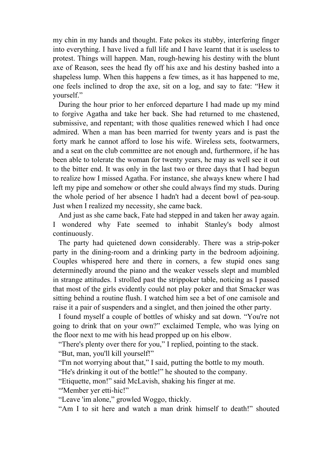my chin in my hands and thought. Fate pokes its stubby, interfering finger into everything. I have lived a full life and I have learnt that it is useless to protest. Things will happen. Man, rough-hewing his destiny with the blunt axe of Reason, sees the head fly off his axe and his destiny bashed into a shapeless lump. When this happens a few times, as it has happened to me, one feels inclined to drop the axe, sit on a log, and say to fate: "Hew it yourself."

 During the hour prior to her enforced departure I had made up my mind to forgive Agatha and take her back. She had returned to me chastened, submissive, and repentant; with those qualities renewed which I had once admired. When a man has been married for twenty years and is past the forty mark he cannot afford to lose his wife. Wireless sets, footwarmers, and a seat on the club committee are not enough and, furthermore, if he has been able to tolerate the woman for twenty years, he may as well see it out to the bitter end. It was only in the last two or three days that I had begun to realize how I missed Agatha. For instance, she always knew where I had left my pipe and somehow or other she could always find my studs. During the whole period of her absence I hadn't had a decent bowl of pea-soup. Just when I realized my necessity, she came back.

 And just as she came back, Fate had stepped in and taken her away again. I wondered why Fate seemed to inhabit Stanley's body almost continuously.

 The party had quietened down considerably. There was a strip-poker party in the dining-room and a drinking party in the bedroom adjoining. Couples whispered here and there in corners, a few stupid ones sang determinedly around the piano and the weaker vessels slept and mumbled in strange attitudes. I strolled past the strippoker table, noticing as I passed that most of the girls evidently could not play poker and that Smacker was sitting behind a routine flush. I watched him see a bet of one camisole and raise it a pair of suspenders and a singlet, and then joined the other party.

 I found myself a couple of bottles of whisky and sat down. "You're not going to drink that on your own?" exclaimed Temple, who was lying on the floor next to me with his head propped up on his elbow.

 "There's plenty over there for you," I replied, pointing to the stack. "But, man, you'll kill yourself!"

"I'm not worrying about that," I said, putting the bottle to my mouth.

"He's drinking it out of the bottle!" he shouted to the company.

"Etiquette, mon!" said McLavish, shaking his finger at me.

"'Member yer etti-hic!"

"Leave 'im alone," growled Woggo, thickly.

"Am I to sit here and watch a man drink himself to death!" shouted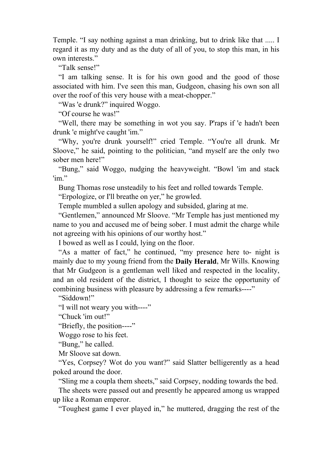Temple. "I say nothing against a man drinking, but to drink like that ..... I regard it as my duty and as the duty of all of you, to stop this man, in his own interests"

"Talk sense!"

 "I am talking sense. It is for his own good and the good of those associated with him. I've seen this man, Gudgeon, chasing his own son all over the roof of this very house with a meat-chopper."

"Was 'e drunk?" inquired Woggo.

"Of course he was!"

 "Well, there may be something in wot you say. P'raps if 'e hadn't been drunk 'e might've caught 'im."

 "Why, you're drunk yourself!" cried Temple. "You're all drunk. Mr Sloove," he said, pointing to the politician, "and myself are the only two sober men here!"

 "Bung," said Woggo, nudging the heavyweight. "Bowl 'im and stack 'im."

Bung Thomas rose unsteadily to his feet and rolled towards Temple.

"Erpologize, or I'll breathe on yer," he growled.

Temple mumbled a sullen apology and subsided, glaring at me.

 "Gentlemen," announced Mr Sloove. "Mr Temple has just mentioned my name to you and accused me of being sober. I must admit the charge while not agreeing with his opinions of our worthy host."

I bowed as well as I could, lying on the floor.

 "As a matter of fact," he continued, "my presence here to- night is mainly due to my young friend from the **Daily Herald**, Mr Wills. Knowing that Mr Gudgeon is a gentleman well liked and respected in the locality, and an old resident of the district, I thought to seize the opportunity of combining business with pleasure by addressing a few remarks----"

"Siddown!"

"I will not weary you with----"

"Chuck 'im out!"

"Briefly, the position----"

Woggo rose to his feet.

"Bung," he called.

Mr Sloove sat down.

 "Yes, Corpsey? Wot do you want?" said Slatter belligerently as a head poked around the door.

"Sling me a coupla them sheets," said Corpsey, nodding towards the bed.

 The sheets were passed out and presently he appeared among us wrapped up like a Roman emperor.

"Toughest game I ever played in," he muttered, dragging the rest of the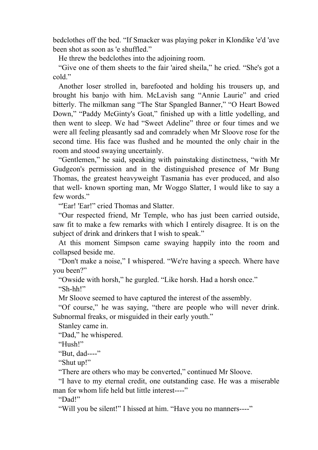bedclothes off the bed. "If Smacker was playing poker in Klondike 'e'd 'ave been shot as soon as 'e shuffled."

He threw the bedclothes into the adjoining room.

 "Give one of them sheets to the fair 'aired sheila," he cried. "She's got a cold."

 Another loser strolled in, barefooted and holding his trousers up, and brought his banjo with him. McLavish sang "Annie Laurie" and cried bitterly. The milkman sang "The Star Spangled Banner," "O Heart Bowed Down," "Paddy McGinty's Goat," finished up with a little yodelling, and then went to sleep. We had "Sweet Adeline" three or four times and we were all feeling pleasantly sad and comradely when Mr Sloove rose for the second time. His face was flushed and he mounted the only chair in the room and stood swaying uncertainly.

 "Gentlemen," he said, speaking with painstaking distinctness, "with Mr Gudgeon's permission and in the distinguished presence of Mr Bung Thomas, the greatest heavyweight Tasmania has ever produced, and also that well- known sporting man, Mr Woggo Slatter, I would like to say a few words"

"Ear! 'Ear!" cried Thomas and Slatter.

 "Our respected friend, Mr Temple, who has just been carried outside, saw fit to make a few remarks with which I entirely disagree. It is on the subject of drink and drinkers that I wish to speak."

 At this moment Simpson came swaying happily into the room and collapsed beside me.

 "Don't make a noise," I whispered. "We're having a speech. Where have you been?"

"Owside with horsh," he gurgled. "Like horsh. Had a horsh once."

"Sh-hh!"

Mr Sloove seemed to have captured the interest of the assembly.

 "Of course," he was saying, "there are people who will never drink. Subnormal freaks, or misguided in their early youth."

Stanley came in.

"Dad," he whispered.

"Hush!"

"But, dad----"

"Shut up!"

"There are others who may be converted," continued Mr Sloove.

 "I have to my eternal credit, one outstanding case. He was a miserable man for whom life held but little interest----"

"Dad!"

"Will you be silent!" I hissed at him. "Have you no manners----"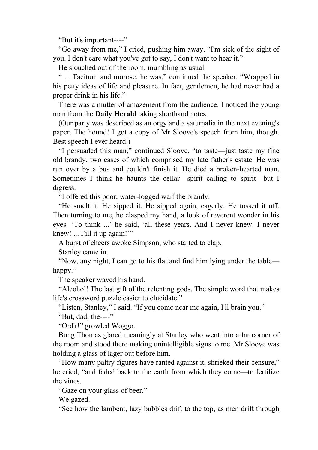"But it's important----"

 "Go away from me," I cried, pushing him away. "I'm sick of the sight of you. I don't care what you've got to say, I don't want to hear it."

He slouched out of the room, mumbling as usual.

 " ... Taciturn and morose, he was," continued the speaker. "Wrapped in his petty ideas of life and pleasure. In fact, gentlemen, he had never had a proper drink in his life."

 There was a mutter of amazement from the audience. I noticed the young man from the **Daily Herald** taking shorthand notes.

 (Our party was described as an orgy and a saturnalia in the next evening's paper. The hound! I got a copy of Mr Sloove's speech from him, though. Best speech I ever heard.)

 "I persuaded this man," continued Sloove, "to taste—just taste my fine old brandy, two cases of which comprised my late father's estate. He was run over by a bus and couldn't finish it. He died a broken-hearted man. Sometimes I think he haunts the cellar—spirit calling to spirit—but I digress.

"I offered this poor, water-logged waif the brandy.

 "He smelt it. He sipped it. He sipped again, eagerly. He tossed it off. Then turning to me, he clasped my hand, a look of reverent wonder in his eyes. 'To think ...' he said, 'all these years. And I never knew. I never knew! ... Fill it up again!'"

A burst of cheers awoke Simpson, who started to clap.

Stanley came in.

 "Now, any night, I can go to his flat and find him lying under the table happy."

The speaker waved his hand.

 "Alcohol! The last gift of the relenting gods. The simple word that makes life's crossword puzzle easier to elucidate."

"Listen, Stanley," I said. "If you come near me again, I'll brain you."

"But, dad, the----"

"Ord'r!" growled Woggo.

 Bung Thomas glared meaningly at Stanley who went into a far corner of the room and stood there making unintelligible signs to me. Mr Sloove was holding a glass of lager out before him.

 "How many paltry figures have ranted against it, shrieked their censure," he cried, "and faded back to the earth from which they come—to fertilize the vines.

"Gaze on your glass of beer."

We gazed.

"See how the lambent, lazy bubbles drift to the top, as men drift through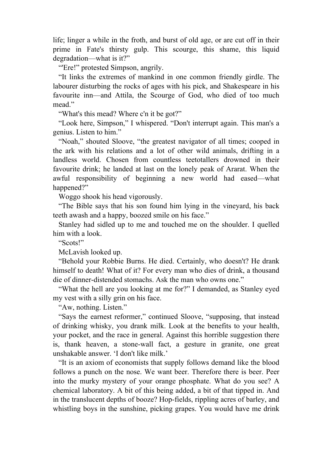life; linger a while in the froth, and burst of old age, or are cut off in their prime in Fate's thirsty gulp. This scourge, this shame, this liquid degradation—what is it?"

"Ere!" protested Simpson, angrily.

 "It links the extremes of mankind in one common friendly girdle. The labourer disturbing the rocks of ages with his pick, and Shakespeare in his favourite inn—and Attila, the Scourge of God, who died of too much mead."

"What's this mead? Where c'n it be got?"

 "Look here, Simpson," I whispered. "Don't interrupt again. This man's a genius. Listen to him."

 "Noah," shouted Sloove, "the greatest navigator of all times; cooped in the ark with his relations and a lot of other wild animals, drifting in a landless world. Chosen from countless teetotallers drowned in their favourite drink; he landed at last on the lonely peak of Ararat. When the awful responsibility of beginning a new world had eased—what happened?"

Woggo shook his head vigorously.

 "The Bible says that his son found him lying in the vineyard, his back teeth awash and a happy, boozed smile on his face."

 Stanley had sidled up to me and touched me on the shoulder. I quelled him with a look.

"Scots!"

McLavish looked up.

 "Behold your Robbie Burns. He died. Certainly, who doesn't? He drank himself to death! What of it? For every man who dies of drink, a thousand die of dinner-distended stomachs. Ask the man who owns one."

 "What the hell are you looking at me for?" I demanded, as Stanley eyed my vest with a silly grin on his face.

"Aw, nothing. Listen."

 "Says the earnest reformer," continued Sloove, "supposing, that instead of drinking whisky, you drank milk. Look at the benefits to your health, your pocket, and the race in general. Against this horrible suggestion there is, thank heaven, a stone-wall fact, a gesture in granite, one great unshakable answer. 'I don't like milk.'

 "It is an axiom of economists that supply follows demand like the blood follows a punch on the nose. We want beer. Therefore there is beer. Peer into the murky mystery of your orange phosphate. What do you see? A chemical laboratory. A bit of this being added, a bit of that tipped in. And in the translucent depths of booze? Hop-fields, rippling acres of barley, and whistling boys in the sunshine, picking grapes. You would have me drink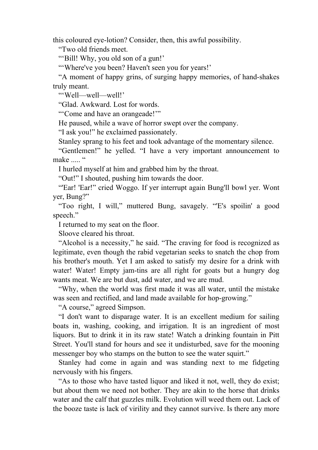this coloured eye-lotion? Consider, then, this awful possibility.

"Two old friends meet.

"'Bill! Why, you old son of a gun!'

"Where've you been? Haven't seen you for years!"

 "A moment of happy grins, of surging happy memories, of hand-shakes truly meant.

"'Well—well—well!'

"Glad. Awkward. Lost for words.

"'Come and have an orangeade!'"

He paused, while a wave of horror swept over the company.

"I ask you!" he exclaimed passionately.

Stanley sprang to his feet and took advantage of the momentary silence.

 "Gentlemen!" he yelled. "I have a very important announcement to make ..... "

I hurled myself at him and grabbed him by the throat.

"Out!" I shouted, pushing him towards the door.

"Ear! 'Ear!" cried Woggo. If yer interrupt again Bung'll bowl yer. Wont yer, Bung?"

 "Too right, I will," muttered Bung, savagely. "'E's spoilin' a good speech."

I returned to my seat on the floor.

Sloove cleared his throat.

 "Alcohol is a necessity," he said. "The craving for food is recognized as legitimate, even though the rabid vegetarian seeks to snatch the chop from his brother's mouth. Yet I am asked to satisfy my desire for a drink with water! Water! Empty jam-tins are all right for goats but a hungry dog wants meat. We are but dust, add water, and we are mud.

 "Why, when the world was first made it was all water, until the mistake was seen and rectified, and land made available for hop-growing."

"A course," agreed Simpson.

 "I don't want to disparage water. It is an excellent medium for sailing boats in, washing, cooking, and irrigation. It is an ingredient of most liquors. But to drink it in its raw state! Watch a drinking fountain in Pitt Street. You'll stand for hours and see it undisturbed, save for the mooning messenger boy who stamps on the button to see the water squirt."

 Stanley had come in again and was standing next to me fidgeting nervously with his fingers.

 "As to those who have tasted liquor and liked it not, well, they do exist; but about them we need not bother. They are akin to the horse that drinks water and the calf that guzzles milk. Evolution will weed them out. Lack of the booze taste is lack of virility and they cannot survive. Is there any more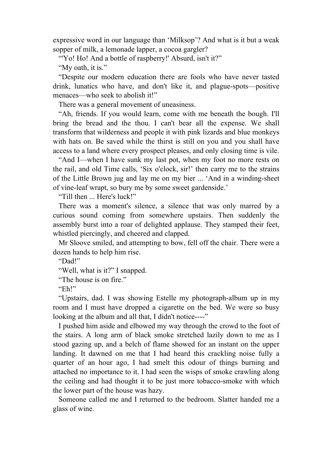expressive word in our language than 'Milksop'? And what is it but a weak sopper of milk, a lemonade lapper, a cocoa gargler?

"Yo! Ho! And a bottle of raspberry!' Absurd, isn't it?"

"My oath, it is."

 "Despite our modern education there are fools who have never tasted drink, lunatics who have, and don't like it, and plague-spots—positive menaces—who seek to abolish it!"

There was a general movement of uneasiness.

 "Ah, friends. If you would learn, come with me beneath the bough. I'll bring the bread and the thou. I can't bear all the expense. We shall transform that wilderness and people it with pink lizards and blue monkeys with hats on. Be saved while the thirst is still on you and you shall have access to a land where every prospect pleases, and only closing time is vile.

 "And I—when I have sunk my last pot, when my foot no more rests on the rail, and old Time calls, 'Six o'clock, sir!' then carry me to the strains of the Little Brown jug and lay me on my bier ... 'And in a winding-sheet of vine-leaf wrapt, so bury me by some sweet gardenside.'

"Till then ... Here's luck!"

 There was a moment's silence, a silence that was only marred by a curious sound coming from somewhere upstairs. Then suddenly the assembly burst into a roar of delighted applause. They stamped their feet, whistled piercingly, and cheered and clapped.

 Mr Sloove smiled, and attempting to bow, fell off the chair. There were a dozen hands to help him rise.

"Dad!"

"Well, what is it?" I snapped.

"The house is on fire."

"Eh!"

 "Upstairs, dad. I was showing Estelle my photograph-album up in my room and I must have dropped a cigarette on the bed. We were so busy looking at the album and all that, I didn't notice----"

 I pushed him aside and elbowed my way through the crowd to the foot of the stairs. A long arm of black smoke stretched lazily down to me as I stood gazing up, and a belch of flame showed for an instant on the upper landing. It dawned on me that I had heard this crackling noise fully a quarter of an hour ago, I had smelt this odour of things burning and attached no importance to it. I had seen the wisps of smoke crawling along the ceiling and had thought it to be just more tobacco-smoke with which the lower part of the house was hazy.

 Someone called me and I returned to the bedroom. Slatter handed me a glass of wine.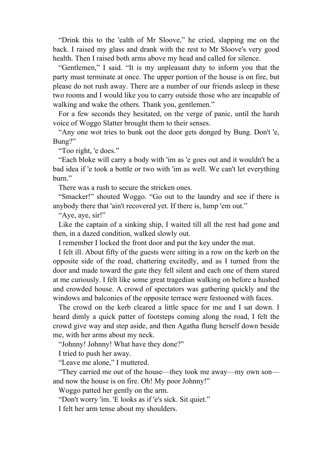"Drink this to the 'ealth of Mr Sloove," he cried, slapping me on the back. I raised my glass and drank with the rest to Mr Sloove's very good health. Then I raised both arms above my head and called for silence.

 "Gentlemen," I said. "It is my unpleasant duty to inform you that the party must terminate at once. The upper portion of the house is on fire, but please do not rush away. There are a number of our friends asleep in these two rooms and I would like you to carry outside those who are incapable of walking and wake the others. Thank you, gentlemen."

 For a few seconds they hesitated, on the verge of panic, until the harsh voice of Woggo Slatter brought them to their senses.

 "Any one wot tries to bunk out the door gets donged by Bung. Don't 'e, Bung?"

"Too right, 'e does."

 "Each bloke will carry a body with 'im as 'e goes out and it wouldn't be a bad idea if 'e took a bottle or two with 'im as well. We can't let everything burn."

There was a rush to secure the stricken ones.

 "Smacker!" shouted Woggo. "Go out to the laundry and see if there is anybody there that 'ain't recovered yet. If there is, lump 'em out."

"Aye, aye, sir!"

 Like the captain of a sinking ship, I waited till all the rest had gone and then, in a dazed condition, walked slowly out.

I remember I locked the front door and put the key under the mat.

 I felt ill. About fifty of the guests were sitting in a row on the kerb on the opposite side of the road, chattering excitedly, and as I turned from the door and made toward the gate they fell silent and each one of them stared at me curiously. I felt like some great tragedian walking on before a hushed and crowded house. A crowd of spectators was gathering quickly and the windows and balconies of the opposite terrace were festooned with faces.

 The crowd on the kerb cleared a little space for me and I sat down. I heard dimly a quick patter of footsteps coming along the road, I felt the crowd give way and step aside, and then Agatha flung herself down beside me, with her arms about my neck.

"Johnny! Johnny! What have they done?"

I tried to push her away.

"Leave me alone," I muttered.

 "They carried me out of the house—they took me away—my own son and now the house is on fire. Oh! My poor Johnny!"

Woggo patted her gently on the arm.

"Don't worry 'im. 'E looks as if 'e's sick. Sit quiet."

I felt her arm tense about my shoulders.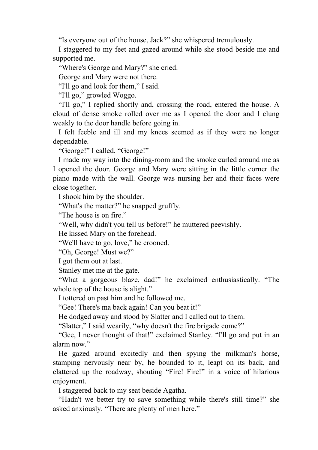"Is everyone out of the house, Jack?" she whispered tremulously.

 I staggered to my feet and gazed around while she stood beside me and supported me.

"Where's George and Mary?" she cried.

George and Mary were not there.

"I'll go and look for them," I said.

"I'll go," growled Woggo.

 "I'll go," I replied shortly and, crossing the road, entered the house. A cloud of dense smoke rolled over me as I opened the door and I clung weakly to the door handle before going in.

 I felt feeble and ill and my knees seemed as if they were no longer dependable.

"George!" I called. "George!"

 I made my way into the dining-room and the smoke curled around me as I opened the door. George and Mary were sitting in the little corner the piano made with the wall. George was nursing her and their faces were close together.

I shook him by the shoulder.

"What's the matter?" he snapped gruffly.

"The house is on fire."

"Well, why didn't you tell us before!" he muttered peevishly.

He kissed Mary on the forehead.

"We'll have to go, love," he crooned.

"Oh, George! Must we?"

I got them out at last.

Stanley met me at the gate.

 "What a gorgeous blaze, dad!" he exclaimed enthusiastically. "The whole top of the house is alight."

I tottered on past him and he followed me.

"Gee! There's ma back again! Can you beat it!"

He dodged away and stood by Slatter and I called out to them.

"Slatter," I said wearily, "why doesn't the fire brigade come?"

 "Gee, I never thought of that!" exclaimed Stanley. "I'll go and put in an alarm now."

 He gazed around excitedly and then spying the milkman's horse, stamping nervously near by, he bounded to it, leapt on its back, and clattered up the roadway, shouting "Fire! Fire!" in a voice of hilarious enjoyment.

I staggered back to my seat beside Agatha.

 "Hadn't we better try to save something while there's still time?" she asked anxiously. "There are plenty of men here."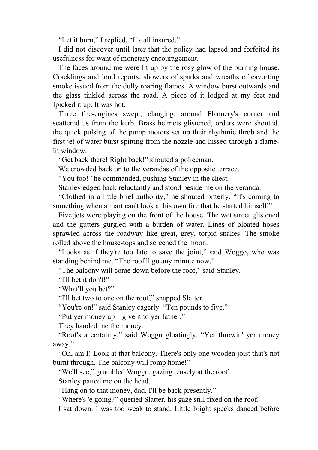"Let it burn," I replied. "It's all insured."

 I did not discover until later that the policy had lapsed and forfeited its usefulness for want of monetary encouragement.

 The faces around me were lit up by the rosy glow of the burning house. Cracklings and loud reports, showers of sparks and wreaths of cavorting smoke issued from the dully roaring flames. A window burst outwards and the glass tinkled across the road. A piece of it lodged at my feet and Ipicked it up. It was hot.

 Three fire-engines swept, clanging, around Flannery's corner and scattered us from the kerb. Brass helmets glistened, orders were shouted, the quick pulsing of the pump motors set up their rhythmic throb and the first jet of water burst spitting from the nozzle and hissed through a flamelit window.

"Get back there! Right back!" shouted a policeman.

We crowded back on to the verandas of the opposite terrace.

"You too!" he commanded, pushing Stanley in the chest.

Stanley edged back reluctantly and stood beside me on the veranda.

 "Clothed in a little brief authority," he shouted bitterly. "It's coming to something when a mart can't look at his own fire that he started himself."

 Five jets were playing on the front of the house. The wet street glistened and the gutters gurgled with a burden of water. Lines of bloated hoses sprawled across the roadway like great, grey, torpid snakes. The smoke rolled above the house-tops and screened the moon.

 "Looks as if they're too late to save the joint," said Woggo, who was standing behind me. "The roof'll go any minute now."

"The balcony will come down before the roof," said Stanley.

"I'll bet it don't!"

"What'll you bet?"

"I'll bet two to one on the roof," snapped Slatter.

"You're on!" said Stanley eagerly. "Ten pounds to five."

"Put yer money up—give it to yer father."

They handed me the money.

 "Roof's a certainty," said Woggo gloatingly. "Yer throwin' yer money away."

 "Oh, am I! Look at that balcony. There's only one wooden joist that's not burnt through. The balcony will romp home!"

"We'll see," grumbled Woggo, gazing tensely at the roof.

Stanley patted me on the head.

"Hang on to that money, dad. I'll be back presently."

"Where's 'e going?" queried Slatter, his gaze still fixed on the roof.

I sat down. I was too weak to stand. Little bright specks danced before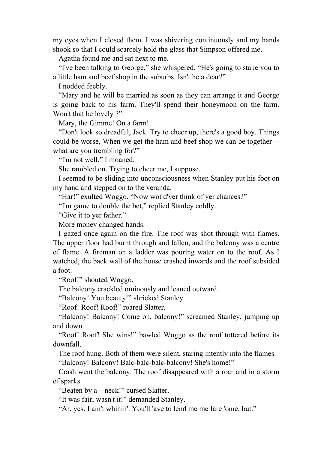my eyes when I closed them. I was shivering continuously and my hands shook so that I could scarcely hold the glass that Simpson offered me.

Agatha found me and sat next to me.

 "I've been talking to George," she whispered. "He's going to stake you to a little ham and beef shop in the suburbs. Isn't he a dear?"

I nodded feebly.

 "Mary and he will be married as soon as they can arrange it and George is going back to his farm. They'll spend their honeymoon on the farm. Won't that be lovely ?"

Mary, the Gimme! On a farm!

 "Don't look so dreadful, Jack. Try to cheer up, there's a good boy. Things could be worse, When we get the ham and beef shop we can be together what are you trembling for?"

"I'm not well," I moaned.

She rambled on. Trying to cheer me, I suppose.

 I seemed to be sliding into unconsciousness when Stanley put his foot on my hand and stepped on to the veranda.

"Har!" exulted Woggo. "Now wot d'yer think of yer chances?"

"I'm game to double the bet," replied Stanley coldly.

"Give it to yer father."

More money changed hands.

 I gazed once again on the fire. The roof was shot through with flames. The upper floor had burnt through and fallen, and the balcony was a centre of flame. A fireman on a ladder was pouring water on to the roof. As I watched, the back wall of the house crashed inwards and the roof subsided a foot.

"Roof!" shouted Woggo.

The balcony crackled ominously and leaned outward.

"Balcony! You beauty!" shrieked Stanley.

"Roof! Roof! Roof!" roared Slatter.

 "Balcony! Balcony! Come on, balcony!" screamed Stanley, jumping up and down.

 "Roof! Roof! She wins!" bawled Woggo as the roof tottered before its downfall.

The roof hung. Both of them were silent, staring intently into the flames.

"Balcony! Balcony! Balc-balc-balc-balcony! She's home!"

 Crash went the balcony. The roof disappeared with a roar and in a storm of sparks.

"Beaten by a—neck!" cursed Slatter.

"It was fair, wasn't it!" demanded Stanley.

"Ar, yes. I ain't whinin'. You'll 'ave to lend me me fare 'ome, but."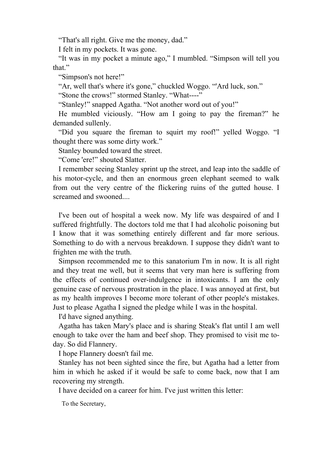"That's all right. Give me the money, dad."

I felt in my pockets. It was gone.

 "It was in my pocket a minute ago," I mumbled. "Simpson will tell you that."

"Simpson's not here!"

"Ar, well that's where it's gone," chuckled Woggo. "'Ard luck, son."

"Stone the crows!" stormed Stanley. "What----"

"Stanley!" snapped Agatha. "Not another word out of you!"

 He mumbled viciously. "How am I going to pay the fireman?" he demanded sullenly.

 "Did you square the fireman to squirt my roof!" yelled Woggo. "I thought there was some dirty work."

Stanley bounded toward the street.

"Come 'ere!" shouted Slatter.

 I remember seeing Stanley sprint up the street, and leap into the saddle of his motor-cycle, and then an enormous green elephant seemed to walk from out the very centre of the flickering ruins of the gutted house. I screamed and swooned...

 I've been out of hospital a week now. My life was despaired of and I suffered frightfully. The doctors told me that I had alcoholic poisoning but I know that it was something entirely different and far more serious. Something to do with a nervous breakdown. I suppose they didn't want to frighten me with the truth.

 Simpson recommended me to this sanatorium I'm in now. It is all right and they treat me well, but it seems that very man here is suffering from the effects of continued over-indulgence in intoxicants. I am the only genuine case of nervous prostration in the place. I was annoyed at first, but as my health improves I become more tolerant of other people's mistakes. Just to please Agatha I signed the pledge while I was in the hospital.

I'd have signed anything.

 Agatha has taken Mary's place and is sharing Steak's flat until I am well enough to take over the ham and beef shop. They promised to visit me today. So did Flannery.

I hope Flannery doesn't fail me.

 Stanley has not been sighted since the fire, but Agatha had a letter from him in which he asked if it would be safe to come back, now that I am recovering my strength.

I have decided on a career for him. I've just written this letter:

To the Secretary,